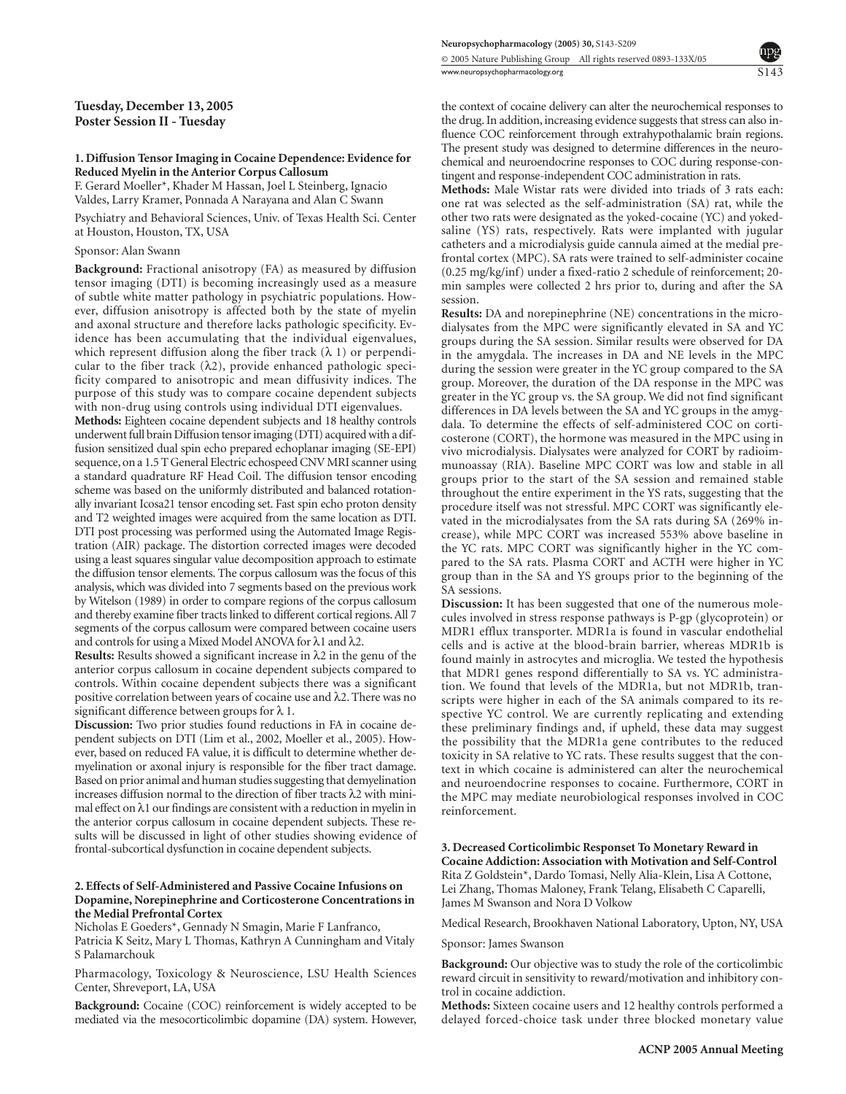# **Tuesday, December 13, 2005 Poster Session II - Tuesday**

#### **1. Diffusion Tensor Imaging in Cocaine Dependence: Evidence for Reduced Myelin in the Anterior Corpus Callosum** F. Gerard Moeller\*, Khader M Hassan, Joel L Steinberg, Ignacio

Valdes, Larry Kramer, Ponnada A Narayana and Alan C Swann

Psychiatry and Behavioral Sciences, Univ. of Texas Health Sci. Center at Houston, Houston, TX, USA

# Sponsor: Alan Swann

**Background:** Fractional anisotropy (FA) as measured by diffusion tensor imaging (DTI) is becoming increasingly used as a measure of subtle white matter pathology in psychiatric populations. However, diffusion anisotropy is affected both by the state of myelin and axonal structure and therefore lacks pathologic specificity. Evidence has been accumulating that the individual eigenvalues, which represent diffusion along the fiber track  $(\lambda 1)$  or perpendicular to the fiber track  $(\lambda 2)$ , provide enhanced pathologic specificity compared to anisotropic and mean diffusivity indices. The purpose of this study was to compare cocaine dependent subjects with non-drug using controls using individual DTI eigenvalues.

**Methods:** Eighteen cocaine dependent subjects and 18 healthy controls underwent full brain Diffusion tensor imaging (DTI) acquired with a diffusion sensitized dual spin echo prepared echoplanar imaging (SE-EPI) sequence, on a 1.5 T General Electric echospeed CNV MRI scanner using a standard quadrature RF Head Coil. The diffusion tensor encoding scheme was based on the uniformly distributed and balanced rotationally invariant Icosa21 tensor encoding set. Fast spin echo proton density and T2 weighted images were acquired from the same location as DTI. DTI post processing was performed using the Automated Image Registration (AIR) package. The distortion corrected images were decoded using a least squares singular value decomposition approach to estimate the diffusion tensor elements. The corpus callosum was the focus of this analysis, which was divided into 7 segments based on the previous work by Witelson (1989) in order to compare regions of the corpus callosum and thereby examine fiber tracts linked to different cortical regions. All 7 segments of the corpus callosum were compared between cocaine users and controls for using a Mixed Model ANOVA for λ1 and λ2.

**Results:** Results showed a significant increase in  $\lambda$ 2 in the genu of the anterior corpus callosum in cocaine dependent subjects compared to controls. Within cocaine dependent subjects there was a significant positive correlation between years of cocaine use and λ2. There was no significant difference between groups for  $\lambda$  1.

**Discussion:** Two prior studies found reductions in FA in cocaine dependent subjects on DTI (Lim et al., 2002, Moeller et al., 2005). However, based on reduced FA value, it is difficult to determine whether demyelination or axonal injury is responsible for the fiber tract damage. Based on prior animal and human studies suggesting that demyelination increases diffusion normal to the direction of fiber tracts λ2 with minimal effect on  $\lambda$ 1 our findings are consistent with a reduction in myelin in the anterior corpus callosum in cocaine dependent subjects. These results will be discussed in light of other studies showing evidence of frontal-subcortical dysfunction in cocaine dependent subjects.

# **2. Effects of Self-Administered and Passive Cocaine Infusions on Dopamine, Norepinephrine and Corticosterone Concentrations in the Medial Prefrontal Cortex**

Nicholas E Goeders\*, Gennady N Smagin, Marie F Lanfranco, Patricia K Seitz, Mary L Thomas, Kathryn A Cunningham and Vitaly S Palamarchouk

Pharmacology, Toxicology & Neuroscience, LSU Health Sciences Center, Shreveport, LA, USA

**Background:** Cocaine (COC) reinforcement is widely accepted to be mediated via the mesocorticolimbic dopamine (DA) system. However, the context of cocaine delivery can alter the neurochemical responses to the drug. In addition, increasing evidence suggests that stress can also influence COC reinforcement through extrahypothalamic brain regions. The present study was designed to determine differences in the neurochemical and neuroendocrine responses to COC during response-contingent and response-independent COC administration in rats.

S143

**Methods:** Male Wistar rats were divided into triads of 3 rats each: one rat was selected as the self-administration (SA) rat, while the other two rats were designated as the yoked-cocaine (YC) and yokedsaline (YS) rats, respectively. Rats were implanted with jugular catheters and a microdialysis guide cannula aimed at the medial prefrontal cortex (MPC). SA rats were trained to self-administer cocaine (0.25 mg/kg/inf) under a fixed-ratio 2 schedule of reinforcement; 20 min samples were collected 2 hrs prior to, during and after the SA session.

**Results:** DA and norepinephrine (NE) concentrations in the microdialysates from the MPC were significantly elevated in SA and YC groups during the SA session. Similar results were observed for DA in the amygdala. The increases in DA and NE levels in the MPC during the session were greater in the YC group compared to the SA group. Moreover, the duration of the DA response in the MPC was greater in the YC group vs. the SA group. We did not find significant differences in DA levels between the SA and YC groups in the amygdala. To determine the effects of self-administered COC on corticosterone (CORT), the hormone was measured in the MPC using in vivo microdialysis. Dialysates were analyzed for CORT by radioimmunoassay (RIA). Baseline MPC CORT was low and stable in all groups prior to the start of the SA session and remained stable throughout the entire experiment in the YS rats, suggesting that the procedure itself was not stressful. MPC CORT was significantly elevated in the microdialysates from the SA rats during SA (269% increase), while MPC CORT was increased 553% above baseline in the YC rats. MPC CORT was significantly higher in the YC compared to the SA rats. Plasma CORT and ACTH were higher in YC group than in the SA and YS groups prior to the beginning of the SA sessions.

**Discussion:** It has been suggested that one of the numerous molecules involved in stress response pathways is P-gp (glycoprotein) or MDR1 efflux transporter. MDR1a is found in vascular endothelial cells and is active at the blood-brain barrier, whereas MDR1b is found mainly in astrocytes and microglia. We tested the hypothesis that MDR1 genes respond differentially to SA vs. YC administration. We found that levels of the MDR1a, but not MDR1b, transcripts were higher in each of the SA animals compared to its respective YC control. We are currently replicating and extending these preliminary findings and, if upheld, these data may suggest the possibility that the MDR1a gene contributes to the reduced toxicity in SA relative to YC rats. These results suggest that the context in which cocaine is administered can alter the neurochemical and neuroendocrine responses to cocaine. Furthermore, CORT in the MPC may mediate neurobiological responses involved in COC reinforcement.

# **3. Decreased Corticolimbic Responset To Monetary Reward in Cocaine Addiction: Association with Motivation and Self-Control** Rita Z Goldstein\*, Dardo Tomasi, Nelly Alia-Klein, Lisa A Cottone,

Lei Zhang, Thomas Maloney, Frank Telang, Elisabeth C Caparelli, James M Swanson and Nora D Volkow

Medical Research, Brookhaven National Laboratory, Upton, NY, USA

Sponsor: James Swanson

**Background:** Our objective was to study the role of the corticolimbic reward circuit in sensitivity to reward/motivation and inhibitory control in cocaine addiction.

**Methods:** Sixteen cocaine users and 12 healthy controls performed a delayed forced-choice task under three blocked monetary value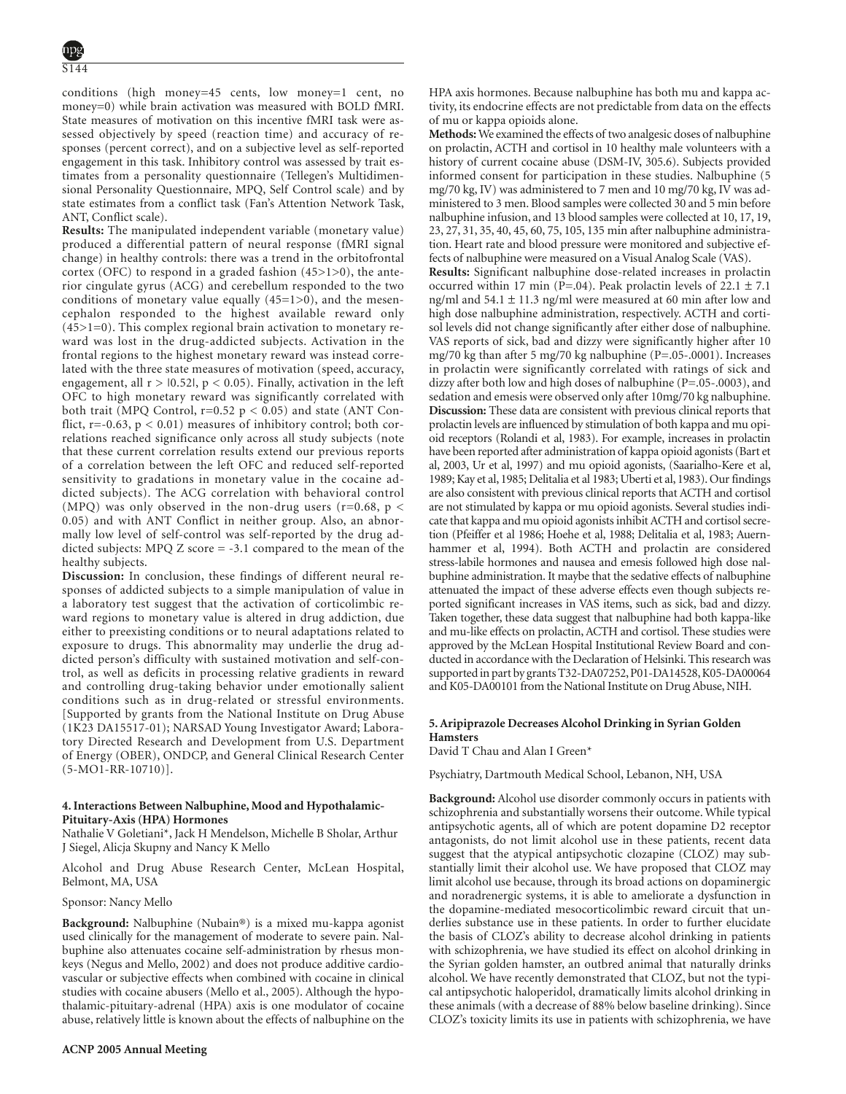conditions (high money=45 cents, low money=1 cent, no money=0) while brain activation was measured with BOLD fMRI. State measures of motivation on this incentive fMRI task were assessed objectively by speed (reaction time) and accuracy of responses (percent correct), and on a subjective level as self-reported engagement in this task. Inhibitory control was assessed by trait estimates from a personality questionnaire (Tellegen's Multidimensional Personality Questionnaire, MPQ, Self Control scale) and by state estimates from a conflict task (Fan's Attention Network Task, ANT, Conflict scale).

**Results:** The manipulated independent variable (monetary value) produced a differential pattern of neural response (fMRI signal change) in healthy controls: there was a trend in the orbitofrontal cortex (OFC) to respond in a graded fashion (45>1>0), the anterior cingulate gyrus (ACG) and cerebellum responded to the two conditions of monetary value equally  $(45=1>0)$ , and the mesencephalon responded to the highest available reward only (45>1=0). This complex regional brain activation to monetary reward was lost in the drug-addicted subjects. Activation in the frontal regions to the highest monetary reward was instead correlated with the three state measures of motivation (speed, accuracy, engagement, all  $r > 0.52$ ,  $p < 0.05$ ). Finally, activation in the left OFC to high monetary reward was significantly correlated with both trait (MPQ Control,  $r=0.52$   $p < 0.05$ ) and state (ANT Conflict,  $r=-0.63$ ,  $p < 0.01$ ) measures of inhibitory control; both correlations reached significance only across all study subjects (note that these current correlation results extend our previous reports of a correlation between the left OFC and reduced self-reported sensitivity to gradations in monetary value in the cocaine addicted subjects). The ACG correlation with behavioral control (MPQ) was only observed in the non-drug users ( $r=0.68$ ,  $p <$ 0.05) and with ANT Conflict in neither group. Also, an abnormally low level of self-control was self-reported by the drug addicted subjects: MPQ Z score = -3.1 compared to the mean of the healthy subjects.

**Discussion:** In conclusion, these findings of different neural responses of addicted subjects to a simple manipulation of value in a laboratory test suggest that the activation of corticolimbic reward regions to monetary value is altered in drug addiction, due either to preexisting conditions or to neural adaptations related to exposure to drugs. This abnormality may underlie the drug addicted person's difficulty with sustained motivation and self-control, as well as deficits in processing relative gradients in reward and controlling drug-taking behavior under emotionally salient conditions such as in drug-related or stressful environments. [Supported by grants from the National Institute on Drug Abuse (1K23 DA15517-01); NARSAD Young Investigator Award; Laboratory Directed Research and Development from U.S. Department of Energy (OBER), ONDCP, and General Clinical Research Center (5-MO1-RR-10710)].

# **4. Interactions Between Nalbuphine, Mood and Hypothalamic-Pituitary-Axis (HPA) Hormones**

Nathalie V Goletiani\*, Jack H Mendelson, Michelle B Sholar, Arthur J Siegel, Alicja Skupny and Nancy K Mello

Alcohol and Drug Abuse Research Center, McLean Hospital, Belmont, MA, USA

# Sponsor: Nancy Mello

**Background:** Nalbuphine (Nubain®) is a mixed mu-kappa agonist used clinically for the management of moderate to severe pain. Nalbuphine also attenuates cocaine self-administration by rhesus monkeys (Negus and Mello, 2002) and does not produce additive cardiovascular or subjective effects when combined with cocaine in clinical studies with cocaine abusers (Mello et al., 2005). Although the hypothalamic-pituitary-adrenal (HPA) axis is one modulator of cocaine abuse, relatively little is known about the effects of nalbuphine on the

HPA axis hormones. Because nalbuphine has both mu and kappa activity, its endocrine effects are not predictable from data on the effects of mu or kappa opioids alone.

**Methods:**We examined the effects of two analgesic doses of nalbuphine on prolactin, ACTH and cortisol in 10 healthy male volunteers with a history of current cocaine abuse (DSM-IV, 305.6). Subjects provided informed consent for participation in these studies. Nalbuphine (5 mg/70 kg, IV) was administered to 7 men and 10 mg/70 kg, IV was administered to 3 men. Blood samples were collected 30 and 5 min before nalbuphine infusion, and 13 blood samples were collected at 10, 17, 19, 23, 27, 31, 35, 40, 45, 60, 75, 105, 135 min after nalbuphine administration. Heart rate and blood pressure were monitored and subjective effects of nalbuphine were measured on a Visual Analog Scale (VAS).

**Results:** Significant nalbuphine dose-related increases in prolactin occurred within 17 min (P=.04). Peak prolactin levels of  $22.1 \pm 7.1$ ng/ml and 54.1 ± 11.3 ng/ml were measured at 60 min after low and high dose nalbuphine administration, respectively. ACTH and cortisol levels did not change significantly after either dose of nalbuphine. VAS reports of sick, bad and dizzy were significantly higher after 10 mg/70 kg than after 5 mg/70 kg nalbuphine (P=.05-.0001). Increases in prolactin were significantly correlated with ratings of sick and dizzy after both low and high doses of nalbuphine (P=.05-.0003), and sedation and emesis were observed only after 10mg/70 kg nalbuphine. **Discussion:** These data are consistent with previous clinical reports that prolactin levels are influenced by stimulation of both kappa and mu opioid receptors (Rolandi et al, 1983). For example, increases in prolactin have been reported after administration of kappa opioid agonists (Bart et al, 2003, Ur et al, 1997) and mu opioid agonists, (Saarialho-Kere et al, 1989; Kay et al, 1985; Delitalia et al 1983; Uberti et al, 1983). Our findings are also consistent with previous clinical reports that ACTH and cortisol are not stimulated by kappa or mu opioid agonists. Several studies indicate that kappa and mu opioid agonists inhibit ACTH and cortisol secretion (Pfeiffer et al 1986; Hoehe et al, 1988; Delitalia et al, 1983; Auernhammer et al, 1994). Both ACTH and prolactin are considered stress-labile hormones and nausea and emesis followed high dose nalbuphine administration. It maybe that the sedative effects of nalbuphine attenuated the impact of these adverse effects even though subjects reported significant increases in VAS items, such as sick, bad and dizzy. Taken together, these data suggest that nalbuphine had both kappa-like and mu-like effects on prolactin, ACTH and cortisol. These studies were approved by the McLean Hospital Institutional Review Board and conducted in accordance with the Declaration of Helsinki. This research was supported in part by grants T32-DA07252, P01-DA14528, K05-DA00064 and K05-DA00101 from the National Institute on Drug Abuse, NIH.

# **5. Aripiprazole Decreases Alcohol Drinking in Syrian Golden Hamsters**

David T Chau and Alan I Green\*

Psychiatry, Dartmouth Medical School, Lebanon, NH, USA

**Background:** Alcohol use disorder commonly occurs in patients with schizophrenia and substantially worsens their outcome. While typical antipsychotic agents, all of which are potent dopamine D2 receptor antagonists, do not limit alcohol use in these patients, recent data suggest that the atypical antipsychotic clozapine (CLOZ) may substantially limit their alcohol use. We have proposed that CLOZ may limit alcohol use because, through its broad actions on dopaminergic and noradrenergic systems, it is able to ameliorate a dysfunction in the dopamine-mediated mesocorticolimbic reward circuit that underlies substance use in these patients. In order to further elucidate the basis of CLOZ's ability to decrease alcohol drinking in patients with schizophrenia, we have studied its effect on alcohol drinking in the Syrian golden hamster, an outbred animal that naturally drinks alcohol. We have recently demonstrated that CLOZ, but not the typical antipsychotic haloperidol, dramatically limits alcohol drinking in these animals (with a decrease of 88% below baseline drinking). Since CLOZ's toxicity limits its use in patients with schizophrenia, we have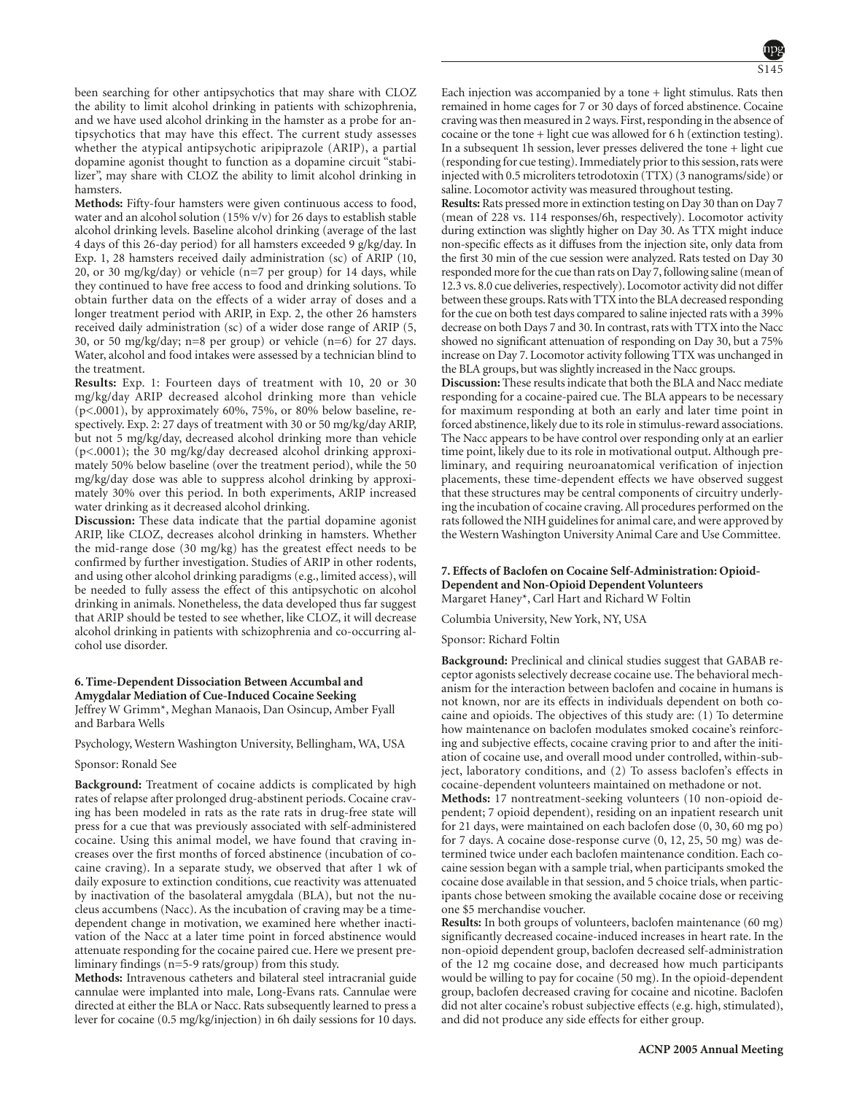been searching for other antipsychotics that may share with CLOZ the ability to limit alcohol drinking in patients with schizophrenia, and we have used alcohol drinking in the hamster as a probe for antipsychotics that may have this effect. The current study assesses whether the atypical antipsychotic aripiprazole (ARIP), a partial dopamine agonist thought to function as a dopamine circuit "stabilizer", may share with CLOZ the ability to limit alcohol drinking in hamsters.

**Methods:** Fifty-four hamsters were given continuous access to food, water and an alcohol solution (15% v/v) for 26 days to establish stable alcohol drinking levels. Baseline alcohol drinking (average of the last 4 days of this 26-day period) for all hamsters exceeded 9 g/kg/day. In Exp. 1, 28 hamsters received daily administration (sc) of ARIP (10, 20, or 30 mg/kg/day) or vehicle (n=7 per group) for 14 days, while they continued to have free access to food and drinking solutions. To obtain further data on the effects of a wider array of doses and a longer treatment period with ARIP, in Exp. 2, the other 26 hamsters received daily administration (sc) of a wider dose range of ARIP (5, 30, or 50 mg/kg/day; n=8 per group) or vehicle (n=6) for 27 days. Water, alcohol and food intakes were assessed by a technician blind to the treatment.

**Results:** Exp. 1: Fourteen days of treatment with 10, 20 or 30 mg/kg/day ARIP decreased alcohol drinking more than vehicle (p<.0001), by approximately 60%, 75%, or 80% below baseline, respectively. Exp. 2: 27 days of treatment with 30 or 50 mg/kg/day ARIP, but not 5 mg/kg/day, decreased alcohol drinking more than vehicle (p<.0001); the 30 mg/kg/day decreased alcohol drinking approximately 50% below baseline (over the treatment period), while the 50 mg/kg/day dose was able to suppress alcohol drinking by approximately 30% over this period. In both experiments, ARIP increased water drinking as it decreased alcohol drinking.

**Discussion:** These data indicate that the partial dopamine agonist ARIP, like CLOZ, decreases alcohol drinking in hamsters. Whether the mid-range dose (30 mg/kg) has the greatest effect needs to be confirmed by further investigation. Studies of ARIP in other rodents, and using other alcohol drinking paradigms (e.g., limited access), will be needed to fully assess the effect of this antipsychotic on alcohol drinking in animals. Nonetheless, the data developed thus far suggest that ARIP should be tested to see whether, like CLOZ, it will decrease alcohol drinking in patients with schizophrenia and co-occurring alcohol use disorder.

# **6. Time-Dependent Dissociation Between Accumbal and Amygdalar Mediation of Cue-Induced Cocaine Seeking** Jeffrey W Grimm\*, Meghan Manaois, Dan Osincup, Amber Fyall

Psychology, Western Washington University, Bellingham, WA, USA

#### Sponsor: Ronald See

and Barbara Wells

**Background:** Treatment of cocaine addicts is complicated by high rates of relapse after prolonged drug-abstinent periods. Cocaine craving has been modeled in rats as the rate rats in drug-free state will press for a cue that was previously associated with self-administered cocaine. Using this animal model, we have found that craving increases over the first months of forced abstinence (incubation of cocaine craving). In a separate study, we observed that after 1 wk of daily exposure to extinction conditions, cue reactivity was attenuated by inactivation of the basolateral amygdala (BLA), but not the nucleus accumbens (Nacc). As the incubation of craving may be a timedependent change in motivation, we examined here whether inactivation of the Nacc at a later time point in forced abstinence would attenuate responding for the cocaine paired cue. Here we present preliminary findings (n=5-9 rats/group) from this study.

**Methods:** Intravenous catheters and bilateral steel intracranial guide cannulae were implanted into male, Long-Evans rats. Cannulae were directed at either the BLA or Nacc. Rats subsequently learned to press a lever for cocaine (0.5 mg/kg/injection) in 6h daily sessions for 10 days.

Each injection was accompanied by a tone  $+$  light stimulus. Rats then remained in home cages for 7 or 30 days of forced abstinence. Cocaine craving was then measured in 2 ways. First, responding in the absence of cocaine or the tone + light cue was allowed for 6 h (extinction testing). In a subsequent 1h session, lever presses delivered the tone + light cue (responding for cue testing). Immediately prior to this session, rats were injected with 0.5 microliters tetrodotoxin (TTX) (3 nanograms/side) or saline. Locomotor activity was measured throughout testing.

**Results:** Rats pressed more in extinction testing on Day 30 than on Day 7 (mean of 228 vs. 114 responses/6h, respectively). Locomotor activity during extinction was slightly higher on Day 30. As TTX might induce non-specific effects as it diffuses from the injection site, only data from the first 30 min of the cue session were analyzed. Rats tested on Day 30 responded more for the cue than rats on Day 7, following saline (mean of 12.3 vs. 8.0 cue deliveries, respectively). Locomotor activity did not differ between these groups. Rats with TTX into the BLA decreased responding for the cue on both test days compared to saline injected rats with a 39% decrease on both Days 7 and 30. In contrast, rats with TTX into the Nacc showed no significant attenuation of responding on Day 30, but a 75% increase on Day 7. Locomotor activity following TTX was unchanged in the BLA groups, but was slightly increased in the Nacc groups.

**Discussion:** These results indicate that both the BLA and Nacc mediate responding for a cocaine-paired cue. The BLA appears to be necessary for maximum responding at both an early and later time point in forced abstinence, likely due to its role in stimulus-reward associations. The Nacc appears to be have control over responding only at an earlier time point, likely due to its role in motivational output. Although preliminary, and requiring neuroanatomical verification of injection placements, these time-dependent effects we have observed suggest that these structures may be central components of circuitry underlying the incubation of cocaine craving. All procedures performed on the rats followed the NIH guidelines for animal care, and were approved by the Western Washington University Animal Care and Use Committee.

### **7. Effects of Baclofen on Cocaine Self-Administration: Opioid-Dependent and Non-Opioid Dependent Volunteers** Margaret Haney\*, Carl Hart and Richard W Foltin

Columbia University, New York, NY, USA

Sponsor: Richard Foltin

**Background:** Preclinical and clinical studies suggest that GABAB receptor agonists selectively decrease cocaine use. The behavioral mechanism for the interaction between baclofen and cocaine in humans is not known, nor are its effects in individuals dependent on both cocaine and opioids. The objectives of this study are: (1) To determine how maintenance on baclofen modulates smoked cocaine's reinforcing and subjective effects, cocaine craving prior to and after the initiation of cocaine use, and overall mood under controlled, within-subject, laboratory conditions, and (2) To assess baclofen's effects in cocaine-dependent volunteers maintained on methadone or not.

**Methods:** 17 nontreatment-seeking volunteers (10 non-opioid dependent; 7 opioid dependent), residing on an inpatient research unit for 21 days, were maintained on each baclofen dose (0, 30, 60 mg po) for 7 days. A cocaine dose-response curve (0, 12, 25, 50 mg) was determined twice under each baclofen maintenance condition. Each cocaine session began with a sample trial, when participants smoked the cocaine dose available in that session, and 5 choice trials, when participants chose between smoking the available cocaine dose or receiving one \$5 merchandise voucher.

**Results:** In both groups of volunteers, baclofen maintenance (60 mg) significantly decreased cocaine-induced increases in heart rate. In the non-opioid dependent group, baclofen decreased self-administration of the 12 mg cocaine dose, and decreased how much participants would be willing to pay for cocaine (50 mg). In the opioid-dependent group, baclofen decreased craving for cocaine and nicotine. Baclofen did not alter cocaine's robust subjective effects (e.g. high, stimulated), and did not produce any side effects for either group.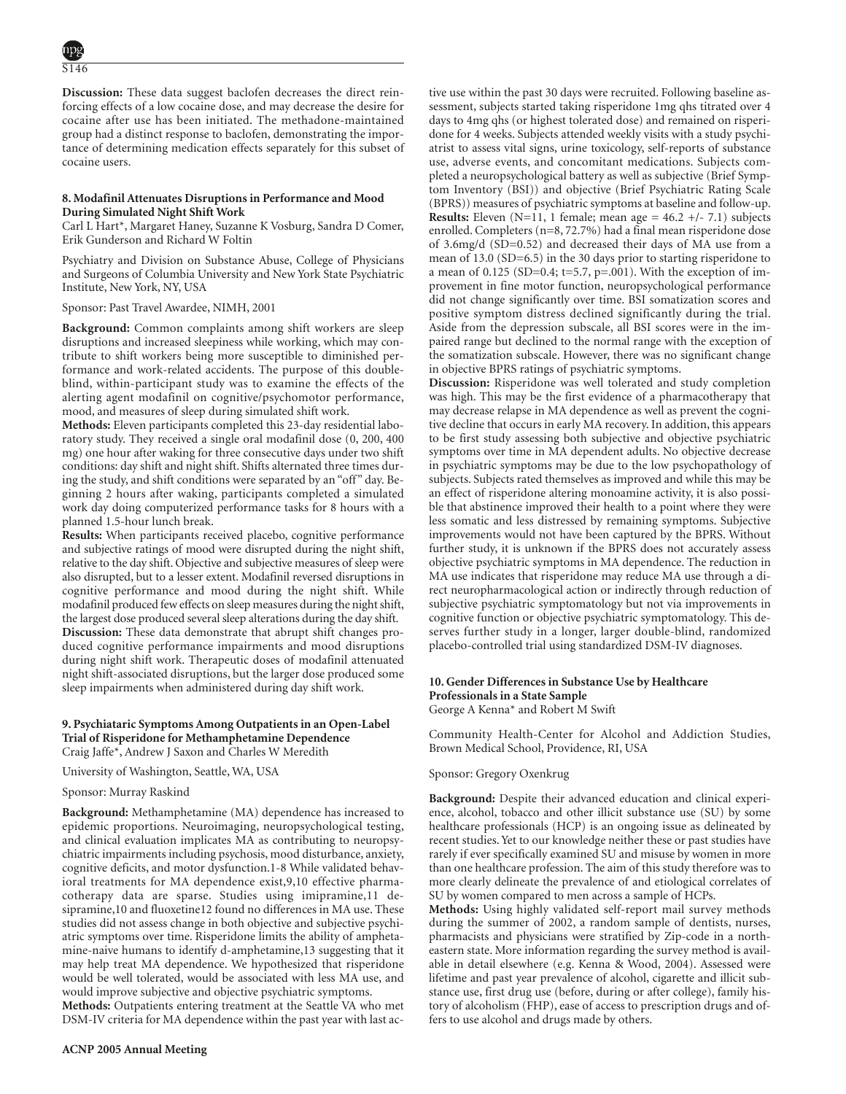S146

**Discussion:** These data suggest baclofen decreases the direct reinforcing effects of a low cocaine dose, and may decrease the desire for cocaine after use has been initiated. The methadone-maintained group had a distinct response to baclofen, demonstrating the importance of determining medication effects separately for this subset of cocaine users.

# **8. Modafinil Attenuates Disruptions in Performance and Mood During Simulated Night Shift Work**

Carl L Hart\*, Margaret Haney, Suzanne K Vosburg, Sandra D Comer, Erik Gunderson and Richard W Foltin

Psychiatry and Division on Substance Abuse, College of Physicians and Surgeons of Columbia University and New York State Psychiatric Institute, New York, NY, USA

Sponsor: Past Travel Awardee, NIMH, 2001

**Background:** Common complaints among shift workers are sleep disruptions and increased sleepiness while working, which may contribute to shift workers being more susceptible to diminished performance and work-related accidents. The purpose of this doubleblind, within-participant study was to examine the effects of the alerting agent modafinil on cognitive/psychomotor performance, mood, and measures of sleep during simulated shift work.

**Methods:** Eleven participants completed this 23-day residential laboratory study. They received a single oral modafinil dose (0, 200, 400 mg) one hour after waking for three consecutive days under two shift conditions: day shift and night shift. Shifts alternated three times during the study, and shift conditions were separated by an "off" day. Beginning 2 hours after waking, participants completed a simulated work day doing computerized performance tasks for 8 hours with a planned 1.5-hour lunch break.

**Results:** When participants received placebo, cognitive performance and subjective ratings of mood were disrupted during the night shift, relative to the day shift. Objective and subjective measures of sleep were also disrupted, but to a lesser extent. Modafinil reversed disruptions in cognitive performance and mood during the night shift. While modafinil produced few effects on sleep measures during the night shift, the largest dose produced several sleep alterations during the day shift. **Discussion:** These data demonstrate that abrupt shift changes produced cognitive performance impairments and mood disruptions during night shift work. Therapeutic doses of modafinil attenuated night shift-associated disruptions, but the larger dose produced some sleep impairments when administered during day shift work.

# **9. Psychiataric Symptoms Among Outpatients in an Open-Label Trial of Risperidone for Methamphetamine Dependence** Craig Jaffe\*, Andrew J Saxon and Charles W Meredith

University of Washington, Seattle, WA, USA

# Sponsor: Murray Raskind

**Background:** Methamphetamine (MA) dependence has increased to epidemic proportions. Neuroimaging, neuropsychological testing, and clinical evaluation implicates MA as contributing to neuropsychiatric impairments including psychosis, mood disturbance, anxiety, cognitive deficits, and motor dysfunction.1-8 While validated behavioral treatments for MA dependence exist,9,10 effective pharmacotherapy data are sparse. Studies using imipramine,11 desipramine,10 and fluoxetine12 found no differences in MA use. These studies did not assess change in both objective and subjective psychiatric symptoms over time. Risperidone limits the ability of amphetamine-naive humans to identify d-amphetamine,13 suggesting that it may help treat MA dependence. We hypothesized that risperidone would be well tolerated, would be associated with less MA use, and would improve subjective and objective psychiatric symptoms.

**Methods:** Outpatients entering treatment at the Seattle VA who met DSM-IV criteria for MA dependence within the past year with last active use within the past 30 days were recruited. Following baseline assessment, subjects started taking risperidone 1mg qhs titrated over 4 days to 4mg qhs (or highest tolerated dose) and remained on risperidone for 4 weeks. Subjects attended weekly visits with a study psychiatrist to assess vital signs, urine toxicology, self-reports of substance use, adverse events, and concomitant medications. Subjects completed a neuropsychological battery as well as subjective (Brief Symptom Inventory (BSI)) and objective (Brief Psychiatric Rating Scale (BPRS)) measures of psychiatric symptoms at baseline and follow-up. **Results:** Eleven (N=11, 1 female; mean age =  $46.2 +/- 7.1$ ) subjects enrolled. Completers (n=8, 72.7%) had a final mean risperidone dose of 3.6mg/d (SD=0.52) and decreased their days of MA use from a mean of 13.0 (SD=6.5) in the 30 days prior to starting risperidone to a mean of  $0.125$  (SD=0.4; t=5.7, p=.001). With the exception of improvement in fine motor function, neuropsychological performance did not change significantly over time. BSI somatization scores and positive symptom distress declined significantly during the trial. Aside from the depression subscale, all BSI scores were in the impaired range but declined to the normal range with the exception of the somatization subscale. However, there was no significant change in objective BPRS ratings of psychiatric symptoms.

**Discussion:** Risperidone was well tolerated and study completion was high. This may be the first evidence of a pharmacotherapy that may decrease relapse in MA dependence as well as prevent the cognitive decline that occurs in early MA recovery. In addition, this appears to be first study assessing both subjective and objective psychiatric symptoms over time in MA dependent adults. No objective decrease in psychiatric symptoms may be due to the low psychopathology of subjects. Subjects rated themselves as improved and while this may be an effect of risperidone altering monoamine activity, it is also possible that abstinence improved their health to a point where they were less somatic and less distressed by remaining symptoms. Subjective improvements would not have been captured by the BPRS. Without further study, it is unknown if the BPRS does not accurately assess objective psychiatric symptoms in MA dependence. The reduction in MA use indicates that risperidone may reduce MA use through a direct neuropharmacological action or indirectly through reduction of subjective psychiatric symptomatology but not via improvements in cognitive function or objective psychiatric symptomatology. This deserves further study in a longer, larger double-blind, randomized placebo-controlled trial using standardized DSM-IV diagnoses.

# **10. Gender Differences in Substance Use by Healthcare Professionals in a State Sample**

George A Kenna\* and Robert M Swift

Community Health-Center for Alcohol and Addiction Studies, Brown Medical School, Providence, RI, USA

# Sponsor: Gregory Oxenkrug

**Background:** Despite their advanced education and clinical experience, alcohol, tobacco and other illicit substance use (SU) by some healthcare professionals (HCP) is an ongoing issue as delineated by recent studies. Yet to our knowledge neither these or past studies have rarely if ever specifically examined SU and misuse by women in more than one healthcare profession. The aim of this study therefore was to more clearly delineate the prevalence of and etiological correlates of SU by women compared to men across a sample of HCPs.

**Methods:** Using highly validated self-report mail survey methods during the summer of 2002, a random sample of dentists, nurses, pharmacists and physicians were stratified by Zip-code in a northeastern state. More information regarding the survey method is available in detail elsewhere (e.g. Kenna & Wood, 2004). Assessed were lifetime and past year prevalence of alcohol, cigarette and illicit substance use, first drug use (before, during or after college), family history of alcoholism (FHP), ease of access to prescription drugs and offers to use alcohol and drugs made by others.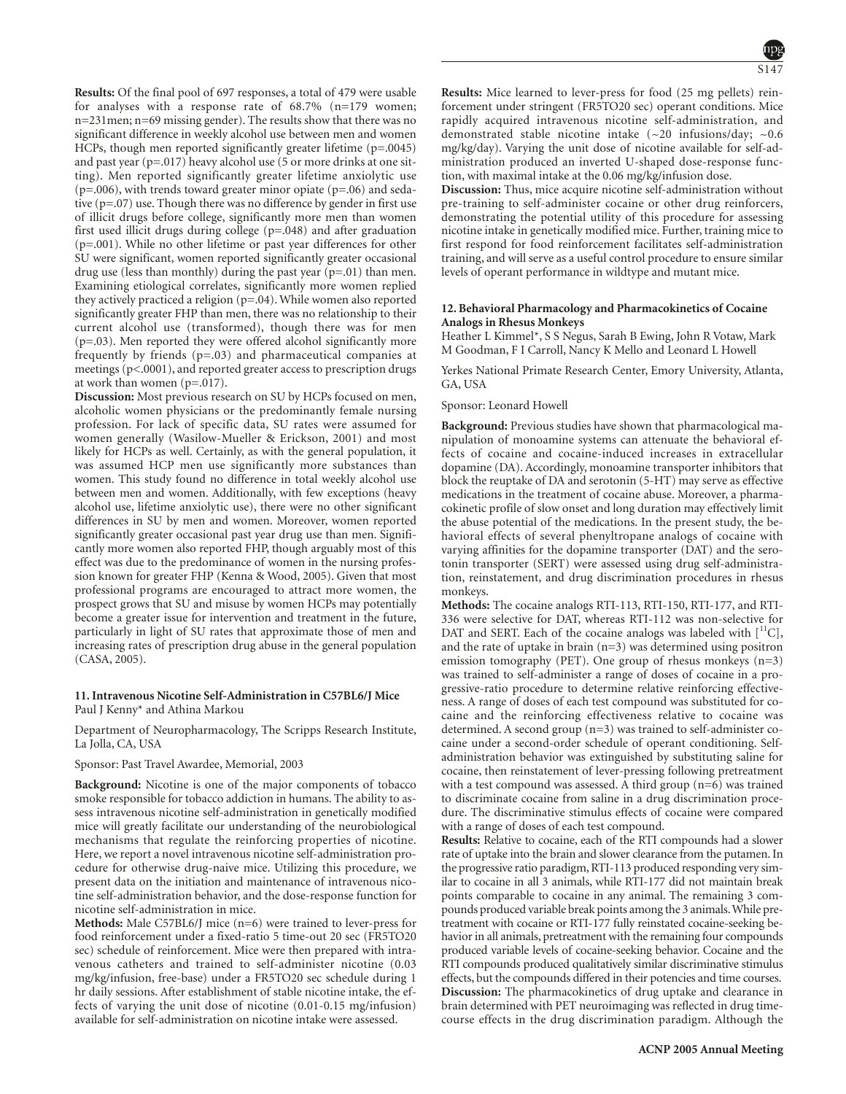**Results:** Of the final pool of 697 responses, a total of 479 were usable for analyses with a response rate of 68.7% (n=179 women; n=231men; n=69 missing gender). The results show that there was no significant difference in weekly alcohol use between men and women HCPs, though men reported significantly greater lifetime (p=.0045) and past year (p=.017) heavy alcohol use (5 or more drinks at one sitting). Men reported significantly greater lifetime anxiolytic use  $(p=.006)$ , with trends toward greater minor opiate  $(p=.06)$  and sedative (p=.07) use. Though there was no difference by gender in first use of illicit drugs before college, significantly more men than women first used illicit drugs during college (p=.048) and after graduation (p=.001). While no other lifetime or past year differences for other SU were significant, women reported significantly greater occasional drug use (less than monthly) during the past year (p=.01) than men. Examining etiological correlates, significantly more women replied they actively practiced a religion (p=.04). While women also reported significantly greater FHP than men, there was no relationship to their current alcohol use (transformed), though there was for men (p=.03). Men reported they were offered alcohol significantly more frequently by friends (p=.03) and pharmaceutical companies at meetings (p<.0001), and reported greater access to prescription drugs at work than women (p=.017).

**Discussion:** Most previous research on SU by HCPs focused on men, alcoholic women physicians or the predominantly female nursing profession. For lack of specific data, SU rates were assumed for women generally (Wasilow-Mueller & Erickson, 2001) and most likely for HCPs as well. Certainly, as with the general population, it was assumed HCP men use significantly more substances than women. This study found no difference in total weekly alcohol use between men and women. Additionally, with few exceptions (heavy alcohol use, lifetime anxiolytic use), there were no other significant differences in SU by men and women. Moreover, women reported significantly greater occasional past year drug use than men. Significantly more women also reported FHP, though arguably most of this effect was due to the predominance of women in the nursing profession known for greater FHP (Kenna & Wood, 2005). Given that most professional programs are encouraged to attract more women, the prospect grows that SU and misuse by women HCPs may potentially become a greater issue for intervention and treatment in the future, particularly in light of SU rates that approximate those of men and increasing rates of prescription drug abuse in the general population (CASA, 2005).

#### **11. Intravenous Nicotine Self-Administration in C57BL6/J Mice** Paul J Kenny\* and Athina Markou

Department of Neuropharmacology, The Scripps Research Institute, La Jolla, CA, USA

# Sponsor: Past Travel Awardee, Memorial, 2003

**Background:** Nicotine is one of the major components of tobacco smoke responsible for tobacco addiction in humans. The ability to assess intravenous nicotine self-administration in genetically modified mice will greatly facilitate our understanding of the neurobiological mechanisms that regulate the reinforcing properties of nicotine. Here, we report a novel intravenous nicotine self-administration procedure for otherwise drug-naive mice. Utilizing this procedure, we present data on the initiation and maintenance of intravenous nicotine self-administration behavior, and the dose-response function for nicotine self-administration in mice.

**Methods:** Male C57BL6/J mice (n=6) were trained to lever-press for food reinforcement under a fixed-ratio 5 time-out 20 sec (FR5TO20 sec) schedule of reinforcement. Mice were then prepared with intravenous catheters and trained to self-administer nicotine (0.03 mg/kg/infusion, free-base) under a FR5TO20 sec schedule during 1 hr daily sessions. After establishment of stable nicotine intake, the effects of varying the unit dose of nicotine (0.01-0.15 mg/infusion) available for self-administration on nicotine intake were assessed.

**Results:** Mice learned to lever-press for food (25 mg pellets) reinforcement under stringent (FR5TO20 sec) operant conditions. Mice rapidly acquired intravenous nicotine self-administration, and demonstrated stable nicotine intake (~20 infusions/day; ~0.6 mg/kg/day). Varying the unit dose of nicotine available for self-administration produced an inverted U-shaped dose-response function, with maximal intake at the 0.06 mg/kg/infusion dose.

**Discussion:** Thus, mice acquire nicotine self-administration without pre-training to self-administer cocaine or other drug reinforcers, demonstrating the potential utility of this procedure for assessing nicotine intake in genetically modified mice. Further, training mice to first respond for food reinforcement facilitates self-administration training, and will serve as a useful control procedure to ensure similar levels of operant performance in wildtype and mutant mice.

#### **12. Behavioral Pharmacology and Pharmacokinetics of Cocaine Analogs in Rhesus Monkeys**

Heather L Kimmel\*, S S Negus, Sarah B Ewing, John R Votaw, Mark M Goodman, F I Carroll, Nancy K Mello and Leonard L Howell

Yerkes National Primate Research Center, Emory University, Atlanta, GA, USA

#### Sponsor: Leonard Howell

**Background:** Previous studies have shown that pharmacological manipulation of monoamine systems can attenuate the behavioral effects of cocaine and cocaine-induced increases in extracellular dopamine (DA). Accordingly, monoamine transporter inhibitors that block the reuptake of DA and serotonin (5-HT) may serve as effective medications in the treatment of cocaine abuse. Moreover, a pharmacokinetic profile of slow onset and long duration may effectively limit the abuse potential of the medications. In the present study, the behavioral effects of several phenyltropane analogs of cocaine with varying affinities for the dopamine transporter (DAT) and the serotonin transporter (SERT) were assessed using drug self-administration, reinstatement, and drug discrimination procedures in rhesus monkeys.

**Methods:** The cocaine analogs RTI-113, RTI-150, RTI-177, and RTI-336 were selective for DAT, whereas RTI-112 was non-selective for DAT and SERT. Each of the cocaine analogs was labeled with  $[$ <sup>11</sup>C], and the rate of uptake in brain (n=3) was determined using positron emission tomography (PET). One group of rhesus monkeys  $(n=3)$ was trained to self-administer a range of doses of cocaine in a progressive-ratio procedure to determine relative reinforcing effectiveness. A range of doses of each test compound was substituted for cocaine and the reinforcing effectiveness relative to cocaine was determined. A second group (n=3) was trained to self-administer cocaine under a second-order schedule of operant conditioning. Selfadministration behavior was extinguished by substituting saline for cocaine, then reinstatement of lever-pressing following pretreatment with a test compound was assessed. A third group (n=6) was trained to discriminate cocaine from saline in a drug discrimination procedure. The discriminative stimulus effects of cocaine were compared with a range of doses of each test compound.

**Results:** Relative to cocaine, each of the RTI compounds had a slower rate of uptake into the brain and slower clearance from the putamen. In the progressive ratio paradigm, RTI-113 produced responding very similar to cocaine in all 3 animals, while RTI-177 did not maintain break points comparable to cocaine in any animal. The remaining 3 compounds produced variable break points among the 3 animals.While pretreatment with cocaine or RTI-177 fully reinstated cocaine-seeking behavior in all animals, pretreatment with the remaining four compounds produced variable levels of cocaine-seeking behavior. Cocaine and the RTI compounds produced qualitatively similar discriminative stimulus effects, but the compounds differed in their potencies and time courses. **Discussion:** The pharmacokinetics of drug uptake and clearance in brain determined with PET neuroimaging was reflected in drug timecourse effects in the drug discrimination paradigm. Although the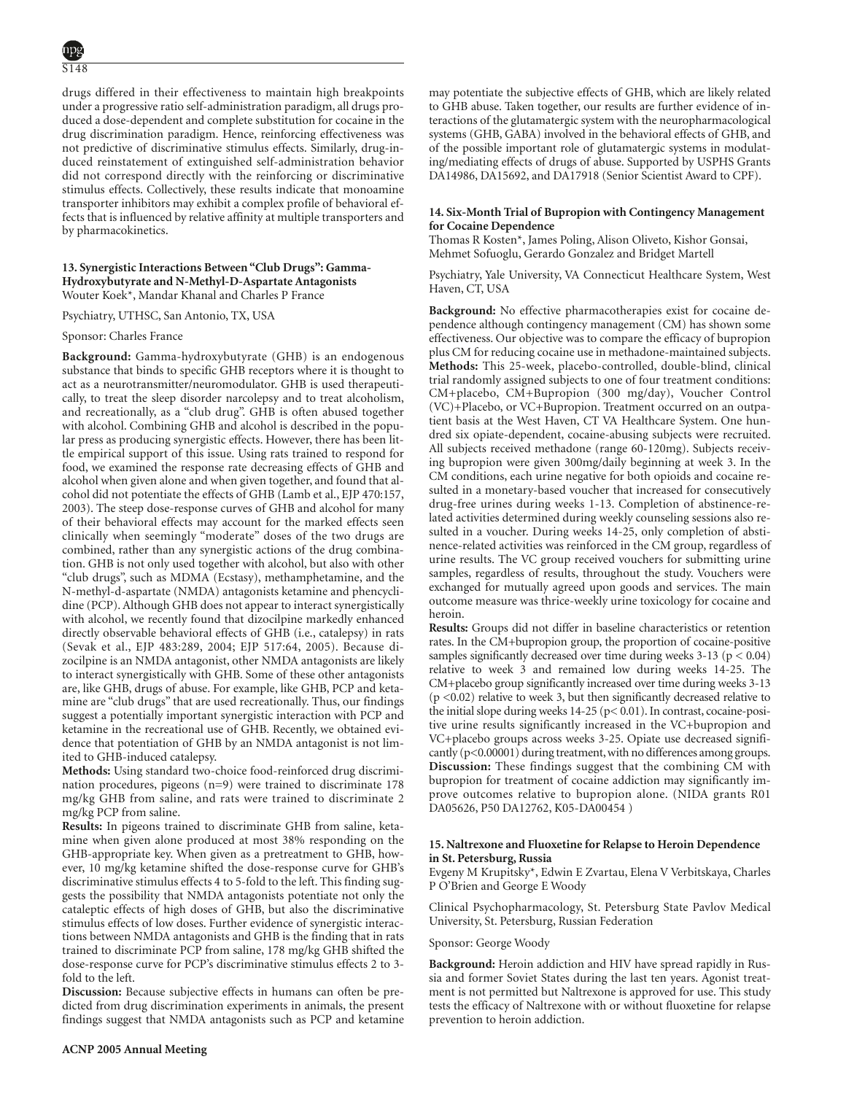drugs differed in their effectiveness to maintain high breakpoints under a progressive ratio self-administration paradigm, all drugs produced a dose-dependent and complete substitution for cocaine in the drug discrimination paradigm. Hence, reinforcing effectiveness was not predictive of discriminative stimulus effects. Similarly, drug-induced reinstatement of extinguished self-administration behavior did not correspond directly with the reinforcing or discriminative stimulus effects. Collectively, these results indicate that monoamine transporter inhibitors may exhibit a complex profile of behavioral effects that is influenced by relative affinity at multiple transporters and by pharmacokinetics.

# **13. Synergistic Interactions Between "Club Drugs": Gamma-Hydroxybutyrate and N-Methyl-D-Aspartate Antagonists** Wouter Koek\*, Mandar Khanal and Charles P France

Psychiatry, UTHSC, San Antonio, TX, USA

### Sponsor: Charles France

**Background:** Gamma-hydroxybutyrate (GHB) is an endogenous substance that binds to specific GHB receptors where it is thought to act as a neurotransmitter/neuromodulator. GHB is used therapeutically, to treat the sleep disorder narcolepsy and to treat alcoholism, and recreationally, as a "club drug". GHB is often abused together with alcohol. Combining GHB and alcohol is described in the popular press as producing synergistic effects. However, there has been little empirical support of this issue. Using rats trained to respond for food, we examined the response rate decreasing effects of GHB and alcohol when given alone and when given together, and found that alcohol did not potentiate the effects of GHB (Lamb et al., EJP 470:157, 2003). The steep dose-response curves of GHB and alcohol for many of their behavioral effects may account for the marked effects seen clinically when seemingly "moderate" doses of the two drugs are combined, rather than any synergistic actions of the drug combination. GHB is not only used together with alcohol, but also with other "club drugs", such as MDMA (Ecstasy), methamphetamine, and the N-methyl-d-aspartate (NMDA) antagonists ketamine and phencyclidine (PCP). Although GHB does not appear to interact synergistically with alcohol, we recently found that dizocilpine markedly enhanced directly observable behavioral effects of GHB (i.e., catalepsy) in rats (Sevak et al., EJP 483:289, 2004; EJP 517:64, 2005). Because dizocilpine is an NMDA antagonist, other NMDA antagonists are likely to interact synergistically with GHB. Some of these other antagonists are, like GHB, drugs of abuse. For example, like GHB, PCP and ketamine are "club drugs" that are used recreationally. Thus, our findings suggest a potentially important synergistic interaction with PCP and ketamine in the recreational use of GHB. Recently, we obtained evidence that potentiation of GHB by an NMDA antagonist is not limited to GHB-induced catalepsy.

**Methods:** Using standard two-choice food-reinforced drug discrimination procedures, pigeons (n=9) were trained to discriminate 178 mg/kg GHB from saline, and rats were trained to discriminate 2 mg/kg PCP from saline.

**Results:** In pigeons trained to discriminate GHB from saline, ketamine when given alone produced at most 38% responding on the GHB-appropriate key. When given as a pretreatment to GHB, however, 10 mg/kg ketamine shifted the dose-response curve for GHB's discriminative stimulus effects 4 to 5-fold to the left. This finding suggests the possibility that NMDA antagonists potentiate not only the cataleptic effects of high doses of GHB, but also the discriminative stimulus effects of low doses. Further evidence of synergistic interactions between NMDA antagonists and GHB is the finding that in rats trained to discriminate PCP from saline, 178 mg/kg GHB shifted the dose-response curve for PCP's discriminative stimulus effects 2 to 3 fold to the left.

**Discussion:** Because subjective effects in humans can often be predicted from drug discrimination experiments in animals, the present findings suggest that NMDA antagonists such as PCP and ketamine may potentiate the subjective effects of GHB, which are likely related to GHB abuse. Taken together, our results are further evidence of interactions of the glutamatergic system with the neuropharmacological systems (GHB, GABA) involved in the behavioral effects of GHB, and of the possible important role of glutamatergic systems in modulating/mediating effects of drugs of abuse. Supported by USPHS Grants DA14986, DA15692, and DA17918 (Senior Scientist Award to CPF).

# **14. Six-Month Trial of Bupropion with Contingency Management for Cocaine Dependence**

Thomas R Kosten\*, James Poling, Alison Oliveto, Kishor Gonsai, Mehmet Sofuoglu, Gerardo Gonzalez and Bridget Martell

Psychiatry, Yale University, VA Connecticut Healthcare System, West Haven, CT, USA

**Background:** No effective pharmacotherapies exist for cocaine dependence although contingency management (CM) has shown some effectiveness. Our objective was to compare the efficacy of bupropion plus CM for reducing cocaine use in methadone-maintained subjects. **Methods:** This 25-week, placebo-controlled, double-blind, clinical trial randomly assigned subjects to one of four treatment conditions: CM+placebo, CM+Bupropion (300 mg/day), Voucher Control (VC)+Placebo, or VC+Bupropion. Treatment occurred on an outpatient basis at the West Haven, CT VA Healthcare System. One hundred six opiate-dependent, cocaine-abusing subjects were recruited. All subjects received methadone (range 60-120mg). Subjects receiving bupropion were given 300mg/daily beginning at week 3. In the CM conditions, each urine negative for both opioids and cocaine resulted in a monetary-based voucher that increased for consecutively drug-free urines during weeks 1-13. Completion of abstinence-related activities determined during weekly counseling sessions also resulted in a voucher. During weeks 14-25, only completion of abstinence-related activities was reinforced in the CM group, regardless of urine results. The VC group received vouchers for submitting urine samples, regardless of results, throughout the study. Vouchers were exchanged for mutually agreed upon goods and services. The main outcome measure was thrice-weekly urine toxicology for cocaine and heroin.

**Results:** Groups did not differ in baseline characteristics or retention rates. In the CM+bupropion group, the proportion of cocaine-positive samples significantly decreased over time during weeks  $3-13$  ( $p < 0.04$ ) relative to week 3 and remained low during weeks 14-25. The CM+placebo group significantly increased over time during weeks 3-13 (p <0.02) relative to week 3, but then significantly decreased relative to the initial slope during weeks 14-25 (p< 0.01). In contrast, cocaine-positive urine results significantly increased in the VC+bupropion and VC+placebo groups across weeks 3-25. Opiate use decreased significantly (p<0.00001) during treatment, with no differences among groups. **Discussion:** These findings suggest that the combining CM with bupropion for treatment of cocaine addiction may significantly improve outcomes relative to bupropion alone. (NIDA grants R01 DA05626, P50 DA12762, K05-DA00454 )

### **15. Naltrexone and Fluoxetine for Relapse to Heroin Dependence in St. Petersburg, Russia**

Evgeny M Krupitsky\*, Edwin E Zvartau, Elena V Verbitskaya, Charles P O'Brien and George E Woody

Clinical Psychopharmacology, St. Petersburg State Pavlov Medical University, St. Petersburg, Russian Federation

#### Sponsor: George Woody

**Background:** Heroin addiction and HIV have spread rapidly in Russia and former Soviet States during the last ten years. Agonist treatment is not permitted but Naltrexone is approved for use. This study tests the efficacy of Naltrexone with or without fluoxetine for relapse prevention to heroin addiction.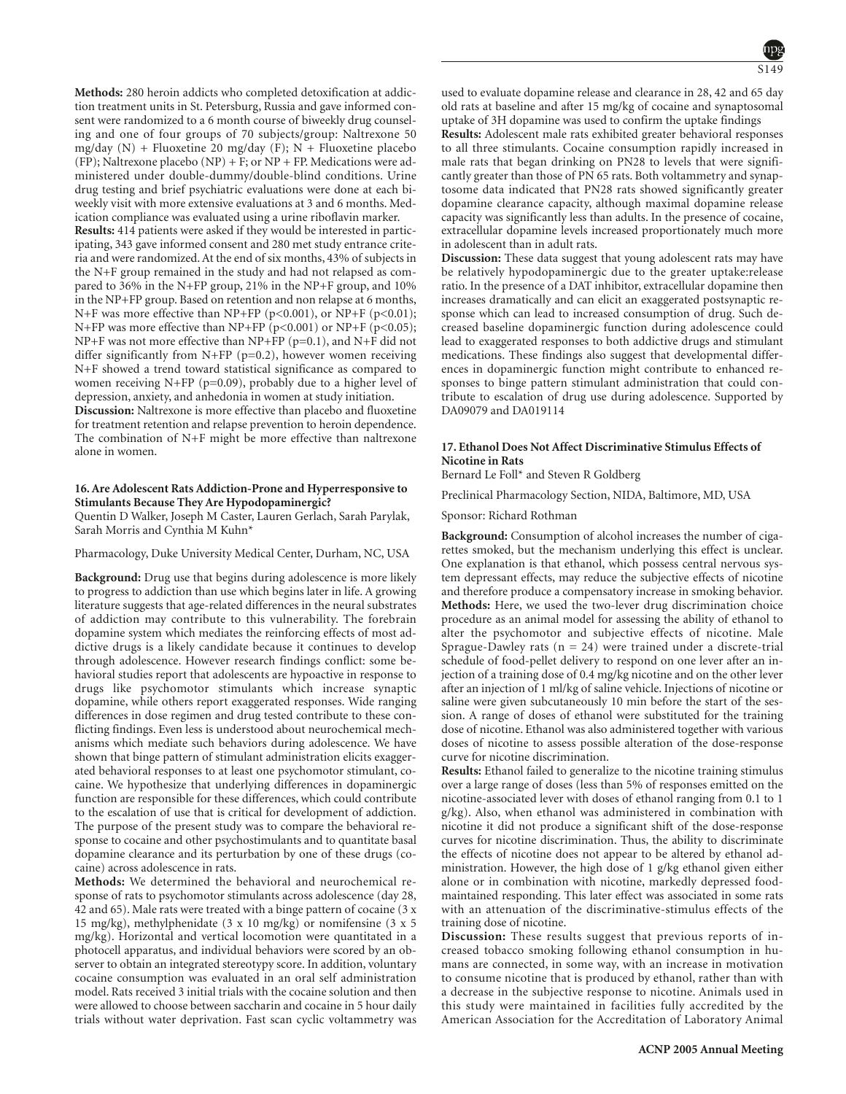**Methods:** 280 heroin addicts who completed detoxification at addiction treatment units in St. Petersburg, Russia and gave informed consent were randomized to a 6 month course of biweekly drug counseling and one of four groups of 70 subjects/group: Naltrexone 50 mg/day  $(N)$  + Fluoxetine 20 mg/day  $(F)$ ;  $N$  + Fluoxetine placebo (FP); Naltrexone placebo (NP) + F; or NP + FP. Medications were administered under double-dummy/double-blind conditions. Urine drug testing and brief psychiatric evaluations were done at each biweekly visit with more extensive evaluations at 3 and 6 months. Medication compliance was evaluated using a urine riboflavin marker.

**Results:** 414 patients were asked if they would be interested in participating, 343 gave informed consent and 280 met study entrance criteria and were randomized. At the end of six months, 43% of subjects in the N+F group remained in the study and had not relapsed as compared to 36% in the N+FP group, 21% in the NP+F group, and 10% in the NP+FP group. Based on retention and non relapse at 6 months, N+F was more effective than NP+FP (p<0.001), or NP+F (p<0.01); N+FP was more effective than NP+FP (p<0.001) or NP+F (p<0.05); NP+F was not more effective than NP+FP (p=0.1), and N+F did not differ significantly from N+FP (p=0.2), however women receiving N+F showed a trend toward statistical significance as compared to women receiving N+FP ( $p=0.09$ ), probably due to a higher level of depression, anxiety, and anhedonia in women at study initiation.

**Discussion:** Naltrexone is more effective than placebo and fluoxetine for treatment retention and relapse prevention to heroin dependence. The combination of N+F might be more effective than naltrexone alone in women.

# **16. Are Adolescent Rats Addiction-Prone and Hyperresponsive to Stimulants Because They Are Hypodopaminergic?**

Quentin D Walker, Joseph M Caster, Lauren Gerlach, Sarah Parylak, Sarah Morris and Cynthia M Kuhn\*

Pharmacology, Duke University Medical Center, Durham, NC, USA

**Background:** Drug use that begins during adolescence is more likely to progress to addiction than use which begins later in life. A growing literature suggests that age-related differences in the neural substrates of addiction may contribute to this vulnerability. The forebrain dopamine system which mediates the reinforcing effects of most addictive drugs is a likely candidate because it continues to develop through adolescence. However research findings conflict: some behavioral studies report that adolescents are hypoactive in response to drugs like psychomotor stimulants which increase synaptic dopamine, while others report exaggerated responses. Wide ranging differences in dose regimen and drug tested contribute to these conflicting findings. Even less is understood about neurochemical mechanisms which mediate such behaviors during adolescence. We have shown that binge pattern of stimulant administration elicits exaggerated behavioral responses to at least one psychomotor stimulant, cocaine. We hypothesize that underlying differences in dopaminergic function are responsible for these differences, which could contribute to the escalation of use that is critical for development of addiction. The purpose of the present study was to compare the behavioral response to cocaine and other psychostimulants and to quantitate basal dopamine clearance and its perturbation by one of these drugs (cocaine) across adolescence in rats.

**Methods:** We determined the behavioral and neurochemical response of rats to psychomotor stimulants across adolescence (day 28, 42 and 65). Male rats were treated with a binge pattern of cocaine (3 x 15 mg/kg), methylphenidate (3 x 10 mg/kg) or nomifensine (3 x 5 mg/kg). Horizontal and vertical locomotion were quantitated in a photocell apparatus, and individual behaviors were scored by an observer to obtain an integrated stereotypy score. In addition, voluntary cocaine consumption was evaluated in an oral self administration model. Rats received 3 initial trials with the cocaine solution and then were allowed to choose between saccharin and cocaine in 5 hour daily trials without water deprivation. Fast scan cyclic voltammetry was used to evaluate dopamine release and clearance in 28, 42 and 65 day old rats at baseline and after 15 mg/kg of cocaine and synaptosomal uptake of 3H dopamine was used to confirm the uptake findings

**Results:** Adolescent male rats exhibited greater behavioral responses to all three stimulants. Cocaine consumption rapidly increased in male rats that began drinking on PN28 to levels that were significantly greater than those of PN 65 rats. Both voltammetry and synaptosome data indicated that PN28 rats showed significantly greater dopamine clearance capacity, although maximal dopamine release capacity was significantly less than adults. In the presence of cocaine, extracellular dopamine levels increased proportionately much more in adolescent than in adult rats.

**Discussion:** These data suggest that young adolescent rats may have be relatively hypodopaminergic due to the greater uptake:release ratio. In the presence of a DAT inhibitor, extracellular dopamine then increases dramatically and can elicit an exaggerated postsynaptic response which can lead to increased consumption of drug. Such decreased baseline dopaminergic function during adolescence could lead to exaggerated responses to both addictive drugs and stimulant medications. These findings also suggest that developmental differences in dopaminergic function might contribute to enhanced responses to binge pattern stimulant administration that could contribute to escalation of drug use during adolescence. Supported by DA09079 and DA019114

# **17. Ethanol Does Not Affect Discriminative Stimulus Effects of Nicotine in Rats**

Bernard Le Foll\* and Steven R Goldberg

Preclinical Pharmacology Section, NIDA, Baltimore, MD, USA

Sponsor: Richard Rothman

**Background:** Consumption of alcohol increases the number of cigarettes smoked, but the mechanism underlying this effect is unclear. One explanation is that ethanol, which possess central nervous system depressant effects, may reduce the subjective effects of nicotine and therefore produce a compensatory increase in smoking behavior. **Methods:** Here, we used the two-lever drug discrimination choice procedure as an animal model for assessing the ability of ethanol to alter the psychomotor and subjective effects of nicotine. Male Sprague-Dawley rats  $(n = 24)$  were trained under a discrete-trial schedule of food-pellet delivery to respond on one lever after an injection of a training dose of 0.4 mg/kg nicotine and on the other lever after an injection of 1 ml/kg of saline vehicle. Injections of nicotine or saline were given subcutaneously 10 min before the start of the session. A range of doses of ethanol were substituted for the training dose of nicotine. Ethanol was also administered together with various doses of nicotine to assess possible alteration of the dose-response curve for nicotine discrimination.

**Results:** Ethanol failed to generalize to the nicotine training stimulus over a large range of doses (less than 5% of responses emitted on the nicotine-associated lever with doses of ethanol ranging from 0.1 to 1 g/kg). Also, when ethanol was administered in combination with nicotine it did not produce a significant shift of the dose-response curves for nicotine discrimination. Thus, the ability to discriminate the effects of nicotine does not appear to be altered by ethanol administration. However, the high dose of 1 g/kg ethanol given either alone or in combination with nicotine, markedly depressed foodmaintained responding. This later effect was associated in some rats with an attenuation of the discriminative-stimulus effects of the training dose of nicotine.

**Discussion:** These results suggest that previous reports of increased tobacco smoking following ethanol consumption in humans are connected, in some way, with an increase in motivation to consume nicotine that is produced by ethanol, rather than with a decrease in the subjective response to nicotine. Animals used in this study were maintained in facilities fully accredited by the American Association for the Accreditation of Laboratory Animal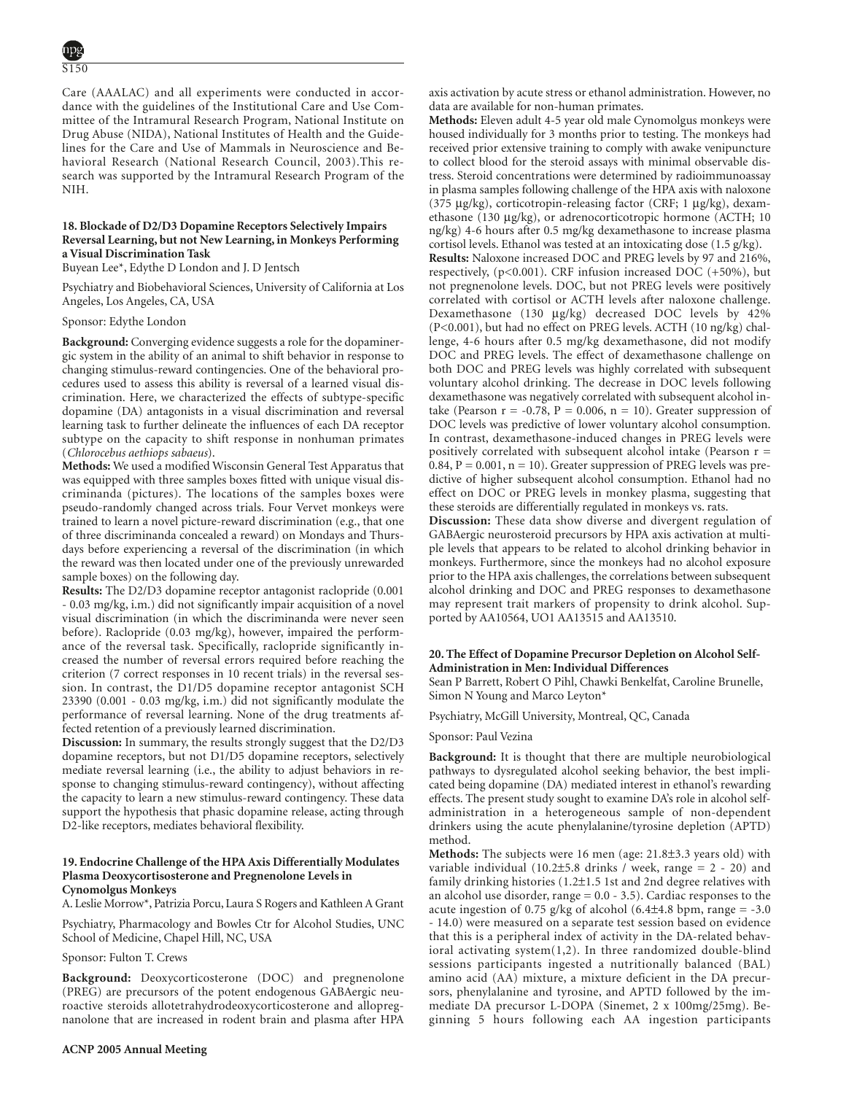Care (AAALAC) and all experiments were conducted in accordance with the guidelines of the Institutional Care and Use Committee of the Intramural Research Program, National Institute on Drug Abuse (NIDA), National Institutes of Health and the Guidelines for the Care and Use of Mammals in Neuroscience and Behavioral Research (National Research Council, 2003).This research was supported by the Intramural Research Program of the NIH.

# **18. Blockade of D2/D3 Dopamine Receptors Selectively Impairs Reversal Learning, but not New Learning, in Monkeys Performing a Visual Discrimination Task**

Buyean Lee\*, Edythe D London and J. D Jentsch

Psychiatry and Biobehavioral Sciences, University of California at Los Angeles, Los Angeles, CA, USA

Sponsor: Edythe London

**Background:** Converging evidence suggests a role for the dopaminergic system in the ability of an animal to shift behavior in response to changing stimulus-reward contingencies. One of the behavioral procedures used to assess this ability is reversal of a learned visual discrimination. Here, we characterized the effects of subtype-specific dopamine (DA) antagonists in a visual discrimination and reversal learning task to further delineate the influences of each DA receptor subtype on the capacity to shift response in nonhuman primates (*Chlorocebus aethiops sabaeus*).

**Methods:** We used a modified Wisconsin General Test Apparatus that was equipped with three samples boxes fitted with unique visual discriminanda (pictures). The locations of the samples boxes were pseudo-randomly changed across trials. Four Vervet monkeys were trained to learn a novel picture-reward discrimination (e.g., that one of three discriminanda concealed a reward) on Mondays and Thursdays before experiencing a reversal of the discrimination (in which the reward was then located under one of the previously unrewarded sample boxes) on the following day.

**Results:** The D2/D3 dopamine receptor antagonist raclopride (0.001 - 0.03 mg/kg, i.m.) did not significantly impair acquisition of a novel visual discrimination (in which the discriminanda were never seen before). Raclopride (0.03 mg/kg), however, impaired the performance of the reversal task. Specifically, raclopride significantly increased the number of reversal errors required before reaching the criterion (7 correct responses in 10 recent trials) in the reversal session. In contrast, the D1/D5 dopamine receptor antagonist SCH 23390 (0.001 - 0.03 mg/kg, i.m.) did not significantly modulate the performance of reversal learning. None of the drug treatments affected retention of a previously learned discrimination.

**Discussion:** In summary, the results strongly suggest that the D2/D3 dopamine receptors, but not D1/D5 dopamine receptors, selectively mediate reversal learning (i.e., the ability to adjust behaviors in response to changing stimulus-reward contingency), without affecting the capacity to learn a new stimulus-reward contingency. These data support the hypothesis that phasic dopamine release, acting through D2-like receptors, mediates behavioral flexibility.

# **19. Endocrine Challenge of the HPA Axis Differentially Modulates Plasma Deoxycortisosterone and Pregnenolone Levels in Cynomolgus Monkeys**

A. Leslie Morrow\*, Patrizia Porcu, Laura S Rogers and Kathleen A Grant

Psychiatry, Pharmacology and Bowles Ctr for Alcohol Studies, UNC School of Medicine, Chapel Hill, NC, USA

Sponsor: Fulton T. Crews

**Background:** Deoxycorticosterone (DOC) and pregnenolone (PREG) are precursors of the potent endogenous GABAergic neuroactive steroids allotetrahydrodeoxycorticosterone and allopregnanolone that are increased in rodent brain and plasma after HPA

axis activation by acute stress or ethanol administration. However, no data are available for non-human primates.

**Methods:** Eleven adult 4-5 year old male Cynomolgus monkeys were housed individually for 3 months prior to testing. The monkeys had received prior extensive training to comply with awake venipuncture to collect blood for the steroid assays with minimal observable distress. Steroid concentrations were determined by radioimmunoassay in plasma samples following challenge of the HPA axis with naloxone (375 µg/kg), corticotropin-releasing factor (CRF; 1 µg/kg), dexamethasone (130 µg/kg), or adrenocorticotropic hormone (ACTH; 10 ng/kg) 4-6 hours after 0.5 mg/kg dexamethasone to increase plasma cortisol levels. Ethanol was tested at an intoxicating dose (1.5 g/kg).

**Results:** Naloxone increased DOC and PREG levels by 97 and 216%, respectively, (p<0.001). CRF infusion increased DOC (+50%), but not pregnenolone levels. DOC, but not PREG levels were positively correlated with cortisol or ACTH levels after naloxone challenge. Dexamethasone (130 µg/kg) decreased DOC levels by 42% (P<0.001), but had no effect on PREG levels. ACTH (10 ng/kg) challenge, 4-6 hours after 0.5 mg/kg dexamethasone, did not modify DOC and PREG levels. The effect of dexamethasone challenge on both DOC and PREG levels was highly correlated with subsequent voluntary alcohol drinking. The decrease in DOC levels following dexamethasone was negatively correlated with subsequent alcohol intake (Pearson  $r = -0.78$ ,  $P = 0.006$ ,  $n = 10$ ). Greater suppression of DOC levels was predictive of lower voluntary alcohol consumption. In contrast, dexamethasone-induced changes in PREG levels were positively correlated with subsequent alcohol intake (Pearson r = 0.84,  $P = 0.001$ ,  $n = 10$ ). Greater suppression of PREG levels was predictive of higher subsequent alcohol consumption. Ethanol had no effect on DOC or PREG levels in monkey plasma, suggesting that these steroids are differentially regulated in monkeys vs. rats.

**Discussion:** These data show diverse and divergent regulation of GABAergic neurosteroid precursors by HPA axis activation at multiple levels that appears to be related to alcohol drinking behavior in monkeys. Furthermore, since the monkeys had no alcohol exposure prior to the HPA axis challenges, the correlations between subsequent alcohol drinking and DOC and PREG responses to dexamethasone may represent trait markers of propensity to drink alcohol. Supported by AA10564, UO1 AA13515 and AA13510.

### **20. The Effect of Dopamine Precursor Depletion on Alcohol Self-Administration in Men: Individual Differences**

Sean P Barrett, Robert O Pihl, Chawki Benkelfat, Caroline Brunelle, Simon N Young and Marco Leyton\*

Psychiatry, McGill University, Montreal, QC, Canada

#### Sponsor: Paul Vezina

**Background:** It is thought that there are multiple neurobiological pathways to dysregulated alcohol seeking behavior, the best implicated being dopamine (DA) mediated interest in ethanol's rewarding effects. The present study sought to examine DA's role in alcohol selfadministration in a heterogeneous sample of non-dependent drinkers using the acute phenylalanine/tyrosine depletion (APTD) method.

**Methods:** The subjects were 16 men (age: 21.8±3.3 years old) with variable individual (10.2±5.8 drinks / week, range = 2 - 20) and family drinking histories (1.2±1.5 1st and 2nd degree relatives with an alcohol use disorder, range = 0.0 - 3.5). Cardiac responses to the acute ingestion of 0.75 g/kg of alcohol (6.4 $\pm$ 4.8 bpm, range = -3.0 - 14.0) were measured on a separate test session based on evidence that this is a peripheral index of activity in the DA-related behavioral activating system(1,2). In three randomized double-blind sessions participants ingested a nutritionally balanced (BAL) amino acid (AA) mixture, a mixture deficient in the DA precursors, phenylalanine and tyrosine, and APTD followed by the immediate DA precursor L-DOPA (Sinemet, 2 x 100mg/25mg). Beginning 5 hours following each AA ingestion participants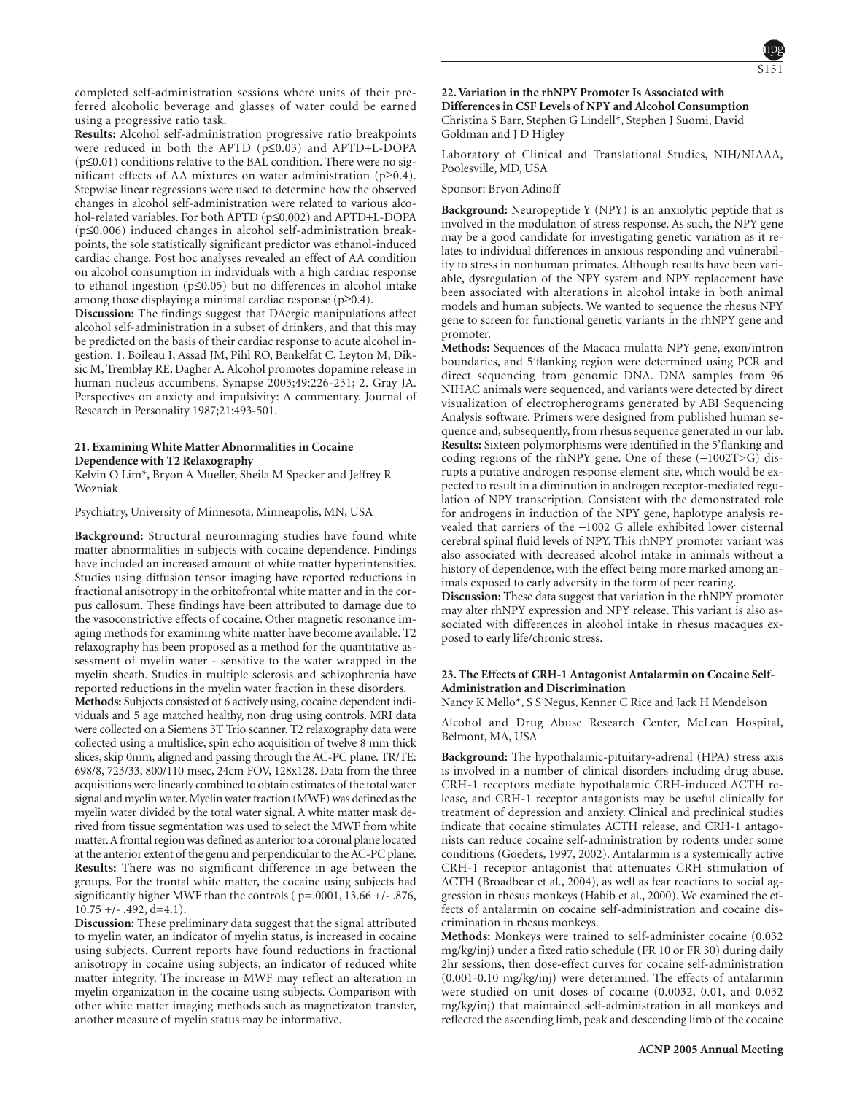

completed self-administration sessions where units of their preferred alcoholic beverage and glasses of water could be earned using a progressive ratio task.

**Results:** Alcohol self-administration progressive ratio breakpoints were reduced in both the APTD (p≤0.03) and APTD+L-DOPA (p≤0.01) conditions relative to the BAL condition. There were no significant effects of AA mixtures on water administration (p≥0.4). Stepwise linear regressions were used to determine how the observed changes in alcohol self-administration were related to various alcohol-related variables. For both APTD (p≤0.002) and APTD+L-DOPA (p≤0.006) induced changes in alcohol self-administration breakpoints, the sole statistically significant predictor was ethanol-induced cardiac change. Post hoc analyses revealed an effect of AA condition on alcohol consumption in individuals with a high cardiac response to ethanol ingestion (p≤0.05) but no differences in alcohol intake among those displaying a minimal cardiac response (p≥0.4).

**Discussion:** The findings suggest that DAergic manipulations affect alcohol self-administration in a subset of drinkers, and that this may be predicted on the basis of their cardiac response to acute alcohol ingestion. 1. Boileau I, Assad JM, Pihl RO, Benkelfat C, Leyton M, Diksic M, Tremblay RE, Dagher A. Alcohol promotes dopamine release in human nucleus accumbens. Synapse 2003;49:226-231; 2. Gray JA. Perspectives on anxiety and impulsivity: A commentary. Journal of Research in Personality 1987;21:493-501.

# **21. Examining White Matter Abnormalities in Cocaine Dependence with T2 Relaxography**

Kelvin O Lim\*, Bryon A Mueller, Sheila M Specker and Jeffrey R Wozniak

Psychiatry, University of Minnesota, Minneapolis, MN, USA

**Background:** Structural neuroimaging studies have found white matter abnormalities in subjects with cocaine dependence. Findings have included an increased amount of white matter hyperintensities. Studies using diffusion tensor imaging have reported reductions in fractional anisotropy in the orbitofrontal white matter and in the corpus callosum. These findings have been attributed to damage due to the vasoconstrictive effects of cocaine. Other magnetic resonance imaging methods for examining white matter have become available. T2 relaxography has been proposed as a method for the quantitative assessment of myelin water - sensitive to the water wrapped in the myelin sheath. Studies in multiple sclerosis and schizophrenia have reported reductions in the myelin water fraction in these disorders.

**Methods:** Subjects consisted of 6 actively using, cocaine dependent individuals and 5 age matched healthy, non drug using controls. MRI data were collected on a Siemens 3T Trio scanner. T2 relaxography data were collected using a multislice, spin echo acquisition of twelve 8 mm thick slices, skip 0mm, aligned and passing through the AC-PC plane. TR/TE: 698/8, 723/33, 800/110 msec, 24cm FOV, 128x128. Data from the three acquisitions were linearly combined to obtain estimates of the total water signal and myelin water. Myelin water fraction (MWF) was defined as the myelin water divided by the total water signal. A white matter mask derived from tissue segmentation was used to select the MWF from white matter.A frontal region was defined as anterior to a coronal plane located at the anterior extent of the genu and perpendicular to the AC-PC plane. **Results:** There was no significant difference in age between the groups. For the frontal white matter, the cocaine using subjects had significantly higher MWF than the controls ( p=.0001, 13.66 +/- .876,  $10.75 + (-0.492, d=4.1).$ 

**Discussion:** These preliminary data suggest that the signal attributed to myelin water, an indicator of myelin status, is increased in cocaine using subjects. Current reports have found reductions in fractional anisotropy in cocaine using subjects, an indicator of reduced white matter integrity. The increase in MWF may reflect an alteration in myelin organization in the cocaine using subjects. Comparison with other white matter imaging methods such as magnetizaton transfer, another measure of myelin status may be informative.

# **22. Variation in the rhNPY Promoter Is Associated with Differences in CSF Levels of NPY and Alcohol Consumption** Christina S Barr, Stephen G Lindell\*, Stephen J Suomi, David Goldman and J D Higley

Laboratory of Clinical and Translational Studies, NIH/NIAAA, Poolesville, MD, USA

Sponsor: Bryon Adinoff

**Background:** Neuropeptide Y (NPY) is an anxiolytic peptide that is involved in the modulation of stress response. As such, the NPY gene may be a good candidate for investigating genetic variation as it relates to individual differences in anxious responding and vulnerability to stress in nonhuman primates. Although results have been variable, dysregulation of the NPY system and NPY replacement have been associated with alterations in alcohol intake in both animal models and human subjects. We wanted to sequence the rhesus NPY gene to screen for functional genetic variants in the rhNPY gene and promoter.

**Methods:** Sequences of the Macaca mulatta NPY gene, exon/intron boundaries, and 5'flanking region were determined using PCR and direct sequencing from genomic DNA. DNA samples from 96 NIHAC animals were sequenced, and variants were detected by direct visualization of electropherograms generated by ABI Sequencing Analysis software. Primers were designed from published human sequence and, subsequently, from rhesus sequence generated in our lab. **Results:** Sixteen polymorphisms were identified in the 5'flanking and coding regions of the rhNPY gene. One of these (−1002T>G) disrupts a putative androgen response element site, which would be expected to result in a diminution in androgen receptor-mediated regulation of NPY transcription. Consistent with the demonstrated role for androgens in induction of the NPY gene, haplotype analysis revealed that carriers of the −1002 G allele exhibited lower cisternal cerebral spinal fluid levels of NPY. This rhNPY promoter variant was also associated with decreased alcohol intake in animals without a history of dependence, with the effect being more marked among animals exposed to early adversity in the form of peer rearing.

**Discussion:** These data suggest that variation in the rhNPY promoter may alter rhNPY expression and NPY release. This variant is also associated with differences in alcohol intake in rhesus macaques exposed to early life/chronic stress.

# **23. The Effects of CRH-1 Antagonist Antalarmin on Cocaine Self-Administration and Discrimination**

Nancy K Mello\*, S S Negus, Kenner C Rice and Jack H Mendelson

Alcohol and Drug Abuse Research Center, McLean Hospital, Belmont, MA, USA

**Background:** The hypothalamic-pituitary-adrenal (HPA) stress axis is involved in a number of clinical disorders including drug abuse. CRH-1 receptors mediate hypothalamic CRH-induced ACTH release, and CRH-1 receptor antagonists may be useful clinically for treatment of depression and anxiety. Clinical and preclinical studies indicate that cocaine stimulates ACTH release, and CRH-1 antagonists can reduce cocaine self-administration by rodents under some conditions (Goeders, 1997, 2002). Antalarmin is a systemically active CRH-1 receptor antagonist that attenuates CRH stimulation of ACTH (Broadbear et al., 2004), as well as fear reactions to social aggression in rhesus monkeys (Habib et al., 2000). We examined the effects of antalarmin on cocaine self-administration and cocaine discrimination in rhesus monkeys.

**Methods:** Monkeys were trained to self-administer cocaine (0.032 mg/kg/inj) under a fixed ratio schedule (FR 10 or FR 30) during daily 2hr sessions, then dose-effect curves for cocaine self-administration (0.001-0.10 mg/kg/inj) were determined. The effects of antalarmin were studied on unit doses of cocaine (0.0032, 0.01, and 0.032 mg/kg/inj) that maintained self-administration in all monkeys and reflected the ascending limb, peak and descending limb of the cocaine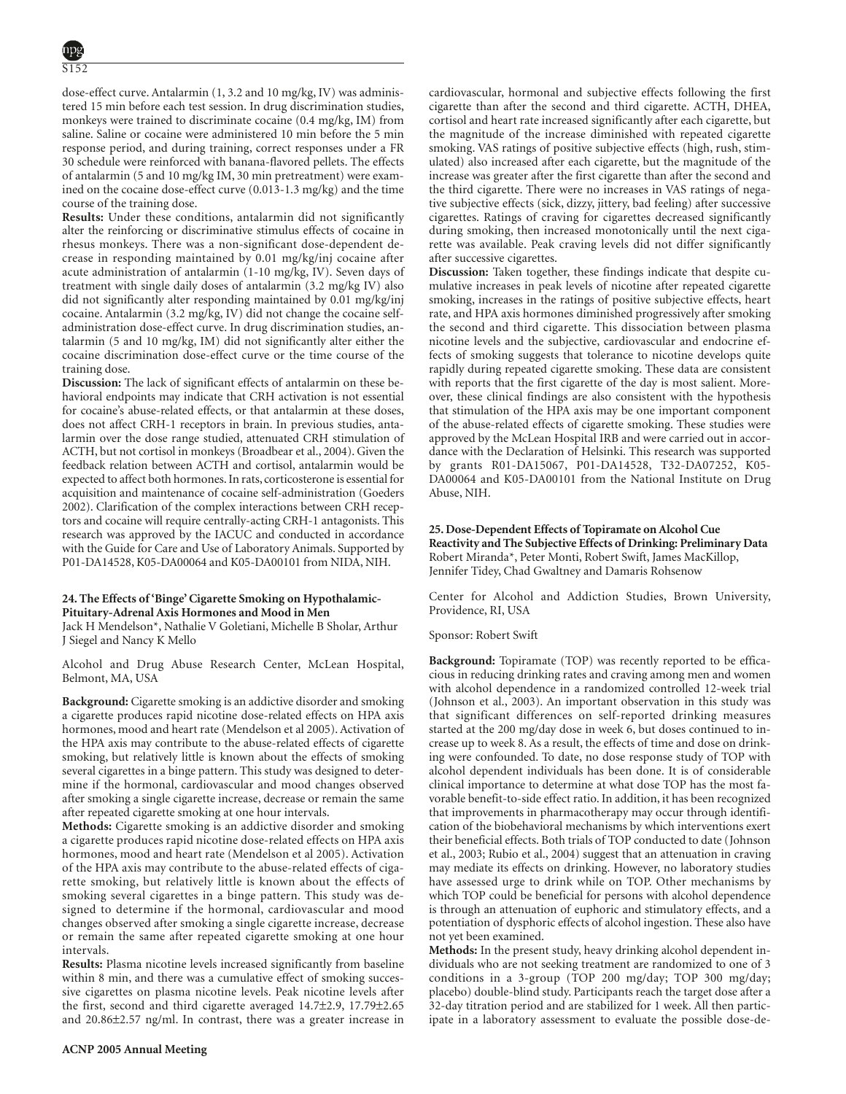dose-effect curve. Antalarmin (1, 3.2 and 10 mg/kg, IV) was administered 15 min before each test session. In drug discrimination studies, monkeys were trained to discriminate cocaine (0.4 mg/kg, IM) from saline. Saline or cocaine were administered 10 min before the 5 min response period, and during training, correct responses under a FR 30 schedule were reinforced with banana-flavored pellets. The effects of antalarmin (5 and 10 mg/kg IM, 30 min pretreatment) were examined on the cocaine dose-effect curve (0.013-1.3 mg/kg) and the time course of the training dose.

**Results:** Under these conditions, antalarmin did not significantly alter the reinforcing or discriminative stimulus effects of cocaine in rhesus monkeys. There was a non-significant dose-dependent decrease in responding maintained by 0.01 mg/kg/inj cocaine after acute administration of antalarmin (1-10 mg/kg, IV). Seven days of treatment with single daily doses of antalarmin (3.2 mg/kg IV) also did not significantly alter responding maintained by 0.01 mg/kg/inj cocaine. Antalarmin (3.2 mg/kg, IV) did not change the cocaine selfadministration dose-effect curve. In drug discrimination studies, antalarmin (5 and 10 mg/kg, IM) did not significantly alter either the cocaine discrimination dose-effect curve or the time course of the training dose.

**Discussion:** The lack of significant effects of antalarmin on these behavioral endpoints may indicate that CRH activation is not essential for cocaine's abuse-related effects, or that antalarmin at these doses, does not affect CRH-1 receptors in brain. In previous studies, antalarmin over the dose range studied, attenuated CRH stimulation of ACTH, but not cortisol in monkeys (Broadbear et al., 2004). Given the feedback relation between ACTH and cortisol, antalarmin would be expected to affect both hormones. In rats, corticosterone is essential for acquisition and maintenance of cocaine self-administration (Goeders 2002). Clarification of the complex interactions between CRH receptors and cocaine will require centrally-acting CRH-1 antagonists. This research was approved by the IACUC and conducted in accordance with the Guide for Care and Use of Laboratory Animals. Supported by P01-DA14528, K05-DA00064 and K05-DA00101 from NIDA, NIH.

# **24. The Effects of 'Binge' Cigarette Smoking on Hypothalamic-Pituitary-Adrenal Axis Hormones and Mood in Men**

Jack H Mendelson\*, Nathalie V Goletiani, Michelle B Sholar, Arthur J Siegel and Nancy K Mello

Alcohol and Drug Abuse Research Center, McLean Hospital, Belmont, MA, USA

**Background:** Cigarette smoking is an addictive disorder and smoking a cigarette produces rapid nicotine dose-related effects on HPA axis hormones, mood and heart rate (Mendelson et al 2005). Activation of the HPA axis may contribute to the abuse-related effects of cigarette smoking, but relatively little is known about the effects of smoking several cigarettes in a binge pattern. This study was designed to determine if the hormonal, cardiovascular and mood changes observed after smoking a single cigarette increase, decrease or remain the same after repeated cigarette smoking at one hour intervals.

**Methods:** Cigarette smoking is an addictive disorder and smoking a cigarette produces rapid nicotine dose-related effects on HPA axis hormones, mood and heart rate (Mendelson et al 2005). Activation of the HPA axis may contribute to the abuse-related effects of cigarette smoking, but relatively little is known about the effects of smoking several cigarettes in a binge pattern. This study was designed to determine if the hormonal, cardiovascular and mood changes observed after smoking a single cigarette increase, decrease or remain the same after repeated cigarette smoking at one hour intervals.

**Results:** Plasma nicotine levels increased significantly from baseline within 8 min, and there was a cumulative effect of smoking successive cigarettes on plasma nicotine levels. Peak nicotine levels after the first, second and third cigarette averaged 14.7±2.9, 17.79±2.65 and 20.86±2.57 ng/ml. In contrast, there was a greater increase in

cardiovascular, hormonal and subjective effects following the first cigarette than after the second and third cigarette. ACTH, DHEA, cortisol and heart rate increased significantly after each cigarette, but the magnitude of the increase diminished with repeated cigarette smoking. VAS ratings of positive subjective effects (high, rush, stimulated) also increased after each cigarette, but the magnitude of the increase was greater after the first cigarette than after the second and the third cigarette. There were no increases in VAS ratings of negative subjective effects (sick, dizzy, jittery, bad feeling) after successive cigarettes. Ratings of craving for cigarettes decreased significantly during smoking, then increased monotonically until the next cigarette was available. Peak craving levels did not differ significantly after successive cigarettes.

**Discussion:** Taken together, these findings indicate that despite cumulative increases in peak levels of nicotine after repeated cigarette smoking, increases in the ratings of positive subjective effects, heart rate, and HPA axis hormones diminished progressively after smoking the second and third cigarette. This dissociation between plasma nicotine levels and the subjective, cardiovascular and endocrine effects of smoking suggests that tolerance to nicotine develops quite rapidly during repeated cigarette smoking. These data are consistent with reports that the first cigarette of the day is most salient. Moreover, these clinical findings are also consistent with the hypothesis that stimulation of the HPA axis may be one important component of the abuse-related effects of cigarette smoking. These studies were approved by the McLean Hospital IRB and were carried out in accordance with the Declaration of Helsinki. This research was supported by grants R01-DA15067, P01-DA14528, T32-DA07252, K05- DA00064 and K05-DA00101 from the National Institute on Drug Abuse, NIH.

# **25. Dose-Dependent Effects of Topiramate on Alcohol Cue Reactivity and The Subjective Effects of Drinking: Preliminary Data** Robert Miranda\*, Peter Monti, Robert Swift, James MacKillop, Jennifer Tidey, Chad Gwaltney and Damaris Rohsenow

Center for Alcohol and Addiction Studies, Brown University, Providence, RI, USA

Sponsor: Robert Swift

**Background:** Topiramate (TOP) was recently reported to be efficacious in reducing drinking rates and craving among men and women with alcohol dependence in a randomized controlled 12-week trial (Johnson et al., 2003). An important observation in this study was that significant differences on self-reported drinking measures started at the 200 mg/day dose in week 6, but doses continued to increase up to week 8. As a result, the effects of time and dose on drinking were confounded. To date, no dose response study of TOP with alcohol dependent individuals has been done. It is of considerable clinical importance to determine at what dose TOP has the most favorable benefit-to-side effect ratio. In addition, it has been recognized that improvements in pharmacotherapy may occur through identification of the biobehavioral mechanisms by which interventions exert their beneficial effects. Both trials of TOP conducted to date (Johnson et al., 2003; Rubio et al., 2004) suggest that an attenuation in craving may mediate its effects on drinking. However, no laboratory studies have assessed urge to drink while on TOP. Other mechanisms by which TOP could be beneficial for persons with alcohol dependence is through an attenuation of euphoric and stimulatory effects, and a potentiation of dysphoric effects of alcohol ingestion. These also have not yet been examined.

**Methods:** In the present study, heavy drinking alcohol dependent individuals who are not seeking treatment are randomized to one of 3 conditions in a 3-group (TOP 200 mg/day; TOP 300 mg/day; placebo) double-blind study. Participants reach the target dose after a 32-day titration period and are stabilized for 1 week. All then participate in a laboratory assessment to evaluate the possible dose-de-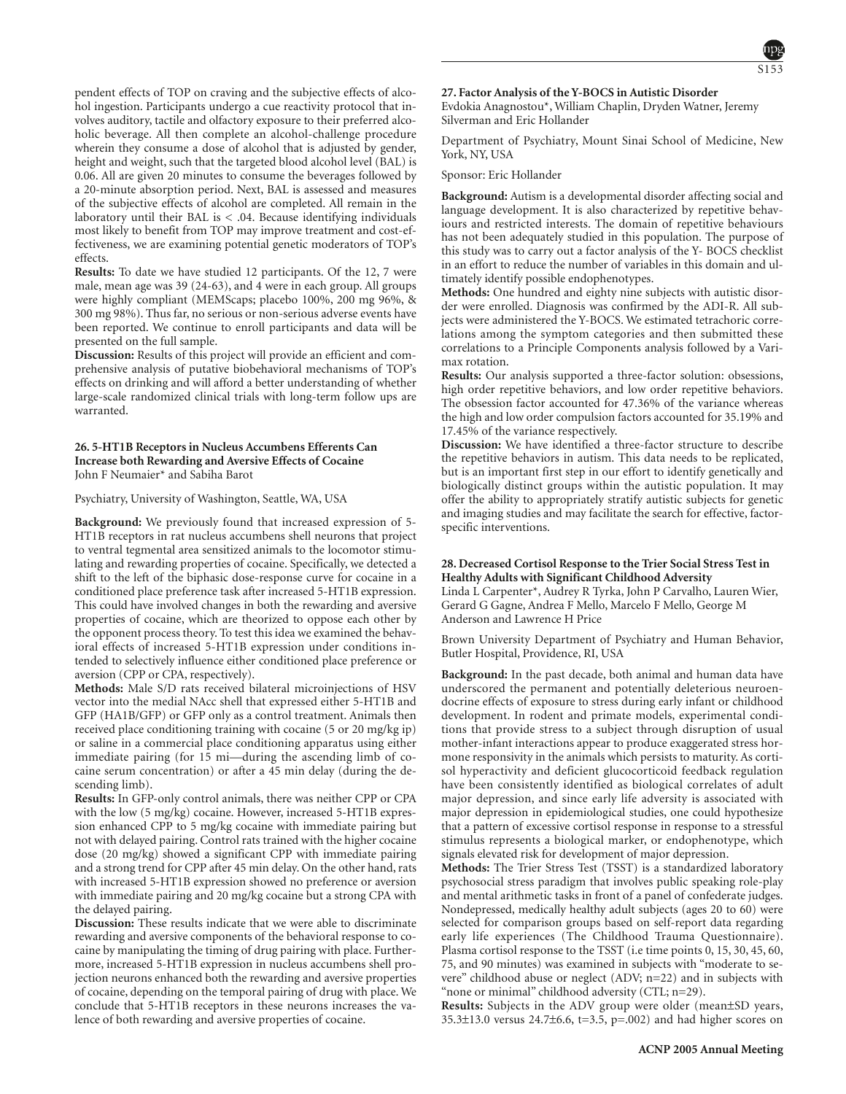pendent effects of TOP on craving and the subjective effects of alcohol ingestion. Participants undergo a cue reactivity protocol that involves auditory, tactile and olfactory exposure to their preferred alcoholic beverage. All then complete an alcohol-challenge procedure wherein they consume a dose of alcohol that is adjusted by gender, height and weight, such that the targeted blood alcohol level (BAL) is 0.06. All are given 20 minutes to consume the beverages followed by a 20-minute absorption period. Next, BAL is assessed and measures of the subjective effects of alcohol are completed. All remain in the laboratory until their BAL is  $< .04$ . Because identifying individuals most likely to benefit from TOP may improve treatment and cost-effectiveness, we are examining potential genetic moderators of TOP's effects.

**Results:** To date we have studied 12 participants. Of the 12, 7 were male, mean age was 39 (24-63), and 4 were in each group. All groups were highly compliant (MEMScaps; placebo 100%, 200 mg 96%, & 300 mg 98%). Thus far, no serious or non-serious adverse events have been reported. We continue to enroll participants and data will be presented on the full sample.

**Discussion:** Results of this project will provide an efficient and comprehensive analysis of putative biobehavioral mechanisms of TOP's effects on drinking and will afford a better understanding of whether large-scale randomized clinical trials with long-term follow ups are warranted.

# **26. 5-HT1B Receptors in Nucleus Accumbens Efferents Can Increase both Rewarding and Aversive Effects of Cocaine** John F Neumaier\* and Sabiha Barot

# Psychiatry, University of Washington, Seattle, WA, USA

**Background:** We previously found that increased expression of 5- HT1B receptors in rat nucleus accumbens shell neurons that project to ventral tegmental area sensitized animals to the locomotor stimulating and rewarding properties of cocaine. Specifically, we detected a shift to the left of the biphasic dose-response curve for cocaine in a conditioned place preference task after increased 5-HT1B expression. This could have involved changes in both the rewarding and aversive properties of cocaine, which are theorized to oppose each other by the opponent process theory. To test this idea we examined the behavioral effects of increased 5-HT1B expression under conditions intended to selectively influence either conditioned place preference or aversion (CPP or CPA, respectively).

**Methods:** Male S/D rats received bilateral microinjections of HSV vector into the medial NAcc shell that expressed either 5-HT1B and GFP (HA1B/GFP) or GFP only as a control treatment. Animals then received place conditioning training with cocaine (5 or 20 mg/kg ip) or saline in a commercial place conditioning apparatus using either immediate pairing (for 15 mi—during the ascending limb of cocaine serum concentration) or after a 45 min delay (during the descending limb).

**Results:** In GFP-only control animals, there was neither CPP or CPA with the low (5 mg/kg) cocaine. However, increased 5-HT1B expression enhanced CPP to 5 mg/kg cocaine with immediate pairing but not with delayed pairing. Control rats trained with the higher cocaine dose (20 mg/kg) showed a significant CPP with immediate pairing and a strong trend for CPP after 45 min delay. On the other hand, rats with increased 5-HT1B expression showed no preference or aversion with immediate pairing and 20 mg/kg cocaine but a strong CPA with the delayed pairing.

**Discussion:** These results indicate that we were able to discriminate rewarding and aversive components of the behavioral response to cocaine by manipulating the timing of drug pairing with place. Furthermore, increased 5-HT1B expression in nucleus accumbens shell projection neurons enhanced both the rewarding and aversive properties of cocaine, depending on the temporal pairing of drug with place. We conclude that 5-HT1B receptors in these neurons increases the valence of both rewarding and aversive properties of cocaine.

# **27. Factor Analysis of the Y-BOCS in Autistic Disorder**

Evdokia Anagnostou\*, William Chaplin, Dryden Watner, Jeremy Silverman and Eric Hollander

Department of Psychiatry, Mount Sinai School of Medicine, New York, NY, USA

Sponsor: Eric Hollander

**Background:** Autism is a developmental disorder affecting social and language development. It is also characterized by repetitive behaviours and restricted interests. The domain of repetitive behaviours has not been adequately studied in this population. The purpose of this study was to carry out a factor analysis of the Y- BOCS checklist in an effort to reduce the number of variables in this domain and ultimately identify possible endophenotypes.

**Methods:** One hundred and eighty nine subjects with autistic disorder were enrolled. Diagnosis was confirmed by the ADI-R. All subjects were administered the Y-BOCS. We estimated tetrachoric correlations among the symptom categories and then submitted these correlations to a Principle Components analysis followed by a Varimax rotation.

**Results:** Our analysis supported a three-factor solution: obsessions, high order repetitive behaviors, and low order repetitive behaviors. The obsession factor accounted for 47.36% of the variance whereas the high and low order compulsion factors accounted for 35.19% and 17.45% of the variance respectively.

**Discussion:** We have identified a three-factor structure to describe the repetitive behaviors in autism. This data needs to be replicated, but is an important first step in our effort to identify genetically and biologically distinct groups within the autistic population. It may offer the ability to appropriately stratify autistic subjects for genetic and imaging studies and may facilitate the search for effective, factorspecific interventions.

# **28. Decreased Cortisol Response to the Trier Social Stress Test in Healthy Adults with Significant Childhood Adversity**

Linda L Carpenter\*, Audrey R Tyrka, John P Carvalho, Lauren Wier, Gerard G Gagne, Andrea F Mello, Marcelo F Mello, George M Anderson and Lawrence H Price

Brown University Department of Psychiatry and Human Behavior, Butler Hospital, Providence, RI, USA

**Background:** In the past decade, both animal and human data have underscored the permanent and potentially deleterious neuroendocrine effects of exposure to stress during early infant or childhood development. In rodent and primate models, experimental conditions that provide stress to a subject through disruption of usual mother-infant interactions appear to produce exaggerated stress hormone responsivity in the animals which persists to maturity. As cortisol hyperactivity and deficient glucocorticoid feedback regulation have been consistently identified as biological correlates of adult major depression, and since early life adversity is associated with major depression in epidemiological studies, one could hypothesize that a pattern of excessive cortisol response in response to a stressful stimulus represents a biological marker, or endophenotype, which signals elevated risk for development of major depression.

**Methods:** The Trier Stress Test (TSST) is a standardized laboratory psychosocial stress paradigm that involves public speaking role-play and mental arithmetic tasks in front of a panel of confederate judges. Nondepressed, medically healthy adult subjects (ages 20 to 60) were selected for comparison groups based on self-report data regarding early life experiences (The Childhood Trauma Questionnaire). Plasma cortisol response to the TSST (i.e time points 0, 15, 30, 45, 60, 75, and 90 minutes) was examined in subjects with "moderate to severe" childhood abuse or neglect (ADV; n=22) and in subjects with "none or minimal" childhood adversity (CTL; n=29).

**Results:** Subjects in the ADV group were older (mean±SD years, 35.3 $\pm$ 13.0 versus 24.7 $\pm$ 6.6, t=3.5, p=.002) and had higher scores on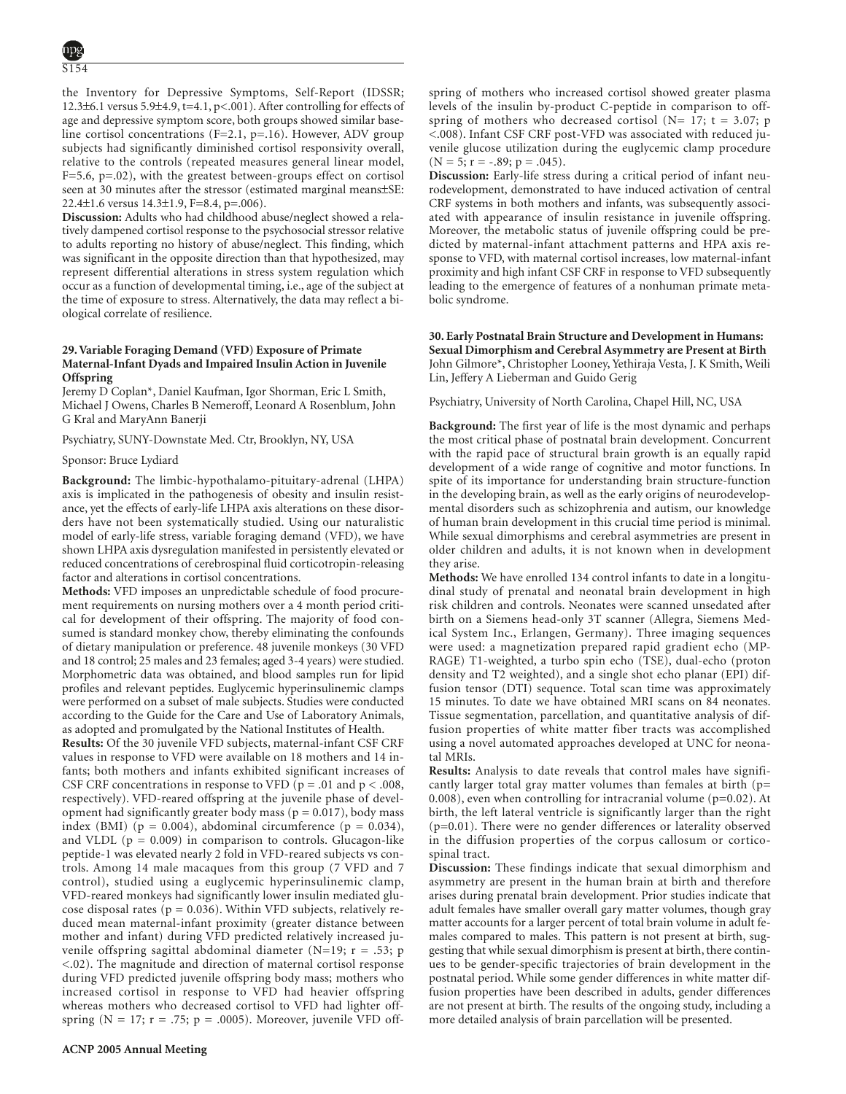the Inventory for Depressive Symptoms, Self-Report (IDSSR; 12.3±6.1 versus 5.9±4.9, t=4.1, p<.001). After controlling for effects of age and depressive symptom score, both groups showed similar baseline cortisol concentrations (F=2.1, p=.16). However, ADV group subjects had significantly diminished cortisol responsivity overall, relative to the controls (repeated measures general linear model, F=5.6, p=.02), with the greatest between-groups effect on cortisol seen at 30 minutes after the stressor (estimated marginal means±SE: 22.4±1.6 versus 14.3±1.9, F=8.4, p=.006).

**Discussion:** Adults who had childhood abuse/neglect showed a relatively dampened cortisol response to the psychosocial stressor relative to adults reporting no history of abuse/neglect. This finding, which was significant in the opposite direction than that hypothesized, may represent differential alterations in stress system regulation which occur as a function of developmental timing, i.e., age of the subject at the time of exposure to stress. Alternatively, the data may reflect a biological correlate of resilience.

# **29. Variable Foraging Demand (VFD) Exposure of Primate Maternal-Infant Dyads and Impaired Insulin Action in Juvenile Offspring**

Jeremy D Coplan\*, Daniel Kaufman, Igor Shorman, Eric L Smith, Michael J Owens, Charles B Nemeroff, Leonard A Rosenblum, John G Kral and MaryAnn Banerji

Psychiatry, SUNY-Downstate Med. Ctr, Brooklyn, NY, USA

#### Sponsor: Bruce Lydiard

**Background:** The limbic-hypothalamo-pituitary-adrenal (LHPA) axis is implicated in the pathogenesis of obesity and insulin resistance, yet the effects of early-life LHPA axis alterations on these disorders have not been systematically studied. Using our naturalistic model of early-life stress, variable foraging demand (VFD), we have shown LHPA axis dysregulation manifested in persistently elevated or reduced concentrations of cerebrospinal fluid corticotropin-releasing factor and alterations in cortisol concentrations.

**Methods:** VFD imposes an unpredictable schedule of food procurement requirements on nursing mothers over a 4 month period critical for development of their offspring. The majority of food consumed is standard monkey chow, thereby eliminating the confounds of dietary manipulation or preference. 48 juvenile monkeys (30 VFD and 18 control; 25 males and 23 females; aged 3-4 years) were studied. Morphometric data was obtained, and blood samples run for lipid profiles and relevant peptides. Euglycemic hyperinsulinemic clamps were performed on a subset of male subjects. Studies were conducted according to the Guide for the Care and Use of Laboratory Animals, as adopted and promulgated by the National Institutes of Health.

**Results:** Of the 30 juvenile VFD subjects, maternal-infant CSF CRF values in response to VFD were available on 18 mothers and 14 infants; both mothers and infants exhibited significant increases of CSF CRF concentrations in response to VFD ( $p = .01$  and  $p < .008$ , respectively). VFD-reared offspring at the juvenile phase of development had significantly greater body mass ( $p = 0.017$ ), body mass index (BMI) ( $p = 0.004$ ), abdominal circumference ( $p = 0.034$ ), and VLDL ( $p = 0.009$ ) in comparison to controls. Glucagon-like peptide-1 was elevated nearly 2 fold in VFD-reared subjects vs controls. Among 14 male macaques from this group (7 VFD and 7 control), studied using a euglycemic hyperinsulinemic clamp, VFD-reared monkeys had significantly lower insulin mediated glucose disposal rates ( $p = 0.036$ ). Within VFD subjects, relatively reduced mean maternal-infant proximity (greater distance between mother and infant) during VFD predicted relatively increased juvenile offspring sagittal abdominal diameter (N=19;  $r = .53$ ; p <.02). The magnitude and direction of maternal cortisol response during VFD predicted juvenile offspring body mass; mothers who increased cortisol in response to VFD had heavier offspring whereas mothers who decreased cortisol to VFD had lighter offspring ( $N = 17$ ;  $r = .75$ ;  $p = .0005$ ). Moreover, juvenile VFD offspring of mothers who increased cortisol showed greater plasma levels of the insulin by-product C-peptide in comparison to offspring of mothers who decreased cortisol ( $N= 17$ ; t = 3.07; p <.008). Infant CSF CRF post-VFD was associated with reduced juvenile glucose utilization during the euglycemic clamp procedure  $(N = 5; r = -.89; p = .045).$ 

**Discussion:** Early-life stress during a critical period of infant neurodevelopment, demonstrated to have induced activation of central CRF systems in both mothers and infants, was subsequently associated with appearance of insulin resistance in juvenile offspring. Moreover, the metabolic status of juvenile offspring could be predicted by maternal-infant attachment patterns and HPA axis response to VFD, with maternal cortisol increases, low maternal-infant proximity and high infant CSF CRF in response to VFD subsequently leading to the emergence of features of a nonhuman primate metabolic syndrome.

# **30. Early Postnatal Brain Structure and Development in Humans: Sexual Dimorphism and Cerebral Asymmetry are Present at Birth** John Gilmore\*, Christopher Looney, Yethiraja Vesta, J. K Smith, Weili Lin, Jeffery A Lieberman and Guido Gerig

Psychiatry, University of North Carolina, Chapel Hill, NC, USA

**Background:** The first year of life is the most dynamic and perhaps the most critical phase of postnatal brain development. Concurrent with the rapid pace of structural brain growth is an equally rapid development of a wide range of cognitive and motor functions. In spite of its importance for understanding brain structure-function in the developing brain, as well as the early origins of neurodevelopmental disorders such as schizophrenia and autism, our knowledge of human brain development in this crucial time period is minimal. While sexual dimorphisms and cerebral asymmetries are present in older children and adults, it is not known when in development they arise.

**Methods:** We have enrolled 134 control infants to date in a longitudinal study of prenatal and neonatal brain development in high risk children and controls. Neonates were scanned unsedated after birth on a Siemens head-only 3T scanner (Allegra, Siemens Medical System Inc., Erlangen, Germany). Three imaging sequences were used: a magnetization prepared rapid gradient echo (MP-RAGE) T1-weighted, a turbo spin echo (TSE), dual-echo (proton density and T2 weighted), and a single shot echo planar (EPI) diffusion tensor (DTI) sequence. Total scan time was approximately 15 minutes. To date we have obtained MRI scans on 84 neonates. Tissue segmentation, parcellation, and quantitative analysis of diffusion properties of white matter fiber tracts was accomplished using a novel automated approaches developed at UNC for neonatal MRIs.

**Results:** Analysis to date reveals that control males have significantly larger total gray matter volumes than females at birth (p= 0.008), even when controlling for intracranial volume (p=0.02). At birth, the left lateral ventricle is significantly larger than the right (p=0.01). There were no gender differences or laterality observed in the diffusion properties of the corpus callosum or corticospinal tract.

**Discussion:** These findings indicate that sexual dimorphism and asymmetry are present in the human brain at birth and therefore arises during prenatal brain development. Prior studies indicate that adult females have smaller overall gary matter volumes, though gray matter accounts for a larger percent of total brain volume in adult females compared to males. This pattern is not present at birth, suggesting that while sexual dimorphism is present at birth, there continues to be gender-specific trajectories of brain development in the postnatal period. While some gender differences in white matter diffusion properties have been described in adults, gender differences are not present at birth. The results of the ongoing study, including a more detailed analysis of brain parcellation will be presented.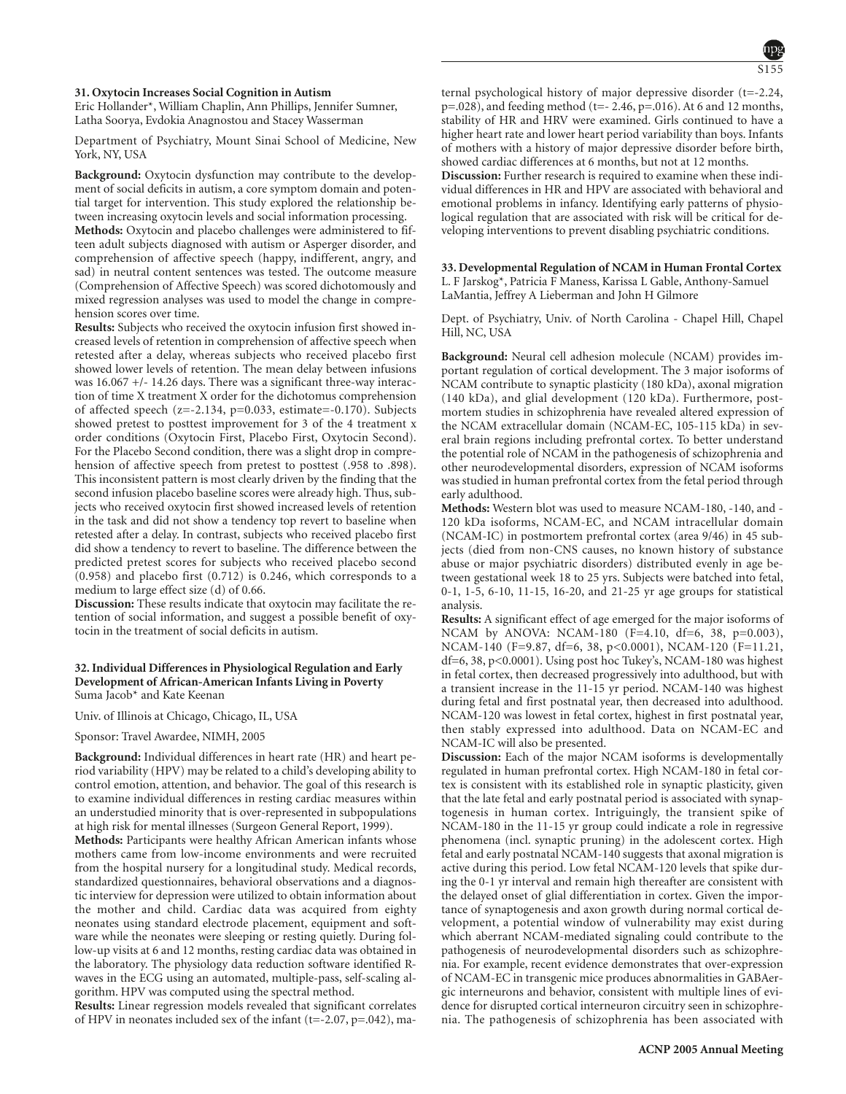#### **31. Oxytocin Increases Social Cognition in Autism**

Eric Hollander\*, William Chaplin, Ann Phillips, Jennifer Sumner, Latha Soorya, Evdokia Anagnostou and Stacey Wasserman

Department of Psychiatry, Mount Sinai School of Medicine, New York, NY, USA

**Background:** Oxytocin dysfunction may contribute to the development of social deficits in autism, a core symptom domain and potential target for intervention. This study explored the relationship between increasing oxytocin levels and social information processing.

**Methods:** Oxytocin and placebo challenges were administered to fifteen adult subjects diagnosed with autism or Asperger disorder, and comprehension of affective speech (happy, indifferent, angry, and sad) in neutral content sentences was tested. The outcome measure (Comprehension of Affective Speech) was scored dichotomously and mixed regression analyses was used to model the change in comprehension scores over time.

**Results:** Subjects who received the oxytocin infusion first showed increased levels of retention in comprehension of affective speech when retested after a delay, whereas subjects who received placebo first showed lower levels of retention. The mean delay between infusions was 16.067 +/- 14.26 days. There was a significant three-way interaction of time X treatment X order for the dichotomus comprehension of affected speech (z=-2.134, p=0.033, estimate=-0.170). Subjects showed pretest to posttest improvement for 3 of the 4 treatment x order conditions (Oxytocin First, Placebo First, Oxytocin Second). For the Placebo Second condition, there was a slight drop in comprehension of affective speech from pretest to posttest (.958 to .898). This inconsistent pattern is most clearly driven by the finding that the second infusion placebo baseline scores were already high. Thus, subjects who received oxytocin first showed increased levels of retention in the task and did not show a tendency top revert to baseline when retested after a delay. In contrast, subjects who received placebo first did show a tendency to revert to baseline. The difference between the predicted pretest scores for subjects who received placebo second (0.958) and placebo first (0.712) is 0.246, which corresponds to a medium to large effect size (d) of 0.66.

**Discussion:** These results indicate that oxytocin may facilitate the retention of social information, and suggest a possible benefit of oxytocin in the treatment of social deficits in autism.

#### **32. Individual Differences in Physiological Regulation and Early Development of African-American Infants Living in Poverty** Suma Jacob\* and Kate Keenan

Univ. of Illinois at Chicago, Chicago, IL, USA

Sponsor: Travel Awardee, NIMH, 2005

**Background:** Individual differences in heart rate (HR) and heart period variability (HPV) may be related to a child's developing ability to control emotion, attention, and behavior. The goal of this research is to examine individual differences in resting cardiac measures within an understudied minority that is over-represented in subpopulations at high risk for mental illnesses (Surgeon General Report, 1999).

**Methods:** Participants were healthy African American infants whose mothers came from low-income environments and were recruited from the hospital nursery for a longitudinal study. Medical records, standardized questionnaires, behavioral observations and a diagnostic interview for depression were utilized to obtain information about the mother and child. Cardiac data was acquired from eighty neonates using standard electrode placement, equipment and software while the neonates were sleeping or resting quietly. During follow-up visits at 6 and 12 months, resting cardiac data was obtained in the laboratory. The physiology data reduction software identified Rwaves in the ECG using an automated, multiple-pass, self-scaling algorithm. HPV was computed using the spectral method.

**Results:** Linear regression models revealed that significant correlates of HPV in neonates included sex of the infant  $(t=-2.07, p=-0.042)$ , maternal psychological history of major depressive disorder (t=-2.24, p=.028), and feeding method (t=- 2.46, p=.016). At 6 and 12 months, stability of HR and HRV were examined. Girls continued to have a higher heart rate and lower heart period variability than boys. Infants of mothers with a history of major depressive disorder before birth, showed cardiac differences at 6 months, but not at 12 months.

**Discussion:** Further research is required to examine when these individual differences in HR and HPV are associated with behavioral and emotional problems in infancy. Identifying early patterns of physiological regulation that are associated with risk will be critical for developing interventions to prevent disabling psychiatric conditions.

**33. Developmental Regulation of NCAM in Human Frontal Cortex** L. F Jarskog\*, Patricia F Maness, Karissa L Gable, Anthony-Samuel LaMantia, Jeffrey A Lieberman and John H Gilmore

Dept. of Psychiatry, Univ. of North Carolina - Chapel Hill, Chapel Hill, NC, USA

**Background:** Neural cell adhesion molecule (NCAM) provides important regulation of cortical development. The 3 major isoforms of NCAM contribute to synaptic plasticity (180 kDa), axonal migration (140 kDa), and glial development (120 kDa). Furthermore, postmortem studies in schizophrenia have revealed altered expression of the NCAM extracellular domain (NCAM-EC, 105-115 kDa) in several brain regions including prefrontal cortex. To better understand the potential role of NCAM in the pathogenesis of schizophrenia and other neurodevelopmental disorders, expression of NCAM isoforms was studied in human prefrontal cortex from the fetal period through early adulthood.

**Methods:** Western blot was used to measure NCAM-180, -140, and - 120 kDa isoforms, NCAM-EC, and NCAM intracellular domain (NCAM-IC) in postmortem prefrontal cortex (area 9/46) in 45 subjects (died from non-CNS causes, no known history of substance abuse or major psychiatric disorders) distributed evenly in age between gestational week 18 to 25 yrs. Subjects were batched into fetal, 0-1, 1-5, 6-10, 11-15, 16-20, and 21-25 yr age groups for statistical analysis.

**Results:** A significant effect of age emerged for the major isoforms of NCAM by ANOVA: NCAM-180 (F=4.10, df=6, 38, p=0.003), NCAM-140 (F=9.87, df=6, 38, p<0.0001), NCAM-120 (F=11.21, df=6, 38, p<0.0001). Using post hoc Tukey's, NCAM-180 was highest in fetal cortex, then decreased progressively into adulthood, but with a transient increase in the 11-15 yr period. NCAM-140 was highest during fetal and first postnatal year, then decreased into adulthood. NCAM-120 was lowest in fetal cortex, highest in first postnatal year, then stably expressed into adulthood. Data on NCAM-EC and NCAM-IC will also be presented.

**Discussion:** Each of the major NCAM isoforms is developmentally regulated in human prefrontal cortex. High NCAM-180 in fetal cortex is consistent with its established role in synaptic plasticity, given that the late fetal and early postnatal period is associated with synaptogenesis in human cortex. Intriguingly, the transient spike of NCAM-180 in the 11-15 yr group could indicate a role in regressive phenomena (incl. synaptic pruning) in the adolescent cortex. High fetal and early postnatal NCAM-140 suggests that axonal migration is active during this period. Low fetal NCAM-120 levels that spike during the 0-1 yr interval and remain high thereafter are consistent with the delayed onset of glial differentiation in cortex. Given the importance of synaptogenesis and axon growth during normal cortical development, a potential window of vulnerability may exist during which aberrant NCAM-mediated signaling could contribute to the pathogenesis of neurodevelopmental disorders such as schizophrenia. For example, recent evidence demonstrates that over-expression of NCAM-EC in transgenic mice produces abnormalities in GABAergic interneurons and behavior, consistent with multiple lines of evidence for disrupted cortical interneuron circuitry seen in schizophrenia. The pathogenesis of schizophrenia has been associated with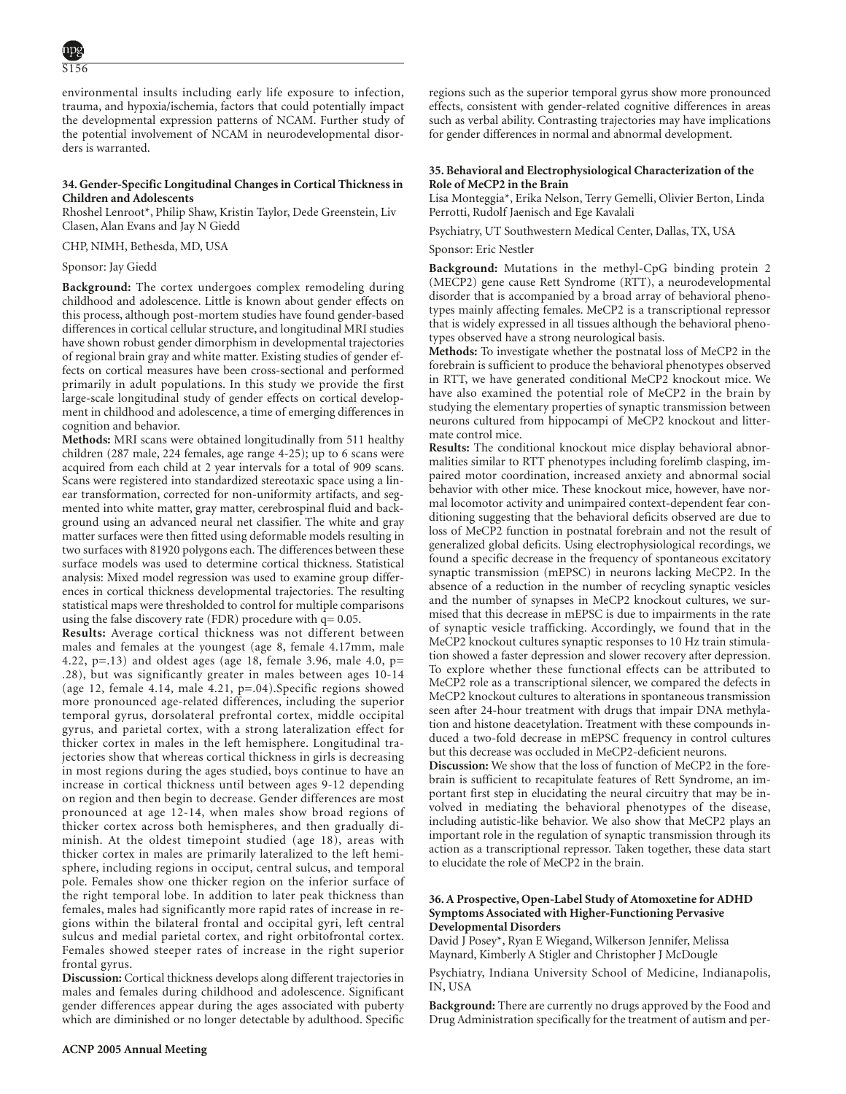environmental insults including early life exposure to infection, trauma, and hypoxia/ischemia, factors that could potentially impact the developmental expression patterns of NCAM. Further study of the potential involvement of NCAM in neurodevelopmental disorders is warranted.

# **34. Gender-Specific Longitudinal Changes in Cortical Thickness in Children and Adolescents**

Rhoshel Lenroot\*, Philip Shaw, Kristin Taylor, Dede Greenstein, Liv Clasen, Alan Evans and Jay N Giedd

CHP, NIMH, Bethesda, MD, USA

# Sponsor: Jay Giedd

**Background:** The cortex undergoes complex remodeling during childhood and adolescence. Little is known about gender effects on this process, although post-mortem studies have found gender-based differences in cortical cellular structure, and longitudinal MRI studies have shown robust gender dimorphism in developmental trajectories of regional brain gray and white matter. Existing studies of gender effects on cortical measures have been cross-sectional and performed primarily in adult populations. In this study we provide the first large-scale longitudinal study of gender effects on cortical development in childhood and adolescence, a time of emerging differences in cognition and behavior.

**Methods:** MRI scans were obtained longitudinally from 511 healthy children (287 male, 224 females, age range 4-25); up to 6 scans were acquired from each child at 2 year intervals for a total of 909 scans. Scans were registered into standardized stereotaxic space using a linear transformation, corrected for non-uniformity artifacts, and segmented into white matter, gray matter, cerebrospinal fluid and background using an advanced neural net classifier. The white and gray matter surfaces were then fitted using deformable models resulting in two surfaces with 81920 polygons each. The differences between these surface models was used to determine cortical thickness. Statistical analysis: Mixed model regression was used to examine group differences in cortical thickness developmental trajectories. The resulting statistical maps were thresholded to control for multiple comparisons using the false discovery rate (FDR) procedure with  $q = 0.05$ .

**Results:** Average cortical thickness was not different between males and females at the youngest (age 8, female 4.17mm, male 4.22, p=.13) and oldest ages (age 18, female 3.96, male 4.0, p= .28), but was significantly greater in males between ages 10-14 (age 12, female 4.14, male 4.21, p=.04).Specific regions showed more pronounced age-related differences, including the superior temporal gyrus, dorsolateral prefrontal cortex, middle occipital gyrus, and parietal cortex, with a strong lateralization effect for thicker cortex in males in the left hemisphere. Longitudinal trajectories show that whereas cortical thickness in girls is decreasing in most regions during the ages studied, boys continue to have an increase in cortical thickness until between ages 9-12 depending on region and then begin to decrease. Gender differences are most pronounced at age 12-14, when males show broad regions of thicker cortex across both hemispheres, and then gradually diminish. At the oldest timepoint studied (age 18), areas with thicker cortex in males are primarily lateralized to the left hemisphere, including regions in occiput, central sulcus, and temporal pole. Females show one thicker region on the inferior surface of the right temporal lobe. In addition to later peak thickness than females, males had significantly more rapid rates of increase in regions within the bilateral frontal and occipital gyri, left central sulcus and medial parietal cortex, and right orbitofrontal cortex. Females showed steeper rates of increase in the right superior frontal gyrus.

**Discussion:** Cortical thickness develops along different trajectories in males and females during childhood and adolescence. Significant gender differences appear during the ages associated with puberty which are diminished or no longer detectable by adulthood. Specific

regions such as the superior temporal gyrus show more pronounced effects, consistent with gender-related cognitive differences in areas such as verbal ability. Contrasting trajectories may have implications for gender differences in normal and abnormal development.

# **35. Behavioral and Electrophysiological Characterization of the Role of MeCP2 in the Brain**

Lisa Monteggia\*, Erika Nelson, Terry Gemelli, Olivier Berton, Linda Perrotti, Rudolf Jaenisch and Ege Kavalali

Psychiatry, UT Southwestern Medical Center, Dallas, TX, USA

#### Sponsor: Eric Nestler

**Background:** Mutations in the methyl-CpG binding protein 2 (MECP2) gene cause Rett Syndrome (RTT), a neurodevelopmental disorder that is accompanied by a broad array of behavioral phenotypes mainly affecting females. MeCP2 is a transcriptional repressor that is widely expressed in all tissues although the behavioral phenotypes observed have a strong neurological basis.

**Methods:** To investigate whether the postnatal loss of MeCP2 in the forebrain is sufficient to produce the behavioral phenotypes observed in RTT, we have generated conditional MeCP2 knockout mice. We have also examined the potential role of MeCP2 in the brain by studying the elementary properties of synaptic transmission between neurons cultured from hippocampi of MeCP2 knockout and littermate control mice.

**Results:** The conditional knockout mice display behavioral abnormalities similar to RTT phenotypes including forelimb clasping, impaired motor coordination, increased anxiety and abnormal social behavior with other mice. These knockout mice, however, have normal locomotor activity and unimpaired context-dependent fear conditioning suggesting that the behavioral deficits observed are due to loss of MeCP2 function in postnatal forebrain and not the result of generalized global deficits. Using electrophysiological recordings, we found a specific decrease in the frequency of spontaneous excitatory synaptic transmission (mEPSC) in neurons lacking MeCP2. In the absence of a reduction in the number of recycling synaptic vesicles and the number of synapses in MeCP2 knockout cultures, we surmised that this decrease in mEPSC is due to impairments in the rate of synaptic vesicle trafficking. Accordingly, we found that in the MeCP2 knockout cultures synaptic responses to 10 Hz train stimulation showed a faster depression and slower recovery after depression. To explore whether these functional effects can be attributed to MeCP2 role as a transcriptional silencer, we compared the defects in MeCP2 knockout cultures to alterations in spontaneous transmission seen after 24-hour treatment with drugs that impair DNA methylation and histone deacetylation. Treatment with these compounds induced a two-fold decrease in mEPSC frequency in control cultures but this decrease was occluded in MeCP2-deficient neurons.

**Discussion:** We show that the loss of function of MeCP2 in the forebrain is sufficient to recapitulate features of Rett Syndrome, an important first step in elucidating the neural circuitry that may be involved in mediating the behavioral phenotypes of the disease, including autistic-like behavior. We also show that MeCP2 plays an important role in the regulation of synaptic transmission through its action as a transcriptional repressor. Taken together, these data start to elucidate the role of MeCP2 in the brain.

### **36. A Prospective, Open-Label Study of Atomoxetine for ADHD Symptoms Associated with Higher-Functioning Pervasive Developmental Disorders**

David J Posey\*, Ryan E Wiegand, Wilkerson Jennifer, Melissa Maynard, Kimberly A Stigler and Christopher J McDougle

Psychiatry, Indiana University School of Medicine, Indianapolis, IN, USA

**Background:** There are currently no drugs approved by the Food and Drug Administration specifically for the treatment of autism and per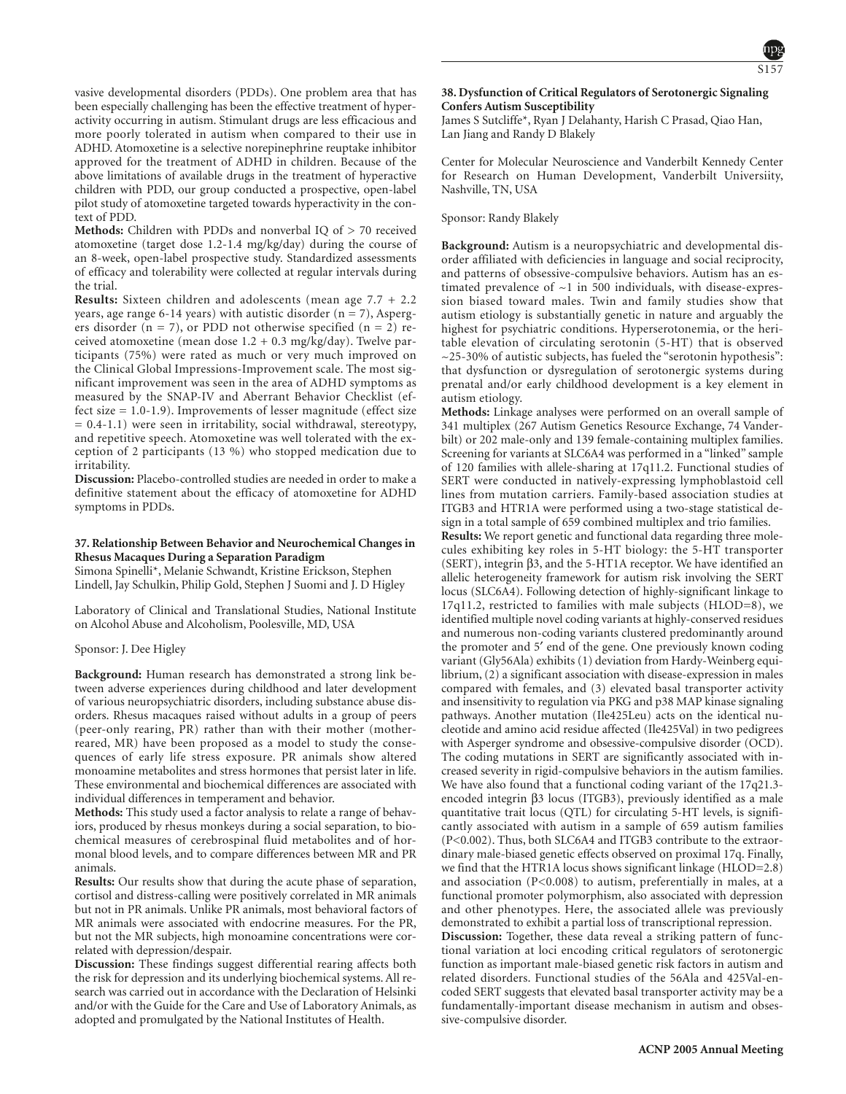vasive developmental disorders (PDDs). One problem area that has been especially challenging has been the effective treatment of hyperactivity occurring in autism. Stimulant drugs are less efficacious and more poorly tolerated in autism when compared to their use in ADHD. Atomoxetine is a selective norepinephrine reuptake inhibitor approved for the treatment of ADHD in children. Because of the above limitations of available drugs in the treatment of hyperactive children with PDD, our group conducted a prospective, open-label pilot study of atomoxetine targeted towards hyperactivity in the context of PDD.

**Methods:** Children with PDDs and nonverbal IQ of > 70 received atomoxetine (target dose 1.2-1.4 mg/kg/day) during the course of an 8-week, open-label prospective study. Standardized assessments of efficacy and tolerability were collected at regular intervals during the trial.

**Results:** Sixteen children and adolescents (mean age 7.7 + 2.2 years, age range 6-14 years) with autistic disorder  $(n = 7)$ , Aspergers disorder ( $n = 7$ ), or PDD not otherwise specified ( $n = 2$ ) received atomoxetine (mean dose 1.2 + 0.3 mg/kg/day). Twelve participants (75%) were rated as much or very much improved on the Clinical Global Impressions-Improvement scale. The most significant improvement was seen in the area of ADHD symptoms as measured by the SNAP-IV and Aberrant Behavior Checklist (effect size = 1.0-1.9). Improvements of lesser magnitude (effect size = 0.4-1.1) were seen in irritability, social withdrawal, stereotypy, and repetitive speech. Atomoxetine was well tolerated with the exception of 2 participants (13 %) who stopped medication due to irritability.

**Discussion:** Placebo-controlled studies are needed in order to make a definitive statement about the efficacy of atomoxetine for ADHD symptoms in PDDs.

# **37. Relationship Between Behavior and Neurochemical Changes in Rhesus Macaques During a Separation Paradigm**

Simona Spinelli\*, Melanie Schwandt, Kristine Erickson, Stephen Lindell, Jay Schulkin, Philip Gold, Stephen J Suomi and J. D Higley

Laboratory of Clinical and Translational Studies, National Institute on Alcohol Abuse and Alcoholism, Poolesville, MD, USA

#### Sponsor: J. Dee Higley

**Background:** Human research has demonstrated a strong link between adverse experiences during childhood and later development of various neuropsychiatric disorders, including substance abuse disorders. Rhesus macaques raised without adults in a group of peers (peer-only rearing, PR) rather than with their mother (motherreared, MR) have been proposed as a model to study the consequences of early life stress exposure. PR animals show altered monoamine metabolites and stress hormones that persist later in life. These environmental and biochemical differences are associated with individual differences in temperament and behavior.

**Methods:** This study used a factor analysis to relate a range of behaviors, produced by rhesus monkeys during a social separation, to biochemical measures of cerebrospinal fluid metabolites and of hormonal blood levels, and to compare differences between MR and PR animals.

**Results:** Our results show that during the acute phase of separation, cortisol and distress-calling were positively correlated in MR animals but not in PR animals. Unlike PR animals, most behavioral factors of MR animals were associated with endocrine measures. For the PR, but not the MR subjects, high monoamine concentrations were correlated with depression/despair.

**Discussion:** These findings suggest differential rearing affects both the risk for depression and its underlying biochemical systems. All research was carried out in accordance with the Declaration of Helsinki and/or with the Guide for the Care and Use of Laboratory Animals, as adopted and promulgated by the National Institutes of Health.

# **38. Dysfunction of Critical Regulators of Serotonergic Signaling Confers Autism Susceptibility**

James S Sutcliffe\*, Ryan J Delahanty, Harish C Prasad, Qiao Han, Lan Jiang and Randy D Blakely

Center for Molecular Neuroscience and Vanderbilt Kennedy Center for Research on Human Development, Vanderbilt Universiity, Nashville, TN, USA

Sponsor: Randy Blakely

**Background:** Autism is a neuropsychiatric and developmental disorder affiliated with deficiencies in language and social reciprocity, and patterns of obsessive-compulsive behaviors. Autism has an estimated prevalence of  $\sim$ 1 in 500 individuals, with disease-expression biased toward males. Twin and family studies show that autism etiology is substantially genetic in nature and arguably the highest for psychiatric conditions. Hyperserotonemia, or the heritable elevation of circulating serotonin (5-HT) that is observed  $\sim$ 25-30% of autistic subjects, has fueled the "serotonin hypothesis": that dysfunction or dysregulation of serotonergic systems during prenatal and/or early childhood development is a key element in autism etiology.

**Methods:** Linkage analyses were performed on an overall sample of 341 multiplex (267 Autism Genetics Resource Exchange, 74 Vanderbilt) or 202 male-only and 139 female-containing multiplex families. Screening for variants at SLC6A4 was performed in a "linked" sample of 120 families with allele-sharing at 17q11.2. Functional studies of SERT were conducted in natively-expressing lymphoblastoid cell lines from mutation carriers. Family-based association studies at ITGB3 and HTR1A were performed using a two-stage statistical design in a total sample of 659 combined multiplex and trio families.

**Results:** We report genetic and functional data regarding three molecules exhibiting key roles in 5-HT biology: the 5-HT transporter (SERT), integrin β3, and the 5-HT1A receptor. We have identified an allelic heterogeneity framework for autism risk involving the SERT locus (SLC6A4). Following detection of highly-significant linkage to 17q11.2, restricted to families with male subjects (HLOD=8), we identified multiple novel coding variants at highly-conserved residues and numerous non-coding variants clustered predominantly around the promoter and 5′ end of the gene. One previously known coding variant (Gly56Ala) exhibits (1) deviation from Hardy-Weinberg equilibrium, (2) a significant association with disease-expression in males compared with females, and (3) elevated basal transporter activity and insensitivity to regulation via PKG and p38 MAP kinase signaling pathways. Another mutation (Ile425Leu) acts on the identical nucleotide and amino acid residue affected (Ile425Val) in two pedigrees with Asperger syndrome and obsessive-compulsive disorder (OCD). The coding mutations in SERT are significantly associated with increased severity in rigid-compulsive behaviors in the autism families. We have also found that a functional coding variant of the 17q21.3encoded integrin β3 locus (ITGB3), previously identified as a male quantitative trait locus (QTL) for circulating 5-HT levels, is significantly associated with autism in a sample of 659 autism families (P<0.002). Thus, both SLC6A4 and ITGB3 contribute to the extraordinary male-biased genetic effects observed on proximal 17q. Finally, we find that the HTR1A locus shows significant linkage (HLOD=2.8) and association (P<0.008) to autism, preferentially in males, at a functional promoter polymorphism, also associated with depression and other phenotypes. Here, the associated allele was previously demonstrated to exhibit a partial loss of transcriptional repression. **Discussion:** Together, these data reveal a striking pattern of functional variation at loci encoding critical regulators of serotonergic function as important male-biased genetic risk factors in autism and related disorders. Functional studies of the 56Ala and 425Val-encoded SERT suggests that elevated basal transporter activity may be a fundamentally-important disease mechanism in autism and obsessive-compulsive disorder.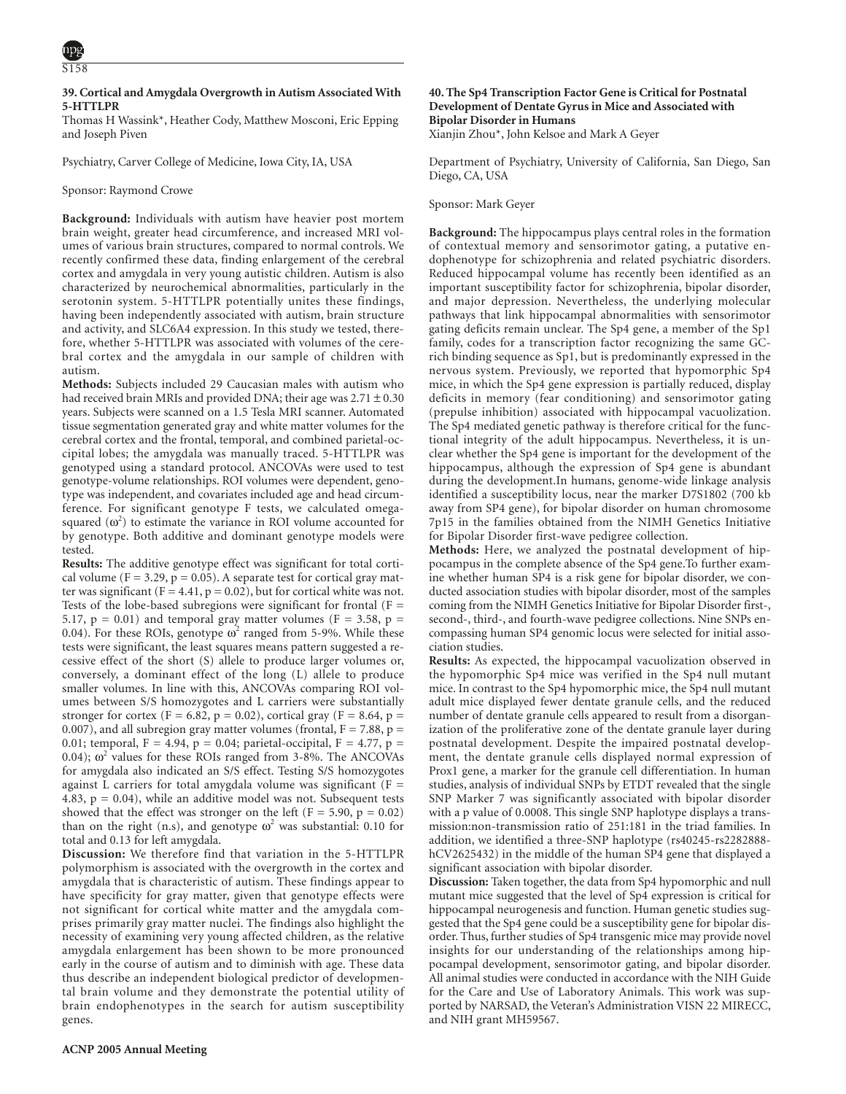# **39. Cortical and Amygdala Overgrowth in Autism Associated With 5-HTTLPR**

Thomas H Wassink\*, Heather Cody, Matthew Mosconi, Eric Epping and Joseph Piven

Psychiatry, Carver College of Medicine, Iowa City, IA, USA

# Sponsor: Raymond Crowe

**Background:** Individuals with autism have heavier post mortem brain weight, greater head circumference, and increased MRI volumes of various brain structures, compared to normal controls. We recently confirmed these data, finding enlargement of the cerebral cortex and amygdala in very young autistic children. Autism is also characterized by neurochemical abnormalities, particularly in the serotonin system. 5-HTTLPR potentially unites these findings, having been independently associated with autism, brain structure and activity, and SLC6A4 expression. In this study we tested, therefore, whether 5-HTTLPR was associated with volumes of the cerebral cortex and the amygdala in our sample of children with autism.

**Methods:** Subjects included 29 Caucasian males with autism who had received brain MRIs and provided DNA; their age was  $2.71 \pm 0.30$ years. Subjects were scanned on a 1.5 Tesla MRI scanner. Automated tissue segmentation generated gray and white matter volumes for the cerebral cortex and the frontal, temporal, and combined parietal-occipital lobes; the amygdala was manually traced. 5-HTTLPR was genotyped using a standard protocol. ANCOVAs were used to test genotype-volume relationships. ROI volumes were dependent, genotype was independent, and covariates included age and head circumference. For significant genotype F tests, we calculated omegasquared  $(\omega^2)$  to estimate the variance in ROI volume accounted for by genotype. Both additive and dominant genotype models were tested.

**Results:** The additive genotype effect was significant for total cortical volume ( $F = 3.29$ ,  $p = 0.05$ ). A separate test for cortical gray matter was significant (F = 4.41, p = 0.02), but for cortical white was not. Tests of the lobe-based subregions were significant for frontal  $(F =$ 5.17,  $p = 0.01$ ) and temporal gray matter volumes (F = 3.58,  $p =$ 0.04). For these ROIs, genotype  $\omega^2$  ranged from 5-9%. While these tests were significant, the least squares means pattern suggested a recessive effect of the short (S) allele to produce larger volumes or, conversely, a dominant effect of the long (L) allele to produce smaller volumes. In line with this, ANCOVAs comparing ROI volumes between S/S homozygotes and L carriers were substantially stronger for cortex (F = 6.82, p = 0.02), cortical gray (F = 8.64, p = 0.007), and all subregion gray matter volumes (frontal,  $F = 7.88$ ,  $p =$ 0.01; temporal, F = 4.94, p = 0.04; parietal-occipital, F = 4.77, p = 0.04);  $\omega^2$  values for these ROIs ranged from 3-8%. The ANCOVAs for amygdala also indicated an S/S effect. Testing S/S homozygotes against L carriers for total amygdala volume was significant ( $F =$ 4.83,  $p = 0.04$ ), while an additive model was not. Subsequent tests showed that the effect was stronger on the left ( $F = 5.90$ ,  $p = 0.02$ ) than on the right (n.s), and genotype  $\omega^2$  was substantial: 0.10 for total and 0.13 for left amygdala.

**Discussion:** We therefore find that variation in the 5-HTTLPR polymorphism is associated with the overgrowth in the cortex and amygdala that is characteristic of autism. These findings appear to have specificity for gray matter, given that genotype effects were not significant for cortical white matter and the amygdala comprises primarily gray matter nuclei. The findings also highlight the necessity of examining very young affected children, as the relative amygdala enlargement has been shown to be more pronounced early in the course of autism and to diminish with age. These data thus describe an independent biological predictor of developmental brain volume and they demonstrate the potential utility of brain endophenotypes in the search for autism susceptibility genes.

# **40. The Sp4 Transcription Factor Gene is Critical for Postnatal Development of Dentate Gyrus in Mice and Associated with Bipolar Disorder in Humans**

Xianjin Zhou\*, John Kelsoe and Mark A Geyer

Department of Psychiatry, University of California, San Diego, San Diego, CA, USA

#### Sponsor: Mark Geyer

**Background:** The hippocampus plays central roles in the formation of contextual memory and sensorimotor gating, a putative endophenotype for schizophrenia and related psychiatric disorders. Reduced hippocampal volume has recently been identified as an important susceptibility factor for schizophrenia, bipolar disorder, and major depression. Nevertheless, the underlying molecular pathways that link hippocampal abnormalities with sensorimotor gating deficits remain unclear. The Sp4 gene, a member of the Sp1 family, codes for a transcription factor recognizing the same GCrich binding sequence as Sp1, but is predominantly expressed in the nervous system. Previously, we reported that hypomorphic Sp4 mice, in which the Sp4 gene expression is partially reduced, display deficits in memory (fear conditioning) and sensorimotor gating (prepulse inhibition) associated with hippocampal vacuolization. The Sp4 mediated genetic pathway is therefore critical for the functional integrity of the adult hippocampus. Nevertheless, it is unclear whether the Sp4 gene is important for the development of the hippocampus, although the expression of Sp4 gene is abundant during the development.In humans, genome-wide linkage analysis identified a susceptibility locus, near the marker D7S1802 (700 kb away from SP4 gene), for bipolar disorder on human chromosome 7p15 in the families obtained from the NIMH Genetics Initiative for Bipolar Disorder first-wave pedigree collection.

**Methods:** Here, we analyzed the postnatal development of hippocampus in the complete absence of the Sp4 gene.To further examine whether human SP4 is a risk gene for bipolar disorder, we conducted association studies with bipolar disorder, most of the samples coming from the NIMH Genetics Initiative for Bipolar Disorder first-, second-, third-, and fourth-wave pedigree collections. Nine SNPs encompassing human SP4 genomic locus were selected for initial association studies.

**Results:** As expected, the hippocampal vacuolization observed in the hypomorphic Sp4 mice was verified in the Sp4 null mutant mice. In contrast to the Sp4 hypomorphic mice, the Sp4 null mutant adult mice displayed fewer dentate granule cells, and the reduced number of dentate granule cells appeared to result from a disorganization of the proliferative zone of the dentate granule layer during postnatal development. Despite the impaired postnatal development, the dentate granule cells displayed normal expression of Prox1 gene, a marker for the granule cell differentiation. In human studies, analysis of individual SNPs by ETDT revealed that the single SNP Marker 7 was significantly associated with bipolar disorder with a p value of 0.0008. This single SNP haplotype displays a transmission:non-transmission ratio of 251:181 in the triad families. In addition, we identified a three-SNP haplotype (rs40245-rs2282888 hCV2625432) in the middle of the human SP4 gene that displayed a significant association with bipolar disorder.

**Discussion:** Taken together, the data from Sp4 hypomorphic and null mutant mice suggested that the level of Sp4 expression is critical for hippocampal neurogenesis and function. Human genetic studies suggested that the Sp4 gene could be a susceptibility gene for bipolar disorder. Thus, further studies of Sp4 transgenic mice may provide novel insights for our understanding of the relationships among hippocampal development, sensorimotor gating, and bipolar disorder. All animal studies were conducted in accordance with the NIH Guide for the Care and Use of Laboratory Animals. This work was supported by NARSAD, the Veteran's Administration VISN 22 MIRECC, and NIH grant MH59567.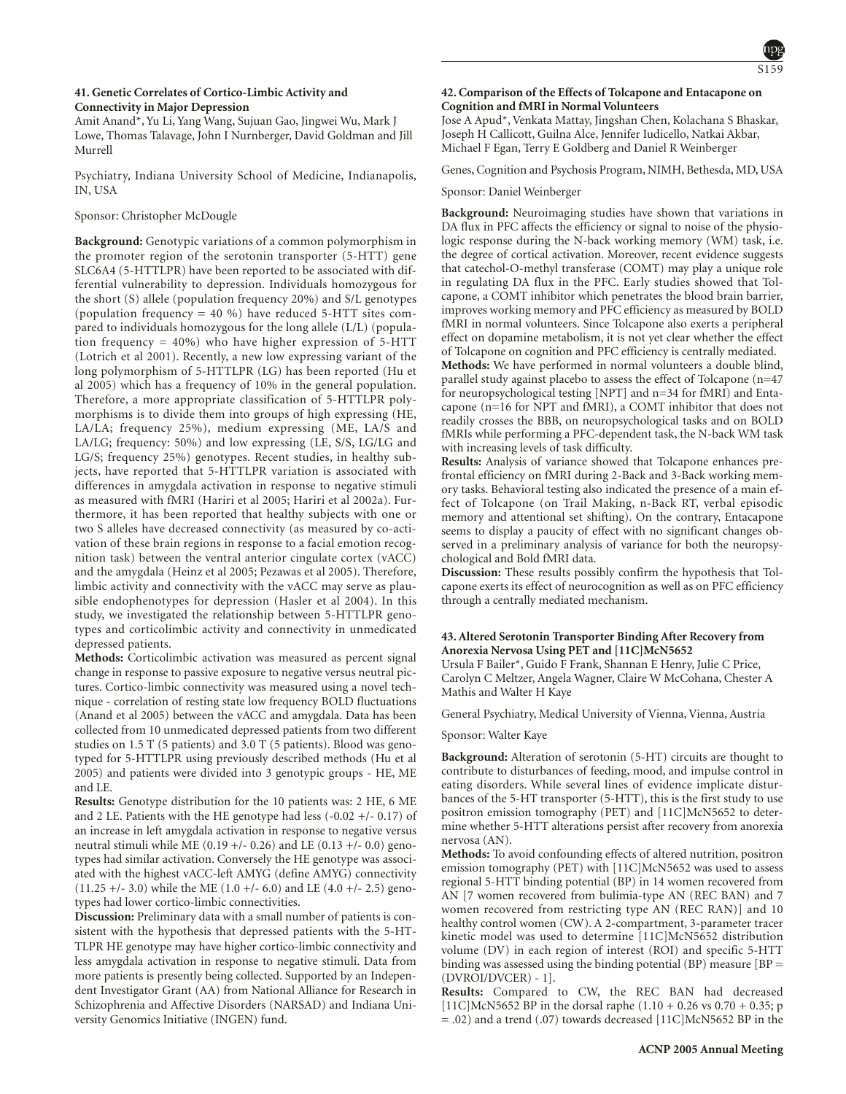# S159

# **41. Genetic Correlates of Cortico-Limbic Activity and Connectivity in Major Depression**

Amit Anand\*, Yu Li, Yang Wang, Sujuan Gao, Jingwei Wu, Mark J Lowe, Thomas Talavage, John I Nurnberger, David Goldman and Jill Murrell

Psychiatry, Indiana University School of Medicine, Indianapolis, IN, USA

# Sponsor: Christopher McDougle

**Background:** Genotypic variations of a common polymorphism in the promoter region of the serotonin transporter (5-HTT) gene SLC6A4 (5-HTTLPR) have been reported to be associated with differential vulnerability to depression. Individuals homozygous for the short (S) allele (population frequency 20%) and S/L genotypes (population frequency = 40 %) have reduced 5-HTT sites compared to individuals homozygous for the long allele (L/L) (population frequency  $= 40\%$ ) who have higher expression of 5-HTT (Lotrich et al 2001). Recently, a new low expressing variant of the long polymorphism of 5-HTTLPR (LG) has been reported (Hu et al 2005) which has a frequency of 10% in the general population. Therefore, a more appropriate classification of 5-HTTLPR polymorphisms is to divide them into groups of high expressing (HE, LA/LA; frequency 25%), medium expressing (ME, LA/S and LA/LG; frequency: 50%) and low expressing (LE, S/S, LG/LG and LG/S; frequency 25%) genotypes. Recent studies, in healthy subjects, have reported that 5-HTTLPR variation is associated with differences in amygdala activation in response to negative stimuli as measured with fMRI (Hariri et al 2005; Hariri et al 2002a). Furthermore, it has been reported that healthy subjects with one or two S alleles have decreased connectivity (as measured by co-activation of these brain regions in response to a facial emotion recognition task) between the ventral anterior cingulate cortex (vACC) and the amygdala (Heinz et al 2005; Pezawas et al 2005). Therefore, limbic activity and connectivity with the vACC may serve as plausible endophenotypes for depression (Hasler et al 2004). In this study, we investigated the relationship between 5-HTTLPR genotypes and corticolimbic activity and connectivity in unmedicated depressed patients.

**Methods:** Corticolimbic activation was measured as percent signal change in response to passive exposure to negative versus neutral pictures. Cortico-limbic connectivity was measured using a novel technique - correlation of resting state low frequency BOLD fluctuations (Anand et al 2005) between the vACC and amygdala. Data has been collected from 10 unmedicated depressed patients from two different studies on 1.5 T (5 patients) and 3.0 T (5 patients). Blood was genotyped for 5-HTTLPR using previously described methods (Hu et al 2005) and patients were divided into 3 genotypic groups - HE, ME and LE.

**Results:** Genotype distribution for the 10 patients was: 2 HE, 6 ME and 2 LE. Patients with the HE genotype had less  $(-0.02 + (-0.17))$  of an increase in left amygdala activation in response to negative versus neutral stimuli while ME  $(0.19 +/- 0.26)$  and LE  $(0.13 +/- 0.0)$  genotypes had similar activation. Conversely the HE genotype was associated with the highest vACC-left AMYG (define AMYG) connectivity  $(11.25 +/- 3.0)$  while the ME  $(1.0 +/- 6.0)$  and LE  $(4.0 +/- 2.5)$  genotypes had lower cortico-limbic connectivities.

**Discussion:** Preliminary data with a small number of patients is consistent with the hypothesis that depressed patients with the 5-HT-TLPR HE genotype may have higher cortico-limbic connectivity and less amygdala activation in response to negative stimuli. Data from more patients is presently being collected. Supported by an Independent Investigator Grant (AA) from National Alliance for Research in Schizophrenia and Affective Disorders (NARSAD) and Indiana University Genomics Initiative (INGEN) fund.

# **42. Comparison of the Effects of Tolcapone and Entacapone on Cognition and fMRI in Normal Volunteers**

Jose A Apud\*, Venkata Mattay, Jingshan Chen, Kolachana S Bhaskar, Joseph H Callicott, Guilna Alce, Jennifer Iudicello, Natkai Akbar, Michael F Egan, Terry E Goldberg and Daniel R Weinberger

Genes, Cognition and Psychosis Program, NIMH, Bethesda, MD, USA

#### Sponsor: Daniel Weinberger

**Background:** Neuroimaging studies have shown that variations in DA flux in PFC affects the efficiency or signal to noise of the physiologic response during the N-back working memory (WM) task, i.e. the degree of cortical activation. Moreover, recent evidence suggests that catechol-O-methyl transferase (COMT) may play a unique role in regulating DA flux in the PFC. Early studies showed that Tolcapone, a COMT inhibitor which penetrates the blood brain barrier, improves working memory and PFC efficiency as measured by BOLD fMRI in normal volunteers. Since Tolcapone also exerts a peripheral effect on dopamine metabolism, it is not yet clear whether the effect of Tolcapone on cognition and PFC efficiency is centrally mediated. **Methods:** We have performed in normal volunteers a double blind, parallel study against placebo to assess the effect of Tolcapone (n=47 for neuropsychological testing [NPT] and n=34 for fMRI) and Entacapone (n=16 for NPT and fMRI), a COMT inhibitor that does not readily crosses the BBB, on neuropsychological tasks and on BOLD fMRIs while performing a PFC-dependent task, the N-back WM task with increasing levels of task difficulty.

**Results:** Analysis of variance showed that Tolcapone enhances prefrontal efficiency on fMRI during 2-Back and 3-Back working memory tasks. Behavioral testing also indicated the presence of a main effect of Tolcapone (on Trail Making, n-Back RT, verbal episodic memory and attentional set shifting). On the contrary, Entacapone seems to display a paucity of effect with no significant changes observed in a preliminary analysis of variance for both the neuropsychological and Bold fMRI data.

**Discussion:** These results possibly confirm the hypothesis that Tolcapone exerts its effect of neurocognition as well as on PFC efficiency through a centrally mediated mechanism.

# **43. Altered Serotonin Transporter Binding After Recovery from Anorexia Nervosa Using PET and [11C]McN5652**

Ursula F Bailer\*, Guido F Frank, Shannan E Henry, Julie C Price, Carolyn C Meltzer, Angela Wagner, Claire W McCohana, Chester A Mathis and Walter H Kaye

General Psychiatry, Medical University of Vienna, Vienna, Austria

#### Sponsor: Walter Kaye

**Background:** Alteration of serotonin (5-HT) circuits are thought to contribute to disturbances of feeding, mood, and impulse control in eating disorders. While several lines of evidence implicate disturbances of the 5-HT transporter (5-HTT), this is the first study to use positron emission tomography (PET) and [11C]McN5652 to determine whether 5-HTT alterations persist after recovery from anorexia nervosa (AN).

**Methods:** To avoid confounding effects of altered nutrition, positron emission tomography (PET) with [11C]McN5652 was used to assess regional 5-HTT binding potential (BP) in 14 women recovered from AN [7 women recovered from bulimia-type AN (REC BAN) and 7 women recovered from restricting type AN (REC RAN)] and 10 healthy control women (CW). A 2-compartment, 3-parameter tracer kinetic model was used to determine [11C]McN5652 distribution volume (DV) in each region of interest (ROI) and specific 5-HTT binding was assessed using the binding potential  $(BP)$  measure  $[BP =$ (DVROI/DVCER) - 1].

**Results:** Compared to CW, the REC BAN had decreased [11C]McN5652 BP in the dorsal raphe  $(1.10 + 0.26 \text{ vs } 0.70 + 0.35; \text{p})$ = .02) and a trend (.07) towards decreased [11C]McN5652 BP in the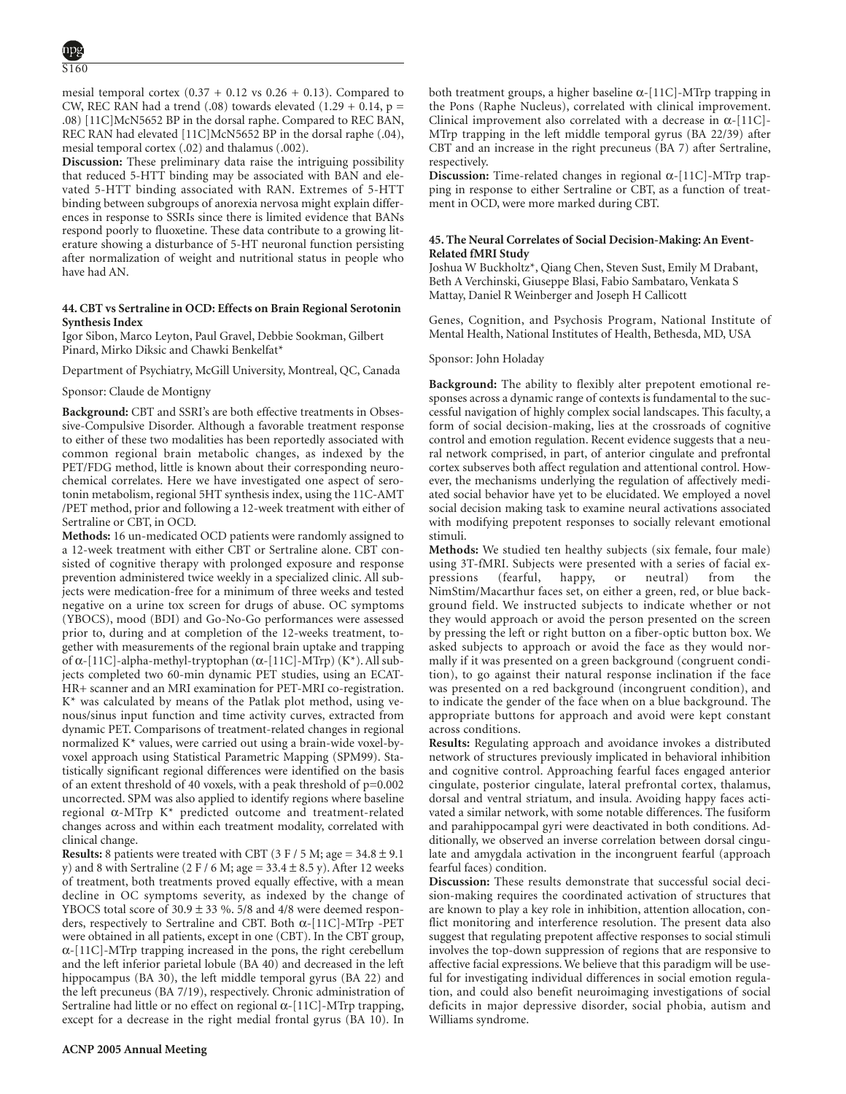mesial temporal cortex  $(0.37 + 0.12 \text{ vs } 0.26 + 0.13)$ . Compared to CW, REC RAN had a trend (.08) towards elevated (1.29 + 0.14,  $p =$ .08) [11C]McN5652 BP in the dorsal raphe. Compared to REC BAN, REC RAN had elevated [11C]McN5652 BP in the dorsal raphe (.04), mesial temporal cortex (.02) and thalamus (.002).

**Discussion:** These preliminary data raise the intriguing possibility that reduced 5-HTT binding may be associated with BAN and elevated 5-HTT binding associated with RAN. Extremes of 5-HTT binding between subgroups of anorexia nervosa might explain differences in response to SSRIs since there is limited evidence that BANs respond poorly to fluoxetine. These data contribute to a growing literature showing a disturbance of 5-HT neuronal function persisting after normalization of weight and nutritional status in people who have had AN.

## **44. CBT vs Sertraline in OCD: Effects on Brain Regional Serotonin Synthesis Index**

Igor Sibon, Marco Leyton, Paul Gravel, Debbie Sookman, Gilbert Pinard, Mirko Diksic and Chawki Benkelfat\*

Department of Psychiatry, McGill University, Montreal, QC, Canada

Sponsor: Claude de Montigny

**Background:** CBT and SSRI's are both effective treatments in Obsessive-Compulsive Disorder. Although a favorable treatment response to either of these two modalities has been reportedly associated with common regional brain metabolic changes, as indexed by the PET/FDG method, little is known about their corresponding neurochemical correlates. Here we have investigated one aspect of serotonin metabolism, regional 5HT synthesis index, using the 11C-AMT /PET method, prior and following a 12-week treatment with either of Sertraline or CBT, in OCD.

**Methods:** 16 un-medicated OCD patients were randomly assigned to a 12-week treatment with either CBT or Sertraline alone. CBT consisted of cognitive therapy with prolonged exposure and response prevention administered twice weekly in a specialized clinic. All subjects were medication-free for a minimum of three weeks and tested negative on a urine tox screen for drugs of abuse. OC symptoms (YBOCS), mood (BDI) and Go-No-Go performances were assessed prior to, during and at completion of the 12-weeks treatment, together with measurements of the regional brain uptake and trapping of α-[11C]-alpha-methyl-tryptophan (α-[11C]-MTrp) (K\*). All subjects completed two 60-min dynamic PET studies, using an ECAT-HR+ scanner and an MRI examination for PET-MRI co-registration. K\* was calculated by means of the Patlak plot method, using venous/sinus input function and time activity curves, extracted from dynamic PET. Comparisons of treatment-related changes in regional normalized K\* values, were carried out using a brain-wide voxel-byvoxel approach using Statistical Parametric Mapping (SPM99). Statistically significant regional differences were identified on the basis of an extent threshold of 40 voxels, with a peak threshold of p=0.002 uncorrected. SPM was also applied to identify regions where baseline regional α-MTrp K\* predicted outcome and treatment-related changes across and within each treatment modality, correlated with clinical change.

**Results:** 8 patients were treated with CBT ( $3$  F /  $5$  M; age =  $34.8 \pm 9.1$ y) and 8 with Sertraline (2 F / 6 M; age =  $33.4 \pm 8.5$  y). After 12 weeks of treatment, both treatments proved equally effective, with a mean decline in OC symptoms severity, as indexed by the change of YBOCS total score of  $30.9 \pm 33$  %. 5/8 and 4/8 were deemed responders, respectively to Sertraline and CBT. Both α-[11C]-MTrp -PET were obtained in all patients, except in one (CBT). In the CBT group, α-[11C]-MTrp trapping increased in the pons, the right cerebellum and the left inferior parietal lobule (BA 40) and decreased in the left hippocampus (BA 30), the left middle temporal gyrus (BA 22) and the left precuneus (BA 7/19), respectively. Chronic administration of Sertraline had little or no effect on regional  $\alpha$ -[11C]-MTrp trapping, except for a decrease in the right medial frontal gyrus (BA 10). In both treatment groups, a higher baseline  $\alpha$ -[11C]-MTrp trapping in the Pons (Raphe Nucleus), correlated with clinical improvement. Clinical improvement also correlated with a decrease in  $\alpha$ -[11C]-MTrp trapping in the left middle temporal gyrus (BA 22/39) after CBT and an increase in the right precuneus (BA 7) after Sertraline, respectively.

**Discussion:** Time-related changes in regional α-[11C]-MTrp trapping in response to either Sertraline or CBT, as a function of treatment in OCD, were more marked during CBT.

# **45. The Neural Correlates of Social Decision-Making: An Event-Related fMRI Study**

Joshua W Buckholtz\*, Qiang Chen, Steven Sust, Emily M Drabant, Beth A Verchinski, Giuseppe Blasi, Fabio Sambataro, Venkata S Mattay, Daniel R Weinberger and Joseph H Callicott

Genes, Cognition, and Psychosis Program, National Institute of Mental Health, National Institutes of Health, Bethesda, MD, USA

Sponsor: John Holaday

**Background:** The ability to flexibly alter prepotent emotional responses across a dynamic range of contexts is fundamental to the successful navigation of highly complex social landscapes. This faculty, a form of social decision-making, lies at the crossroads of cognitive control and emotion regulation. Recent evidence suggests that a neural network comprised, in part, of anterior cingulate and prefrontal cortex subserves both affect regulation and attentional control. However, the mechanisms underlying the regulation of affectively mediated social behavior have yet to be elucidated. We employed a novel social decision making task to examine neural activations associated with modifying prepotent responses to socially relevant emotional stimuli.

**Methods:** We studied ten healthy subjects (six female, four male) using 3T-fMRI. Subjects were presented with a series of facial expressions (fearful, happy, or neutral) from the NimStim/Macarthur faces set, on either a green, red, or blue background field. We instructed subjects to indicate whether or not they would approach or avoid the person presented on the screen by pressing the left or right button on a fiber-optic button box. We asked subjects to approach or avoid the face as they would normally if it was presented on a green background (congruent condition), to go against their natural response inclination if the face was presented on a red background (incongruent condition), and to indicate the gender of the face when on a blue background. The appropriate buttons for approach and avoid were kept constant across conditions.

**Results:** Regulating approach and avoidance invokes a distributed network of structures previously implicated in behavioral inhibition and cognitive control. Approaching fearful faces engaged anterior cingulate, posterior cingulate, lateral prefrontal cortex, thalamus, dorsal and ventral striatum, and insula. Avoiding happy faces activated a similar network, with some notable differences. The fusiform and parahippocampal gyri were deactivated in both conditions. Additionally, we observed an inverse correlation between dorsal cingulate and amygdala activation in the incongruent fearful (approach fearful faces) condition.

**Discussion:** These results demonstrate that successful social decision-making requires the coordinated activation of structures that are known to play a key role in inhibition, attention allocation, conflict monitoring and interference resolution. The present data also suggest that regulating prepotent affective responses to social stimuli involves the top-down suppression of regions that are responsive to affective facial expressions. We believe that this paradigm will be useful for investigating individual differences in social emotion regulation, and could also benefit neuroimaging investigations of social deficits in major depressive disorder, social phobia, autism and Williams syndrome.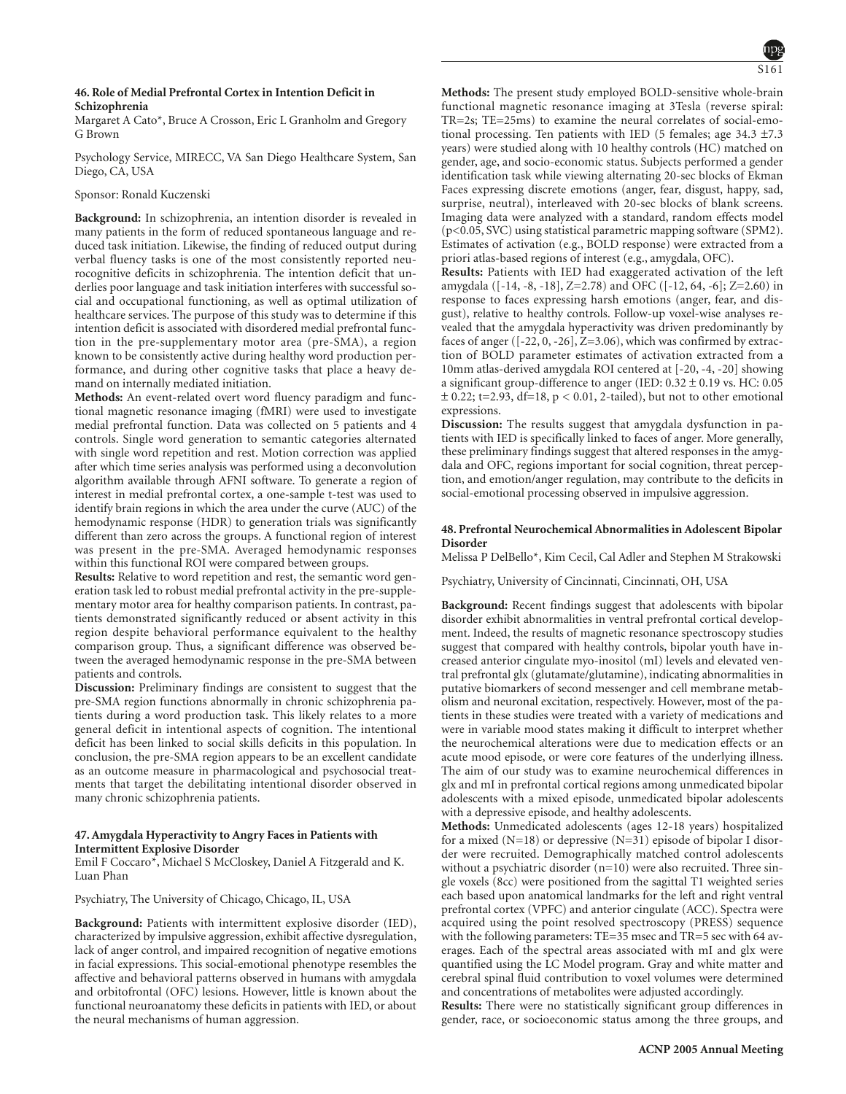# **46. Role of Medial Prefrontal Cortex in Intention Deficit in Schizophrenia**

Margaret A Cato\*, Bruce A Crosson, Eric L Granholm and Gregory G Brown

Psychology Service, MIRECC, VA San Diego Healthcare System, San Diego, CA, USA

# Sponsor: Ronald Kuczenski

**Background:** In schizophrenia, an intention disorder is revealed in many patients in the form of reduced spontaneous language and reduced task initiation. Likewise, the finding of reduced output during verbal fluency tasks is one of the most consistently reported neurocognitive deficits in schizophrenia. The intention deficit that underlies poor language and task initiation interferes with successful social and occupational functioning, as well as optimal utilization of healthcare services. The purpose of this study was to determine if this intention deficit is associated with disordered medial prefrontal function in the pre-supplementary motor area (pre-SMA), a region known to be consistently active during healthy word production performance, and during other cognitive tasks that place a heavy demand on internally mediated initiation.

**Methods:** An event-related overt word fluency paradigm and functional magnetic resonance imaging (fMRI) were used to investigate medial prefrontal function. Data was collected on 5 patients and 4 controls. Single word generation to semantic categories alternated with single word repetition and rest. Motion correction was applied after which time series analysis was performed using a deconvolution algorithm available through AFNI software. To generate a region of interest in medial prefrontal cortex, a one-sample t-test was used to identify brain regions in which the area under the curve (AUC) of the hemodynamic response (HDR) to generation trials was significantly different than zero across the groups. A functional region of interest was present in the pre-SMA. Averaged hemodynamic responses within this functional ROI were compared between groups.

**Results:** Relative to word repetition and rest, the semantic word generation task led to robust medial prefrontal activity in the pre-supplementary motor area for healthy comparison patients. In contrast, patients demonstrated significantly reduced or absent activity in this region despite behavioral performance equivalent to the healthy comparison group. Thus, a significant difference was observed between the averaged hemodynamic response in the pre-SMA between patients and controls.

**Discussion:** Preliminary findings are consistent to suggest that the pre-SMA region functions abnormally in chronic schizophrenia patients during a word production task. This likely relates to a more general deficit in intentional aspects of cognition. The intentional deficit has been linked to social skills deficits in this population. In conclusion, the pre-SMA region appears to be an excellent candidate as an outcome measure in pharmacological and psychosocial treatments that target the debilitating intentional disorder observed in many chronic schizophrenia patients.

# **47. Amygdala Hyperactivity to Angry Faces in Patients with Intermittent Explosive Disorder**

Emil F Coccaro\*, Michael S McCloskey, Daniel A Fitzgerald and K. Luan Phan

Psychiatry, The University of Chicago, Chicago, IL, USA

**Background:** Patients with intermittent explosive disorder (IED), characterized by impulsive aggression, exhibit affective dysregulation, lack of anger control, and impaired recognition of negative emotions in facial expressions. This social-emotional phenotype resembles the affective and behavioral patterns observed in humans with amygdala and orbitofrontal (OFC) lesions. However, little is known about the functional neuroanatomy these deficits in patients with IED, or about the neural mechanisms of human aggression.

**Methods:** The present study employed BOLD-sensitive whole-brain functional magnetic resonance imaging at 3Tesla (reverse spiral: TR=2s; TE=25ms) to examine the neural correlates of social-emotional processing. Ten patients with IED (5 females; age 34.3 ±7.3 years) were studied along with 10 healthy controls (HC) matched on gender, age, and socio-economic status. Subjects performed a gender identification task while viewing alternating 20-sec blocks of Ekman Faces expressing discrete emotions (anger, fear, disgust, happy, sad, surprise, neutral), interleaved with 20-sec blocks of blank screens. Imaging data were analyzed with a standard, random effects model (p<0.05, SVC) using statistical parametric mapping software (SPM2). Estimates of activation (e.g., BOLD response) were extracted from a priori atlas-based regions of interest (e.g., amygdala, OFC).

**Results:** Patients with IED had exaggerated activation of the left amygdala ([-14, -8, -18], Z=2.78) and OFC ([-12, 64, -6]; Z=2.60) in response to faces expressing harsh emotions (anger, fear, and disgust), relative to healthy controls. Follow-up voxel-wise analyses revealed that the amygdala hyperactivity was driven predominantly by faces of anger ([-22, 0, -26], Z=3.06), which was confirmed by extraction of BOLD parameter estimates of activation extracted from a 10mm atlas-derived amygdala ROI centered at [-20, -4, -20] showing a significant group-difference to anger (IED:  $0.32 \pm 0.19$  vs. HC: 0.05  $\pm$  0.22; t=2.93, df=18, p < 0.01, 2-tailed), but not to other emotional expressions.

**Discussion:** The results suggest that amygdala dysfunction in patients with IED is specifically linked to faces of anger. More generally, these preliminary findings suggest that altered responses in the amygdala and OFC, regions important for social cognition, threat perception, and emotion/anger regulation, may contribute to the deficits in social-emotional processing observed in impulsive aggression.

# **48. Prefrontal Neurochemical Abnormalities in Adolescent Bipolar Disorder**

Melissa P DelBello\*, Kim Cecil, Cal Adler and Stephen M Strakowski

Psychiatry, University of Cincinnati, Cincinnati, OH, USA

**Background:** Recent findings suggest that adolescents with bipolar disorder exhibit abnormalities in ventral prefrontal cortical development. Indeed, the results of magnetic resonance spectroscopy studies suggest that compared with healthy controls, bipolar youth have increased anterior cingulate myo-inositol (mI) levels and elevated ventral prefrontal glx (glutamate/glutamine), indicating abnormalities in putative biomarkers of second messenger and cell membrane metabolism and neuronal excitation, respectively. However, most of the patients in these studies were treated with a variety of medications and were in variable mood states making it difficult to interpret whether the neurochemical alterations were due to medication effects or an acute mood episode, or were core features of the underlying illness. The aim of our study was to examine neurochemical differences in glx and mI in prefrontal cortical regions among unmedicated bipolar adolescents with a mixed episode, unmedicated bipolar adolescents with a depressive episode, and healthy adolescents.

**Methods:** Unmedicated adolescents (ages 12-18 years) hospitalized for a mixed (N=18) or depressive (N=31) episode of bipolar I disorder were recruited. Demographically matched control adolescents without a psychiatric disorder (n=10) were also recruited. Three single voxels (8cc) were positioned from the sagittal T1 weighted series each based upon anatomical landmarks for the left and right ventral prefrontal cortex (VPFC) and anterior cingulate (ACC). Spectra were acquired using the point resolved spectroscopy (PRESS) sequence with the following parameters: TE=35 msec and TR=5 sec with 64 averages. Each of the spectral areas associated with mI and glx were quantified using the LC Model program. Gray and white matter and cerebral spinal fluid contribution to voxel volumes were determined and concentrations of metabolites were adjusted accordingly.

**Results:** There were no statistically significant group differences in gender, race, or socioeconomic status among the three groups, and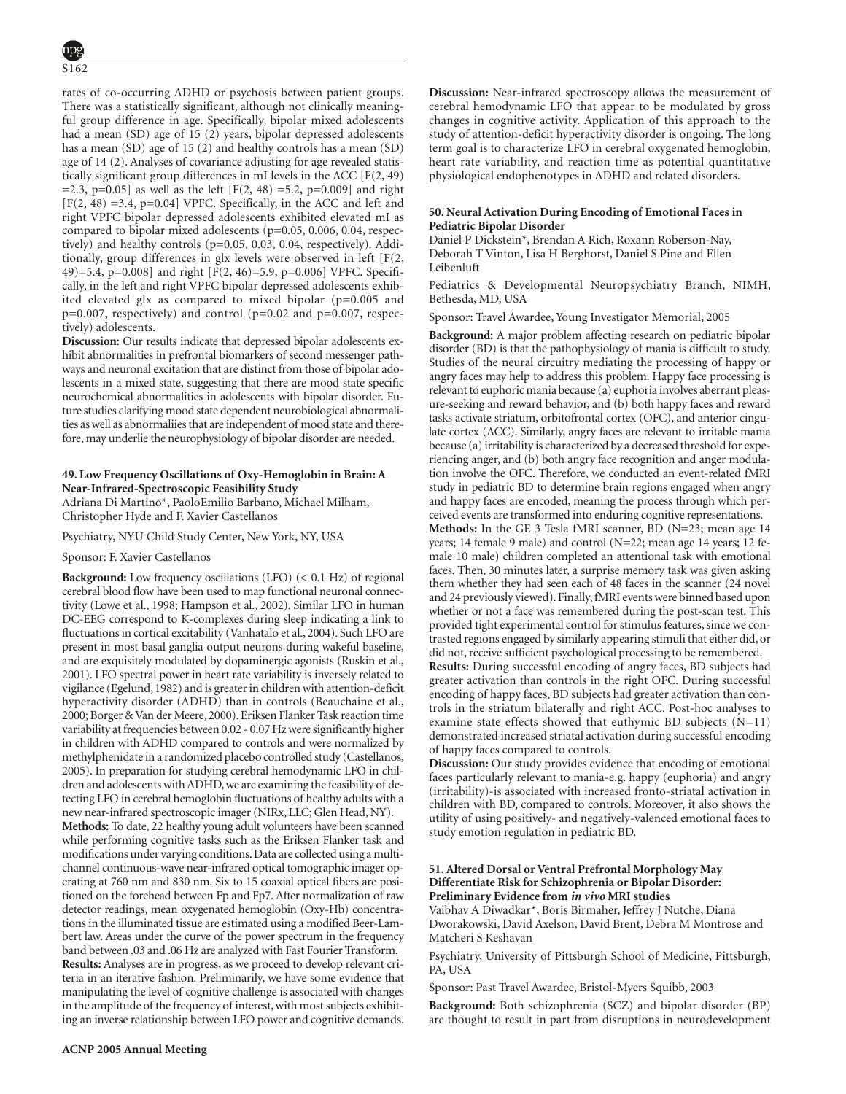rates of co-occurring ADHD or psychosis between patient groups. There was a statistically significant, although not clinically meaningful group difference in age. Specifically, bipolar mixed adolescents had a mean (SD) age of 15 (2) years, bipolar depressed adolescents has a mean (SD) age of 15 (2) and healthy controls has a mean (SD) age of 14 (2). Analyses of covariance adjusting for age revealed statistically significant group differences in mI levels in the ACC [F(2, 49)  $=$  2.3, p=0.05] as well as the left [F(2, 48) = 5.2, p=0.009] and right [F(2, 48) =3.4, p=0.04] VPFC. Specifically, in the ACC and left and right VPFC bipolar depressed adolescents exhibited elevated mI as compared to bipolar mixed adolescents (p=0.05, 0.006, 0.04, respectively) and healthy controls (p=0.05, 0.03, 0.04, respectively). Additionally, group differences in glx levels were observed in left [F(2, 49)=5.4, p=0.008] and right [F(2, 46)=5.9, p=0.006] VPFC. Specifically, in the left and right VPFC bipolar depressed adolescents exhibited elevated glx as compared to mixed bipolar (p=0.005 and  $p=0.007$ , respectively) and control ( $p=0.02$  and  $p=0.007$ , respectively) adolescents.

**Discussion:** Our results indicate that depressed bipolar adolescents exhibit abnormalities in prefrontal biomarkers of second messenger pathways and neuronal excitation that are distinct from those of bipolar adolescents in a mixed state, suggesting that there are mood state specific neurochemical abnormalities in adolescents with bipolar disorder. Future studies clarifying mood state dependent neurobiological abnormalities as well as abnormaliies that are independent of mood state and therefore, may underlie the neurophysiology of bipolar disorder are needed.

# **49. Low Frequency Oscillations of Oxy-Hemoglobin in Brain: A Near-Infrared-Spectroscopic Feasibility Study**

Adriana Di Martino\*, PaoloEmilio Barbano, Michael Milham, Christopher Hyde and F. Xavier Castellanos

Psychiatry, NYU Child Study Center, New York, NY, USA

# Sponsor: F. Xavier Castellanos

**Background:** Low frequency oscillations (LFO) (< 0.1 Hz) of regional cerebral blood flow have been used to map functional neuronal connectivity (Lowe et al., 1998; Hampson et al., 2002). Similar LFO in human DC-EEG correspond to K-complexes during sleep indicating a link to fluctuations in cortical excitability (Vanhatalo et al., 2004). Such LFO are present in most basal ganglia output neurons during wakeful baseline, and are exquisitely modulated by dopaminergic agonists (Ruskin et al., 2001). LFO spectral power in heart rate variability is inversely related to vigilance (Egelund, 1982) and is greater in children with attention-deficit hyperactivity disorder (ADHD) than in controls (Beauchaine et al., 2000; Borger & Van der Meere, 2000). Eriksen Flanker Task reaction time variability at frequencies between 0.02 - 0.07 Hz were significantly higher in children with ADHD compared to controls and were normalized by methylphenidate in a randomized placebo controlled study (Castellanos, 2005). In preparation for studying cerebral hemodynamic LFO in children and adolescents with ADHD, we are examining the feasibility of detecting LFO in cerebral hemoglobin fluctuations of healthy adults with a new near-infrared spectroscopic imager (NIRx, LLC; Glen Head, NY).

**Methods:** To date, 22 healthy young adult volunteers have been scanned while performing cognitive tasks such as the Eriksen Flanker task and modifications under varying conditions.Data are collected using a multichannel continuous-wave near-infrared optical tomographic imager operating at 760 nm and 830 nm. Six to 15 coaxial optical fibers are positioned on the forehead between Fp and Fp7. After normalization of raw detector readings, mean oxygenated hemoglobin (Oxy-Hb) concentrations in the illuminated tissue are estimated using a modified Beer-Lambert law. Areas under the curve of the power spectrum in the frequency band between .03 and .06 Hz are analyzed with Fast Fourier Transform.

**Results:** Analyses are in progress, as we proceed to develop relevant criteria in an iterative fashion. Preliminarily, we have some evidence that manipulating the level of cognitive challenge is associated with changes in the amplitude of the frequency of interest, with most subjects exhibiting an inverse relationship between LFO power and cognitive demands.

**Discussion:** Near-infrared spectroscopy allows the measurement of cerebral hemodynamic LFO that appear to be modulated by gross changes in cognitive activity. Application of this approach to the study of attention-deficit hyperactivity disorder is ongoing. The long term goal is to characterize LFO in cerebral oxygenated hemoglobin, heart rate variability, and reaction time as potential quantitative physiological endophenotypes in ADHD and related disorders.

### **50. Neural Activation During Encoding of Emotional Faces in Pediatric Bipolar Disorder**

Daniel P Dickstein\*, Brendan A Rich, Roxann Roberson-Nay, Deborah T Vinton, Lisa H Berghorst, Daniel S Pine and Ellen Leibenluft

Pediatrics & Developmental Neuropsychiatry Branch, NIMH, Bethesda, MD, USA

Sponsor: Travel Awardee, Young Investigator Memorial, 2005

**Background:** A major problem affecting research on pediatric bipolar disorder (BD) is that the pathophysiology of mania is difficult to study. Studies of the neural circuitry mediating the processing of happy or angry faces may help to address this problem. Happy face processing is relevant to euphoric mania because (a) euphoria involves aberrant pleasure-seeking and reward behavior, and (b) both happy faces and reward tasks activate striatum, orbitofrontal cortex (OFC), and anterior cingulate cortex (ACC). Similarly, angry faces are relevant to irritable mania because (a) irritability is characterized by a decreased threshold for experiencing anger, and (b) both angry face recognition and anger modulation involve the OFC. Therefore, we conducted an event-related fMRI study in pediatric BD to determine brain regions engaged when angry and happy faces are encoded, meaning the process through which perceived events are transformed into enduring cognitive representations.

**Methods:** In the GE 3 Tesla fMRI scanner, BD (N=23; mean age 14 years; 14 female 9 male) and control (N=22; mean age 14 years; 12 female 10 male) children completed an attentional task with emotional faces. Then, 30 minutes later, a surprise memory task was given asking them whether they had seen each of 48 faces in the scanner (24 novel and 24 previously viewed). Finally, fMRI events were binned based upon whether or not a face was remembered during the post-scan test. This provided tight experimental control for stimulus features, since we contrasted regions engaged by similarly appearing stimuli that either did, or did not, receive sufficient psychological processing to be remembered.

**Results:** During successful encoding of angry faces, BD subjects had greater activation than controls in the right OFC. During successful encoding of happy faces, BD subjects had greater activation than controls in the striatum bilaterally and right ACC. Post-hoc analyses to examine state effects showed that euthymic BD subjects (N=11) demonstrated increased striatal activation during successful encoding of happy faces compared to controls.

**Discussion:** Our study provides evidence that encoding of emotional faces particularly relevant to mania-e.g. happy (euphoria) and angry (irritability)-is associated with increased fronto-striatal activation in children with BD, compared to controls. Moreover, it also shows the utility of using positively- and negatively-valenced emotional faces to study emotion regulation in pediatric BD.

# **51. Altered Dorsal or Ventral Prefrontal Morphology May Differentiate Risk for Schizophrenia or Bipolar Disorder: Preliminary Evidence from** *in vivo* **MRI studies**

Vaibhav A Diwadkar\*, Boris Birmaher, Jeffrey J Nutche, Diana Dworakowski, David Axelson, David Brent, Debra M Montrose and Matcheri S Keshavan

Psychiatry, University of Pittsburgh School of Medicine, Pittsburgh, PA, USA

Sponsor: Past Travel Awardee, Bristol-Myers Squibb, 2003

**Background:** Both schizophrenia (SCZ) and bipolar disorder (BP) are thought to result in part from disruptions in neurodevelopment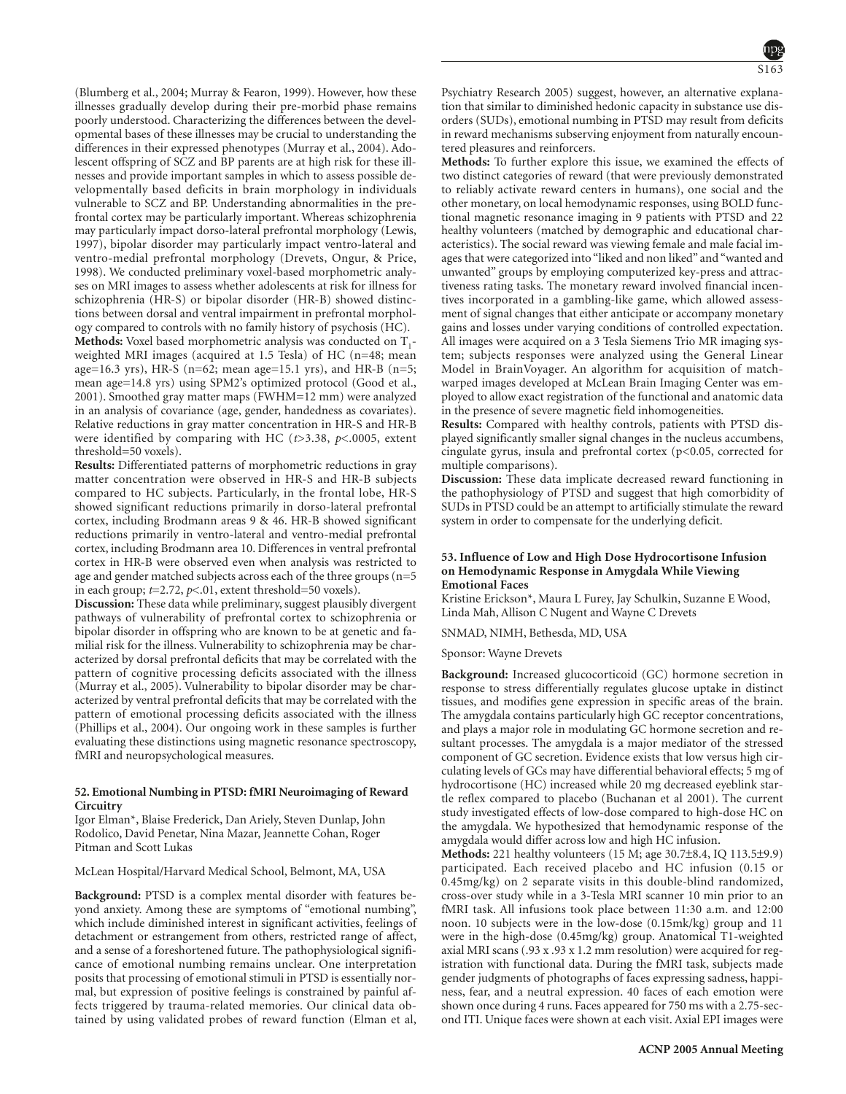(Blumberg et al., 2004; Murray & Fearon, 1999). However, how these illnesses gradually develop during their pre-morbid phase remains poorly understood. Characterizing the differences between the developmental bases of these illnesses may be crucial to understanding the differences in their expressed phenotypes (Murray et al., 2004). Adolescent offspring of SCZ and BP parents are at high risk for these illnesses and provide important samples in which to assess possible developmentally based deficits in brain morphology in individuals vulnerable to SCZ and BP. Understanding abnormalities in the prefrontal cortex may be particularly important. Whereas schizophrenia may particularly impact dorso-lateral prefrontal morphology (Lewis, 1997), bipolar disorder may particularly impact ventro-lateral and ventro-medial prefrontal morphology (Drevets, Ongur, & Price, 1998). We conducted preliminary voxel-based morphometric analyses on MRI images to assess whether adolescents at risk for illness for schizophrenia (HR-S) or bipolar disorder (HR-B) showed distinctions between dorsal and ventral impairment in prefrontal morphology compared to controls with no family history of psychosis (HC).

**Methods:** Voxel based morphometric analysis was conducted on T<sub>1</sub>weighted MRI images (acquired at 1.5 Tesla) of HC (n=48; mean age=16.3 yrs), HR-S (n=62; mean age=15.1 yrs), and HR-B (n=5; mean age=14.8 yrs) using SPM2's optimized protocol (Good et al., 2001). Smoothed gray matter maps (FWHM=12 mm) were analyzed in an analysis of covariance (age, gender, handedness as covariates). Relative reductions in gray matter concentration in HR-S and HR-B were identified by comparing with HC (*t*>3.38, *p*<.0005, extent threshold=50 voxels).

**Results:** Differentiated patterns of morphometric reductions in gray matter concentration were observed in HR-S and HR-B subjects compared to HC subjects. Particularly, in the frontal lobe, HR-S showed significant reductions primarily in dorso-lateral prefrontal cortex, including Brodmann areas 9 & 46. HR-B showed significant reductions primarily in ventro-lateral and ventro-medial prefrontal cortex, including Brodmann area 10. Differences in ventral prefrontal cortex in HR-B were observed even when analysis was restricted to age and gender matched subjects across each of the three groups (n=5 in each group; *t*=2.72, *p*<.01, extent threshold=50 voxels).

**Discussion:** These data while preliminary, suggest plausibly divergent pathways of vulnerability of prefrontal cortex to schizophrenia or bipolar disorder in offspring who are known to be at genetic and familial risk for the illness. Vulnerability to schizophrenia may be characterized by dorsal prefrontal deficits that may be correlated with the pattern of cognitive processing deficits associated with the illness (Murray et al., 2005). Vulnerability to bipolar disorder may be characterized by ventral prefrontal deficits that may be correlated with the pattern of emotional processing deficits associated with the illness (Phillips et al., 2004). Our ongoing work in these samples is further evaluating these distinctions using magnetic resonance spectroscopy, fMRI and neuropsychological measures.

# **52. Emotional Numbing in PTSD: fMRI Neuroimaging of Reward Circuitry**

Igor Elman\*, Blaise Frederick, Dan Ariely, Steven Dunlap, John Rodolico, David Penetar, Nina Mazar, Jeannette Cohan, Roger Pitman and Scott Lukas

# McLean Hospital/Harvard Medical School, Belmont, MA, USA

**Background:** PTSD is a complex mental disorder with features beyond anxiety. Among these are symptoms of "emotional numbing", which include diminished interest in significant activities, feelings of detachment or estrangement from others, restricted range of affect, and a sense of a foreshortened future. The pathophysiological significance of emotional numbing remains unclear. One interpretation posits that processing of emotional stimuli in PTSD is essentially normal, but expression of positive feelings is constrained by painful affects triggered by trauma-related memories. Our clinical data obtained by using validated probes of reward function (Elman et al,

Psychiatry Research 2005) suggest, however, an alternative explanation that similar to diminished hedonic capacity in substance use disorders (SUDs), emotional numbing in PTSD may result from deficits in reward mechanisms subserving enjoyment from naturally encountered pleasures and reinforcers.

**Methods:** To further explore this issue, we examined the effects of two distinct categories of reward (that were previously demonstrated to reliably activate reward centers in humans), one social and the other monetary, on local hemodynamic responses, using BOLD functional magnetic resonance imaging in 9 patients with PTSD and 22 healthy volunteers (matched by demographic and educational characteristics). The social reward was viewing female and male facial images that were categorized into "liked and non liked" and "wanted and unwanted" groups by employing computerized key-press and attractiveness rating tasks. The monetary reward involved financial incentives incorporated in a gambling-like game, which allowed assessment of signal changes that either anticipate or accompany monetary gains and losses under varying conditions of controlled expectation. All images were acquired on a 3 Tesla Siemens Trio MR imaging system; subjects responses were analyzed using the General Linear Model in BrainVoyager. An algorithm for acquisition of matchwarped images developed at McLean Brain Imaging Center was employed to allow exact registration of the functional and anatomic data in the presence of severe magnetic field inhomogeneities.

**Results:** Compared with healthy controls, patients with PTSD displayed significantly smaller signal changes in the nucleus accumbens, cingulate gyrus, insula and prefrontal cortex  $(p<0.05$ , corrected for multiple comparisons).

**Discussion:** These data implicate decreased reward functioning in the pathophysiology of PTSD and suggest that high comorbidity of SUDs in PTSD could be an attempt to artificially stimulate the reward system in order to compensate for the underlying deficit.

### **53. Influence of Low and High Dose Hydrocortisone Infusion on Hemodynamic Response in Amygdala While Viewing Emotional Faces**

Kristine Erickson\*, Maura L Furey, Jay Schulkin, Suzanne E Wood, Linda Mah, Allison C Nugent and Wayne C Drevets

SNMAD, NIMH, Bethesda, MD, USA

#### Sponsor: Wayne Drevets

**Background:** Increased glucocorticoid (GC) hormone secretion in response to stress differentially regulates glucose uptake in distinct tissues, and modifies gene expression in specific areas of the brain. The amygdala contains particularly high GC receptor concentrations, and plays a major role in modulating GC hormone secretion and resultant processes. The amygdala is a major mediator of the stressed component of GC secretion. Evidence exists that low versus high circulating levels of GCs may have differential behavioral effects; 5 mg of hydrocortisone (HC) increased while 20 mg decreased eyeblink startle reflex compared to placebo (Buchanan et al 2001). The current study investigated effects of low-dose compared to high-dose HC on the amygdala. We hypothesized that hemodynamic response of the amygdala would differ across low and high HC infusion.

**Methods:** 221 healthy volunteers (15 M; age 30.7±8.4, IQ 113.5±9.9) participated. Each received placebo and HC infusion (0.15 or 0.45mg/kg) on 2 separate visits in this double-blind randomized, cross-over study while in a 3-Tesla MRI scanner 10 min prior to an fMRI task. All infusions took place between 11:30 a.m. and 12:00 noon. 10 subjects were in the low-dose (0.15mk/kg) group and 11 were in the high-dose (0.45mg/kg) group. Anatomical T1-weighted axial MRI scans (.93 x .93 x 1.2 mm resolution) were acquired for registration with functional data. During the fMRI task, subjects made gender judgments of photographs of faces expressing sadness, happiness, fear, and a neutral expression. 40 faces of each emotion were shown once during 4 runs. Faces appeared for 750 ms with a 2.75-second ITI. Unique faces were shown at each visit. Axial EPI images were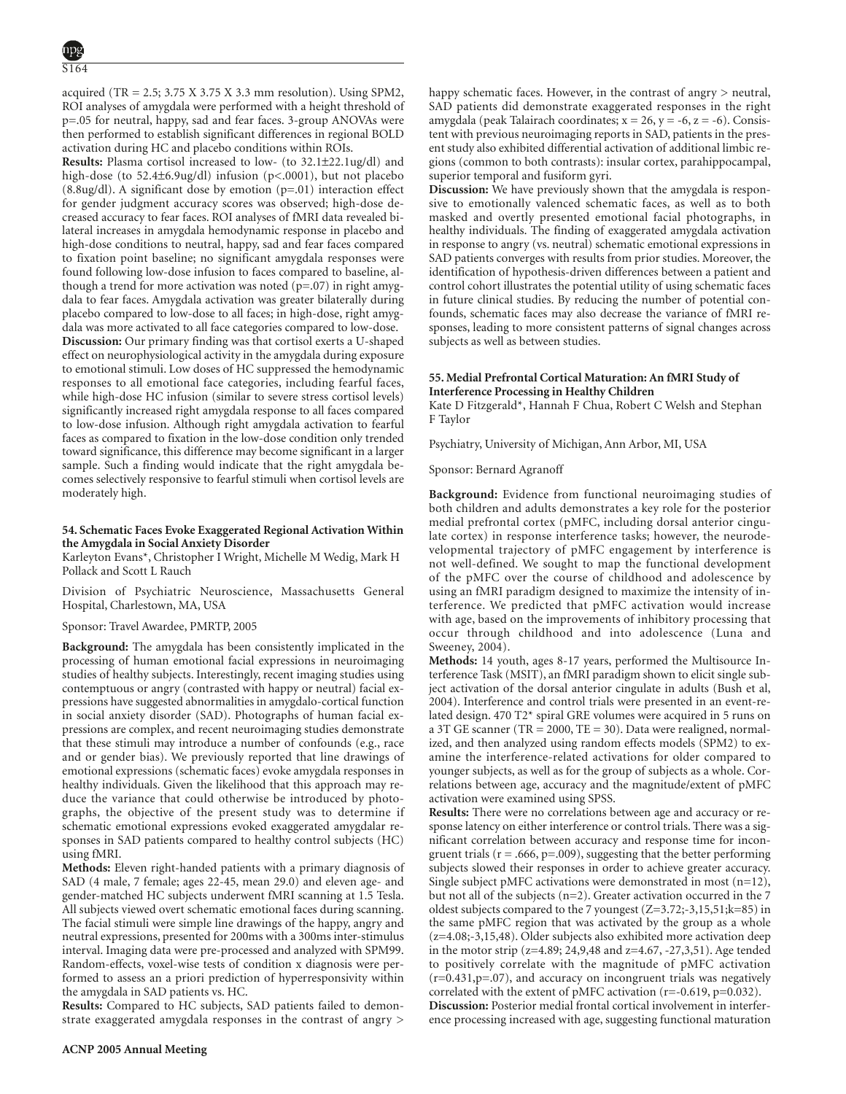acquired (TR =  $2.5$ ;  $3.75$  X  $3.75$  X  $3.3$  mm resolution). Using SPM2, ROI analyses of amygdala were performed with a height threshold of p=.05 for neutral, happy, sad and fear faces. 3-group ANOVAs were then performed to establish significant differences in regional BOLD activation during HC and placebo conditions within ROIs.

**Results:** Plasma cortisol increased to low- (to 32.1±22.1ug/dl) and high-dose (to 52.4±6.9ug/dl) infusion (p<.0001), but not placebo (8.8ug/dl). A significant dose by emotion (p=.01) interaction effect for gender judgment accuracy scores was observed; high-dose decreased accuracy to fear faces. ROI analyses of fMRI data revealed bilateral increases in amygdala hemodynamic response in placebo and high-dose conditions to neutral, happy, sad and fear faces compared to fixation point baseline; no significant amygdala responses were found following low-dose infusion to faces compared to baseline, although a trend for more activation was noted  $(p=.07)$  in right amygdala to fear faces. Amygdala activation was greater bilaterally during placebo compared to low-dose to all faces; in high-dose, right amygdala was more activated to all face categories compared to low-dose. **Discussion:** Our primary finding was that cortisol exerts a U-shaped effect on neurophysiological activity in the amygdala during exposure to emotional stimuli. Low doses of HC suppressed the hemodynamic responses to all emotional face categories, including fearful faces, while high-dose HC infusion (similar to severe stress cortisol levels) significantly increased right amygdala response to all faces compared to low-dose infusion. Although right amygdala activation to fearful faces as compared to fixation in the low-dose condition only trended toward significance, this difference may become significant in a larger sample. Such a finding would indicate that the right amygdala becomes selectively responsive to fearful stimuli when cortisol levels are moderately high.

# **54. Schematic Faces Evoke Exaggerated Regional Activation Within the Amygdala in Social Anxiety Disorder**

Karleyton Evans\*, Christopher I Wright, Michelle M Wedig, Mark H Pollack and Scott L Rauch

Division of Psychiatric Neuroscience, Massachusetts General Hospital, Charlestown, MA, USA

Sponsor: Travel Awardee, PMRTP, 2005

**Background:** The amygdala has been consistently implicated in the processing of human emotional facial expressions in neuroimaging studies of healthy subjects. Interestingly, recent imaging studies using contemptuous or angry (contrasted with happy or neutral) facial expressions have suggested abnormalities in amygdalo-cortical function in social anxiety disorder (SAD). Photographs of human facial expressions are complex, and recent neuroimaging studies demonstrate that these stimuli may introduce a number of confounds (e.g., race and or gender bias). We previously reported that line drawings of emotional expressions (schematic faces) evoke amygdala responses in healthy individuals. Given the likelihood that this approach may reduce the variance that could otherwise be introduced by photographs, the objective of the present study was to determine if schematic emotional expressions evoked exaggerated amygdalar responses in SAD patients compared to healthy control subjects (HC) using fMRI.

**Methods:** Eleven right-handed patients with a primary diagnosis of SAD (4 male, 7 female; ages 22-45, mean 29.0) and eleven age- and gender-matched HC subjects underwent fMRI scanning at 1.5 Tesla. All subjects viewed overt schematic emotional faces during scanning. The facial stimuli were simple line drawings of the happy, angry and neutral expressions, presented for 200ms with a 300ms inter-stimulus interval. Imaging data were pre-processed and analyzed with SPM99. Random-effects, voxel-wise tests of condition x diagnosis were performed to assess an a priori prediction of hyperresponsivity within the amygdala in SAD patients vs. HC.

**Results:** Compared to HC subjects, SAD patients failed to demonstrate exaggerated amygdala responses in the contrast of angry > **Discussion:** We have previously shown that the amygdala is responsive to emotionally valenced schematic faces, as well as to both masked and overtly presented emotional facial photographs, in healthy individuals. The finding of exaggerated amygdala activation in response to angry (vs. neutral) schematic emotional expressions in SAD patients converges with results from prior studies. Moreover, the identification of hypothesis-driven differences between a patient and control cohort illustrates the potential utility of using schematic faces in future clinical studies. By reducing the number of potential confounds, schematic faces may also decrease the variance of fMRI responses, leading to more consistent patterns of signal changes across subjects as well as between studies.

# **55. Medial Prefrontal Cortical Maturation: An fMRI Study of Interference Processing in Healthy Children**

Kate D Fitzgerald\*, Hannah F Chua, Robert C Welsh and Stephan F Taylor

Psychiatry, University of Michigan, Ann Arbor, MI, USA

Sponsor: Bernard Agranoff

**Background:** Evidence from functional neuroimaging studies of both children and adults demonstrates a key role for the posterior medial prefrontal cortex (pMFC, including dorsal anterior cingulate cortex) in response interference tasks; however, the neurodevelopmental trajectory of pMFC engagement by interference is not well-defined. We sought to map the functional development of the pMFC over the course of childhood and adolescence by using an fMRI paradigm designed to maximize the intensity of interference. We predicted that pMFC activation would increase with age, based on the improvements of inhibitory processing that occur through childhood and into adolescence (Luna and Sweeney, 2004).

**Methods:** 14 youth, ages 8-17 years, performed the Multisource Interference Task (MSIT), an fMRI paradigm shown to elicit single subject activation of the dorsal anterior cingulate in adults (Bush et al, 2004). Interference and control trials were presented in an event-related design. 470 T2\* spiral GRE volumes were acquired in 5 runs on a 3T GE scanner (TR = 2000, TE = 30). Data were realigned, normalized, and then analyzed using random effects models (SPM2) to examine the interference-related activations for older compared to younger subjects, as well as for the group of subjects as a whole. Correlations between age, accuracy and the magnitude/extent of pMFC activation were examined using SPSS.

**Results:** There were no correlations between age and accuracy or response latency on either interference or control trials. There was a significant correlation between accuracy and response time for incongruent trials ( $r = .666$ ,  $p = .009$ ), suggesting that the better performing subjects slowed their responses in order to achieve greater accuracy. Single subject pMFC activations were demonstrated in most (n=12), but not all of the subjects (n=2). Greater activation occurred in the 7 oldest subjects compared to the 7 youngest (Z=3.72;-3,15,51;k=85) in the same pMFC region that was activated by the group as a whole (z=4.08;-3,15,48). Older subjects also exhibited more activation deep in the motor strip (z=4.89; 24,9,48 and z=4.67, -27,3,51). Age tended to positively correlate with the magnitude of pMFC activation (r=0.431,p=.07), and accuracy on incongruent trials was negatively correlated with the extent of pMFC activation (r=-0.619, p=0.032).

**Discussion:** Posterior medial frontal cortical involvement in interference processing increased with age, suggesting functional maturation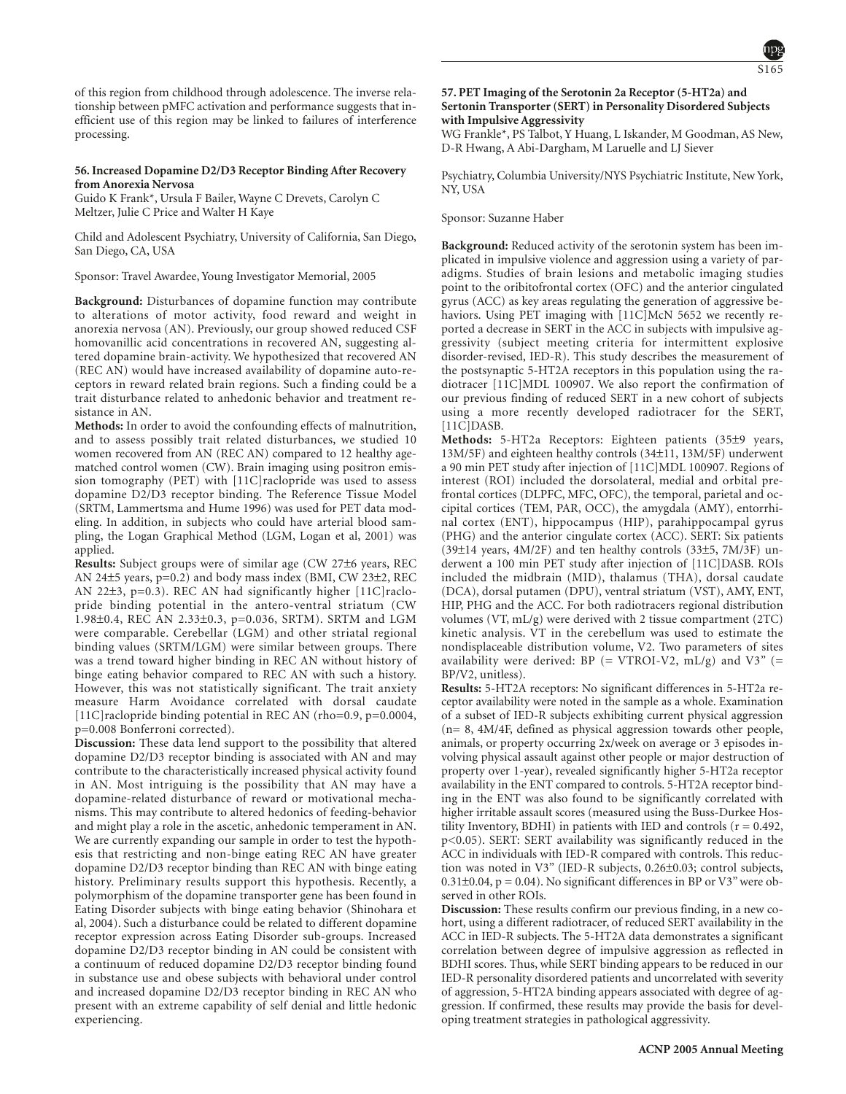of this region from childhood through adolescence. The inverse relationship between pMFC activation and performance suggests that inefficient use of this region may be linked to failures of interference processing.

# **56. Increased Dopamine D2/D3 Receptor Binding After Recovery from Anorexia Nervosa**

Guido K Frank\*, Ursula F Bailer, Wayne C Drevets, Carolyn C Meltzer, Julie C Price and Walter H Kaye

Child and Adolescent Psychiatry, University of California, San Diego, San Diego, CA, USA

Sponsor: Travel Awardee, Young Investigator Memorial, 2005

**Background:** Disturbances of dopamine function may contribute to alterations of motor activity, food reward and weight in anorexia nervosa (AN). Previously, our group showed reduced CSF homovanillic acid concentrations in recovered AN, suggesting altered dopamine brain-activity. We hypothesized that recovered AN (REC AN) would have increased availability of dopamine auto-receptors in reward related brain regions. Such a finding could be a trait disturbance related to anhedonic behavior and treatment resistance in AN.

**Methods:** In order to avoid the confounding effects of malnutrition, and to assess possibly trait related disturbances, we studied 10 women recovered from AN (REC AN) compared to 12 healthy agematched control women (CW). Brain imaging using positron emission tomography (PET) with [11C]raclopride was used to assess dopamine D2/D3 receptor binding. The Reference Tissue Model (SRTM, Lammertsma and Hume 1996) was used for PET data modeling. In addition, in subjects who could have arterial blood sampling, the Logan Graphical Method (LGM, Logan et al, 2001) was applied.

**Results:** Subject groups were of similar age (CW 27±6 years, REC AN 24±5 years, p=0.2) and body mass index (BMI, CW 23±2, REC AN 22±3, p=0.3). REC AN had significantly higher [11C]raclopride binding potential in the antero-ventral striatum (CW 1.98±0.4, REC AN 2.33±0.3, p=0.036, SRTM). SRTM and LGM were comparable. Cerebellar (LGM) and other striatal regional binding values (SRTM/LGM) were similar between groups. There was a trend toward higher binding in REC AN without history of binge eating behavior compared to REC AN with such a history. However, this was not statistically significant. The trait anxiety measure Harm Avoidance correlated with dorsal caudate [11C]raclopride binding potential in REC AN (rho=0.9, p=0.0004, p=0.008 Bonferroni corrected).

**Discussion:** These data lend support to the possibility that altered dopamine D2/D3 receptor binding is associated with AN and may contribute to the characteristically increased physical activity found in AN. Most intriguing is the possibility that AN may have a dopamine-related disturbance of reward or motivational mechanisms. This may contribute to altered hedonics of feeding-behavior and might play a role in the ascetic, anhedonic temperament in AN. We are currently expanding our sample in order to test the hypothesis that restricting and non-binge eating REC AN have greater dopamine D2/D3 receptor binding than REC AN with binge eating history. Preliminary results support this hypothesis. Recently, a polymorphism of the dopamine transporter gene has been found in Eating Disorder subjects with binge eating behavior (Shinohara et al, 2004). Such a disturbance could be related to different dopamine receptor expression across Eating Disorder sub-groups. Increased dopamine D2/D3 receptor binding in AN could be consistent with a continuum of reduced dopamine D2/D3 receptor binding found in substance use and obese subjects with behavioral under control and increased dopamine D2/D3 receptor binding in REC AN who present with an extreme capability of self denial and little hedonic experiencing.

# **57. PET Imaging of the Serotonin 2a Receptor (5-HT2a) and Sertonin Transporter (SERT) in Personality Disordered Subjects with Impulsive Aggressivity**

WG Frankle\*, PS Talbot, Y Huang, L Iskander, M Goodman, AS New, D-R Hwang, A Abi-Dargham, M Laruelle and LJ Siever

Psychiatry, Columbia University/NYS Psychiatric Institute, New York, NY, USA

#### Sponsor: Suzanne Haber

**Background:** Reduced activity of the serotonin system has been implicated in impulsive violence and aggression using a variety of paradigms. Studies of brain lesions and metabolic imaging studies point to the oribitofrontal cortex (OFC) and the anterior cingulated gyrus (ACC) as key areas regulating the generation of aggressive behaviors. Using PET imaging with [11C]McN 5652 we recently reported a decrease in SERT in the ACC in subjects with impulsive aggressivity (subject meeting criteria for intermittent explosive disorder-revised, IED-R). This study describes the measurement of the postsynaptic 5-HT2A receptors in this population using the radiotracer [11C]MDL 100907. We also report the confirmation of our previous finding of reduced SERT in a new cohort of subjects using a more recently developed radiotracer for the SERT, [11C]DASB.

**Methods:** 5-HT2a Receptors: Eighteen patients (35±9 years, 13M/5F) and eighteen healthy controls (34±11, 13M/5F) underwent a 90 min PET study after injection of [11C]MDL 100907. Regions of interest (ROI) included the dorsolateral, medial and orbital prefrontal cortices (DLPFC, MFC, OFC), the temporal, parietal and occipital cortices (TEM, PAR, OCC), the amygdala (AMY), entorrhinal cortex (ENT), hippocampus (HIP), parahippocampal gyrus (PHG) and the anterior cingulate cortex (ACC). SERT: Six patients (39±14 years, 4M/2F) and ten healthy controls (33±5, 7M/3F) underwent a 100 min PET study after injection of [11C]DASB. ROIs included the midbrain (MID), thalamus (THA), dorsal caudate (DCA), dorsal putamen (DPU), ventral striatum (VST), AMY, ENT, HIP, PHG and the ACC. For both radiotracers regional distribution volumes (VT, mL/g) were derived with 2 tissue compartment (2TC) kinetic analysis. VT in the cerebellum was used to estimate the nondisplaceable distribution volume, V2. Two parameters of sites availability were derived: BP (= VTROI-V2,  $mL/g$ ) and V3" (= BP/V2, unitless).

**Results:** 5-HT2A receptors: No significant differences in 5-HT2a receptor availability were noted in the sample as a whole. Examination of a subset of IED-R subjects exhibiting current physical aggression (n= 8, 4M/4F, defined as physical aggression towards other people, animals, or property occurring 2x/week on average or 3 episodes involving physical assault against other people or major destruction of property over 1-year), revealed significantly higher 5-HT2a receptor availability in the ENT compared to controls. 5-HT2A receptor binding in the ENT was also found to be significantly correlated with higher irritable assault scores (measured using the Buss-Durkee Hostility Inventory, BDHI) in patients with IED and controls  $(r = 0.492,$ p<0.05). SERT: SERT availability was significantly reduced in the ACC in individuals with IED-R compared with controls. This reduction was noted in V3" (IED-R subjects, 0.26±0.03; control subjects,  $0.31\pm0.04$ ,  $p = 0.04$ ). No significant differences in BP or V3" were observed in other ROIs.

**Discussion:** These results confirm our previous finding, in a new cohort, using a different radiotracer, of reduced SERT availability in the ACC in IED-R subjects. The 5-HT2A data demonstrates a significant correlation between degree of impulsive aggression as reflected in BDHI scores. Thus, while SERT binding appears to be reduced in our IED-R personality disordered patients and uncorrelated with severity of aggression, 5-HT2A binding appears associated with degree of aggression. If confirmed, these results may provide the basis for developing treatment strategies in pathological aggressivity.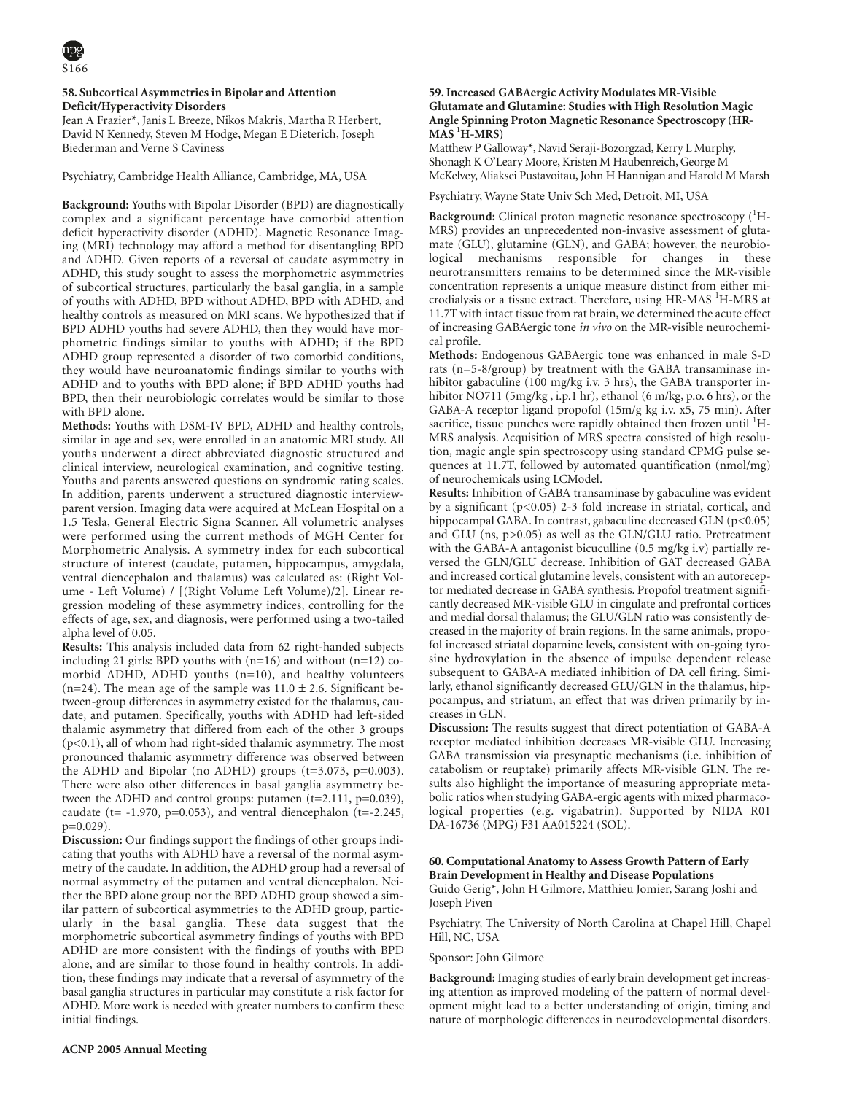# **58. Subcortical Asymmetries in Bipolar and Attention Deficit/Hyperactivity Disorders**

Jean A Frazier\*, Janis L Breeze, Nikos Makris, Martha R Herbert, David N Kennedy, Steven M Hodge, Megan E Dieterich, Joseph Biederman and Verne S Caviness

Psychiatry, Cambridge Health Alliance, Cambridge, MA, USA

**Background:** Youths with Bipolar Disorder (BPD) are diagnostically complex and a significant percentage have comorbid attention deficit hyperactivity disorder (ADHD). Magnetic Resonance Imaging (MRI) technology may afford a method for disentangling BPD and ADHD. Given reports of a reversal of caudate asymmetry in ADHD, this study sought to assess the morphometric asymmetries of subcortical structures, particularly the basal ganglia, in a sample of youths with ADHD, BPD without ADHD, BPD with ADHD, and healthy controls as measured on MRI scans. We hypothesized that if BPD ADHD youths had severe ADHD, then they would have morphometric findings similar to youths with ADHD; if the BPD ADHD group represented a disorder of two comorbid conditions, they would have neuroanatomic findings similar to youths with ADHD and to youths with BPD alone; if BPD ADHD youths had BPD, then their neurobiologic correlates would be similar to those with BPD alone.

**Methods:** Youths with DSM-IV BPD, ADHD and healthy controls, similar in age and sex, were enrolled in an anatomic MRI study. All youths underwent a direct abbreviated diagnostic structured and clinical interview, neurological examination, and cognitive testing. Youths and parents answered questions on syndromic rating scales. In addition, parents underwent a structured diagnostic interviewparent version. Imaging data were acquired at McLean Hospital on a 1.5 Tesla, General Electric Signa Scanner. All volumetric analyses were performed using the current methods of MGH Center for Morphometric Analysis. A symmetry index for each subcortical structure of interest (caudate, putamen, hippocampus, amygdala, ventral diencephalon and thalamus) was calculated as: (Right Volume - Left Volume) / [(Right Volume Left Volume)/2]. Linear regression modeling of these asymmetry indices, controlling for the effects of age, sex, and diagnosis, were performed using a two-tailed alpha level of 0.05.

**Results:** This analysis included data from 62 right-handed subjects including 21 girls: BPD youths with  $(n=16)$  and without  $(n=12)$  comorbid ADHD, ADHD youths (n=10), and healthy volunteers (n=24). The mean age of the sample was  $11.0 \pm 2.6$ . Significant between-group differences in asymmetry existed for the thalamus, caudate, and putamen. Specifically, youths with ADHD had left-sided thalamic asymmetry that differed from each of the other 3 groups (p<0.1), all of whom had right-sided thalamic asymmetry. The most pronounced thalamic asymmetry difference was observed between the ADHD and Bipolar (no ADHD) groups  $(t=3.073, p=0.003)$ . There were also other differences in basal ganglia asymmetry between the ADHD and control groups: putamen  $(t=2.111, p=0.039)$ , caudate (t=  $-1.970$ , p=0.053), and ventral diencephalon (t= $-2.245$ , p=0.029).

**Discussion:** Our findings support the findings of other groups indicating that youths with ADHD have a reversal of the normal asymmetry of the caudate. In addition, the ADHD group had a reversal of normal asymmetry of the putamen and ventral diencephalon. Neither the BPD alone group nor the BPD ADHD group showed a similar pattern of subcortical asymmetries to the ADHD group, particularly in the basal ganglia. These data suggest that the morphometric subcortical asymmetry findings of youths with BPD ADHD are more consistent with the findings of youths with BPD alone, and are similar to those found in healthy controls. In addition, these findings may indicate that a reversal of asymmetry of the basal ganglia structures in particular may constitute a risk factor for ADHD. More work is needed with greater numbers to confirm these initial findings.

# **59. Increased GABAergic Activity Modulates MR-Visible Glutamate and Glutamine: Studies with High Resolution Magic Angle Spinning Proton Magnetic Resonance Spectroscopy (HR-MAS 1 H-MRS)**

Matthew P Galloway\*, Navid Seraji-Bozorgzad, Kerry L Murphy, Shonagh K O'Leary Moore, Kristen M Haubenreich, George M McKelvey, Aliaksei Pustavoitau, John H Hannigan and Harold M Marsh

Psychiatry, Wayne State Univ Sch Med, Detroit, MI, USA

Background: Clinical proton magnetic resonance spectroscopy (<sup>1</sup>H-MRS) provides an unprecedented non-invasive assessment of glutamate (GLU), glutamine (GLN), and GABA; however, the neurobiological mechanisms responsible for changes in these neurotransmitters remains to be determined since the MR-visible concentration represents a unique measure distinct from either microdialysis or a tissue extract. Therefore, using HR-MAS <sup>1</sup>H-MRS at 11.7T with intact tissue from rat brain, we determined the acute effect of increasing GABAergic tone *in vivo* on the MR-visible neurochemical profile.

**Methods:** Endogenous GABAergic tone was enhanced in male S-D rats (n=5-8/group) by treatment with the GABA transaminase inhibitor gabaculine (100 mg/kg i.v. 3 hrs), the GABA transporter inhibitor NO711 (5mg/kg, i.p.1 hr), ethanol (6 m/kg, p.o. 6 hrs), or the GABA-A receptor ligand propofol (15m/g kg i.v. x5, 75 min). After sacrifice, tissue punches were rapidly obtained then frozen until <sup>1</sup>H-MRS analysis. Acquisition of MRS spectra consisted of high resolution, magic angle spin spectroscopy using standard CPMG pulse sequences at 11.7T, followed by automated quantification (nmol/mg) of neurochemicals using LCModel.

**Results:** Inhibition of GABA transaminase by gabaculine was evident by a significant (p<0.05) 2-3 fold increase in striatal, cortical, and hippocampal GABA. In contrast, gabaculine decreased GLN (p<0.05) and GLU (ns, p>0.05) as well as the GLN/GLU ratio. Pretreatment with the GABA-A antagonist bicuculline (0.5 mg/kg i.v) partially reversed the GLN/GLU decrease. Inhibition of GAT decreased GABA and increased cortical glutamine levels, consistent with an autoreceptor mediated decrease in GABA synthesis. Propofol treatment significantly decreased MR-visible GLU in cingulate and prefrontal cortices and medial dorsal thalamus; the GLU/GLN ratio was consistently decreased in the majority of brain regions. In the same animals, propofol increased striatal dopamine levels, consistent with on-going tyrosine hydroxylation in the absence of impulse dependent release subsequent to GABA-A mediated inhibition of DA cell firing. Similarly, ethanol significantly decreased GLU/GLN in the thalamus, hippocampus, and striatum, an effect that was driven primarily by increases in GLN.

**Discussion:** The results suggest that direct potentiation of GABA-A receptor mediated inhibition decreases MR-visible GLU. Increasing GABA transmission via presynaptic mechanisms (i.e. inhibition of catabolism or reuptake) primarily affects MR-visible GLN. The results also highlight the importance of measuring appropriate metabolic ratios when studying GABA-ergic agents with mixed pharmacological properties (e.g. vigabatrin). Supported by NIDA R01 DA-16736 (MPG) F31 AA015224 (SOL).

# **60. Computational Anatomy to Assess Growth Pattern of Early Brain Development in Healthy and Disease Populations**

Guido Gerig\*, John H Gilmore, Matthieu Jomier, Sarang Joshi and Joseph Piven

Psychiatry, The University of North Carolina at Chapel Hill, Chapel Hill, NC, USA

# Sponsor: John Gilmore

**Background:** Imaging studies of early brain development get increasing attention as improved modeling of the pattern of normal development might lead to a better understanding of origin, timing and nature of morphologic differences in neurodevelopmental disorders.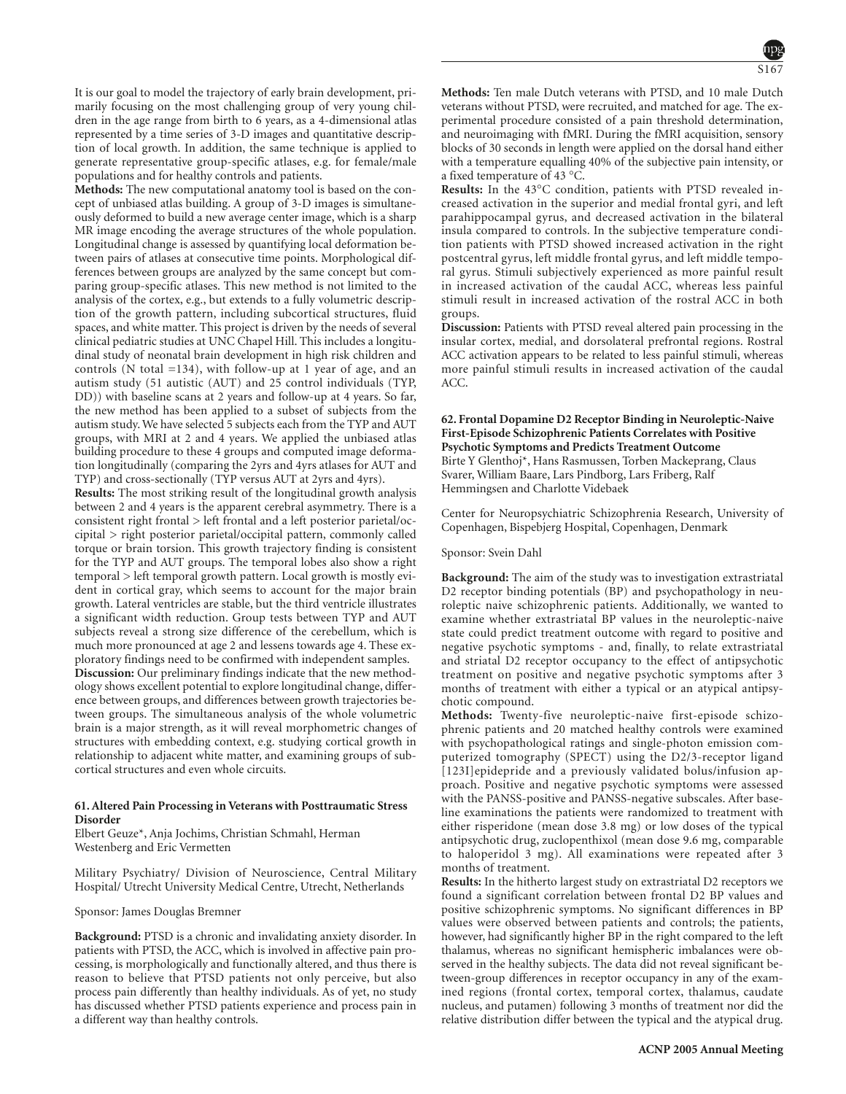It is our goal to model the trajectory of early brain development, primarily focusing on the most challenging group of very young children in the age range from birth to 6 years, as a 4-dimensional atlas represented by a time series of 3-D images and quantitative description of local growth. In addition, the same technique is applied to generate representative group-specific atlases, e.g. for female/male populations and for healthy controls and patients.

**Methods:** The new computational anatomy tool is based on the concept of unbiased atlas building. A group of 3-D images is simultaneously deformed to build a new average center image, which is a sharp MR image encoding the average structures of the whole population. Longitudinal change is assessed by quantifying local deformation between pairs of atlases at consecutive time points. Morphological differences between groups are analyzed by the same concept but comparing group-specific atlases. This new method is not limited to the analysis of the cortex, e.g., but extends to a fully volumetric description of the growth pattern, including subcortical structures, fluid spaces, and white matter. This project is driven by the needs of several clinical pediatric studies at UNC Chapel Hill. This includes a longitudinal study of neonatal brain development in high risk children and controls (N total =134), with follow-up at 1 year of age, and an autism study (51 autistic (AUT) and 25 control individuals (TYP, DD)) with baseline scans at 2 years and follow-up at 4 years. So far, the new method has been applied to a subset of subjects from the autism study. We have selected 5 subjects each from the TYP and AUT groups, with MRI at 2 and 4 years. We applied the unbiased atlas building procedure to these 4 groups and computed image deformation longitudinally (comparing the 2yrs and 4yrs atlases for AUT and TYP) and cross-sectionally (TYP versus AUT at 2yrs and 4yrs).

**Results:** The most striking result of the longitudinal growth analysis between 2 and 4 years is the apparent cerebral asymmetry. There is a consistent right frontal > left frontal and a left posterior parietal/occipital > right posterior parietal/occipital pattern, commonly called torque or brain torsion. This growth trajectory finding is consistent for the TYP and AUT groups. The temporal lobes also show a right temporal > left temporal growth pattern. Local growth is mostly evident in cortical gray, which seems to account for the major brain growth. Lateral ventricles are stable, but the third ventricle illustrates a significant width reduction. Group tests between TYP and AUT subjects reveal a strong size difference of the cerebellum, which is much more pronounced at age 2 and lessens towards age 4. These exploratory findings need to be confirmed with independent samples.

**Discussion:** Our preliminary findings indicate that the new methodology shows excellent potential to explore longitudinal change, difference between groups, and differences between growth trajectories between groups. The simultaneous analysis of the whole volumetric brain is a major strength, as it will reveal morphometric changes of structures with embedding context, e.g. studying cortical growth in relationship to adjacent white matter, and examining groups of subcortical structures and even whole circuits.

# **61. Altered Pain Processing in Veterans with Posttraumatic Stress Disorder**

Elbert Geuze\*, Anja Jochims, Christian Schmahl, Herman Westenberg and Eric Vermetten

Military Psychiatry/ Division of Neuroscience, Central Military Hospital/ Utrecht University Medical Centre, Utrecht, Netherlands

# Sponsor: James Douglas Bremner

**Background:** PTSD is a chronic and invalidating anxiety disorder. In patients with PTSD, the ACC, which is involved in affective pain processing, is morphologically and functionally altered, and thus there is reason to believe that PTSD patients not only perceive, but also process pain differently than healthy individuals. As of yet, no study has discussed whether PTSD patients experience and process pain in a different way than healthy controls.

**Methods:** Ten male Dutch veterans with PTSD, and 10 male Dutch veterans without PTSD, were recruited, and matched for age. The experimental procedure consisted of a pain threshold determination, and neuroimaging with fMRI. During the fMRI acquisition, sensory blocks of 30 seconds in length were applied on the dorsal hand either with a temperature equalling 40% of the subjective pain intensity, or a fixed temperature of 43 °C.

**Results:** In the 43°C condition, patients with PTSD revealed increased activation in the superior and medial frontal gyri, and left parahippocampal gyrus, and decreased activation in the bilateral insula compared to controls. In the subjective temperature condition patients with PTSD showed increased activation in the right postcentral gyrus, left middle frontal gyrus, and left middle temporal gyrus. Stimuli subjectively experienced as more painful result in increased activation of the caudal ACC, whereas less painful stimuli result in increased activation of the rostral ACC in both groups.

**Discussion:** Patients with PTSD reveal altered pain processing in the insular cortex, medial, and dorsolateral prefrontal regions. Rostral ACC activation appears to be related to less painful stimuli, whereas more painful stimuli results in increased activation of the caudal ACC.

# **62. Frontal Dopamine D2 Receptor Binding in Neuroleptic-Naive First-Episode Schizophrenic Patients Correlates with Positive Psychotic Symptoms and Predicts Treatment Outcome** Birte Y Glenthoj\*, Hans Rasmussen, Torben Mackeprang, Claus Svarer, William Baare, Lars Pindborg, Lars Friberg, Ralf

Hemmingsen and Charlotte Videbaek

Center for Neuropsychiatric Schizophrenia Research, University of Copenhagen, Bispebjerg Hospital, Copenhagen, Denmark

#### Sponsor: Svein Dahl

**Background:** The aim of the study was to investigation extrastriatal D2 receptor binding potentials (BP) and psychopathology in neuroleptic naive schizophrenic patients. Additionally, we wanted to examine whether extrastriatal BP values in the neuroleptic-naive state could predict treatment outcome with regard to positive and negative psychotic symptoms - and, finally, to relate extrastriatal and striatal D2 receptor occupancy to the effect of antipsychotic treatment on positive and negative psychotic symptoms after 3 months of treatment with either a typical or an atypical antipsychotic compound.

**Methods:** Twenty-five neuroleptic-naive first-episode schizophrenic patients and 20 matched healthy controls were examined with psychopathological ratings and single-photon emission computerized tomography (SPECT) using the D2/3-receptor ligand [123I]epidepride and a previously validated bolus/infusion approach. Positive and negative psychotic symptoms were assessed with the PANSS-positive and PANSS-negative subscales. After baseline examinations the patients were randomized to treatment with either risperidone (mean dose 3.8 mg) or low doses of the typical antipsychotic drug, zuclopenthixol (mean dose 9.6 mg, comparable to haloperidol 3 mg). All examinations were repeated after 3 months of treatment.

**Results:** In the hitherto largest study on extrastriatal D2 receptors we found a significant correlation between frontal D2 BP values and positive schizophrenic symptoms. No significant differences in BP values were observed between patients and controls; the patients, however, had significantly higher BP in the right compared to the left thalamus, whereas no significant hemispheric imbalances were observed in the healthy subjects. The data did not reveal significant between-group differences in receptor occupancy in any of the examined regions (frontal cortex, temporal cortex, thalamus, caudate nucleus, and putamen) following 3 months of treatment nor did the relative distribution differ between the typical and the atypical drug.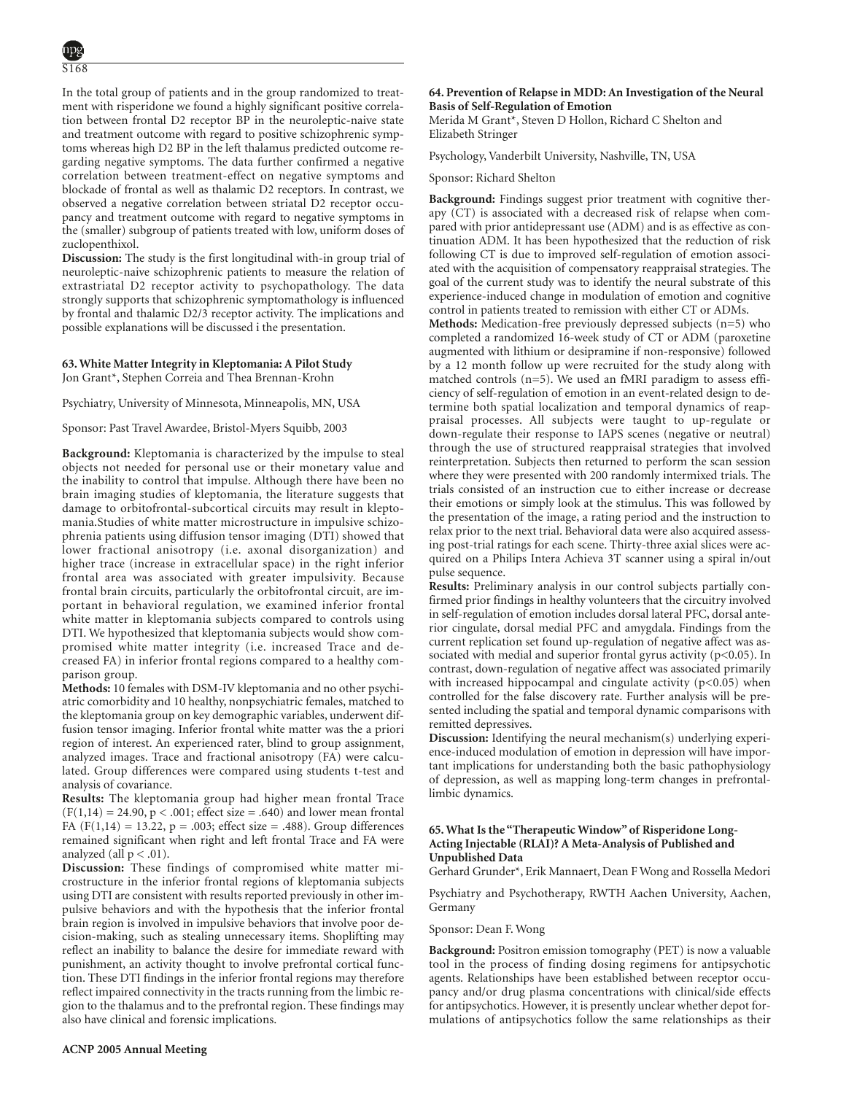In the total group of patients and in the group randomized to treatment with risperidone we found a highly significant positive correlation between frontal D2 receptor BP in the neuroleptic-naive state and treatment outcome with regard to positive schizophrenic symptoms whereas high D2 BP in the left thalamus predicted outcome regarding negative symptoms. The data further confirmed a negative correlation between treatment-effect on negative symptoms and blockade of frontal as well as thalamic D2 receptors. In contrast, we observed a negative correlation between striatal D2 receptor occupancy and treatment outcome with regard to negative symptoms in the (smaller) subgroup of patients treated with low, uniform doses of zuclopenthixol.

**Discussion:** The study is the first longitudinal with-in group trial of neuroleptic-naive schizophrenic patients to measure the relation of extrastriatal D2 receptor activity to psychopathology. The data strongly supports that schizophrenic symptomathology is influenced by frontal and thalamic D2/3 receptor activity. The implications and possible explanations will be discussed i the presentation.

# **63. White Matter Integrity in Kleptomania: A Pilot Study** Jon Grant\*, Stephen Correia and Thea Brennan-Krohn

Psychiatry, University of Minnesota, Minneapolis, MN, USA

Sponsor: Past Travel Awardee, Bristol-Myers Squibb, 2003

**Background:** Kleptomania is characterized by the impulse to steal objects not needed for personal use or their monetary value and the inability to control that impulse. Although there have been no brain imaging studies of kleptomania, the literature suggests that damage to orbitofrontal-subcortical circuits may result in kleptomania.Studies of white matter microstructure in impulsive schizophrenia patients using diffusion tensor imaging (DTI) showed that lower fractional anisotropy (i.e. axonal disorganization) and higher trace (increase in extracellular space) in the right inferior frontal area was associated with greater impulsivity. Because frontal brain circuits, particularly the orbitofrontal circuit, are important in behavioral regulation, we examined inferior frontal white matter in kleptomania subjects compared to controls using DTI. We hypothesized that kleptomania subjects would show compromised white matter integrity (i.e. increased Trace and decreased FA) in inferior frontal regions compared to a healthy comparison group.

**Methods:** 10 females with DSM-IV kleptomania and no other psychiatric comorbidity and 10 healthy, nonpsychiatric females, matched to the kleptomania group on key demographic variables, underwent diffusion tensor imaging. Inferior frontal white matter was the a priori region of interest. An experienced rater, blind to group assignment, analyzed images. Trace and fractional anisotropy (FA) were calculated. Group differences were compared using students t-test and analysis of covariance.

**Results:** The kleptomania group had higher mean frontal Trace  $(F(1, 14) = 24.90, p < .001$ ; effect size = .640) and lower mean frontal FA (F(1,14) = 13.22, p = .003; effect size = .488). Group differences remained significant when right and left frontal Trace and FA were analyzed (all  $p < .01$ ).

**Discussion:** These findings of compromised white matter microstructure in the inferior frontal regions of kleptomania subjects using DTI are consistent with results reported previously in other impulsive behaviors and with the hypothesis that the inferior frontal brain region is involved in impulsive behaviors that involve poor decision-making, such as stealing unnecessary items. Shoplifting may reflect an inability to balance the desire for immediate reward with punishment, an activity thought to involve prefrontal cortical function. These DTI findings in the inferior frontal regions may therefore reflect impaired connectivity in the tracts running from the limbic region to the thalamus and to the prefrontal region. These findings may also have clinical and forensic implications.

# **64. Prevention of Relapse in MDD: An Investigation of the Neural Basis of Self-Regulation of Emotion**

Merida M Grant\*, Steven D Hollon, Richard C Shelton and Elizabeth Stringer

Psychology, Vanderbilt University, Nashville, TN, USA

#### Sponsor: Richard Shelton

**Background:** Findings suggest prior treatment with cognitive therapy (CT) is associated with a decreased risk of relapse when compared with prior antidepressant use (ADM) and is as effective as continuation ADM. It has been hypothesized that the reduction of risk following CT is due to improved self-regulation of emotion associated with the acquisition of compensatory reappraisal strategies. The goal of the current study was to identify the neural substrate of this experience-induced change in modulation of emotion and cognitive control in patients treated to remission with either CT or ADMs.

**Methods:** Medication-free previously depressed subjects (n=5) who completed a randomized 16-week study of CT or ADM (paroxetine augmented with lithium or desipramine if non-responsive) followed by a 12 month follow up were recruited for the study along with matched controls (n=5). We used an fMRI paradigm to assess efficiency of self-regulation of emotion in an event-related design to determine both spatial localization and temporal dynamics of reappraisal processes. All subjects were taught to up-regulate or down-regulate their response to IAPS scenes (negative or neutral) through the use of structured reappraisal strategies that involved reinterpretation. Subjects then returned to perform the scan session where they were presented with 200 randomly intermixed trials. The trials consisted of an instruction cue to either increase or decrease their emotions or simply look at the stimulus. This was followed by the presentation of the image, a rating period and the instruction to relax prior to the next trial. Behavioral data were also acquired assessing post-trial ratings for each scene. Thirty-three axial slices were acquired on a Philips Intera Achieva 3T scanner using a spiral in/out pulse sequence.

**Results:** Preliminary analysis in our control subjects partially confirmed prior findings in healthy volunteers that the circuitry involved in self-regulation of emotion includes dorsal lateral PFC, dorsal anterior cingulate, dorsal medial PFC and amygdala. Findings from the current replication set found up-regulation of negative affect was associated with medial and superior frontal gyrus activity  $(p<0.05)$ . In contrast, down-regulation of negative affect was associated primarily with increased hippocampal and cingulate activity (p<0.05) when controlled for the false discovery rate. Further analysis will be presented including the spatial and temporal dynamic comparisons with remitted depressives.

**Discussion:** Identifying the neural mechanism(s) underlying experience-induced modulation of emotion in depression will have important implications for understanding both the basic pathophysiology of depression, as well as mapping long-term changes in prefrontallimbic dynamics.

# **65. What Is the "Therapeutic Window" of Risperidone Long-Acting Injectable (RLAI)? A Meta-Analysis of Published and Unpublished Data**

Gerhard Grunder\*, Erik Mannaert, Dean F Wong and Rossella Medori

Psychiatry and Psychotherapy, RWTH Aachen University, Aachen, Germany

Sponsor: Dean F. Wong

**Background:** Positron emission tomography (PET) is now a valuable tool in the process of finding dosing regimens for antipsychotic agents. Relationships have been established between receptor occupancy and/or drug plasma concentrations with clinical/side effects for antipsychotics. However, it is presently unclear whether depot formulations of antipsychotics follow the same relationships as their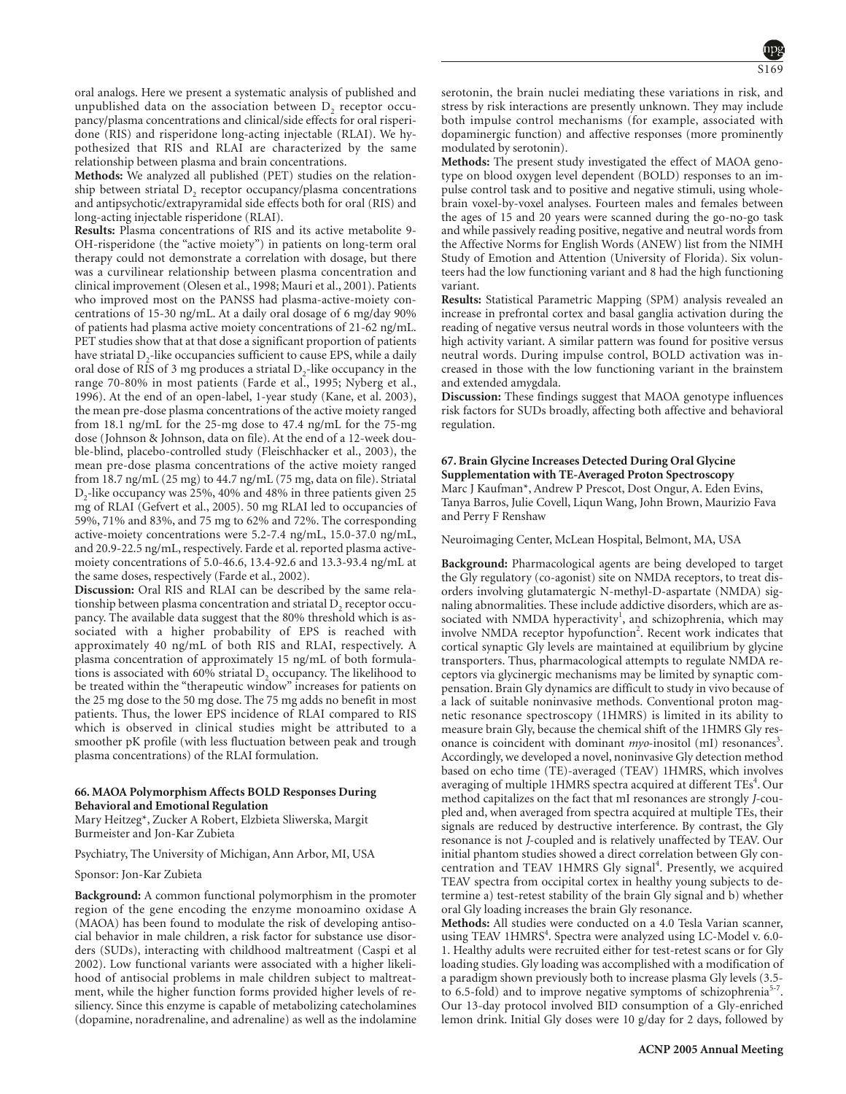oral analogs. Here we present a systematic analysis of published and unpublished data on the association between  $D<sub>2</sub>$  receptor occupancy/plasma concentrations and clinical/side effects for oral risperidone (RIS) and risperidone long-acting injectable (RLAI). We hypothesized that RIS and RLAI are characterized by the same relationship between plasma and brain concentrations.

**Methods:** We analyzed all published (PET) studies on the relationship between striatal  $D<sub>2</sub>$  receptor occupancy/plasma concentrations and antipsychotic/extrapyramidal side effects both for oral (RIS) and long-acting injectable risperidone (RLAI).

**Results:** Plasma concentrations of RIS and its active metabolite 9- OH-risperidone (the "active moiety") in patients on long-term oral therapy could not demonstrate a correlation with dosage, but there was a curvilinear relationship between plasma concentration and clinical improvement (Olesen et al., 1998; Mauri et al., 2001). Patients who improved most on the PANSS had plasma-active-moiety concentrations of 15-30 ng/mL. At a daily oral dosage of 6 mg/day 90% of patients had plasma active moiety concentrations of 21-62 ng/mL. PET studies show that at that dose a significant proportion of patients have striatal  $D<sub>2</sub>$ -like occupancies sufficient to cause EPS, while a daily oral dose of RIS of 3 mg produces a striatal D<sub>2</sub>-like occupancy in the range 70-80% in most patients (Farde et al., 1995; Nyberg et al., 1996). At the end of an open-label, 1-year study (Kane, et al. 2003), the mean pre-dose plasma concentrations of the active moiety ranged from 18.1 ng/mL for the 25-mg dose to 47.4 ng/mL for the 75-mg dose (Johnson & Johnson, data on file). At the end of a 12-week double-blind, placebo-controlled study (Fleischhacker et al., 2003), the mean pre-dose plasma concentrations of the active moiety ranged from 18.7 ng/mL (25 mg) to 44.7 ng/mL (75 mg, data on file). Striatal D<sub>2</sub>-like occupancy was 25%, 40% and 48% in three patients given 25 mg of RLAI (Gefvert et al., 2005). 50 mg RLAI led to occupancies of 59%, 71% and 83%, and 75 mg to 62% and 72%. The corresponding active-moiety concentrations were 5.2-7.4 ng/mL, 15.0-37.0 ng/mL, and 20.9-22.5 ng/mL, respectively. Farde et al. reported plasma activemoiety concentrations of 5.0-46.6, 13.4-92.6 and 13.3-93.4 ng/mL at the same doses, respectively (Farde et al., 2002).

**Discussion:** Oral RIS and RLAI can be described by the same relationship between plasma concentration and striatal  $D<sub>2</sub>$  receptor occupancy. The available data suggest that the 80% threshold which is associated with a higher probability of EPS is reached with approximately 40 ng/mL of both RIS and RLAI, respectively. A plasma concentration of approximately 15 ng/mL of both formulations is associated with 60% striatal D<sub>2</sub> occupancy. The likelihood to be treated within the "therapeutic window" increases for patients on the 25 mg dose to the 50 mg dose. The 75 mg adds no benefit in most patients. Thus, the lower EPS incidence of RLAI compared to RIS which is observed in clinical studies might be attributed to a smoother pK profile (with less fluctuation between peak and trough plasma concentrations) of the RLAI formulation.

### **66. MAOA Polymorphism Affects BOLD Responses During Behavioral and Emotional Regulation**

Mary Heitzeg\*, Zucker A Robert, Elzbieta Sliwerska, Margit Burmeister and Jon-Kar Zubieta

Psychiatry, The University of Michigan, Ann Arbor, MI, USA

Sponsor: Jon-Kar Zubieta

**Background:** A common functional polymorphism in the promoter region of the gene encoding the enzyme monoamino oxidase A (MAOA) has been found to modulate the risk of developing antisocial behavior in male children, a risk factor for substance use disorders (SUDs), interacting with childhood maltreatment (Caspi et al 2002). Low functional variants were associated with a higher likelihood of antisocial problems in male children subject to maltreatment, while the higher function forms provided higher levels of resiliency. Since this enzyme is capable of metabolizing catecholamines (dopamine, noradrenaline, and adrenaline) as well as the indolamine serotonin, the brain nuclei mediating these variations in risk, and stress by risk interactions are presently unknown. They may include both impulse control mechanisms (for example, associated with dopaminergic function) and affective responses (more prominently modulated by serotonin).

**Methods:** The present study investigated the effect of MAOA genotype on blood oxygen level dependent (BOLD) responses to an impulse control task and to positive and negative stimuli, using wholebrain voxel-by-voxel analyses. Fourteen males and females between the ages of 15 and 20 years were scanned during the go-no-go task and while passively reading positive, negative and neutral words from the Affective Norms for English Words (ANEW) list from the NIMH Study of Emotion and Attention (University of Florida). Six volunteers had the low functioning variant and 8 had the high functioning variant.

**Results:** Statistical Parametric Mapping (SPM) analysis revealed an increase in prefrontal cortex and basal ganglia activation during the reading of negative versus neutral words in those volunteers with the high activity variant. A similar pattern was found for positive versus neutral words. During impulse control, BOLD activation was increased in those with the low functioning variant in the brainstem and extended amygdala.

**Discussion:** These findings suggest that MAOA genotype influences risk factors for SUDs broadly, affecting both affective and behavioral regulation.

# **67. Brain Glycine Increases Detected During Oral Glycine Supplementation with TE-Averaged Proton Spectroscopy**

Marc J Kaufman\*, Andrew P Prescot, Dost Ongur, A. Eden Evins, Tanya Barros, Julie Covell, Liqun Wang, John Brown, Maurizio Fava and Perry F Renshaw

Neuroimaging Center, McLean Hospital, Belmont, MA, USA

**Background:** Pharmacological agents are being developed to target the Gly regulatory (co-agonist) site on NMDA receptors, to treat disorders involving glutamatergic N-methyl-D-aspartate (NMDA) signaling abnormalities. These include addictive disorders, which are associated with NMDA hyperactivity<sup>1</sup>, and schizophrenia, which may involve NMDA receptor hypofunction<sup>2</sup>. Recent work indicates that cortical synaptic Gly levels are maintained at equilibrium by glycine transporters. Thus, pharmacological attempts to regulate NMDA receptors via glycinergic mechanisms may be limited by synaptic compensation. Brain Gly dynamics are difficult to study in vivo because of a lack of suitable noninvasive methods. Conventional proton magnetic resonance spectroscopy (1HMRS) is limited in its ability to measure brain Gly, because the chemical shift of the 1HMRS Gly resonance is coincident with dominant *myo*-inositol (mI) resonances<sup>3</sup>. Accordingly, we developed a novel, noninvasive Gly detection method based on echo time (TE)-averaged (TEAV) 1HMRS, which involves averaging of multiple 1HMRS spectra acquired at different TEs<sup>4</sup>. Our method capitalizes on the fact that mI resonances are strongly *J*-coupled and, when averaged from spectra acquired at multiple TEs, their signals are reduced by destructive interference. By contrast, the Gly resonance is not *J*-coupled and is relatively unaffected by TEAV. Our initial phantom studies showed a direct correlation between Gly concentration and TEAV 1HMRS Gly signal<sup>4</sup>. Presently, we acquired TEAV spectra from occipital cortex in healthy young subjects to determine a) test-retest stability of the brain Gly signal and b) whether oral Gly loading increases the brain Gly resonance.

**Methods:** All studies were conducted on a 4.0 Tesla Varian scanner, using TEAV 1HMRS<sup>4</sup>. Spectra were analyzed using LC-Model v. 6.0-1. Healthy adults were recruited either for test-retest scans or for Gly loading studies. Gly loading was accomplished with a modification of a paradigm shown previously both to increase plasma Gly levels (3.5 to 6.5-fold) and to improve negative symptoms of schizophrenia<sup>5-7</sup> Our 13-day protocol involved BID consumption of a Gly-enriched lemon drink. Initial Gly doses were 10 g/day for 2 days, followed by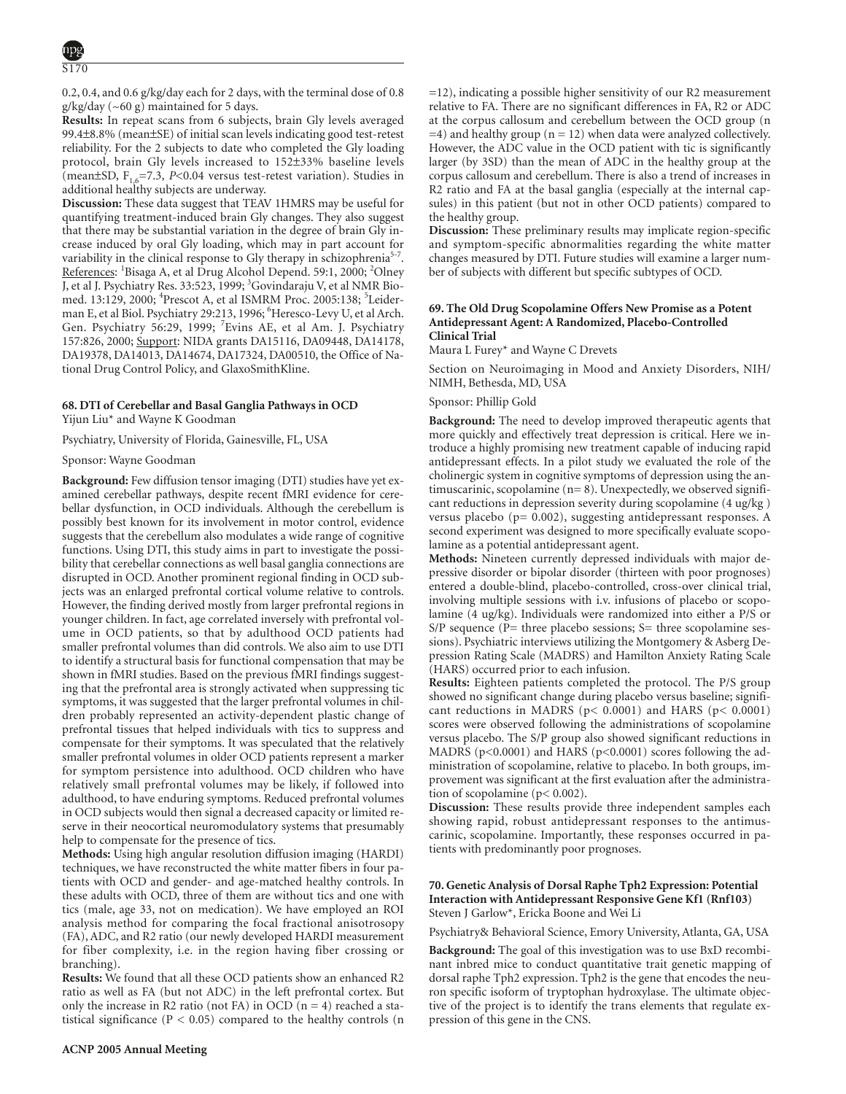0.2, 0.4, and 0.6 g/kg/day each for 2 days, with the terminal dose of 0.8 g/kg/day (~60 g) maintained for 5 days.

**Results:** In repeat scans from 6 subjects, brain Gly levels averaged 99.4±8.8% (mean±SE) of initial scan levels indicating good test-retest reliability. For the 2 subjects to date who completed the Gly loading protocol, brain Gly levels increased to 152±33% baseline levels (mean $\pm$ SD,  $F_{1,6}$ =7.3, *P*<0.04 versus test-retest variation). Studies in additional healthy subjects are underway.

**Discussion:** These data suggest that TEAV 1HMRS may be useful for quantifying treatment-induced brain Gly changes. They also suggest that there may be substantial variation in the degree of brain Gly increase induced by oral Gly loading, which may in part account for variability in the clinical response to Gly therapy in schizophrenia<sup>5-7</sup>. References: <sup>1</sup>Bisaga A, et al Drug Alcohol Depend. 59:1, 2000; <sup>2</sup>Olney J, et al J. Psychiatry Res. 33:523, 1999; <sup>3</sup>Govindaraju V, et al NMR Biomed. 13:129, 2000; <sup>4</sup>Prescot A, et al ISMRM Proc. 2005:138; <sup>5</sup>Leiderman E, et al Biol. Psychiatry 29:213, 1996; <sup>6</sup> Heresco-Levy U, et al Arch. Gen. Psychiatry 56:29, 1999; <sup>7</sup>Evins AE, et al Am. J. Psychiatry 157:826, 2000; Support: NIDA grants DA15116, DA09448, DA14178, DA19378, DA14013, DA14674, DA17324, DA00510, the Office of National Drug Control Policy, and GlaxoSmithKline.

# **68. DTI of Cerebellar and Basal Ganglia Pathways in OCD**

Yijun Liu\* and Wayne K Goodman

Psychiatry, University of Florida, Gainesville, FL, USA

# Sponsor: Wayne Goodman

**Background:** Few diffusion tensor imaging (DTI) studies have yet examined cerebellar pathways, despite recent fMRI evidence for cerebellar dysfunction, in OCD individuals. Although the cerebellum is possibly best known for its involvement in motor control, evidence suggests that the cerebellum also modulates a wide range of cognitive functions. Using DTI, this study aims in part to investigate the possibility that cerebellar connections as well basal ganglia connections are disrupted in OCD. Another prominent regional finding in OCD subjects was an enlarged prefrontal cortical volume relative to controls. However, the finding derived mostly from larger prefrontal regions in younger children. In fact, age correlated inversely with prefrontal volume in OCD patients, so that by adulthood OCD patients had smaller prefrontal volumes than did controls. We also aim to use DTI to identify a structural basis for functional compensation that may be shown in fMRI studies. Based on the previous fMRI findings suggesting that the prefrontal area is strongly activated when suppressing tic symptoms, it was suggested that the larger prefrontal volumes in children probably represented an activity-dependent plastic change of prefrontal tissues that helped individuals with tics to suppress and compensate for their symptoms. It was speculated that the relatively smaller prefrontal volumes in older OCD patients represent a marker for symptom persistence into adulthood. OCD children who have relatively small prefrontal volumes may be likely, if followed into adulthood, to have enduring symptoms. Reduced prefrontal volumes in OCD subjects would then signal a decreased capacity or limited reserve in their neocortical neuromodulatory systems that presumably help to compensate for the presence of tics.

**Methods:** Using high angular resolution diffusion imaging (HARDI) techniques, we have reconstructed the white matter fibers in four patients with OCD and gender- and age-matched healthy controls. In these adults with OCD, three of them are without tics and one with tics (male, age 33, not on medication). We have employed an ROI analysis method for comparing the focal fractional anisotrosopy (FA), ADC, and R2 ratio (our newly developed HARDI measurement for fiber complexity, i.e. in the region having fiber crossing or branching).

**Results:** We found that all these OCD patients show an enhanced R2 ratio as well as FA (but not ADC) in the left prefrontal cortex. But only the increase in R2 ratio (not FA) in OCD ( $n = 4$ ) reached a statistical significance ( $P < 0.05$ ) compared to the healthy controls (n

=12), indicating a possible higher sensitivity of our R2 measurement relative to FA. There are no significant differences in FA, R2 or ADC at the corpus callosum and cerebellum between the OCD group (n  $=$ 4) and healthy group (n = 12) when data were analyzed collectively. However, the ADC value in the OCD patient with tic is significantly larger (by 3SD) than the mean of ADC in the healthy group at the corpus callosum and cerebellum. There is also a trend of increases in R2 ratio and FA at the basal ganglia (especially at the internal capsules) in this patient (but not in other OCD patients) compared to the healthy group.

**Discussion:** These preliminary results may implicate region-specific and symptom-specific abnormalities regarding the white matter changes measured by DTI. Future studies will examine a larger number of subjects with different but specific subtypes of OCD.

# **69. The Old Drug Scopolamine Offers New Promise as a Potent Antidepressant Agent: A Randomized, Placebo-Controlled Clinical Trial**

Maura L Furey\* and Wayne C Drevets

Section on Neuroimaging in Mood and Anxiety Disorders, NIH/ NIMH, Bethesda, MD, USA

#### Sponsor: Phillip Gold

**Background:** The need to develop improved therapeutic agents that more quickly and effectively treat depression is critical. Here we introduce a highly promising new treatment capable of inducing rapid antidepressant effects. In a pilot study we evaluated the role of the cholinergic system in cognitive symptoms of depression using the antimuscarinic, scopolamine (n= 8). Unexpectedly, we observed significant reductions in depression severity during scopolamine (4 ug/kg ) versus placebo (p= 0.002), suggesting antidepressant responses. A second experiment was designed to more specifically evaluate scopolamine as a potential antidepressant agent.

**Methods:** Nineteen currently depressed individuals with major depressive disorder or bipolar disorder (thirteen with poor prognoses) entered a double-blind, placebo-controlled, cross-over clinical trial, involving multiple sessions with i.v. infusions of placebo or scopolamine (4 ug/kg). Individuals were randomized into either a P/S or  $S/P$  sequence (P= three placebo sessions; S= three scopolamine sessions). Psychiatric interviews utilizing the Montgomery & Asberg Depression Rating Scale (MADRS) and Hamilton Anxiety Rating Scale (HARS) occurred prior to each infusion.

**Results:** Eighteen patients completed the protocol. The P/S group showed no significant change during placebo versus baseline; significant reductions in MADRS (p< 0.0001) and HARS (p< 0.0001) scores were observed following the administrations of scopolamine versus placebo. The S/P group also showed significant reductions in MADRS (p<0.0001) and HARS (p<0.0001) scores following the administration of scopolamine, relative to placebo. In both groups, improvement was significant at the first evaluation after the administration of scopolamine (p< 0.002).

**Discussion:** These results provide three independent samples each showing rapid, robust antidepressant responses to the antimuscarinic, scopolamine. Importantly, these responses occurred in patients with predominantly poor prognoses.

# **70. Genetic Analysis of Dorsal Raphe Tph2 Expression: Potential Interaction with Antidepressant Responsive Gene Kf1 (Rnf103)** Steven J Garlow\*, Ericka Boone and Wei Li

Psychiatry& Behavioral Science, Emory University, Atlanta, GA, USA

**Background:** The goal of this investigation was to use BxD recombinant inbred mice to conduct quantitative trait genetic mapping of dorsal raphe Tph2 expression. Tph2 is the gene that encodes the neuron specific isoform of tryptophan hydroxylase. The ultimate objective of the project is to identify the trans elements that regulate expression of this gene in the CNS.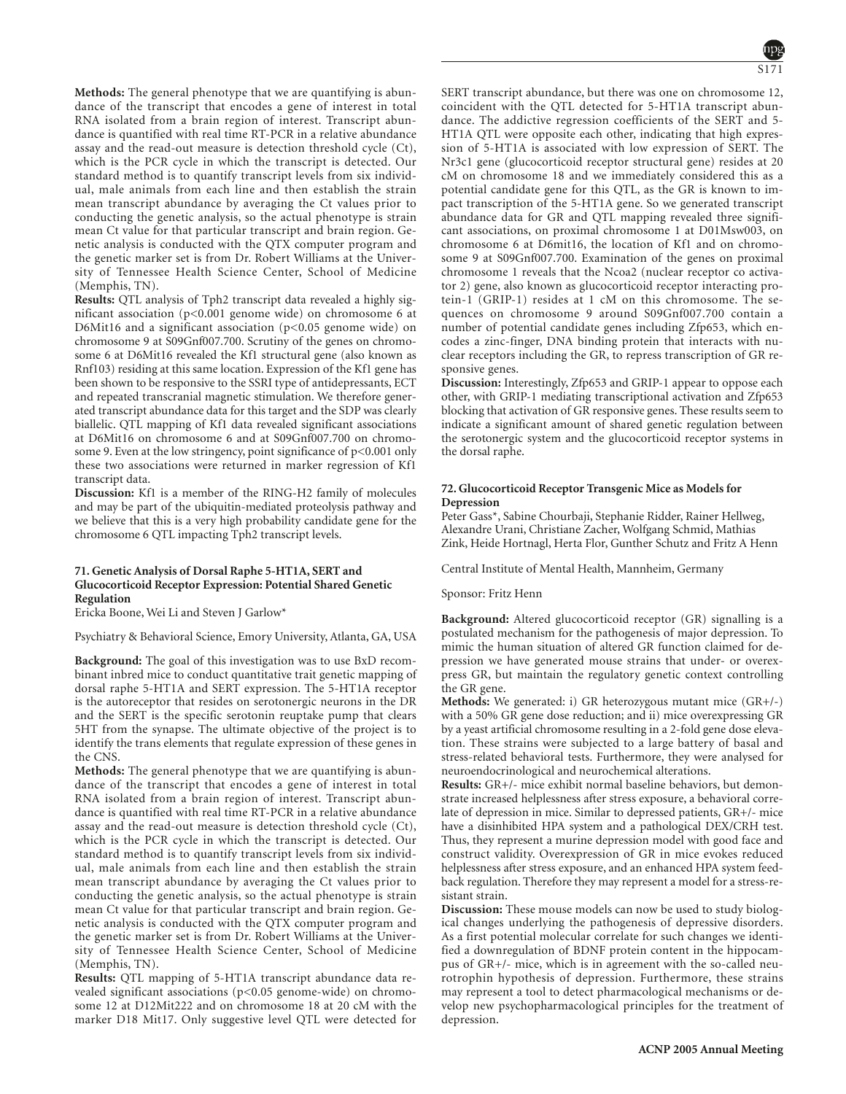**Methods:** The general phenotype that we are quantifying is abundance of the transcript that encodes a gene of interest in total RNA isolated from a brain region of interest. Transcript abundance is quantified with real time RT-PCR in a relative abundance assay and the read-out measure is detection threshold cycle (Ct), which is the PCR cycle in which the transcript is detected. Our standard method is to quantify transcript levels from six individual, male animals from each line and then establish the strain mean transcript abundance by averaging the Ct values prior to conducting the genetic analysis, so the actual phenotype is strain mean Ct value for that particular transcript and brain region. Genetic analysis is conducted with the QTX computer program and the genetic marker set is from Dr. Robert Williams at the University of Tennessee Health Science Center, School of Medicine (Memphis, TN).

**Results:** QTL analysis of Tph2 transcript data revealed a highly significant association (p<0.001 genome wide) on chromosome 6 at D6Mit16 and a significant association (p<0.05 genome wide) on chromosome 9 at S09Gnf007.700. Scrutiny of the genes on chromosome 6 at D6Mit16 revealed the Kf1 structural gene (also known as Rnf103) residing at this same location. Expression of the Kf1 gene has been shown to be responsive to the SSRI type of antidepressants, ECT and repeated transcranial magnetic stimulation. We therefore generated transcript abundance data for this target and the SDP was clearly biallelic. QTL mapping of Kf1 data revealed significant associations at D6Mit16 on chromosome 6 and at S09Gnf007.700 on chromosome 9. Even at the low stringency, point significance of  $p<0.001$  only these two associations were returned in marker regression of Kf1 transcript data.

**Discussion:** Kf1 is a member of the RING-H2 family of molecules and may be part of the ubiquitin-mediated proteolysis pathway and we believe that this is a very high probability candidate gene for the chromosome 6 QTL impacting Tph2 transcript levels.

# **71. Genetic Analysis of Dorsal Raphe 5-HT1A, SERT and Glucocorticoid Receptor Expression: Potential Shared Genetic Regulation**

Ericka Boone, Wei Li and Steven J Garlow\*

Psychiatry & Behavioral Science, Emory University, Atlanta, GA, USA

**Background:** The goal of this investigation was to use BxD recombinant inbred mice to conduct quantitative trait genetic mapping of dorsal raphe 5-HT1A and SERT expression. The 5-HT1A receptor is the autoreceptor that resides on serotonergic neurons in the DR and the SERT is the specific serotonin reuptake pump that clears 5HT from the synapse. The ultimate objective of the project is to identify the trans elements that regulate expression of these genes in the CNS.

**Methods:** The general phenotype that we are quantifying is abundance of the transcript that encodes a gene of interest in total RNA isolated from a brain region of interest. Transcript abundance is quantified with real time RT-PCR in a relative abundance assay and the read-out measure is detection threshold cycle (Ct), which is the PCR cycle in which the transcript is detected. Our standard method is to quantify transcript levels from six individual, male animals from each line and then establish the strain mean transcript abundance by averaging the Ct values prior to conducting the genetic analysis, so the actual phenotype is strain mean Ct value for that particular transcript and brain region. Genetic analysis is conducted with the QTX computer program and the genetic marker set is from Dr. Robert Williams at the University of Tennessee Health Science Center, School of Medicine (Memphis, TN).

**Results:** QTL mapping of 5-HT1A transcript abundance data revealed significant associations (p<0.05 genome-wide) on chromosome 12 at D12Mit222 and on chromosome 18 at 20 cM with the marker D18 Mit17. Only suggestive level QTL were detected for SERT transcript abundance, but there was one on chromosome 12, coincident with the QTL detected for 5-HT1A transcript abundance. The addictive regression coefficients of the SERT and 5- HT1A QTL were opposite each other, indicating that high expression of 5-HT1A is associated with low expression of SERT. The Nr3c1 gene (glucocorticoid receptor structural gene) resides at 20 cM on chromosome 18 and we immediately considered this as a potential candidate gene for this QTL, as the GR is known to impact transcription of the 5-HT1A gene. So we generated transcript abundance data for GR and QTL mapping revealed three significant associations, on proximal chromosome 1 at D01Msw003, on chromosome 6 at D6mit16, the location of Kf1 and on chromosome 9 at S09Gnf007.700. Examination of the genes on proximal chromosome 1 reveals that the Ncoa2 (nuclear receptor co activator 2) gene, also known as glucocorticoid receptor interacting protein-1 (GRIP-1) resides at 1 cM on this chromosome. The sequences on chromosome 9 around S09Gnf007.700 contain a number of potential candidate genes including Zfp653, which encodes a zinc-finger, DNA binding protein that interacts with nuclear receptors including the GR, to repress transcription of GR responsive genes.

**Discussion:** Interestingly, Zfp653 and GRIP-1 appear to oppose each other, with GRIP-1 mediating transcriptional activation and Zfp653 blocking that activation of GR responsive genes. These results seem to indicate a significant amount of shared genetic regulation between the serotonergic system and the glucocorticoid receptor systems in the dorsal raphe.

# **72. Glucocorticoid Receptor Transgenic Mice as Models for Depression**

Peter Gass\*, Sabine Chourbaji, Stephanie Ridder, Rainer Hellweg, Alexandre Urani, Christiane Zacher, Wolfgang Schmid, Mathias Zink, Heide Hortnagl, Herta Flor, Gunther Schutz and Fritz A Henn

Central Institute of Mental Health, Mannheim, Germany

Sponsor: Fritz Henn

**Background:** Altered glucocorticoid receptor (GR) signalling is a postulated mechanism for the pathogenesis of major depression. To mimic the human situation of altered GR function claimed for depression we have generated mouse strains that under- or overexpress GR, but maintain the regulatory genetic context controlling the GR gene.

**Methods:** We generated: i) GR heterozygous mutant mice (GR+/-) with a 50% GR gene dose reduction; and ii) mice overexpressing GR by a yeast artificial chromosome resulting in a 2-fold gene dose elevation. These strains were subjected to a large battery of basal and stress-related behavioral tests. Furthermore, they were analysed for neuroendocrinological and neurochemical alterations.

**Results:** GR+/- mice exhibit normal baseline behaviors, but demonstrate increased helplessness after stress exposure, a behavioral correlate of depression in mice. Similar to depressed patients, GR+/- mice have a disinhibited HPA system and a pathological DEX/CRH test. Thus, they represent a murine depression model with good face and construct validity. Overexpression of GR in mice evokes reduced helplessness after stress exposure, and an enhanced HPA system feedback regulation. Therefore they may represent a model for a stress-resistant strain.

**Discussion:** These mouse models can now be used to study biological changes underlying the pathogenesis of depressive disorders. As a first potential molecular correlate for such changes we identified a downregulation of BDNF protein content in the hippocampus of GR+/- mice, which is in agreement with the so-called neurotrophin hypothesis of depression. Furthermore, these strains may represent a tool to detect pharmacological mechanisms or develop new psychopharmacological principles for the treatment of depression.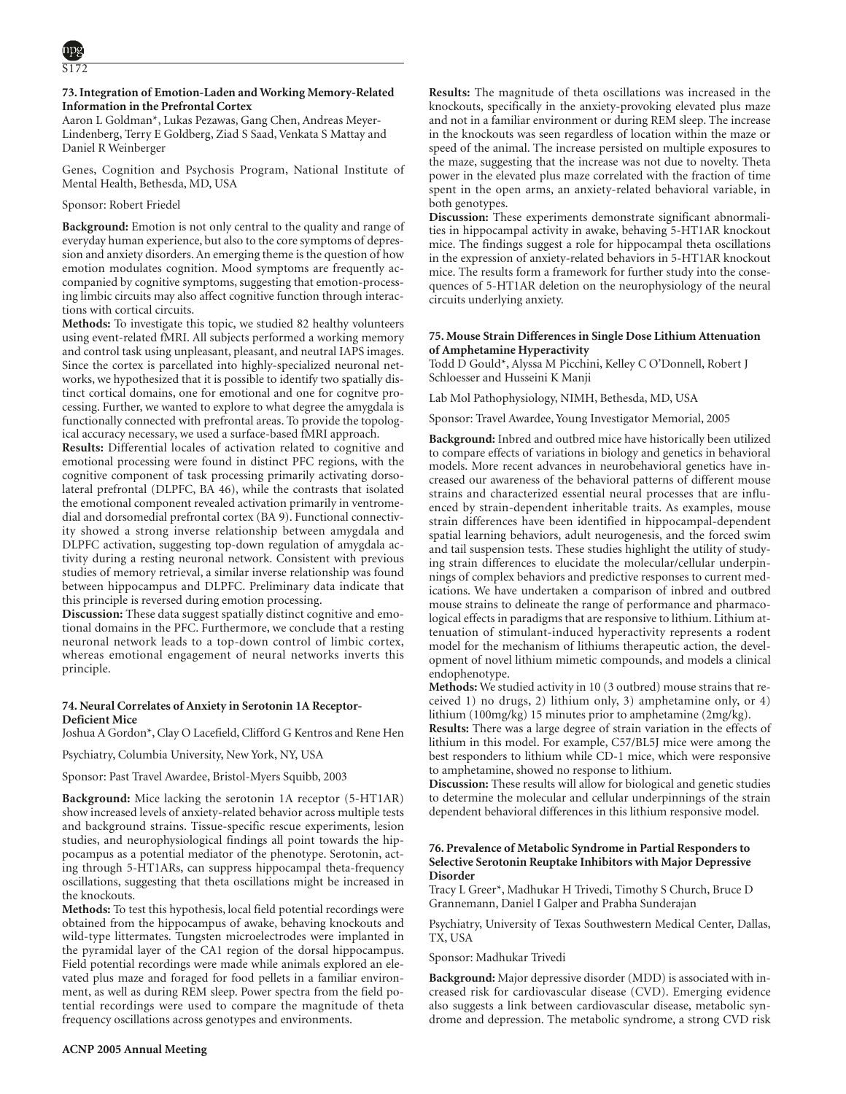# **73. Integration of Emotion-Laden and Working Memory-Related Information in the Prefrontal Cortex**

Aaron L Goldman\*, Lukas Pezawas, Gang Chen, Andreas Meyer-Lindenberg, Terry E Goldberg, Ziad S Saad, Venkata S Mattay and Daniel R Weinberger

Genes, Cognition and Psychosis Program, National Institute of Mental Health, Bethesda, MD, USA

# Sponsor: Robert Friedel

**Background:** Emotion is not only central to the quality and range of everyday human experience, but also to the core symptoms of depression and anxiety disorders. An emerging theme is the question of how emotion modulates cognition. Mood symptoms are frequently accompanied by cognitive symptoms, suggesting that emotion-processing limbic circuits may also affect cognitive function through interactions with cortical circuits.

**Methods:** To investigate this topic, we studied 82 healthy volunteers using event-related fMRI. All subjects performed a working memory and control task using unpleasant, pleasant, and neutral IAPS images. Since the cortex is parcellated into highly-specialized neuronal networks, we hypothesized that it is possible to identify two spatially distinct cortical domains, one for emotional and one for cognitve processing. Further, we wanted to explore to what degree the amygdala is functionally connected with prefrontal areas. To provide the topological accuracy necessary, we used a surface-based fMRI approach.

**Results:** Differential locales of activation related to cognitive and emotional processing were found in distinct PFC regions, with the cognitive component of task processing primarily activating dorsolateral prefrontal (DLPFC, BA 46), while the contrasts that isolated the emotional component revealed activation primarily in ventromedial and dorsomedial prefrontal cortex (BA 9). Functional connectivity showed a strong inverse relationship between amygdala and DLPFC activation, suggesting top-down regulation of amygdala activity during a resting neuronal network. Consistent with previous studies of memory retrieval, a similar inverse relationship was found between hippocampus and DLPFC. Preliminary data indicate that this principle is reversed during emotion processing.

**Discussion:** These data suggest spatially distinct cognitive and emotional domains in the PFC. Furthermore, we conclude that a resting neuronal network leads to a top-down control of limbic cortex, whereas emotional engagement of neural networks inverts this principle.

# **74. Neural Correlates of Anxiety in Serotonin 1A Receptor-Deficient Mice**

Joshua A Gordon\*, Clay O Lacefield, Clifford G Kentros and Rene Hen

Psychiatry, Columbia University, New York, NY, USA

Sponsor: Past Travel Awardee, Bristol-Myers Squibb, 2003

**Background:** Mice lacking the serotonin 1A receptor (5-HT1AR) show increased levels of anxiety-related behavior across multiple tests and background strains. Tissue-specific rescue experiments, lesion studies, and neurophysiological findings all point towards the hippocampus as a potential mediator of the phenotype. Serotonin, acting through 5-HT1ARs, can suppress hippocampal theta-frequency oscillations, suggesting that theta oscillations might be increased in the knockouts.

**Methods:** To test this hypothesis, local field potential recordings were obtained from the hippocampus of awake, behaving knockouts and wild-type littermates. Tungsten microelectrodes were implanted in the pyramidal layer of the CA1 region of the dorsal hippocampus. Field potential recordings were made while animals explored an elevated plus maze and foraged for food pellets in a familiar environment, as well as during REM sleep. Power spectra from the field potential recordings were used to compare the magnitude of theta frequency oscillations across genotypes and environments.

**Results:** The magnitude of theta oscillations was increased in the knockouts, specifically in the anxiety-provoking elevated plus maze and not in a familiar environment or during REM sleep. The increase in the knockouts was seen regardless of location within the maze or speed of the animal. The increase persisted on multiple exposures to the maze, suggesting that the increase was not due to novelty. Theta power in the elevated plus maze correlated with the fraction of time spent in the open arms, an anxiety-related behavioral variable, in both genotypes.

**Discussion:** These experiments demonstrate significant abnormalities in hippocampal activity in awake, behaving 5-HT1AR knockout mice. The findings suggest a role for hippocampal theta oscillations in the expression of anxiety-related behaviors in 5-HT1AR knockout mice. The results form a framework for further study into the consequences of 5-HT1AR deletion on the neurophysiology of the neural circuits underlying anxiety.

### **75. Mouse Strain Differences in Single Dose Lithium Attenuation of Amphetamine Hyperactivity**

Todd D Gould\*, Alyssa M Picchini, Kelley C O'Donnell, Robert J Schloesser and Husseini K Manji

Lab Mol Pathophysiology, NIMH, Bethesda, MD, USA

Sponsor: Travel Awardee, Young Investigator Memorial, 2005

**Background:** Inbred and outbred mice have historically been utilized to compare effects of variations in biology and genetics in behavioral models. More recent advances in neurobehavioral genetics have increased our awareness of the behavioral patterns of different mouse strains and characterized essential neural processes that are influenced by strain-dependent inheritable traits. As examples, mouse strain differences have been identified in hippocampal-dependent spatial learning behaviors, adult neurogenesis, and the forced swim and tail suspension tests. These studies highlight the utility of studying strain differences to elucidate the molecular/cellular underpinnings of complex behaviors and predictive responses to current medications. We have undertaken a comparison of inbred and outbred mouse strains to delineate the range of performance and pharmacological effects in paradigms that are responsive to lithium. Lithium attenuation of stimulant-induced hyperactivity represents a rodent model for the mechanism of lithiums therapeutic action, the development of novel lithium mimetic compounds, and models a clinical endophenotype.

**Methods:** We studied activity in 10 (3 outbred) mouse strains that received 1) no drugs, 2) lithium only, 3) amphetamine only, or 4) lithium (100mg/kg) 15 minutes prior to amphetamine (2mg/kg).

**Results:** There was a large degree of strain variation in the effects of lithium in this model. For example, C57/BL5J mice were among the best responders to lithium while CD-1 mice, which were responsive to amphetamine, showed no response to lithium.

**Discussion:** These results will allow for biological and genetic studies to determine the molecular and cellular underpinnings of the strain dependent behavioral differences in this lithium responsive model.

# **76. Prevalence of Metabolic Syndrome in Partial Responders to Selective Serotonin Reuptake Inhibitors with Major Depressive Disorder**

Tracy L Greer\*, Madhukar H Trivedi, Timothy S Church, Bruce D Grannemann, Daniel I Galper and Prabha Sunderajan

Psychiatry, University of Texas Southwestern Medical Center, Dallas, TX, USA

#### Sponsor: Madhukar Trivedi

**Background:** Major depressive disorder (MDD) is associated with increased risk for cardiovascular disease (CVD). Emerging evidence also suggests a link between cardiovascular disease, metabolic syndrome and depression. The metabolic syndrome, a strong CVD risk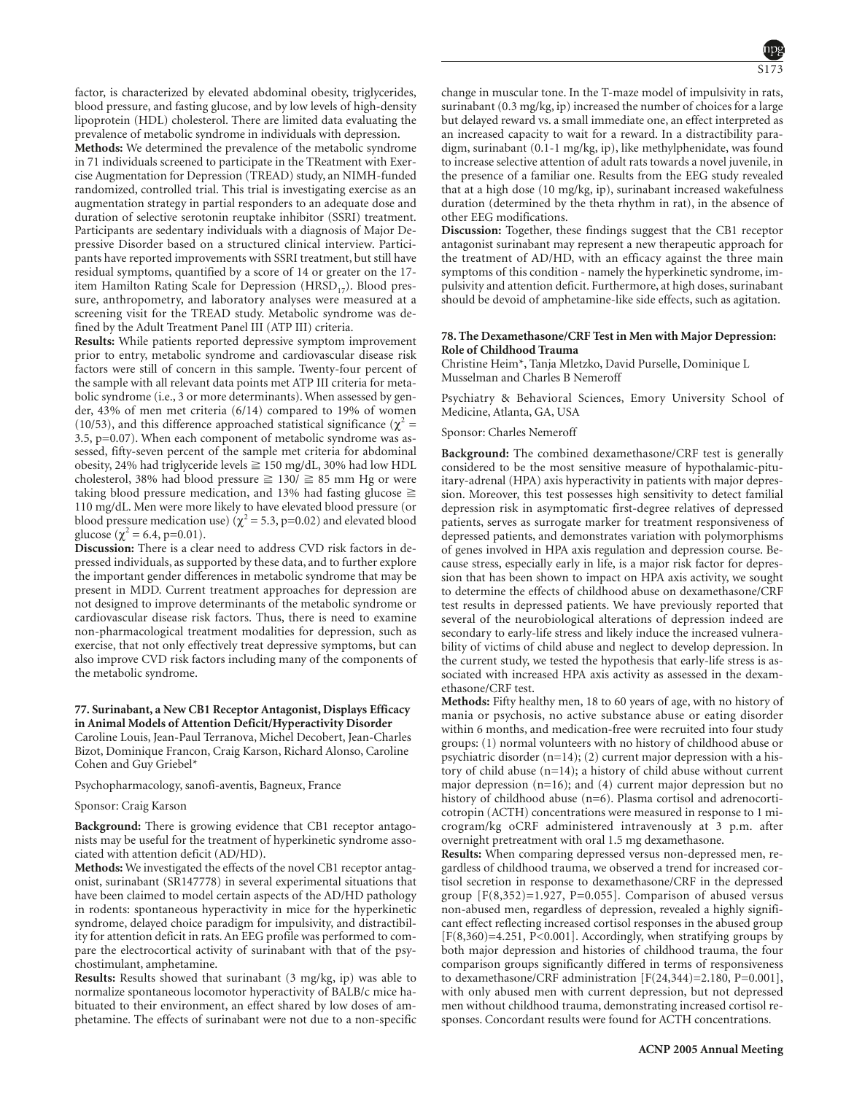factor, is characterized by elevated abdominal obesity, triglycerides, blood pressure, and fasting glucose, and by low levels of high-density lipoprotein (HDL) cholesterol. There are limited data evaluating the prevalence of metabolic syndrome in individuals with depression.

**Methods:** We determined the prevalence of the metabolic syndrome in 71 individuals screened to participate in the TReatment with Exercise Augmentation for Depression (TREAD) study, an NIMH-funded randomized, controlled trial. This trial is investigating exercise as an augmentation strategy in partial responders to an adequate dose and duration of selective serotonin reuptake inhibitor (SSRI) treatment. Participants are sedentary individuals with a diagnosis of Major Depressive Disorder based on a structured clinical interview. Participants have reported improvements with SSRI treatment, but still have residual symptoms, quantified by a score of 14 or greater on the 17 item Hamilton Rating Scale for Depression (HRSD<sub>17</sub>). Blood pressure, anthropometry, and laboratory analyses were measured at a screening visit for the TREAD study. Metabolic syndrome was defined by the Adult Treatment Panel III (ATP III) criteria.

**Results:** While patients reported depressive symptom improvement prior to entry, metabolic syndrome and cardiovascular disease risk factors were still of concern in this sample. Twenty-four percent of the sample with all relevant data points met ATP III criteria for metabolic syndrome (i.e., 3 or more determinants). When assessed by gender, 43% of men met criteria (6/14) compared to 19% of women (10/53), and this difference approached statistical significance ( $\chi^2$  = 3.5, p=0.07). When each component of metabolic syndrome was assessed, fifty-seven percent of the sample met criteria for abdominal obesity, 24% had triglyceride levels  $\geq$  150 mg/dL, 30% had low HDL cholesterol, 38% had blood pressure  $\geq$  130/  $\geq$  85 mm Hg or were taking blood pressure medication, and 13% had fasting glucose  $\geq$ 110 mg/dL. Men were more likely to have elevated blood pressure (or blood pressure medication use) ( $\chi^2$  = 5.3, p=0.02) and elevated blood glucose ( $\chi^2$  = 6.4, p=0.01).

**Discussion:** There is a clear need to address CVD risk factors in depressed individuals, as supported by these data, and to further explore the important gender differences in metabolic syndrome that may be present in MDD. Current treatment approaches for depression are not designed to improve determinants of the metabolic syndrome or cardiovascular disease risk factors. Thus, there is need to examine non-pharmacological treatment modalities for depression, such as exercise, that not only effectively treat depressive symptoms, but can also improve CVD risk factors including many of the components of the metabolic syndrome.

# **77. Surinabant, a New CB1 Receptor Antagonist, Displays Efficacy in Animal Models of Attention Deficit/Hyperactivity Disorder**

Caroline Louis, Jean-Paul Terranova, Michel Decobert, Jean-Charles Bizot, Dominique Francon, Craig Karson, Richard Alonso, Caroline Cohen and Guy Griebel\*

Psychopharmacology, sanofi-aventis, Bagneux, France

# Sponsor: Craig Karson

**Background:** There is growing evidence that CB1 receptor antagonists may be useful for the treatment of hyperkinetic syndrome associated with attention deficit (AD/HD).

**Methods:** We investigated the effects of the novel CB1 receptor antagonist, surinabant (SR147778) in several experimental situations that have been claimed to model certain aspects of the AD/HD pathology in rodents: spontaneous hyperactivity in mice for the hyperkinetic syndrome, delayed choice paradigm for impulsivity, and distractibility for attention deficit in rats. An EEG profile was performed to compare the electrocortical activity of surinabant with that of the psychostimulant, amphetamine.

**Results:** Results showed that surinabant (3 mg/kg, ip) was able to normalize spontaneous locomotor hyperactivity of BALB/c mice habituated to their environment, an effect shared by low doses of amphetamine. The effects of surinabant were not due to a non-specific change in muscular tone. In the T-maze model of impulsivity in rats, surinabant (0.3 mg/kg, ip) increased the number of choices for a large but delayed reward vs. a small immediate one, an effect interpreted as an increased capacity to wait for a reward. In a distractibility paradigm, surinabant (0.1-1 mg/kg, ip), like methylphenidate, was found to increase selective attention of adult rats towards a novel juvenile, in the presence of a familiar one. Results from the EEG study revealed that at a high dose (10 mg/kg, ip), surinabant increased wakefulness duration (determined by the theta rhythm in rat), in the absence of other EEG modifications.

**Discussion:** Together, these findings suggest that the CB1 receptor antagonist surinabant may represent a new therapeutic approach for the treatment of AD/HD, with an efficacy against the three main symptoms of this condition - namely the hyperkinetic syndrome, impulsivity and attention deficit. Furthermore, at high doses, surinabant should be devoid of amphetamine-like side effects, such as agitation.

# **78. The Dexamethasone/CRF Test in Men with Major Depression: Role of Childhood Trauma**

Christine Heim\*, Tanja Mletzko, David Purselle, Dominique L Musselman and Charles B Nemeroff

Psychiatry & Behavioral Sciences, Emory University School of Medicine, Atlanta, GA, USA

### Sponsor: Charles Nemeroff

**Background:** The combined dexamethasone/CRF test is generally considered to be the most sensitive measure of hypothalamic-pituitary-adrenal (HPA) axis hyperactivity in patients with major depression. Moreover, this test possesses high sensitivity to detect familial depression risk in asymptomatic first-degree relatives of depressed patients, serves as surrogate marker for treatment responsiveness of depressed patients, and demonstrates variation with polymorphisms of genes involved in HPA axis regulation and depression course. Because stress, especially early in life, is a major risk factor for depression that has been shown to impact on HPA axis activity, we sought to determine the effects of childhood abuse on dexamethasone/CRF test results in depressed patients. We have previously reported that several of the neurobiological alterations of depression indeed are secondary to early-life stress and likely induce the increased vulnerability of victims of child abuse and neglect to develop depression. In the current study, we tested the hypothesis that early-life stress is associated with increased HPA axis activity as assessed in the dexamethasone/CRF test.

**Methods:** Fifty healthy men, 18 to 60 years of age, with no history of mania or psychosis, no active substance abuse or eating disorder within 6 months, and medication-free were recruited into four study groups: (1) normal volunteers with no history of childhood abuse or psychiatric disorder (n=14); (2) current major depression with a history of child abuse (n=14); a history of child abuse without current major depression (n=16); and (4) current major depression but no history of childhood abuse (n=6). Plasma cortisol and adrenocorticotropin (ACTH) concentrations were measured in response to 1 microgram/kg oCRF administered intravenously at 3 p.m. after overnight pretreatment with oral 1.5 mg dexamethasone.

**Results:** When comparing depressed versus non-depressed men, regardless of childhood trauma, we observed a trend for increased cortisol secretion in response to dexamethasone/CRF in the depressed group  $[F(8,352)=1.927, P=0.055]$ . Comparison of abused versus non-abused men, regardless of depression, revealed a highly significant effect reflecting increased cortisol responses in the abused group  $[F(8,360)=4.251, P<0.001]$ . Accordingly, when stratifying groups by both major depression and histories of childhood trauma, the four comparison groups significantly differed in terms of responsiveness to dexamethasone/CRF administration [F(24,344)=2.180, P=0.001], with only abused men with current depression, but not depressed men without childhood trauma, demonstrating increased cortisol responses. Concordant results were found for ACTH concentrations.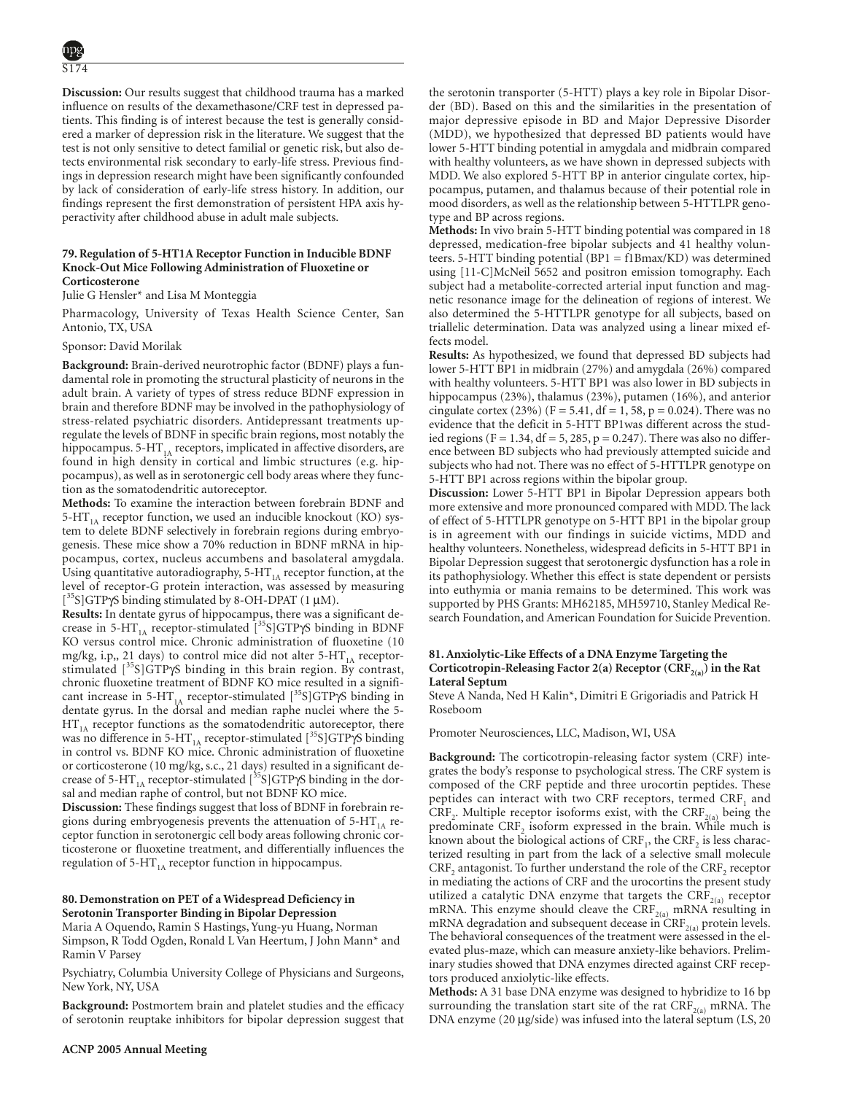**Discussion:** Our results suggest that childhood trauma has a marked influence on results of the dexamethasone/CRF test in depressed patients. This finding is of interest because the test is generally considered a marker of depression risk in the literature. We suggest that the test is not only sensitive to detect familial or genetic risk, but also detects environmental risk secondary to early-life stress. Previous findings in depression research might have been significantly confounded by lack of consideration of early-life stress history. In addition, our findings represent the first demonstration of persistent HPA axis hyperactivity after childhood abuse in adult male subjects.

#### **79. Regulation of 5-HT1A Receptor Function in Inducible BDNF Knock-Out Mice Following Administration of Fluoxetine or Corticosterone**

Julie G Hensler\* and Lisa M Monteggia

Pharmacology, University of Texas Health Science Center, San Antonio, TX, USA

#### Sponsor: David Morilak

**Background:** Brain-derived neurotrophic factor (BDNF) plays a fundamental role in promoting the structural plasticity of neurons in the adult brain. A variety of types of stress reduce BDNF expression in brain and therefore BDNF may be involved in the pathophysiology of stress-related psychiatric disorders. Antidepressant treatments upregulate the levels of BDNF in specific brain regions, most notably the hippocampus. 5-HT $_{1A}$  receptors, implicated in affective disorders, are found in high density in cortical and limbic structures (e.g. hippocampus), as well as in serotonergic cell body areas where they function as the somatodendritic autoreceptor.

**Methods:** To examine the interaction between forebrain BDNF and 5-HT $_{1A}$  receptor function, we used an inducible knockout (KO) system to delete BDNF selectively in forebrain regions during embryogenesis. These mice show a 70% reduction in BDNF mRNA in hippocampus, cortex, nucleus accumbens and basolateral amygdala. Using quantitative autoradiography,  $5-HT<sub>1A</sub>$  receptor function, at the level of receptor-G protein interaction, was assessed by measuring [ 35S]GTPγS binding stimulated by 8-OH-DPAT (1 µM).

**Results:** In dentate gyrus of hippocampus, there was a significant decrease in 5-HT<sub>1A</sub> receptor-stimulated  $[^{35}S]GTP\gamma S$  binding in BDNF KO versus control mice. Chronic administration of fluoxetine (10 mg/kg, i.p., 21 days) to control mice did not alter  $5-HT<sub>1A</sub>$  receptorstimulated  $[35S]GTP\gamma S$  binding in this brain region. By contrast, chronic fluoxetine treatment of BDNF KO mice resulted in a significant increase in 5-HT<sub>1A</sub> receptor-stimulated  $[^{35}S]GTP\gamma S$  binding in dentate gyrus. In the dorsal and median raphe nuclei where the 5-  $HT<sub>1A</sub>$  receptor functions as the somatodendritic autoreceptor, there was no difference in 5-HT<sub>1A</sub> receptor-stimulated [<sup>35</sup>S]GTP $\bar{y}$ S binding in control vs. BDNF KO mice. Chronic administration of fluoxetine or corticosterone (10 mg/kg, s.c., 21 days) resulted in a significant decrease of 5-HT<sub>1A</sub> receptor-stimulated  $[^{35}S]GTP\gamma S$  binding in the dorsal and median raphe of control, but not BDNF KO mice.

**Discussion:** These findings suggest that loss of BDNF in forebrain regions during embryogenesis prevents the attenuation of  $5-HT<sub>1A</sub>$  receptor function in serotonergic cell body areas following chronic corticosterone or fluoxetine treatment, and differentially influences the regulation of 5-HT $_{1A}$  receptor function in hippocampus.

#### **80. Demonstration on PET of a Widespread Deficiency in Serotonin Transporter Binding in Bipolar Depression**

Maria A Oquendo, Ramin S Hastings, Yung-yu Huang, Norman Simpson, R Todd Ogden, Ronald L Van Heertum, J John Mann\* and Ramin V Parsey

Psychiatry, Columbia University College of Physicians and Surgeons, New York, NY, USA

**Background:** Postmortem brain and platelet studies and the efficacy of serotonin reuptake inhibitors for bipolar depression suggest that the serotonin transporter (5-HTT) plays a key role in Bipolar Disorder (BD). Based on this and the similarities in the presentation of major depressive episode in BD and Major Depressive Disorder (MDD), we hypothesized that depressed BD patients would have lower 5-HTT binding potential in amygdala and midbrain compared with healthy volunteers, as we have shown in depressed subjects with MDD. We also explored 5-HTT BP in anterior cingulate cortex, hippocampus, putamen, and thalamus because of their potential role in mood disorders, as well as the relationship between 5-HTTLPR genotype and BP across regions.

**Methods:** In vivo brain 5-HTT binding potential was compared in 18 depressed, medication-free bipolar subjects and 41 healthy volunteers. 5-HTT binding potential (BP1 = f1Bmax/KD) was determined using [11-C]McNeil 5652 and positron emission tomography. Each subject had a metabolite-corrected arterial input function and magnetic resonance image for the delineation of regions of interest. We also determined the 5-HTTLPR genotype for all subjects, based on triallelic determination. Data was analyzed using a linear mixed effects model.

**Results:** As hypothesized, we found that depressed BD subjects had lower 5-HTT BP1 in midbrain (27%) and amygdala (26%) compared with healthy volunteers. 5-HTT BP1 was also lower in BD subjects in hippocampus (23%), thalamus (23%), putamen (16%), and anterior cingulate cortex (23%) (F = 5.41, df = 1, 58, p = 0.024). There was no evidence that the deficit in 5-HTT BP1was different across the studied regions (F = 1.34, df = 5, 285, p = 0.247). There was also no difference between BD subjects who had previously attempted suicide and subjects who had not. There was no effect of 5-HTTLPR genotype on 5-HTT BP1 across regions within the bipolar group.

**Discussion:** Lower 5-HTT BP1 in Bipolar Depression appears both more extensive and more pronounced compared with MDD. The lack of effect of 5-HTTLPR genotype on 5-HTT BP1 in the bipolar group is in agreement with our findings in suicide victims, MDD and healthy volunteers. Nonetheless, widespread deficits in 5-HTT BP1 in Bipolar Depression suggest that serotonergic dysfunction has a role in its pathophysiology. Whether this effect is state dependent or persists into euthymia or mania remains to be determined. This work was supported by PHS Grants: MH62185, MH59710, Stanley Medical Research Foundation, and American Foundation for Suicide Prevention.

# **81. Anxiolytic-Like Effects of a DNA Enzyme Targeting the** Corticotropin-Releasing Factor 2(a) Receptor (CRF<sub>2(a)</sub>) in the Rat **Lateral Septum**

Steve A Nanda, Ned H Kalin\*, Dimitri E Grigoriadis and Patrick H Roseboom

Promoter Neurosciences, LLC, Madison, WI, USA

**Background:** The corticotropin-releasing factor system (CRF) integrates the body's response to psychological stress. The CRF system is composed of the CRF peptide and three urocortin peptides. These peptides can interact with two CRF receptors, termed  $CRF<sub>1</sub>$  and CRF<sub>2</sub>. Multiple receptor isoforms exist, with the CRF<sub>2(a)</sub> being the predominate  $CRF_2$  isoform expressed in the brain. While much is known about the biological actions of  $CRF<sub>1</sub>$ , the  $CRF<sub>2</sub>$  is less characterized resulting in part from the lack of a selective small molecule CRF<sub>2</sub> antagonist. To further understand the role of the CRF<sub>2</sub> receptor in mediating the actions of CRF and the urocortins the present study utilized a catalytic DNA enzyme that targets the  $CRF_{2(a)}$  receptor mRNA. This enzyme should cleave the  $\text{CRF}_{2(a)}$  mRNA resulting in mRNA degradation and subsequent decease in  $CRF_{2(a)}$  protein levels. The behavioral consequences of the treatment were assessed in the elevated plus-maze, which can measure anxiety-like behaviors. Preliminary studies showed that DNA enzymes directed against CRF receptors produced anxiolytic-like effects.

**Methods:** A 31 base DNA enzyme was designed to hybridize to 16 bp surrounding the translation start site of the rat  $CRF_{2(a)}$  mRNA. The DNA enzyme (20 µg/side) was infused into the lateral septum (LS, 20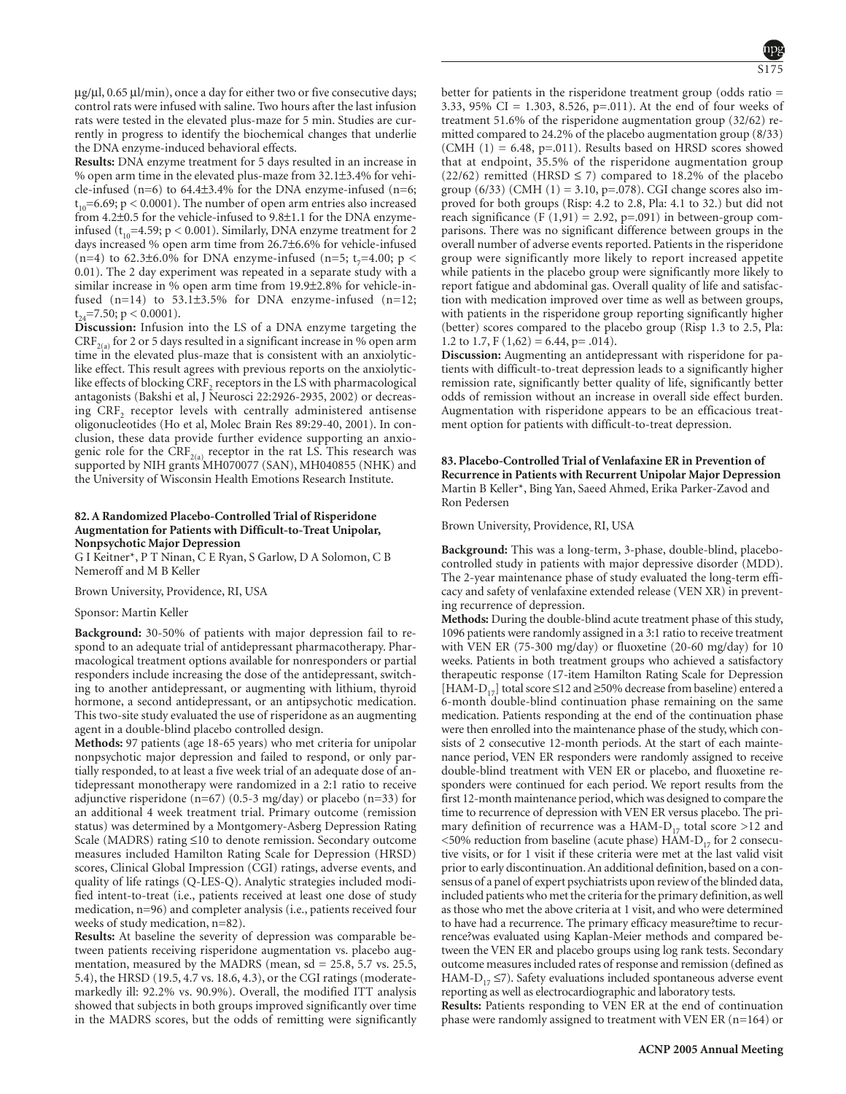S175

 $\mu$ g/ $\mu$ l, 0.65  $\mu$ l/min), once a day for either two or five consecutive days; control rats were infused with saline. Two hours after the last infusion rats were tested in the elevated plus-maze for 5 min. Studies are currently in progress to identify the biochemical changes that underlie the DNA enzyme-induced behavioral effects.

**Results:** DNA enzyme treatment for 5 days resulted in an increase in % open arm time in the elevated plus-maze from 32.1±3.4% for vehicle-infused  $(n=6)$  to 64.4 $\pm$ 3.4% for the DNA enzyme-infused  $(n=6)$ ;  $t_{10}$ =6.69; p < 0.0001). The number of open arm entries also increased from 4.2±0.5 for the vehicle-infused to 9.8±1.1 for the DNA enzymeinfused ( $t_{10}$ =4.59; p < 0.001). Similarly, DNA enzyme treatment for 2 days increased % open arm time from 26.7±6.6% for vehicle-infused (n=4) to 62.3±6.0% for DNA enzyme-infused (n=5; t<sub>7</sub>=4.00; p < 0.01). The 2 day experiment was repeated in a separate study with a similar increase in % open arm time from 19.9±2.8% for vehicle-infused  $(n=14)$  to 53.1 $\pm$ 3.5% for DNA enzyme-infused  $(n=12;$  $t_{24}$ =7.50; p < 0.0001).

**Discussion:** Infusion into the LS of a DNA enzyme targeting the  $CRF_{2(a)}$  for 2 or 5 days resulted in a significant increase in % open arm time in the elevated plus-maze that is consistent with an anxiolyticlike effect. This result agrees with previous reports on the anxiolyticlike effects of blocking CRF<sub>2</sub> receptors in the LS with pharmacological antagonists (Bakshi et al, J Neurosci 22:2926-2935, 2002) or decreasing  $CRF<sub>2</sub>$  receptor levels with centrally administered antisense oligonucleotides (Ho et al, Molec Brain Res 89:29-40, 2001). In conclusion, these data provide further evidence supporting an anxiogenic role for the  $CRF_{2(a)}$  receptor in the rat LS. This research was supported by NIH grants MH070077 (SAN), MH040855 (NHK) and the University of Wisconsin Health Emotions Research Institute.

# **82. A Randomized Placebo-Controlled Trial of Risperidone Augmentation for Patients with Difficult-to-Treat Unipolar, Nonpsychotic Major Depression**

G I Keitner\*, P T Ninan, C E Ryan, S Garlow, D A Solomon, C B Nemeroff and M B Keller

Brown University, Providence, RI, USA

# Sponsor: Martin Keller

**Background:** 30-50% of patients with major depression fail to respond to an adequate trial of antidepressant pharmacotherapy. Pharmacological treatment options available for nonresponders or partial responders include increasing the dose of the antidepressant, switching to another antidepressant, or augmenting with lithium, thyroid hormone, a second antidepressant, or an antipsychotic medication. This two-site study evaluated the use of risperidone as an augmenting agent in a double-blind placebo controlled design.

**Methods:** 97 patients (age 18-65 years) who met criteria for unipolar nonpsychotic major depression and failed to respond, or only partially responded, to at least a five week trial of an adequate dose of antidepressant monotherapy were randomized in a 2:1 ratio to receive adjunctive risperidone (n=67) (0.5-3 mg/day) or placebo (n=33) for an additional 4 week treatment trial. Primary outcome (remission status) was determined by a Montgomery-Asberg Depression Rating Scale (MADRS) rating ≤10 to denote remission. Secondary outcome measures included Hamilton Rating Scale for Depression (HRSD) scores, Clinical Global Impression (CGI) ratings, adverse events, and quality of life ratings (Q-LES-Q). Analytic strategies included modified intent-to-treat (i.e., patients received at least one dose of study medication, n=96) and completer analysis (i.e., patients received four weeks of study medication, n=82).

**Results:** At baseline the severity of depression was comparable between patients receiving risperidone augmentation vs. placebo augmentation, measured by the MADRS (mean, sd = 25.8, 5.7 vs. 25.5, 5.4), the HRSD (19.5, 4.7 vs. 18.6, 4.3), or the CGI ratings (moderatemarkedly ill: 92.2% vs. 90.9%). Overall, the modified ITT analysis showed that subjects in both groups improved significantly over time in the MADRS scores, but the odds of remitting were significantly better for patients in the risperidone treatment group (odds ratio = 3.33, 95% CI = 1.303, 8.526, p=.011). At the end of four weeks of treatment 51.6% of the risperidone augmentation group (32/62) remitted compared to 24.2% of the placebo augmentation group (8/33) (CMH  $(1) = 6.48$ , p=.011). Results based on HRSD scores showed that at endpoint, 35.5% of the risperidone augmentation group (22/62) remitted (HRSD  $\leq$  7) compared to 18.2% of the placebo group (6/33) (CMH (1) = 3.10, p=.078). CGI change scores also improved for both groups (Risp: 4.2 to 2.8, Pla: 4.1 to 32.) but did not reach significance (F $(1,91) = 2.92$ , p=.091) in between-group comparisons. There was no significant difference between groups in the overall number of adverse events reported. Patients in the risperidone group were significantly more likely to report increased appetite while patients in the placebo group were significantly more likely to report fatigue and abdominal gas. Overall quality of life and satisfaction with medication improved over time as well as between groups, with patients in the risperidone group reporting significantly higher (better) scores compared to the placebo group (Risp 1.3 to 2.5, Pla: 1.2 to 1.7,  $F(1,62) = 6.44$ ,  $p = .014$ ).

**Discussion:** Augmenting an antidepressant with risperidone for patients with difficult-to-treat depression leads to a significantly higher remission rate, significantly better quality of life, significantly better odds of remission without an increase in overall side effect burden. Augmentation with risperidone appears to be an efficacious treatment option for patients with difficult-to-treat depression.

**83. Placebo-Controlled Trial of Venlafaxine ER in Prevention of Recurrence in Patients with Recurrent Unipolar Major Depression** Martin B Keller\*, Bing Yan, Saeed Ahmed, Erika Parker-Zavod and Ron Pedersen

Brown University, Providence, RI, USA

**Background:** This was a long-term, 3-phase, double-blind, placebocontrolled study in patients with major depressive disorder (MDD). The 2-year maintenance phase of study evaluated the long-term efficacy and safety of venlafaxine extended release (VEN XR) in preventing recurrence of depression.

**Methods:** During the double-blind acute treatment phase of this study, 1096 patients were randomly assigned in a 3:1 ratio to receive treatment with VEN ER (75-300 mg/day) or fluoxetine (20-60 mg/day) for 10 weeks. Patients in both treatment groups who achieved a satisfactory therapeutic response (17-item Hamilton Rating Scale for Depression [HAM-D<sub>17</sub>] total score ≤12 and ≥50% decrease from baseline) entered a 6-month double-blind continuation phase remaining on the same medication. Patients responding at the end of the continuation phase were then enrolled into the maintenance phase of the study, which consists of 2 consecutive 12-month periods. At the start of each maintenance period, VEN ER responders were randomly assigned to receive double-blind treatment with VEN ER or placebo, and fluoxetine responders were continued for each period. We report results from the first 12-month maintenance period, which was designed to compare the time to recurrence of depression with VEN ER versus placebo. The primary definition of recurrence was a HAM- $D_{17}$  total score >12 and  $<$  50% reduction from baseline (acute phase) HAM-D<sub>17</sub> for 2 consecutive visits, or for 1 visit if these criteria were met at the last valid visit prior to early discontinuation. An additional definition, based on a consensus of a panel of expert psychiatrists upon review of the blinded data, included patients who met the criteria for the primary definition, as well as those who met the above criteria at 1 visit, and who were determined to have had a recurrence. The primary efficacy measure?time to recurrence?was evaluated using Kaplan-Meier methods and compared between the VEN ER and placebo groups using log rank tests. Secondary outcome measures included rates of response and remission (defined as HAM-D<sub>17</sub>  $\le$ 7). Safety evaluations included spontaneous adverse event reporting as well as electrocardiographic and laboratory tests.

**Results:** Patients responding to VEN ER at the end of continuation phase were randomly assigned to treatment with VEN ER (n=164) or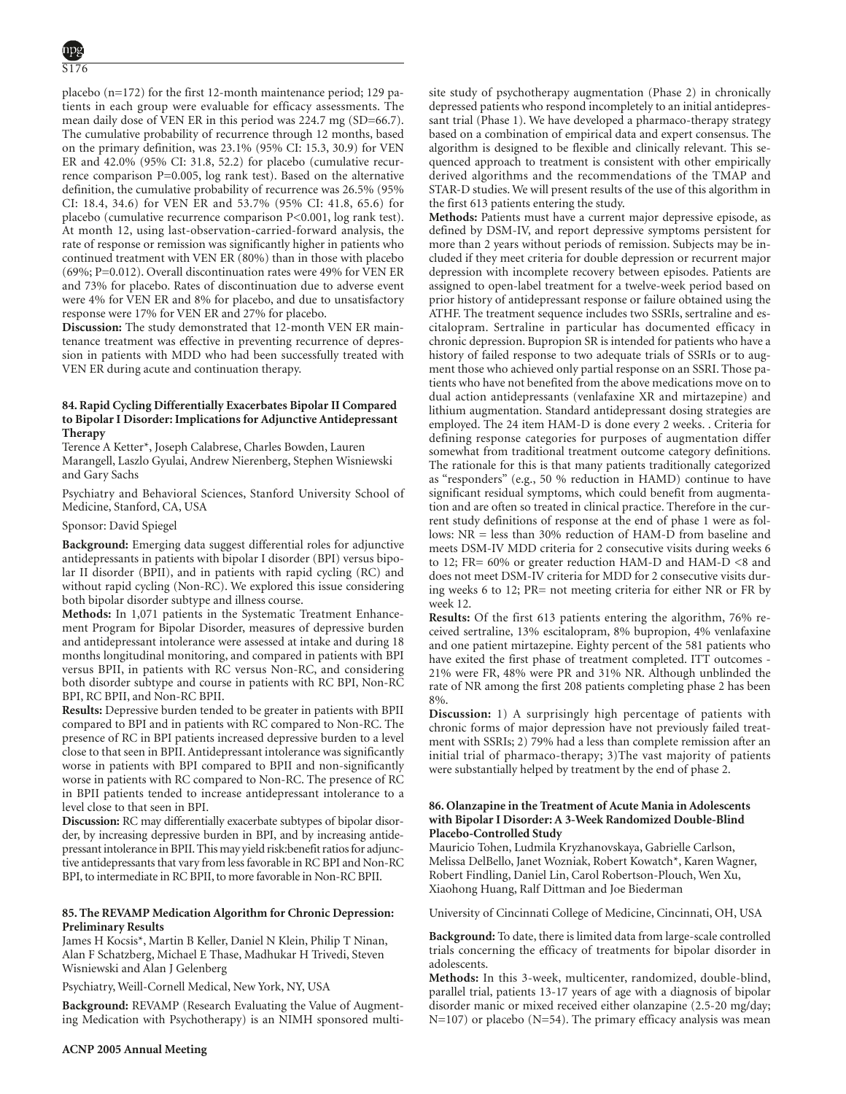placebo (n=172) for the first 12-month maintenance period; 129 patients in each group were evaluable for efficacy assessments. The mean daily dose of VEN ER in this period was 224.7 mg (SD=66.7). The cumulative probability of recurrence through 12 months, based on the primary definition, was 23.1% (95% CI: 15.3, 30.9) for VEN ER and 42.0% (95% CI: 31.8, 52.2) for placebo (cumulative recurrence comparison P=0.005, log rank test). Based on the alternative definition, the cumulative probability of recurrence was 26.5% (95% CI: 18.4, 34.6) for VEN ER and 53.7% (95% CI: 41.8, 65.6) for placebo (cumulative recurrence comparison P<0.001, log rank test). At month 12, using last-observation-carried-forward analysis, the rate of response or remission was significantly higher in patients who continued treatment with VEN ER (80%) than in those with placebo (69%; P=0.012). Overall discontinuation rates were 49% for VEN ER and 73% for placebo. Rates of discontinuation due to adverse event were 4% for VEN ER and 8% for placebo, and due to unsatisfactory response were 17% for VEN ER and 27% for placebo.

**Discussion:** The study demonstrated that 12-month VEN ER maintenance treatment was effective in preventing recurrence of depression in patients with MDD who had been successfully treated with VEN ER during acute and continuation therapy.

# **84. Rapid Cycling Differentially Exacerbates Bipolar II Compared to Bipolar I Disorder: Implications for Adjunctive Antidepressant Therapy**

Terence A Ketter\*, Joseph Calabrese, Charles Bowden, Lauren Marangell, Laszlo Gyulai, Andrew Nierenberg, Stephen Wisniewski and Gary Sachs

Psychiatry and Behavioral Sciences, Stanford University School of Medicine, Stanford, CA, USA

# Sponsor: David Spiegel

**Background:** Emerging data suggest differential roles for adjunctive antidepressants in patients with bipolar I disorder (BPI) versus bipolar II disorder (BPII), and in patients with rapid cycling (RC) and without rapid cycling (Non-RC). We explored this issue considering both bipolar disorder subtype and illness course.

**Methods:** In 1,071 patients in the Systematic Treatment Enhancement Program for Bipolar Disorder, measures of depressive burden and antidepressant intolerance were assessed at intake and during 18 months longitudinal monitoring, and compared in patients with BPI versus BPII, in patients with RC versus Non-RC, and considering both disorder subtype and course in patients with RC BPI, Non-RC BPI, RC BPII, and Non-RC BPII.

**Results:** Depressive burden tended to be greater in patients with BPII compared to BPI and in patients with RC compared to Non-RC. The presence of RC in BPI patients increased depressive burden to a level close to that seen in BPII. Antidepressant intolerance was significantly worse in patients with BPI compared to BPII and non-significantly worse in patients with RC compared to Non-RC. The presence of RC in BPII patients tended to increase antidepressant intolerance to a level close to that seen in BPI.

**Discussion:** RC may differentially exacerbate subtypes of bipolar disorder, by increasing depressive burden in BPI, and by increasing antidepressant intolerance in BPII.This may yield risk:benefit ratios for adjunctive antidepressants that vary from less favorable in RC BPI and Non-RC BPI, to intermediate in RC BPII, to more favorable in Non-RC BPII.

# **85. The REVAMP Medication Algorithm for Chronic Depression: Preliminary Results**

James H Kocsis\*, Martin B Keller, Daniel N Klein, Philip T Ninan, Alan F Schatzberg, Michael E Thase, Madhukar H Trivedi, Steven Wisniewski and Alan J Gelenberg

Psychiatry, Weill-Cornell Medical, New York, NY, USA

**Background:** REVAMP (Research Evaluating the Value of Augmenting Medication with Psychotherapy) is an NIMH sponsored multisite study of psychotherapy augmentation (Phase 2) in chronically depressed patients who respond incompletely to an initial antidepressant trial (Phase 1). We have developed a pharmaco-therapy strategy based on a combination of empirical data and expert consensus. The algorithm is designed to be flexible and clinically relevant. This sequenced approach to treatment is consistent with other empirically derived algorithms and the recommendations of the TMAP and STAR-D studies. We will present results of the use of this algorithm in the first 613 patients entering the study.

**Methods:** Patients must have a current major depressive episode, as defined by DSM-IV, and report depressive symptoms persistent for more than 2 years without periods of remission. Subjects may be included if they meet criteria for double depression or recurrent major depression with incomplete recovery between episodes. Patients are assigned to open-label treatment for a twelve-week period based on prior history of antidepressant response or failure obtained using the ATHF. The treatment sequence includes two SSRIs, sertraline and escitalopram. Sertraline in particular has documented efficacy in chronic depression. Bupropion SR is intended for patients who have a history of failed response to two adequate trials of SSRIs or to augment those who achieved only partial response on an SSRI. Those patients who have not benefited from the above medications move on to dual action antidepressants (venlafaxine XR and mirtazepine) and lithium augmentation. Standard antidepressant dosing strategies are employed. The 24 item HAM-D is done every 2 weeks. . Criteria for defining response categories for purposes of augmentation differ somewhat from traditional treatment outcome category definitions. The rationale for this is that many patients traditionally categorized as "responders" (e.g., 50 % reduction in HAMD) continue to have significant residual symptoms, which could benefit from augmentation and are often so treated in clinical practice. Therefore in the current study definitions of response at the end of phase 1 were as follows: NR = less than 30% reduction of HAM-D from baseline and meets DSM-IV MDD criteria for 2 consecutive visits during weeks 6 to 12; FR= 60% or greater reduction HAM-D and HAM-D <8 and does not meet DSM-IV criteria for MDD for 2 consecutive visits during weeks 6 to 12; PR= not meeting criteria for either NR or FR by week 12.

**Results:** Of the first 613 patients entering the algorithm, 76% received sertraline, 13% escitalopram, 8% bupropion, 4% venlafaxine and one patient mirtazepine. Eighty percent of the 581 patients who have exited the first phase of treatment completed. ITT outcomes - 21% were FR, 48% were PR and 31% NR. Although unblinded the rate of NR among the first 208 patients completing phase 2 has been 8%.

**Discussion:** 1) A surprisingly high percentage of patients with chronic forms of major depression have not previously failed treatment with SSRIs; 2) 79% had a less than complete remission after an initial trial of pharmaco-therapy; 3)The vast majority of patients were substantially helped by treatment by the end of phase 2.

# **86. Olanzapine in the Treatment of Acute Mania in Adolescents with Bipolar I Disorder: A 3-Week Randomized Double-Blind Placebo-Controlled Study**

Mauricio Tohen, Ludmila Kryzhanovskaya, Gabrielle Carlson, Melissa DelBello, Janet Wozniak, Robert Kowatch\*, Karen Wagner, Robert Findling, Daniel Lin, Carol Robertson-Plouch, Wen Xu, Xiaohong Huang, Ralf Dittman and Joe Biederman

University of Cincinnati College of Medicine, Cincinnati, OH, USA

**Background:** To date, there is limited data from large-scale controlled trials concerning the efficacy of treatments for bipolar disorder in adolescents.

**Methods:** In this 3-week, multicenter, randomized, double-blind, parallel trial, patients 13-17 years of age with a diagnosis of bipolar disorder manic or mixed received either olanzapine (2.5-20 mg/day;  $N=107$ ) or placebo (N=54). The primary efficacy analysis was mean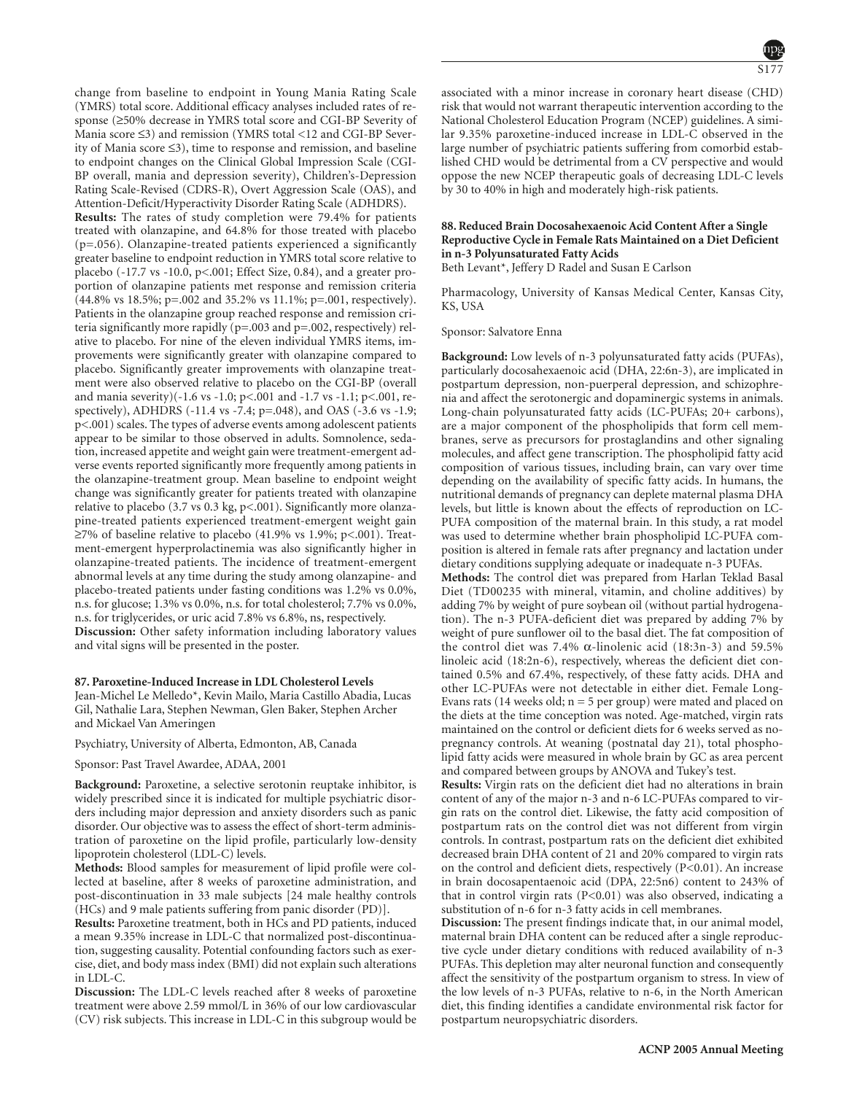change from baseline to endpoint in Young Mania Rating Scale (YMRS) total score. Additional efficacy analyses included rates of response (≥50% decrease in YMRS total score and CGI-BP Severity of Mania score ≤3) and remission (YMRS total <12 and CGI-BP Severity of Mania score ≤3), time to response and remission, and baseline to endpoint changes on the Clinical Global Impression Scale (CGI-BP overall, mania and depression severity), Children's-Depression Rating Scale-Revised (CDRS-R), Overt Aggression Scale (OAS), and Attention-Deficit/Hyperactivity Disorder Rating Scale (ADHDRS). **Results:** The rates of study completion were 79.4% for patients treated with olanzapine, and 64.8% for those treated with placebo (p=.056). Olanzapine-treated patients experienced a significantly greater baseline to endpoint reduction in YMRS total score relative to placebo (-17.7 vs -10.0, p<.001; Effect Size, 0.84), and a greater proportion of olanzapine patients met response and remission criteria (44.8% vs 18.5%; p=.002 and 35.2% vs 11.1%; p=.001, respectively). Patients in the olanzapine group reached response and remission criteria significantly more rapidly (p=.003 and p=.002, respectively) relative to placebo. For nine of the eleven individual YMRS items, improvements were significantly greater with olanzapine compared to placebo. Significantly greater improvements with olanzapine treatment were also observed relative to placebo on the CGI-BP (overall and mania severity)(-1.6 vs -1.0; p<.001 and -1.7 vs -1.1; p<.001, respectively), ADHDRS (-11.4 vs -7.4; p=.048), and OAS (-3.6 vs -1.9; p<.001) scales. The types of adverse events among adolescent patients appear to be similar to those observed in adults. Somnolence, sedation, increased appetite and weight gain were treatment-emergent adverse events reported significantly more frequently among patients in the olanzapine-treatment group. Mean baseline to endpoint weight change was significantly greater for patients treated with olanzapine relative to placebo (3.7 vs 0.3 kg, p<.001). Significantly more olanzapine-treated patients experienced treatment-emergent weight gain ≥7% of baseline relative to placebo (41.9% vs 1.9%; p<.001). Treatment-emergent hyperprolactinemia was also significantly higher in olanzapine-treated patients. The incidence of treatment-emergent abnormal levels at any time during the study among olanzapine- and placebo-treated patients under fasting conditions was 1.2% vs 0.0%, n.s. for glucose; 1.3% vs 0.0%, n.s. for total cholesterol; 7.7% vs 0.0%, n.s. for triglycerides, or uric acid 7.8% vs 6.8%, ns, respectively. **Discussion:** Other safety information including laboratory values and vital signs will be presented in the poster.

#### **87. Paroxetine-Induced Increase in LDL Cholesterol Levels**

Jean-Michel Le Melledo\*, Kevin Mailo, Maria Castillo Abadia, Lucas Gil, Nathalie Lara, Stephen Newman, Glen Baker, Stephen Archer and Mickael Van Ameringen

Psychiatry, University of Alberta, Edmonton, AB, Canada

Sponsor: Past Travel Awardee, ADAA, 2001

**Background:** Paroxetine, a selective serotonin reuptake inhibitor, is widely prescribed since it is indicated for multiple psychiatric disorders including major depression and anxiety disorders such as panic disorder. Our objective was to assess the effect of short-term administration of paroxetine on the lipid profile, particularly low-density lipoprotein cholesterol (LDL-C) levels.

**Methods:** Blood samples for measurement of lipid profile were collected at baseline, after 8 weeks of paroxetine administration, and post-discontinuation in 33 male subjects [24 male healthy controls (HCs) and 9 male patients suffering from panic disorder (PD)].

**Results:** Paroxetine treatment, both in HCs and PD patients, induced a mean 9.35% increase in LDL-C that normalized post-discontinuation, suggesting causality. Potential confounding factors such as exercise, diet, and body mass index (BMI) did not explain such alterations in LDL-C.

**Discussion:** The LDL-C levels reached after 8 weeks of paroxetine treatment were above 2.59 mmol/L in 36% of our low cardiovascular (CV) risk subjects. This increase in LDL-C in this subgroup would be S177

associated with a minor increase in coronary heart disease (CHD) risk that would not warrant therapeutic intervention according to the National Cholesterol Education Program (NCEP) guidelines. A similar 9.35% paroxetine-induced increase in LDL-C observed in the large number of psychiatric patients suffering from comorbid established CHD would be detrimental from a CV perspective and would oppose the new NCEP therapeutic goals of decreasing LDL-C levels by 30 to 40% in high and moderately high-risk patients.

# **88. Reduced Brain Docosahexaenoic Acid Content After a Single Reproductive Cycle in Female Rats Maintained on a Diet Deficient in n-3 Polyunsaturated Fatty Acids**

Beth Levant\*, Jeffery D Radel and Susan E Carlson

Pharmacology, University of Kansas Medical Center, Kansas City, KS, USA

Sponsor: Salvatore Enna

**Background:** Low levels of n-3 polyunsaturated fatty acids (PUFAs), particularly docosahexaenoic acid (DHA, 22:6n-3), are implicated in postpartum depression, non-puerperal depression, and schizophrenia and affect the serotonergic and dopaminergic systems in animals. Long-chain polyunsaturated fatty acids (LC-PUFAs; 20+ carbons), are a major component of the phospholipids that form cell membranes, serve as precursors for prostaglandins and other signaling molecules, and affect gene transcription. The phospholipid fatty acid composition of various tissues, including brain, can vary over time depending on the availability of specific fatty acids. In humans, the nutritional demands of pregnancy can deplete maternal plasma DHA levels, but little is known about the effects of reproduction on LC-PUFA composition of the maternal brain. In this study, a rat model was used to determine whether brain phospholipid LC-PUFA composition is altered in female rats after pregnancy and lactation under dietary conditions supplying adequate or inadequate n-3 PUFAs.

**Methods:** The control diet was prepared from Harlan Teklad Basal Diet (TD00235 with mineral, vitamin, and choline additives) by adding 7% by weight of pure soybean oil (without partial hydrogenation). The n-3 PUFA-deficient diet was prepared by adding 7% by weight of pure sunflower oil to the basal diet. The fat composition of the control diet was 7.4% α-linolenic acid (18:3n-3) and 59.5% linoleic acid (18:2n-6), respectively, whereas the deficient diet contained 0.5% and 67.4%, respectively, of these fatty acids. DHA and other LC-PUFAs were not detectable in either diet. Female Long-Evans rats (14 weeks old;  $n = 5$  per group) were mated and placed on the diets at the time conception was noted. Age-matched, virgin rats maintained on the control or deficient diets for 6 weeks served as nopregnancy controls. At weaning (postnatal day 21), total phospholipid fatty acids were measured in whole brain by GC as area percent and compared between groups by ANOVA and Tukey's test.

**Results:** Virgin rats on the deficient diet had no alterations in brain content of any of the major n-3 and n-6 LC-PUFAs compared to virgin rats on the control diet. Likewise, the fatty acid composition of postpartum rats on the control diet was not different from virgin controls. In contrast, postpartum rats on the deficient diet exhibited decreased brain DHA content of 21 and 20% compared to virgin rats on the control and deficient diets, respectively (P<0.01). An increase in brain docosapentaenoic acid (DPA, 22:5n6) content to 243% of that in control virgin rats (P<0.01) was also observed, indicating a substitution of n-6 for n-3 fatty acids in cell membranes.

**Discussion:** The present findings indicate that, in our animal model, maternal brain DHA content can be reduced after a single reproductive cycle under dietary conditions with reduced availability of n-3 PUFAs. This depletion may alter neuronal function and consequently affect the sensitivity of the postpartum organism to stress. In view of the low levels of n-3 PUFAs, relative to n-6, in the North American diet, this finding identifies a candidate environmental risk factor for postpartum neuropsychiatric disorders.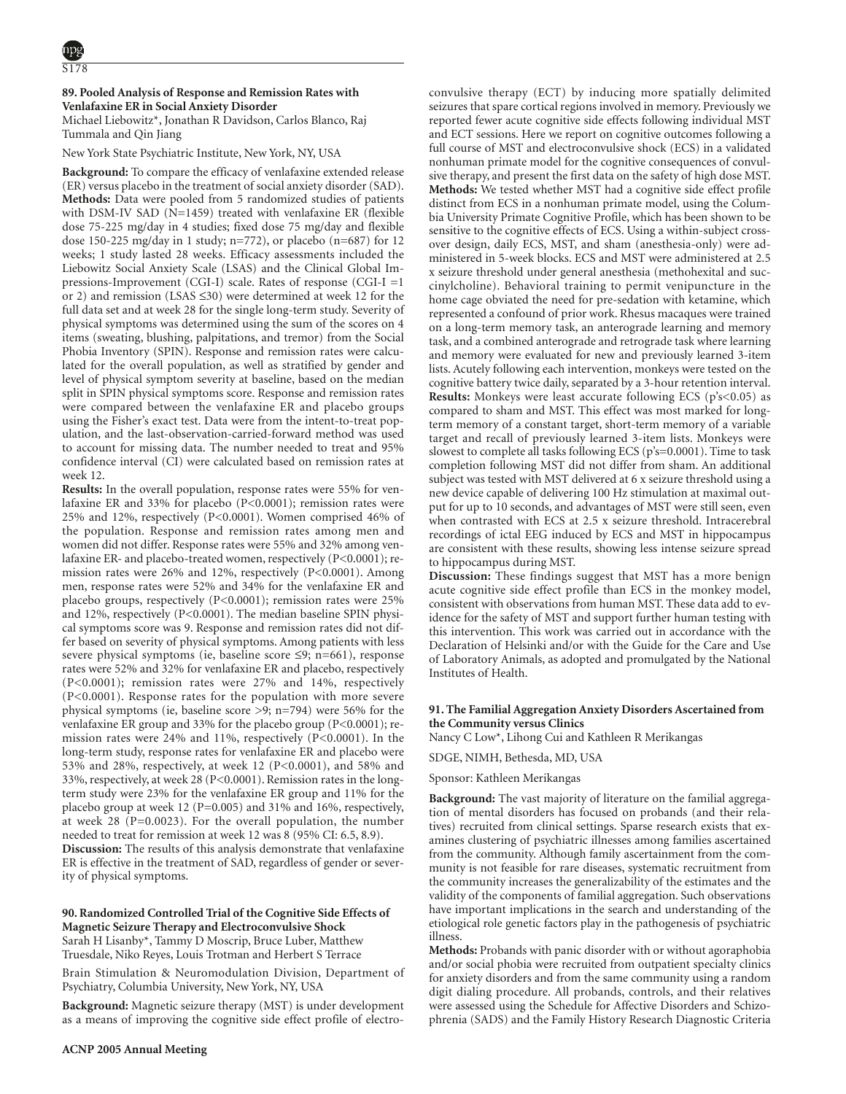# **89. Pooled Analysis of Response and Remission Rates with Venlafaxine ER in Social Anxiety Disorder**

Michael Liebowitz\*, Jonathan R Davidson, Carlos Blanco, Raj Tummala and Qin Jiang

# New York State Psychiatric Institute, New York, NY, USA

**Background:** To compare the efficacy of venlafaxine extended release (ER) versus placebo in the treatment of social anxiety disorder (SAD). **Methods:** Data were pooled from 5 randomized studies of patients with DSM-IV SAD (N=1459) treated with venlafaxine ER (flexible dose 75-225 mg/day in 4 studies; fixed dose 75 mg/day and flexible dose 150-225 mg/day in 1 study; n=772), or placebo (n=687) for 12 weeks; 1 study lasted 28 weeks. Efficacy assessments included the Liebowitz Social Anxiety Scale (LSAS) and the Clinical Global Impressions-Improvement (CGI-I) scale. Rates of response (CGI-I =1 or 2) and remission (LSAS ≤30) were determined at week 12 for the full data set and at week 28 for the single long-term study. Severity of physical symptoms was determined using the sum of the scores on 4 items (sweating, blushing, palpitations, and tremor) from the Social Phobia Inventory (SPIN). Response and remission rates were calculated for the overall population, as well as stratified by gender and level of physical symptom severity at baseline, based on the median split in SPIN physical symptoms score. Response and remission rates were compared between the venlafaxine ER and placebo groups using the Fisher's exact test. Data were from the intent-to-treat population, and the last-observation-carried-forward method was used to account for missing data. The number needed to treat and 95% confidence interval (CI) were calculated based on remission rates at week 12.

**Results:** In the overall population, response rates were 55% for venlafaxine ER and 33% for placebo (P<0.0001); remission rates were 25% and 12%, respectively (P<0.0001). Women comprised 46% of the population. Response and remission rates among men and women did not differ. Response rates were 55% and 32% among venlafaxine ER- and placebo-treated women, respectively (P<0.0001); remission rates were 26% and 12%, respectively (P<0.0001). Among men, response rates were 52% and 34% for the venlafaxine ER and placebo groups, respectively (P<0.0001); remission rates were 25% and 12%, respectively (P<0.0001). The median baseline SPIN physical symptoms score was 9. Response and remission rates did not differ based on severity of physical symptoms. Among patients with less severe physical symptoms (ie, baseline score ≤9; n=661), response rates were 52% and 32% for venlafaxine ER and placebo, respectively (P<0.0001); remission rates were 27% and 14%, respectively (P<0.0001). Response rates for the population with more severe physical symptoms (ie, baseline score >9; n=794) were 56% for the venlafaxine ER group and 33% for the placebo group (P<0.0001); remission rates were 24% and 11%, respectively (P<0.0001). In the long-term study, response rates for venlafaxine ER and placebo were 53% and 28%, respectively, at week 12 (P<0.0001), and 58% and 33%, respectively, at week 28 (P<0.0001). Remission rates in the longterm study were 23% for the venlafaxine ER group and 11% for the placebo group at week 12 (P=0.005) and 31% and 16%, respectively, at week 28 (P=0.0023). For the overall population, the number needed to treat for remission at week 12 was 8 (95% CI: 6.5, 8.9). **Discussion:** The results of this analysis demonstrate that venlafaxine ER is effective in the treatment of SAD, regardless of gender or severity of physical symptoms.

# **90. Randomized Controlled Trial of the Cognitive Side Effects of Magnetic Seizure Therapy and Electroconvulsive Shock**

Sarah H Lisanby\*, Tammy D Moscrip, Bruce Luber, Matthew Truesdale, Niko Reyes, Louis Trotman and Herbert S Terrace

Brain Stimulation & Neuromodulation Division, Department of Psychiatry, Columbia University, New York, NY, USA

**Background:** Magnetic seizure therapy (MST) is under development as a means of improving the cognitive side effect profile of electroseizures that spare cortical regions involved in memory. Previously we reported fewer acute cognitive side effects following individual MST and ECT sessions. Here we report on cognitive outcomes following a full course of MST and electroconvulsive shock (ECS) in a validated nonhuman primate model for the cognitive consequences of convulsive therapy, and present the first data on the safety of high dose MST. **Methods:** We tested whether MST had a cognitive side effect profile distinct from ECS in a nonhuman primate model, using the Columbia University Primate Cognitive Profile, which has been shown to be sensitive to the cognitive effects of ECS. Using a within-subject crossover design, daily ECS, MST, and sham (anesthesia-only) were administered in 5-week blocks. ECS and MST were administered at 2.5 x seizure threshold under general anesthesia (methohexital and succinylcholine). Behavioral training to permit venipuncture in the home cage obviated the need for pre-sedation with ketamine, which represented a confound of prior work. Rhesus macaques were trained on a long-term memory task, an anterograde learning and memory task, and a combined anterograde and retrograde task where learning and memory were evaluated for new and previously learned 3-item lists. Acutely following each intervention, monkeys were tested on the cognitive battery twice daily, separated by a 3-hour retention interval. **Results:** Monkeys were least accurate following ECS (p's<0.05) as compared to sham and MST. This effect was most marked for longterm memory of a constant target, short-term memory of a variable target and recall of previously learned 3-item lists. Monkeys were slowest to complete all tasks following ECS (p's=0.0001). Time to task completion following MST did not differ from sham. An additional subject was tested with MST delivered at 6 x seizure threshold using a new device capable of delivering 100 Hz stimulation at maximal output for up to 10 seconds, and advantages of MST were still seen, even when contrasted with ECS at 2.5 x seizure threshold. Intracerebral recordings of ictal EEG induced by ECS and MST in hippocampus are consistent with these results, showing less intense seizure spread to hippocampus during MST.

convulsive therapy (ECT) by inducing more spatially delimited

**Discussion:** These findings suggest that MST has a more benign acute cognitive side effect profile than ECS in the monkey model, consistent with observations from human MST. These data add to evidence for the safety of MST and support further human testing with this intervention. This work was carried out in accordance with the Declaration of Helsinki and/or with the Guide for the Care and Use of Laboratory Animals, as adopted and promulgated by the National Institutes of Health.

# **91. The Familial Aggregation Anxiety Disorders Ascertained from the Community versus Clinics**

Nancy C Low\*, Lihong Cui and Kathleen R Merikangas

SDGE, NIMH, Bethesda, MD, USA

#### Sponsor: Kathleen Merikangas

**Background:** The vast majority of literature on the familial aggregation of mental disorders has focused on probands (and their relatives) recruited from clinical settings. Sparse research exists that examines clustering of psychiatric illnesses among families ascertained from the community. Although family ascertainment from the community is not feasible for rare diseases, systematic recruitment from the community increases the generalizability of the estimates and the validity of the components of familial aggregation. Such observations have important implications in the search and understanding of the etiological role genetic factors play in the pathogenesis of psychiatric illness.

**Methods:** Probands with panic disorder with or without agoraphobia and/or social phobia were recruited from outpatient specialty clinics for anxiety disorders and from the same community using a random digit dialing procedure. All probands, controls, and their relatives were assessed using the Schedule for Affective Disorders and Schizophrenia (SADS) and the Family History Research Diagnostic Criteria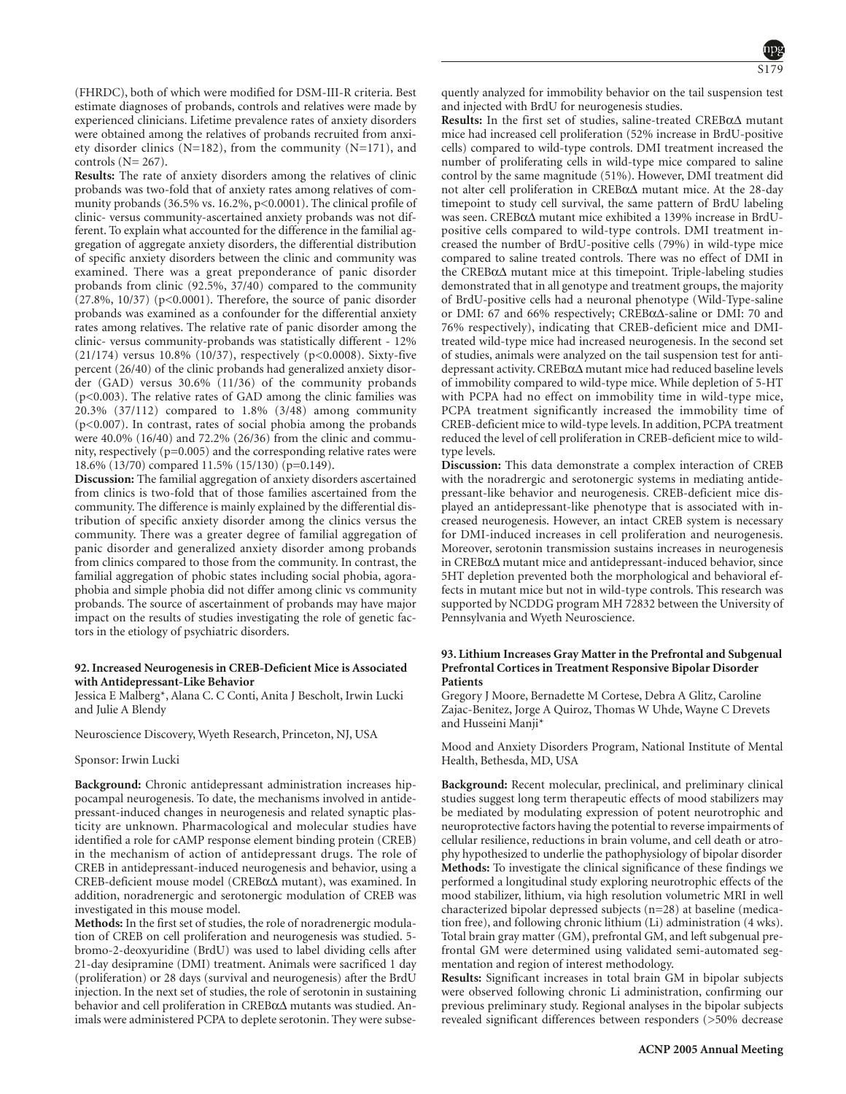(FHRDC), both of which were modified for DSM-III-R criteria. Best estimate diagnoses of probands, controls and relatives were made by experienced clinicians. Lifetime prevalence rates of anxiety disorders were obtained among the relatives of probands recruited from anxiety disorder clinics ( $N=182$ ), from the community ( $N=171$ ), and controls  $(N= 267)$ .

**Results:** The rate of anxiety disorders among the relatives of clinic probands was two-fold that of anxiety rates among relatives of community probands (36.5% vs. 16.2%, p<0.0001). The clinical profile of clinic- versus community-ascertained anxiety probands was not different. To explain what accounted for the difference in the familial aggregation of aggregate anxiety disorders, the differential distribution of specific anxiety disorders between the clinic and community was examined. There was a great preponderance of panic disorder probands from clinic (92.5%, 37/40) compared to the community (27.8%, 10/37) (p<0.0001). Therefore, the source of panic disorder probands was examined as a confounder for the differential anxiety rates among relatives. The relative rate of panic disorder among the clinic- versus community-probands was statistically different - 12% (21/174) versus 10.8% (10/37), respectively (p<0.0008). Sixty-five percent (26/40) of the clinic probands had generalized anxiety disorder (GAD) versus 30.6% (11/36) of the community probands (p<0.003). The relative rates of GAD among the clinic families was 20.3% (37/112) compared to 1.8% (3/48) among community (p<0.007). In contrast, rates of social phobia among the probands were 40.0% (16/40) and 72.2% (26/36) from the clinic and community, respectively (p=0.005) and the corresponding relative rates were 18.6% (13/70) compared 11.5% (15/130) (p=0.149).

**Discussion:** The familial aggregation of anxiety disorders ascertained from clinics is two-fold that of those families ascertained from the community. The difference is mainly explained by the differential distribution of specific anxiety disorder among the clinics versus the community. There was a greater degree of familial aggregation of panic disorder and generalized anxiety disorder among probands from clinics compared to those from the community. In contrast, the familial aggregation of phobic states including social phobia, agoraphobia and simple phobia did not differ among clinic vs community probands. The source of ascertainment of probands may have major impact on the results of studies investigating the role of genetic factors in the etiology of psychiatric disorders.

#### **92. Increased Neurogenesis in CREB-Deficient Mice is Associated with Antidepressant-Like Behavior**

Jessica E Malberg\*, Alana C. C Conti, Anita J Bescholt, Irwin Lucki and Julie A Blendy

Neuroscience Discovery, Wyeth Research, Princeton, NJ, USA

#### Sponsor: Irwin Lucki

**Background:** Chronic antidepressant administration increases hippocampal neurogenesis. To date, the mechanisms involved in antidepressant-induced changes in neurogenesis and related synaptic plasticity are unknown. Pharmacological and molecular studies have identified a role for cAMP response element binding protein (CREB) in the mechanism of action of antidepressant drugs. The role of CREB in antidepressant-induced neurogenesis and behavior, using a CREB-deficient mouse model (CREBα∆ mutant), was examined. In addition, noradrenergic and serotonergic modulation of CREB was investigated in this mouse model.

**Methods:** In the first set of studies, the role of noradrenergic modulation of CREB on cell proliferation and neurogenesis was studied. 5 bromo-2-deoxyuridine (BrdU) was used to label dividing cells after 21-day desipramine (DMI) treatment. Animals were sacrificed 1 day (proliferation) or 28 days (survival and neurogenesis) after the BrdU injection. In the next set of studies, the role of serotonin in sustaining behavior and cell proliferation in CREBα∆ mutants was studied. Animals were administered PCPA to deplete serotonin. They were subsequently analyzed for immobility behavior on the tail suspension test and injected with BrdU for neurogenesis studies.

**Results:** In the first set of studies, saline-treated CREBα∆ mutant mice had increased cell proliferation (52% increase in BrdU-positive cells) compared to wild-type controls. DMI treatment increased the number of proliferating cells in wild-type mice compared to saline control by the same magnitude (51%). However, DMI treatment did not alter cell proliferation in CREBα∆ mutant mice. At the 28-day timepoint to study cell survival, the same pattern of BrdU labeling was seen. CREBα∆ mutant mice exhibited a 139% increase in BrdUpositive cells compared to wild-type controls. DMI treatment increased the number of BrdU-positive cells (79%) in wild-type mice compared to saline treated controls. There was no effect of DMI in the CREBα∆ mutant mice at this timepoint. Triple-labeling studies demonstrated that in all genotype and treatment groups, the majority of BrdU-positive cells had a neuronal phenotype (Wild-Type-saline or DMI: 67 and 66% respectively; CREBα∆-saline or DMI: 70 and 76% respectively), indicating that CREB-deficient mice and DMItreated wild-type mice had increased neurogenesis. In the second set of studies, animals were analyzed on the tail suspension test for antidepressant activity. CREBα∆ mutant mice had reduced baseline levels of immobility compared to wild-type mice. While depletion of 5-HT with PCPA had no effect on immobility time in wild-type mice, PCPA treatment significantly increased the immobility time of CREB-deficient mice to wild-type levels. In addition, PCPA treatment reduced the level of cell proliferation in CREB-deficient mice to wildtype levels.

**Discussion:** This data demonstrate a complex interaction of CREB with the noradrergic and serotonergic systems in mediating antidepressant-like behavior and neurogenesis. CREB-deficient mice displayed an antidepressant-like phenotype that is associated with increased neurogenesis. However, an intact CREB system is necessary for DMI-induced increases in cell proliferation and neurogenesis. Moreover, serotonin transmission sustains increases in neurogenesis in CREBα∆ mutant mice and antidepressant-induced behavior, since 5HT depletion prevented both the morphological and behavioral effects in mutant mice but not in wild-type controls. This research was supported by NCDDG program MH 72832 between the University of Pennsylvania and Wyeth Neuroscience.

# **93. Lithium Increases Gray Matter in the Prefrontal and Subgenual Prefrontal Cortices in Treatment Responsive Bipolar Disorder Patients**

Gregory J Moore, Bernadette M Cortese, Debra A Glitz, Caroline Zajac-Benitez, Jorge A Quiroz, Thomas W Uhde, Wayne C Drevets and Husseini Manji\*

Mood and Anxiety Disorders Program, National Institute of Mental Health, Bethesda, MD, USA

**Background:** Recent molecular, preclinical, and preliminary clinical studies suggest long term therapeutic effects of mood stabilizers may be mediated by modulating expression of potent neurotrophic and neuroprotective factors having the potential to reverse impairments of cellular resilience, reductions in brain volume, and cell death or atrophy hypothesized to underlie the pathophysiology of bipolar disorder **Methods:** To investigate the clinical significance of these findings we performed a longitudinal study exploring neurotrophic effects of the mood stabilizer, lithium, via high resolution volumetric MRI in well characterized bipolar depressed subjects (n=28) at baseline (medication free), and following chronic lithium (Li) administration (4 wks). Total brain gray matter (GM), prefrontal GM, and left subgenual prefrontal GM were determined using validated semi-automated segmentation and region of interest methodology.

**Results:** Significant increases in total brain GM in bipolar subjects were observed following chronic Li administration, confirming our previous preliminary study. Regional analyses in the bipolar subjects revealed significant differences between responders (>50% decrease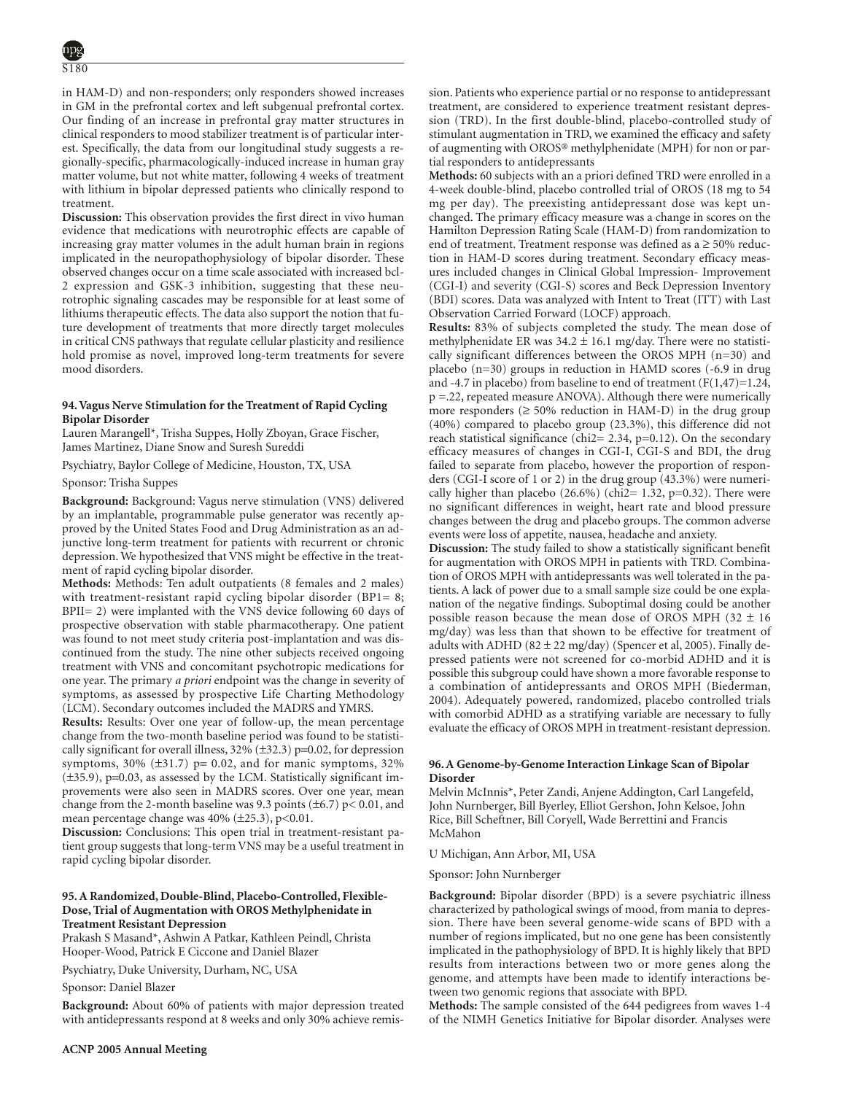in HAM-D) and non-responders; only responders showed increases in GM in the prefrontal cortex and left subgenual prefrontal cortex. Our finding of an increase in prefrontal gray matter structures in clinical responders to mood stabilizer treatment is of particular interest. Specifically, the data from our longitudinal study suggests a regionally-specific, pharmacologically-induced increase in human gray matter volume, but not white matter, following 4 weeks of treatment with lithium in bipolar depressed patients who clinically respond to treatment.

**Discussion:** This observation provides the first direct in vivo human evidence that medications with neurotrophic effects are capable of increasing gray matter volumes in the adult human brain in regions implicated in the neuropathophysiology of bipolar disorder. These observed changes occur on a time scale associated with increased bcl-2 expression and GSK-3 inhibition, suggesting that these neurotrophic signaling cascades may be responsible for at least some of lithiums therapeutic effects. The data also support the notion that future development of treatments that more directly target molecules in critical CNS pathways that regulate cellular plasticity and resilience hold promise as novel, improved long-term treatments for severe mood disorders.

### **94. Vagus Nerve Stimulation for the Treatment of Rapid Cycling Bipolar Disorder**

Lauren Marangell\*, Trisha Suppes, Holly Zboyan, Grace Fischer, James Martinez, Diane Snow and Suresh Sureddi

Psychiatry, Baylor College of Medicine, Houston, TX, USA

Sponsor: Trisha Suppes

**Background:** Background: Vagus nerve stimulation (VNS) delivered by an implantable, programmable pulse generator was recently approved by the United States Food and Drug Administration as an adjunctive long-term treatment for patients with recurrent or chronic depression. We hypothesized that VNS might be effective in the treatment of rapid cycling bipolar disorder.

**Methods:** Methods: Ten adult outpatients (8 females and 2 males) with treatment-resistant rapid cycling bipolar disorder (BP1= 8; BPII= 2) were implanted with the VNS device following 60 days of prospective observation with stable pharmacotherapy. One patient was found to not meet study criteria post-implantation and was discontinued from the study. The nine other subjects received ongoing treatment with VNS and concomitant psychotropic medications for one year. The primary *a priori* endpoint was the change in severity of symptoms, as assessed by prospective Life Charting Methodology (LCM). Secondary outcomes included the MADRS and YMRS.

**Results:** Results: Over one year of follow-up, the mean percentage change from the two-month baseline period was found to be statistically significant for overall illness,  $32\%$  ( $\pm 32.3$ ) p=0.02, for depression symptoms,  $30\%$  ( $\pm 31.7$ ) p= 0.02, and for manic symptoms,  $32\%$ (±35.9), p=0.03, as assessed by the LCM. Statistically significant improvements were also seen in MADRS scores. Over one year, mean change from the 2-month baseline was 9.3 points  $(\pm 6.7)$  p< 0.01, and mean percentage change was  $40\%$  ( $\pm$ 25.3), p<0.01.

**Discussion:** Conclusions: This open trial in treatment-resistant patient group suggests that long-term VNS may be a useful treatment in rapid cycling bipolar disorder.

# **95. A Randomized, Double-Blind, Placebo-Controlled, Flexible-Dose, Trial of Augmentation with OROS Methylphenidate in Treatment Resistant Depression**

Prakash S Masand\*, Ashwin A Patkar, Kathleen Peindl, Christa Hooper-Wood, Patrick E Ciccone and Daniel Blazer

Psychiatry, Duke University, Durham, NC, USA

Sponsor: Daniel Blazer

**Background:** About 60% of patients with major depression treated with antidepressants respond at 8 weeks and only 30% achieve remission. Patients who experience partial or no response to antidepressant treatment, are considered to experience treatment resistant depression (TRD). In the first double-blind, placebo-controlled study of stimulant augmentation in TRD, we examined the efficacy and safety of augmenting with OROS® methylphenidate (MPH) for non or partial responders to antidepressants

**Methods:** 60 subjects with an a priori defined TRD were enrolled in a 4-week double-blind, placebo controlled trial of OROS (18 mg to 54 mg per day). The preexisting antidepressant dose was kept unchanged. The primary efficacy measure was a change in scores on the Hamilton Depression Rating Scale (HAM-D) from randomization to end of treatment. Treatment response was defined as a ≥ 50% reduction in HAM-D scores during treatment. Secondary efficacy measures included changes in Clinical Global Impression- Improvement (CGI-I) and severity (CGI-S) scores and Beck Depression Inventory (BDI) scores. Data was analyzed with Intent to Treat (ITT) with Last Observation Carried Forward (LOCF) approach.

**Results:** 83% of subjects completed the study. The mean dose of methylphenidate ER was  $34.2 \pm 16.1$  mg/day. There were no statistically significant differences between the OROS MPH (n=30) and placebo (n=30) groups in reduction in HAMD scores (-6.9 in drug and -4.7 in placebo) from baseline to end of treatment  $(F(1,47)=1.24,$ p =.22, repeated measure ANOVA). Although there were numerically more responders  $(≥ 50%$  reduction in HAM-D) in the drug group (40%) compared to placebo group (23.3%), this difference did not reach statistical significance (chi2= 2.34, p=0.12). On the secondary efficacy measures of changes in CGI-I, CGI-S and BDI, the drug failed to separate from placebo, however the proportion of responders (CGI-I score of 1 or 2) in the drug group (43.3%) were numerically higher than placebo  $(26.6\%)$  (chi2= 1.32, p=0.32). There were no significant differences in weight, heart rate and blood pressure changes between the drug and placebo groups. The common adverse events were loss of appetite, nausea, headache and anxiety.

**Discussion:** The study failed to show a statistically significant benefit for augmentation with OROS MPH in patients with TRD. Combination of OROS MPH with antidepressants was well tolerated in the patients. A lack of power due to a small sample size could be one explanation of the negative findings. Suboptimal dosing could be another possible reason because the mean dose of OROS MPH (32  $\pm$  16 mg/day) was less than that shown to be effective for treatment of adults with ADHD (82  $\pm$  22 mg/day) (Spencer et al, 2005). Finally depressed patients were not screened for co-morbid ADHD and it is possible this subgroup could have shown a more favorable response to a combination of antidepressants and OROS MPH (Biederman, 2004). Adequately powered, randomized, placebo controlled trials with comorbid ADHD as a stratifying variable are necessary to fully evaluate the efficacy of OROS MPH in treatment-resistant depression.

# **96. A Genome-by-Genome Interaction Linkage Scan of Bipolar Disorder**

Melvin McInnis\*, Peter Zandi, Anjene Addington, Carl Langefeld, John Nurnberger, Bill Byerley, Elliot Gershon, John Kelsoe, John Rice, Bill Scheftner, Bill Coryell, Wade Berrettini and Francis McMahon

U Michigan, Ann Arbor, MI, USA

Sponsor: John Nurnberger

**Background:** Bipolar disorder (BPD) is a severe psychiatric illness characterized by pathological swings of mood, from mania to depression. There have been several genome-wide scans of BPD with a number of regions implicated, but no one gene has been consistently implicated in the pathophysiology of BPD. It is highly likely that BPD results from interactions between two or more genes along the genome, and attempts have been made to identify interactions between two genomic regions that associate with BPD.

**Methods:** The sample consisted of the 644 pedigrees from waves 1-4 of the NIMH Genetics Initiative for Bipolar disorder. Analyses were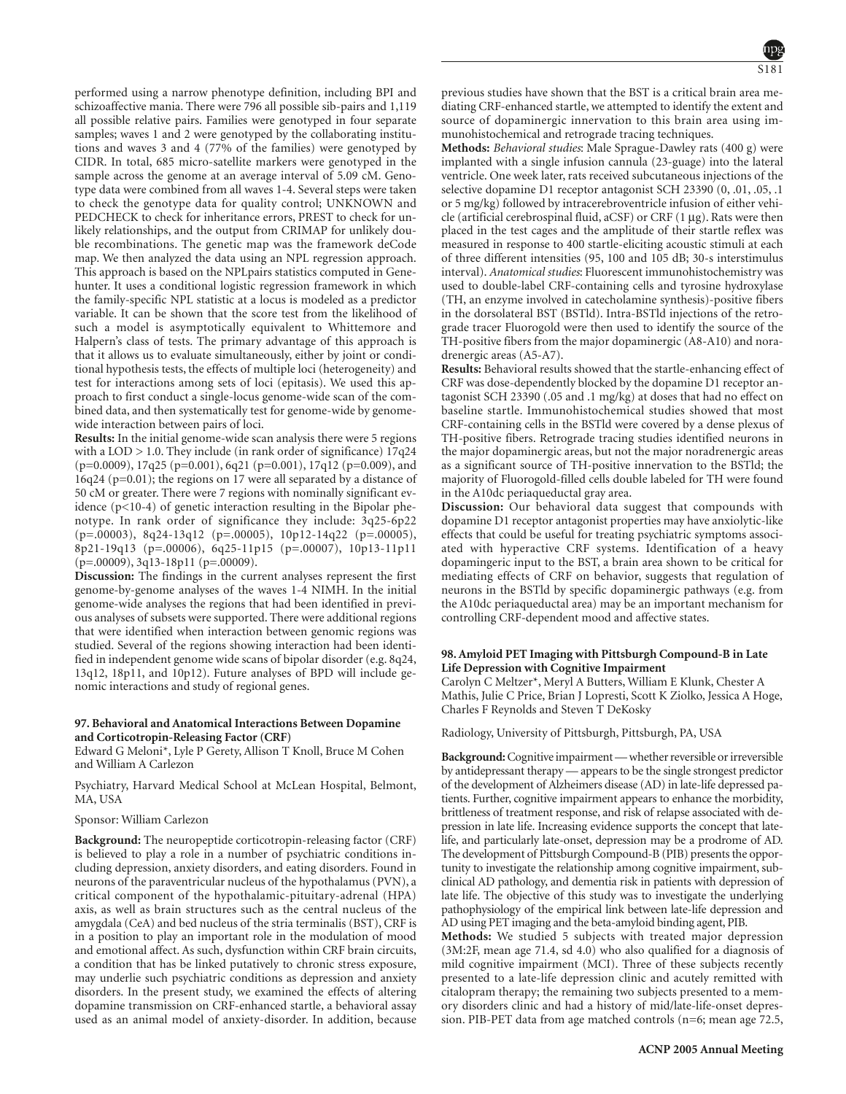performed using a narrow phenotype definition, including BPI and schizoaffective mania. There were 796 all possible sib-pairs and 1,119 all possible relative pairs. Families were genotyped in four separate samples; waves 1 and 2 were genotyped by the collaborating institutions and waves 3 and 4 (77% of the families) were genotyped by CIDR. In total, 685 micro-satellite markers were genotyped in the sample across the genome at an average interval of 5.09 cM. Genotype data were combined from all waves 1-4. Several steps were taken to check the genotype data for quality control; UNKNOWN and PEDCHECK to check for inheritance errors, PREST to check for unlikely relationships, and the output from CRIMAP for unlikely double recombinations. The genetic map was the framework deCode map. We then analyzed the data using an NPL regression approach. This approach is based on the NPLpairs statistics computed in Genehunter. It uses a conditional logistic regression framework in which the family-specific NPL statistic at a locus is modeled as a predictor variable. It can be shown that the score test from the likelihood of such a model is asymptotically equivalent to Whittemore and Halpern's class of tests. The primary advantage of this approach is

that it allows us to evaluate simultaneously, either by joint or conditional hypothesis tests, the effects of multiple loci (heterogeneity) and test for interactions among sets of loci (epitasis). We used this approach to first conduct a single-locus genome-wide scan of the combined data, and then systematically test for genome-wide by genomewide interaction between pairs of loci.

**Results:** In the initial genome-wide scan analysis there were 5 regions with a  $LOD > 1.0$ . They include (in rank order of significance)  $17q24$ (p=0.0009), 17q25 (p=0.001), 6q21 (p=0.001), 17q12 (p=0.009), and 16q24 (p=0.01); the regions on 17 were all separated by a distance of 50 cM or greater. There were 7 regions with nominally significant evidence (p<10-4) of genetic interaction resulting in the Bipolar phenotype. In rank order of significance they include: 3q25-6p22 (p=.00003), 8q24-13q12 (p=.00005), 10p12-14q22 (p=.00005), 8p21-19q13 (p=.00006), 6q25-11p15 (p=.00007), 10p13-11p11  $(p=.00009), 3q13-18p11 (p=.00009).$ 

**Discussion:** The findings in the current analyses represent the first genome-by-genome analyses of the waves 1-4 NIMH. In the initial genome-wide analyses the regions that had been identified in previous analyses of subsets were supported. There were additional regions that were identified when interaction between genomic regions was studied. Several of the regions showing interaction had been identified in independent genome wide scans of bipolar disorder (e.g. 8q24, 13q12, 18p11, and 10p12). Future analyses of BPD will include genomic interactions and study of regional genes.

### **97. Behavioral and Anatomical Interactions Between Dopamine and Corticotropin-Releasing Factor (CRF)**

Edward G Meloni\*, Lyle P Gerety, Allison T Knoll, Bruce M Cohen and William A Carlezon

Psychiatry, Harvard Medical School at McLean Hospital, Belmont, MA, USA

# Sponsor: William Carlezon

**Background:** The neuropeptide corticotropin-releasing factor (CRF) is believed to play a role in a number of psychiatric conditions including depression, anxiety disorders, and eating disorders. Found in neurons of the paraventricular nucleus of the hypothalamus (PVN), a critical component of the hypothalamic-pituitary-adrenal (HPA) axis, as well as brain structures such as the central nucleus of the amygdala (CeA) and bed nucleus of the stria terminalis (BST), CRF is in a position to play an important role in the modulation of mood and emotional affect. As such, dysfunction within CRF brain circuits, a condition that has be linked putatively to chronic stress exposure, may underlie such psychiatric conditions as depression and anxiety disorders. In the present study, we examined the effects of altering dopamine transmission on CRF-enhanced startle, a behavioral assay used as an animal model of anxiety-disorder. In addition, because previous studies have shown that the BST is a critical brain area mediating CRF-enhanced startle, we attempted to identify the extent and source of dopaminergic innervation to this brain area using immunohistochemical and retrograde tracing techniques.

**Methods:** *Behavioral studies*: Male Sprague-Dawley rats (400 g) were implanted with a single infusion cannula (23-guage) into the lateral ventricle. One week later, rats received subcutaneous injections of the selective dopamine D1 receptor antagonist SCH 23390 (0, .01, .05, .1 or 5 mg/kg) followed by intracerebroventricle infusion of either vehicle (artificial cerebrospinal fluid,  $aCSF$ ) or CRF (1  $\mu$ g). Rats were then placed in the test cages and the amplitude of their startle reflex was measured in response to 400 startle-eliciting acoustic stimuli at each of three different intensities (95, 100 and 105 dB; 30-s interstimulus interval). *Anatomical studies*: Fluorescent immunohistochemistry was used to double-label CRF-containing cells and tyrosine hydroxylase (TH, an enzyme involved in catecholamine synthesis)-positive fibers in the dorsolateral BST (BSTld). Intra-BSTld injections of the retrograde tracer Fluorogold were then used to identify the source of the TH-positive fibers from the major dopaminergic (A8-A10) and noradrenergic areas (A5-A7).

**Results:** Behavioral results showed that the startle-enhancing effect of CRF was dose-dependently blocked by the dopamine D1 receptor antagonist SCH 23390 (.05 and .1 mg/kg) at doses that had no effect on baseline startle. Immunohistochemical studies showed that most CRF-containing cells in the BSTld were covered by a dense plexus of TH-positive fibers. Retrograde tracing studies identified neurons in the major dopaminergic areas, but not the major noradrenergic areas as a significant source of TH-positive innervation to the BSTld; the majority of Fluorogold-filled cells double labeled for TH were found in the A10dc periaqueductal gray area.

**Discussion:** Our behavioral data suggest that compounds with dopamine D1 receptor antagonist properties may have anxiolytic-like effects that could be useful for treating psychiatric symptoms associated with hyperactive CRF systems. Identification of a heavy dopamingeric input to the BST, a brain area shown to be critical for mediating effects of CRF on behavior, suggests that regulation of neurons in the BSTld by specific dopaminergic pathways (e.g. from the A10dc periaqueductal area) may be an important mechanism for controlling CRF-dependent mood and affective states.

# **98. Amyloid PET Imaging with Pittsburgh Compound-B in Late Life Depression with Cognitive Impairment**

Carolyn C Meltzer\*, Meryl A Butters, William E Klunk, Chester A Mathis, Julie C Price, Brian J Lopresti, Scott K Ziolko, Jessica A Hoge, Charles F Reynolds and Steven T DeKosky

Radiology, University of Pittsburgh, Pittsburgh, PA, USA

**Background:**Cognitive impairment — whether reversible or irreversible by antidepressant therapy — appears to be the single strongest predictor of the development of Alzheimers disease (AD) in late-life depressed patients. Further, cognitive impairment appears to enhance the morbidity, brittleness of treatment response, and risk of relapse associated with depression in late life. Increasing evidence supports the concept that latelife, and particularly late-onset, depression may be a prodrome of AD. The development of Pittsburgh Compound-B (PIB) presents the opportunity to investigate the relationship among cognitive impairment, subclinical AD pathology, and dementia risk in patients with depression of late life. The objective of this study was to investigate the underlying pathophysiology of the empirical link between late-life depression and AD using PET imaging and the beta-amyloid binding agent, PIB.

**Methods:** We studied 5 subjects with treated major depression (3M:2F, mean age 71.4, sd 4.0) who also qualified for a diagnosis of mild cognitive impairment (MCI). Three of these subjects recently presented to a late-life depression clinic and acutely remitted with citalopram therapy; the remaining two subjects presented to a memory disorders clinic and had a history of mid/late-life-onset depression. PIB-PET data from age matched controls (n=6; mean age 72.5,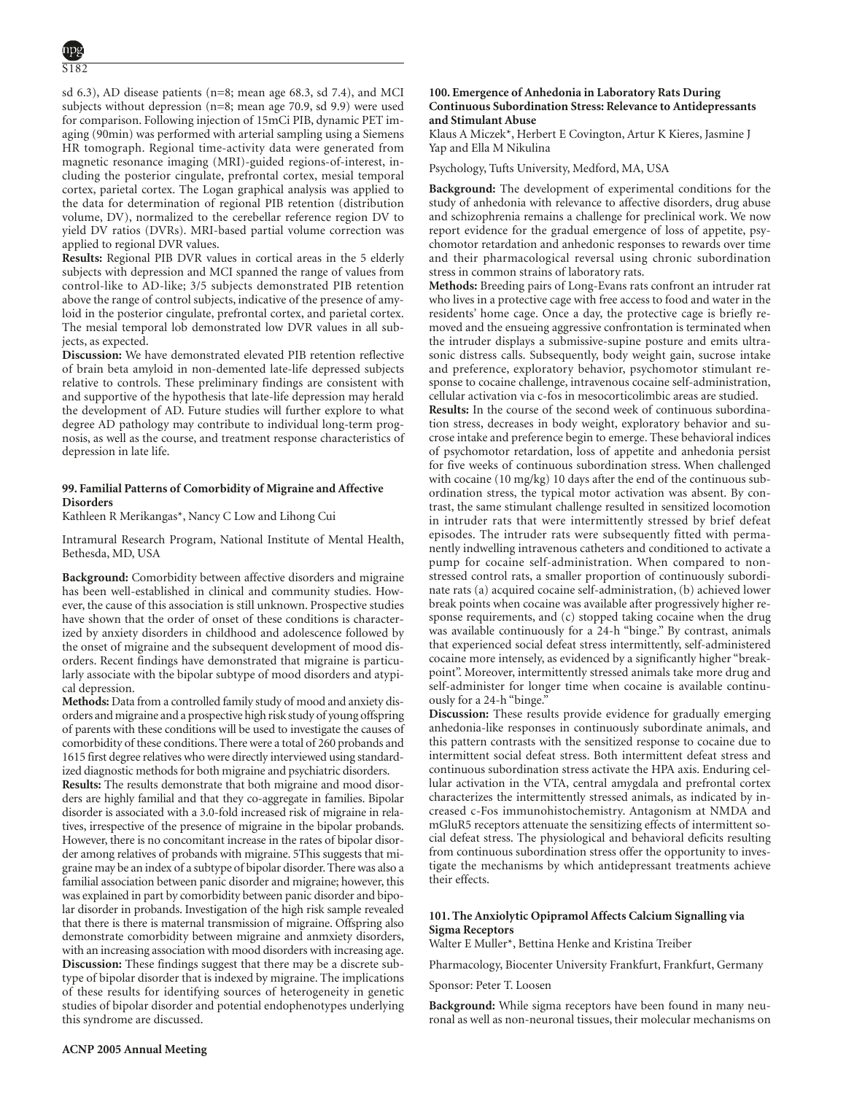sd 6.3), AD disease patients (n=8; mean age 68.3, sd 7.4), and MCI subjects without depression (n=8; mean age 70.9, sd 9.9) were used for comparison. Following injection of 15mCi PIB, dynamic PET imaging (90min) was performed with arterial sampling using a Siemens HR tomograph. Regional time-activity data were generated from magnetic resonance imaging (MRI)-guided regions-of-interest, including the posterior cingulate, prefrontal cortex, mesial temporal cortex, parietal cortex. The Logan graphical analysis was applied to the data for determination of regional PIB retention (distribution volume, DV), normalized to the cerebellar reference region DV to yield DV ratios (DVRs). MRI-based partial volume correction was applied to regional DVR values.

**Results:** Regional PIB DVR values in cortical areas in the 5 elderly subjects with depression and MCI spanned the range of values from control-like to AD-like; 3/5 subjects demonstrated PIB retention above the range of control subjects, indicative of the presence of amyloid in the posterior cingulate, prefrontal cortex, and parietal cortex. The mesial temporal lob demonstrated low DVR values in all subjects, as expected.

**Discussion:** We have demonstrated elevated PIB retention reflective of brain beta amyloid in non-demented late-life depressed subjects relative to controls. These preliminary findings are consistent with and supportive of the hypothesis that late-life depression may herald the development of AD. Future studies will further explore to what degree AD pathology may contribute to individual long-term prognosis, as well as the course, and treatment response characteristics of depression in late life.

# **99. Familial Patterns of Comorbidity of Migraine and Affective Disorders**

Kathleen R Merikangas\*, Nancy C Low and Lihong Cui

Intramural Research Program, National Institute of Mental Health, Bethesda, MD, USA

**Background:** Comorbidity between affective disorders and migraine has been well-established in clinical and community studies. However, the cause of this association is still unknown. Prospective studies have shown that the order of onset of these conditions is characterized by anxiety disorders in childhood and adolescence followed by the onset of migraine and the subsequent development of mood disorders. Recent findings have demonstrated that migraine is particularly associate with the bipolar subtype of mood disorders and atypical depression.

**Methods:** Data from a controlled family study of mood and anxiety disorders and migraine and a prospective high risk study of young offspring of parents with these conditions will be used to investigate the causes of comorbidity of these conditions. There were a total of 260 probands and 1615 first degree relatives who were directly interviewed using standardized diagnostic methods for both migraine and psychiatric disorders.

**Results:** The results demonstrate that both migraine and mood disorders are highly familial and that they co-aggregate in families. Bipolar disorder is associated with a 3.0-fold increased risk of migraine in relatives, irrespective of the presence of migraine in the bipolar probands. However, there is no concomitant increase in the rates of bipolar disorder among relatives of probands with migraine. 5This suggests that migraine may be an index of a subtype of bipolar disorder. There was also a familial association between panic disorder and migraine; however, this was explained in part by comorbidity between panic disorder and bipolar disorder in probands. Investigation of the high risk sample revealed that there is there is maternal transmission of migraine. Offspring also demonstrate comorbidity between migraine and anmxiety disorders, with an increasing association with mood disorders with increasing age. **Discussion:** These findings suggest that there may be a discrete subtype of bipolar disorder that is indexed by migraine. The implications of these results for identifying sources of heterogeneity in genetic studies of bipolar disorder and potential endophenotypes underlying this syndrome are discussed.

# **100. Emergence of Anhedonia in Laboratory Rats During Continuous Subordination Stress: Relevance to Antidepressants and Stimulant Abuse**

Klaus A Miczek\*, Herbert E Covington, Artur K Kieres, Jasmine J Yap and Ella M Nikulina

Psychology, Tufts University, Medford, MA, USA

**Background:** The development of experimental conditions for the study of anhedonia with relevance to affective disorders, drug abuse and schizophrenia remains a challenge for preclinical work. We now report evidence for the gradual emergence of loss of appetite, psychomotor retardation and anhedonic responses to rewards over time and their pharmacological reversal using chronic subordination stress in common strains of laboratory rats.

**Methods:** Breeding pairs of Long-Evans rats confront an intruder rat who lives in a protective cage with free access to food and water in the residents' home cage. Once a day, the protective cage is briefly removed and the ensueing aggressive confrontation is terminated when the intruder displays a submissive-supine posture and emits ultrasonic distress calls. Subsequently, body weight gain, sucrose intake and preference, exploratory behavior, psychomotor stimulant response to cocaine challenge, intravenous cocaine self-administration, cellular activation via c-fos in mesocorticolimbic areas are studied.

**Results:** In the course of the second week of continuous subordination stress, decreases in body weight, exploratory behavior and sucrose intake and preference begin to emerge. These behavioral indices of psychomotor retardation, loss of appetite and anhedonia persist for five weeks of continuous subordination stress. When challenged with cocaine (10 mg/kg) 10 days after the end of the continuous subordination stress, the typical motor activation was absent. By contrast, the same stimulant challenge resulted in sensitized locomotion in intruder rats that were intermittently stressed by brief defeat episodes. The intruder rats were subsequently fitted with permanently indwelling intravenous catheters and conditioned to activate a pump for cocaine self-administration. When compared to nonstressed control rats, a smaller proportion of continuously subordinate rats (a) acquired cocaine self-administration, (b) achieved lower break points when cocaine was available after progressively higher response requirements, and (c) stopped taking cocaine when the drug was available continuously for a 24-h "binge." By contrast, animals that experienced social defeat stress intermittently, self-administered cocaine more intensely, as evidenced by a significantly higher "breakpoint". Moreover, intermittently stressed animals take more drug and self-administer for longer time when cocaine is available continuously for a 24-h "binge."

**Discussion:** These results provide evidence for gradually emerging anhedonia-like responses in continuously subordinate animals, and this pattern contrasts with the sensitized response to cocaine due to intermittent social defeat stress. Both intermittent defeat stress and continuous subordination stress activate the HPA axis. Enduring cellular activation in the VTA, central amygdala and prefrontal cortex characterizes the intermittently stressed animals, as indicated by increased c-Fos immunohistochemistry. Antagonism at NMDA and mGluR5 receptors attenuate the sensitizing effects of intermittent social defeat stress. The physiological and behavioral deficits resulting from continuous subordination stress offer the opportunity to investigate the mechanisms by which antidepressant treatments achieve their effects.

# **101. The Anxiolytic Opipramol Affects Calcium Signalling via Sigma Receptors**

Walter E Muller\*, Bettina Henke and Kristina Treiber

Pharmacology, Biocenter University Frankfurt, Frankfurt, Germany

Sponsor: Peter T. Loosen

**Background:** While sigma receptors have been found in many neuronal as well as non-neuronal tissues, their molecular mechanisms on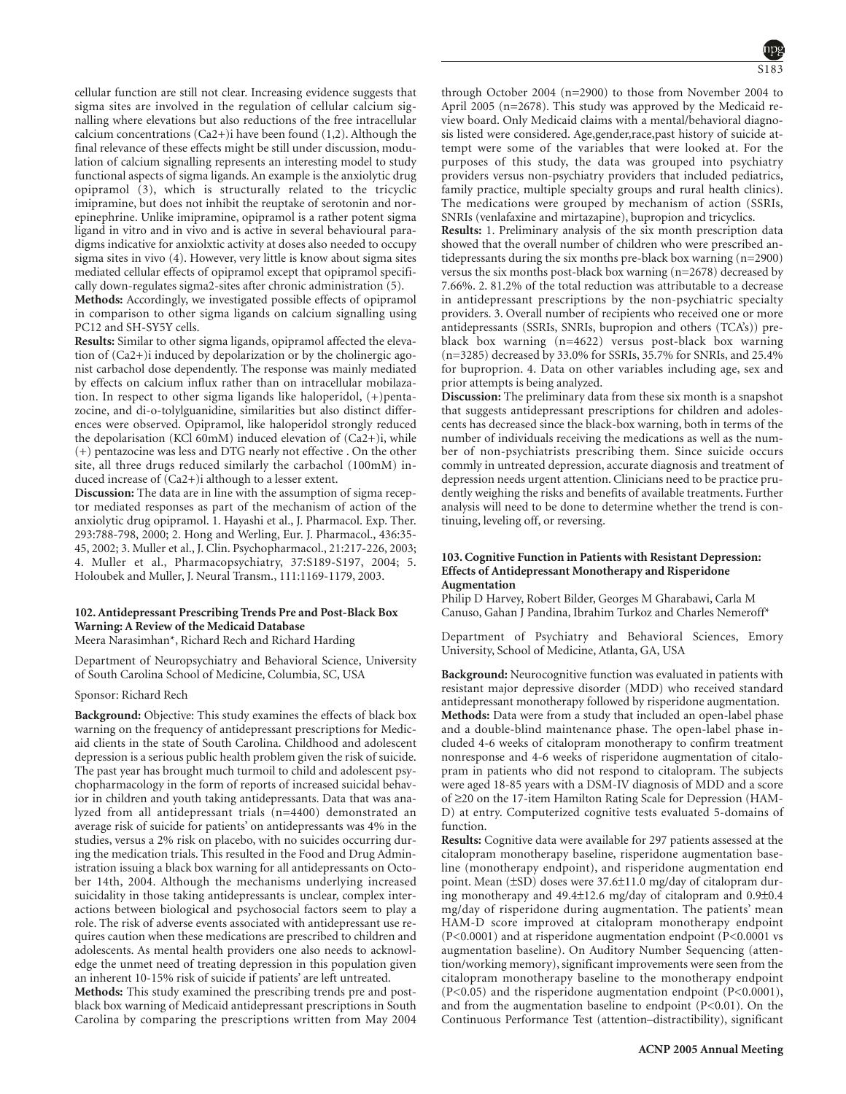cellular function are still not clear. Increasing evidence suggests that sigma sites are involved in the regulation of cellular calcium signalling where elevations but also reductions of the free intracellular calcium concentrations (Ca2+)i have been found (1,2). Although the final relevance of these effects might be still under discussion, modulation of calcium signalling represents an interesting model to study functional aspects of sigma ligands. An example is the anxiolytic drug opipramol (3), which is structurally related to the tricyclic imipramine, but does not inhibit the reuptake of serotonin and norepinephrine. Unlike imipramine, opipramol is a rather potent sigma ligand in vitro and in vivo and is active in several behavioural paradigms indicative for anxiolxtic activity at doses also needed to occupy sigma sites in vivo (4). However, very little is know about sigma sites mediated cellular effects of opipramol except that opipramol specifically down-regulates sigma2-sites after chronic administration (5).

**Methods:** Accordingly, we investigated possible effects of opipramol in comparison to other sigma ligands on calcium signalling using PC12 and SH-SY5Y cells.

**Results:** Similar to other sigma ligands, opipramol affected the elevation of (Ca2+)i induced by depolarization or by the cholinergic agonist carbachol dose dependently. The response was mainly mediated by effects on calcium influx rather than on intracellular mobilazation. In respect to other sigma ligands like haloperidol, (+)pentazocine, and di-o-tolylguanidine, similarities but also distinct differences were observed. Opipramol, like haloperidol strongly reduced the depolarisation (KCl 60mM) induced elevation of (Ca2+)i, while (+) pentazocine was less and DTG nearly not effective . On the other site, all three drugs reduced similarly the carbachol (100mM) induced increase of (Ca2+)i although to a lesser extent.

**Discussion:** The data are in line with the assumption of sigma receptor mediated responses as part of the mechanism of action of the anxiolytic drug opipramol. 1. Hayashi et al., J. Pharmacol. Exp. Ther. 293:788-798, 2000; 2. Hong and Werling, Eur. J. Pharmacol., 436:35- 45, 2002; 3. Muller et al., J. Clin. Psychopharmacol., 21:217-226, 2003; 4. Muller et al., Pharmacopsychiatry, 37:S189-S197, 2004; 5. Holoubek and Muller, J. Neural Transm., 111:1169-1179, 2003.

# **102. Antidepressant Prescribing Trends Pre and Post-Black Box Warning: A Review of the Medicaid Database**

Meera Narasimhan\*, Richard Rech and Richard Harding

Department of Neuropsychiatry and Behavioral Science, University of South Carolina School of Medicine, Columbia, SC, USA

Sponsor: Richard Rech

**Background:** Objective: This study examines the effects of black box warning on the frequency of antidepressant prescriptions for Medicaid clients in the state of South Carolina. Childhood and adolescent depression is a serious public health problem given the risk of suicide. The past year has brought much turmoil to child and adolescent psychopharmacology in the form of reports of increased suicidal behavior in children and youth taking antidepressants. Data that was analyzed from all antidepressant trials (n=4400) demonstrated an average risk of suicide for patients' on antidepressants was 4% in the studies, versus a 2% risk on placebo, with no suicides occurring during the medication trials. This resulted in the Food and Drug Administration issuing a black box warning for all antidepressants on October 14th, 2004. Although the mechanisms underlying increased suicidality in those taking antidepressants is unclear, complex interactions between biological and psychosocial factors seem to play a role. The risk of adverse events associated with antidepressant use requires caution when these medications are prescribed to children and adolescents. As mental health providers one also needs to acknowledge the unmet need of treating depression in this population given an inherent 10-15% risk of suicide if patients' are left untreated.

**Methods:** This study examined the prescribing trends pre and postblack box warning of Medicaid antidepressant prescriptions in South Carolina by comparing the prescriptions written from May 2004

through October 2004 (n=2900) to those from November 2004 to April 2005 (n=2678). This study was approved by the Medicaid review board. Only Medicaid claims with a mental/behavioral diagnosis listed were considered. Age,gender,race,past history of suicide attempt were some of the variables that were looked at. For the purposes of this study, the data was grouped into psychiatry providers versus non-psychiatry providers that included pediatrics, family practice, multiple specialty groups and rural health clinics). The medications were grouped by mechanism of action (SSRIs, SNRIs (venlafaxine and mirtazapine), bupropion and tricyclics.

**Results:** 1. Preliminary analysis of the six month prescription data showed that the overall number of children who were prescribed antidepressants during the six months pre-black box warning (n=2900) versus the six months post-black box warning (n=2678) decreased by 7.66%. 2. 81.2% of the total reduction was attributable to a decrease in antidepressant prescriptions by the non-psychiatric specialty providers. 3. Overall number of recipients who received one or more antidepressants (SSRIs, SNRIs, bupropion and others (TCA's)) preblack box warning (n=4622) versus post-black box warning (n=3285) decreased by 33.0% for SSRIs, 35.7% for SNRIs, and 25.4% for buproprion. 4. Data on other variables including age, sex and prior attempts is being analyzed.

**Discussion:** The preliminary data from these six month is a snapshot that suggests antidepressant prescriptions for children and adolescents has decreased since the black-box warning, both in terms of the number of individuals receiving the medications as well as the number of non-psychiatrists prescribing them. Since suicide occurs commly in untreated depression, accurate diagnosis and treatment of depression needs urgent attention. Clinicians need to be practice prudently weighing the risks and benefits of available treatments. Further analysis will need to be done to determine whether the trend is continuing, leveling off, or reversing.

# **103. Cognitive Function in Patients with Resistant Depression: Effects of Antidepressant Monotherapy and Risperidone Augmentation**

Philip D Harvey, Robert Bilder, Georges M Gharabawi, Carla M Canuso, Gahan J Pandina, Ibrahim Turkoz and Charles Nemeroff\*

Department of Psychiatry and Behavioral Sciences, Emory University, School of Medicine, Atlanta, GA, USA

**Background:** Neurocognitive function was evaluated in patients with resistant major depressive disorder (MDD) who received standard antidepressant monotherapy followed by risperidone augmentation. **Methods:** Data were from a study that included an open-label phase and a double-blind maintenance phase. The open-label phase included 4-6 weeks of citalopram monotherapy to confirm treatment nonresponse and 4-6 weeks of risperidone augmentation of citalopram in patients who did not respond to citalopram. The subjects were aged 18-85 years with a DSM-IV diagnosis of MDD and a score of ≥20 on the 17-item Hamilton Rating Scale for Depression (HAM-D) at entry. Computerized cognitive tests evaluated 5-domains of function.

**Results:** Cognitive data were available for 297 patients assessed at the citalopram monotherapy baseline, risperidone augmentation baseline (monotherapy endpoint), and risperidone augmentation end point. Mean (±SD) doses were 37.6±11.0 mg/day of citalopram during monotherapy and 49.4±12.6 mg/day of citalopram and 0.9±0.4 mg/day of risperidone during augmentation. The patients' mean HAM-D score improved at citalopram monotherapy endpoint (P<0.0001) and at risperidone augmentation endpoint (P<0.0001 vs augmentation baseline). On Auditory Number Sequencing (attention/working memory), significant improvements were seen from the citalopram monotherapy baseline to the monotherapy endpoint (P<0.05) and the risperidone augmentation endpoint (P<0.0001), and from the augmentation baseline to endpoint  $(P<0.01)$ . On the Continuous Performance Test (attention–distractibility), significant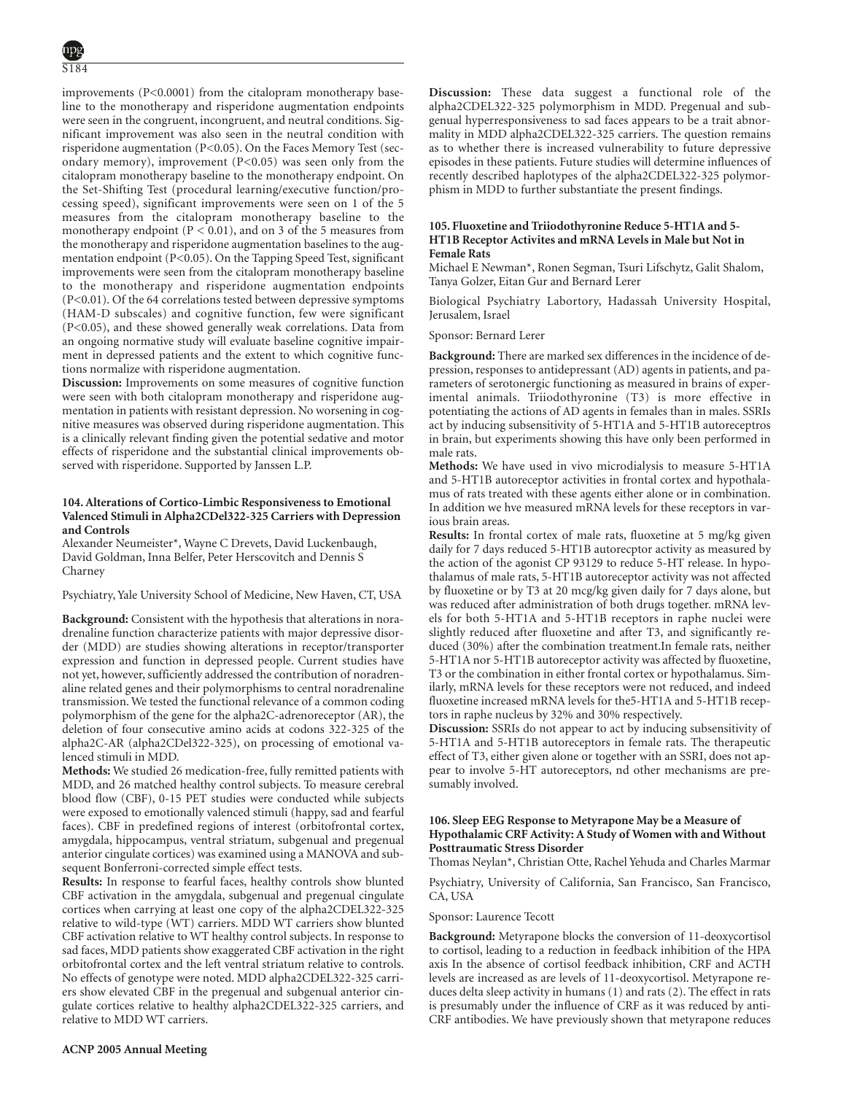improvements (P<0.0001) from the citalopram monotherapy baseline to the monotherapy and risperidone augmentation endpoints were seen in the congruent, incongruent, and neutral conditions. Significant improvement was also seen in the neutral condition with risperidone augmentation (P<0.05). On the Faces Memory Test (secondary memory), improvement (P<0.05) was seen only from the citalopram monotherapy baseline to the monotherapy endpoint. On the Set-Shifting Test (procedural learning/executive function/processing speed), significant improvements were seen on 1 of the 5 measures from the citalopram monotherapy baseline to the monotherapy endpoint ( $P < 0.01$ ), and on 3 of the 5 measures from the monotherapy and risperidone augmentation baselines to the augmentation endpoint (P<0.05). On the Tapping Speed Test, significant improvements were seen from the citalopram monotherapy baseline to the monotherapy and risperidone augmentation endpoints (P<0.01). Of the 64 correlations tested between depressive symptoms (HAM-D subscales) and cognitive function, few were significant (P<0.05), and these showed generally weak correlations. Data from an ongoing normative study will evaluate baseline cognitive impairment in depressed patients and the extent to which cognitive functions normalize with risperidone augmentation.

**Discussion:** Improvements on some measures of cognitive function were seen with both citalopram monotherapy and risperidone augmentation in patients with resistant depression. No worsening in cognitive measures was observed during risperidone augmentation. This is a clinically relevant finding given the potential sedative and motor effects of risperidone and the substantial clinical improvements observed with risperidone. Supported by Janssen L.P.

# **104. Alterations of Cortico-Limbic Responsiveness to Emotional Valenced Stimuli in Alpha2CDel322-325 Carriers with Depression and Controls**

Alexander Neumeister\*, Wayne C Drevets, David Luckenbaugh, David Goldman, Inna Belfer, Peter Herscovitch and Dennis S Charney

Psychiatry, Yale University School of Medicine, New Haven, CT, USA

**Background:** Consistent with the hypothesis that alterations in noradrenaline function characterize patients with major depressive disorder (MDD) are studies showing alterations in receptor/transporter expression and function in depressed people. Current studies have not yet, however, sufficiently addressed the contribution of noradrenaline related genes and their polymorphisms to central noradrenaline transmission. We tested the functional relevance of a common coding polymorphism of the gene for the alpha2C-adrenoreceptor (AR), the deletion of four consecutive amino acids at codons 322-325 of the alpha2C-AR (alpha2CDel322-325), on processing of emotional valenced stimuli in MDD.

**Methods:** We studied 26 medication-free, fully remitted patients with MDD, and 26 matched healthy control subjects. To measure cerebral blood flow (CBF), 0-15 PET studies were conducted while subjects were exposed to emotionally valenced stimuli (happy, sad and fearful faces). CBF in predefined regions of interest (orbitofrontal cortex, amygdala, hippocampus, ventral striatum, subgenual and pregenual anterior cingulate cortices) was examined using a MANOVA and subsequent Bonferroni-corrected simple effect tests.

**Results:** In response to fearful faces, healthy controls show blunted CBF activation in the amygdala, subgenual and pregenual cingulate cortices when carrying at least one copy of the alpha2CDEL322-325 relative to wild-type (WT) carriers. MDD WT carriers show blunted CBF activation relative to WT healthy control subjects. In response to sad faces, MDD patients show exaggerated CBF activation in the right orbitofrontal cortex and the left ventral striatum relative to controls. No effects of genotype were noted. MDD alpha2CDEL322-325 carriers show elevated CBF in the pregenual and subgenual anterior cingulate cortices relative to healthy alpha2CDEL322-325 carriers, and relative to MDD WT carriers.

**Discussion:** These data suggest a functional role of the alpha2CDEL322-325 polymorphism in MDD. Pregenual and subgenual hyperresponsiveness to sad faces appears to be a trait abnormality in MDD alpha2CDEL322-325 carriers. The question remains as to whether there is increased vulnerability to future depressive episodes in these patients. Future studies will determine influences of recently described haplotypes of the alpha2CDEL322-325 polymorphism in MDD to further substantiate the present findings.

# **105. Fluoxetine and Triiodothyronine Reduce 5-HT1A and 5- HT1B Receptor Activites and mRNA Levels in Male but Not in Female Rats**

Michael E Newman\*, Ronen Segman, Tsuri Lifschytz, Galit Shalom, Tanya Golzer, Eitan Gur and Bernard Lerer

Biological Psychiatry Labortory, Hadassah University Hospital, Jerusalem, Israel

Sponsor: Bernard Lerer

**Background:** There are marked sex differences in the incidence of depression, responses to antidepressant (AD) agents in patients, and parameters of serotonergic functioning as measured in brains of experimental animals. Triiodothyronine (T3) is more effective in potentiating the actions of AD agents in females than in males. SSRIs act by inducing subsensitivity of 5-HT1A and 5-HT1B autoreceptros in brain, but experiments showing this have only been performed in male rats.

**Methods:** We have used in vivo microdialysis to measure 5-HT1A and 5-HT1B autoreceptor activities in frontal cortex and hypothalamus of rats treated with these agents either alone or in combination. In addition we hve measured mRNA levels for these receptors in various brain areas.

**Results:** In frontal cortex of male rats, fluoxetine at 5 mg/kg given daily for 7 days reduced 5-HT1B autorecptor activity as measured by the action of the agonist CP 93129 to reduce 5-HT release. In hypothalamus of male rats, 5-HT1B autoreceptor activity was not affected by fluoxetine or by T3 at 20 mcg/kg given daily for 7 days alone, but was reduced after administration of both drugs together. mRNA levels for both 5-HT1A and 5-HT1B receptors in raphe nuclei were slightly reduced after fluoxetine and after T3, and significantly reduced (30%) after the combination treatment.In female rats, neither 5-HT1A nor 5-HT1B autoreceptor activity was affected by fluoxetine, T3 or the combination in either frontal cortex or hypothalamus. Similarly, mRNA levels for these receptors were not reduced, and indeed fluoxetine increased mRNA levels for the5-HT1A and 5-HT1B receptors in raphe nucleus by 32% and 30% respectively.

**Discussion:** SSRIs do not appear to act by inducing subsensitivity of 5-HT1A and 5-HT1B autoreceptors in female rats. The therapeutic effect of T3, either given alone or together with an SSRI, does not appear to involve 5-HT autoreceptors, nd other mechanisms are presumably involved.

# **106. Sleep EEG Response to Metyrapone May be a Measure of Hypothalamic CRF Activity: A Study of Women with and Without Posttraumatic Stress Disorder**

Thomas Neylan\*, Christian Otte, Rachel Yehuda and Charles Marmar

Psychiatry, University of California, San Francisco, San Francisco, CA, USA

#### Sponsor: Laurence Tecott

**Background:** Metyrapone blocks the conversion of 11-deoxycortisol to cortisol, leading to a reduction in feedback inhibition of the HPA axis In the absence of cortisol feedback inhibition, CRF and ACTH levels are increased as are levels of 11-deoxycortisol. Metyrapone reduces delta sleep activity in humans (1) and rats (2). The effect in rats is presumably under the influence of CRF as it was reduced by anti-CRF antibodies. We have previously shown that metyrapone reduces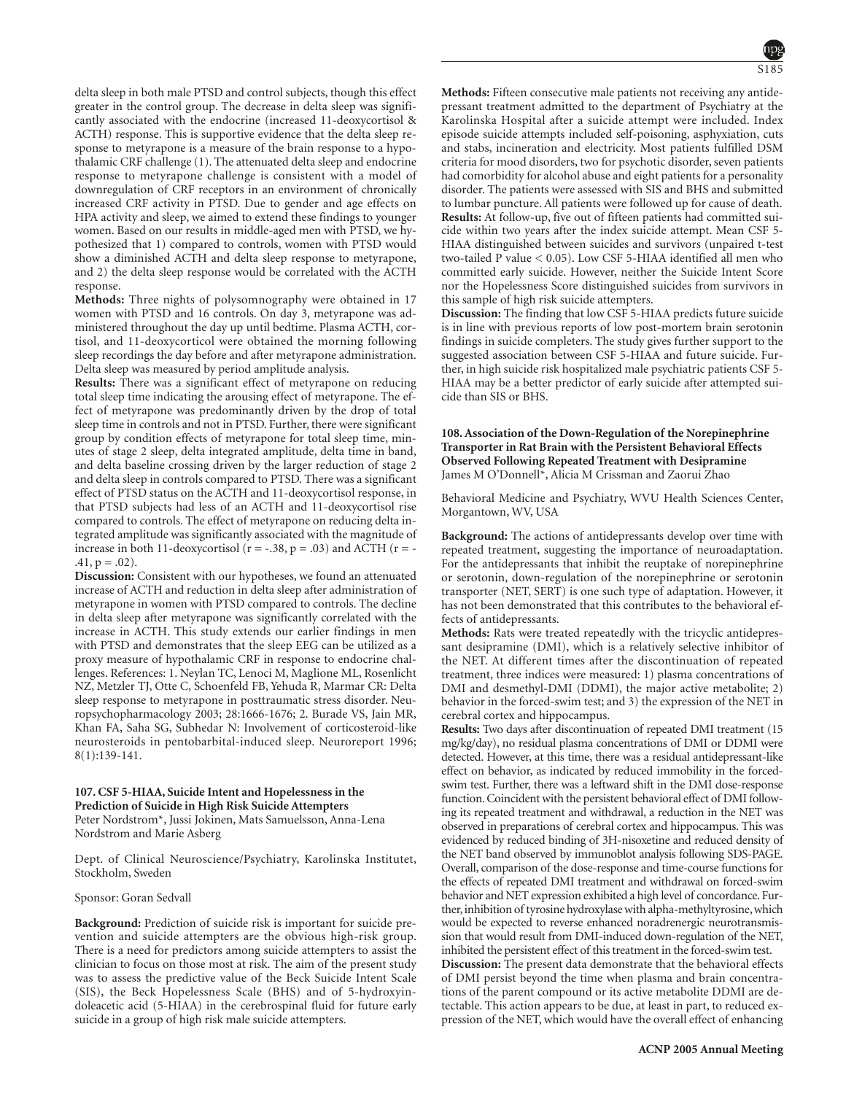delta sleep in both male PTSD and control subjects, though this effect greater in the control group. The decrease in delta sleep was significantly associated with the endocrine (increased 11-deoxycortisol & ACTH) response. This is supportive evidence that the delta sleep response to metyrapone is a measure of the brain response to a hypothalamic CRF challenge (1). The attenuated delta sleep and endocrine response to metyrapone challenge is consistent with a model of downregulation of CRF receptors in an environment of chronically increased CRF activity in PTSD. Due to gender and age effects on HPA activity and sleep, we aimed to extend these findings to younger women. Based on our results in middle-aged men with PTSD, we hypothesized that 1) compared to controls, women with PTSD would show a diminished ACTH and delta sleep response to metyrapone, and 2) the delta sleep response would be correlated with the ACTH response.

**Methods:** Three nights of polysomnography were obtained in 17 women with PTSD and 16 controls. On day 3, metyrapone was administered throughout the day up until bedtime. Plasma ACTH, cortisol, and 11-deoxycorticol were obtained the morning following sleep recordings the day before and after metyrapone administration. Delta sleep was measured by period amplitude analysis.

**Results:** There was a significant effect of metyrapone on reducing total sleep time indicating the arousing effect of metyrapone. The effect of metyrapone was predominantly driven by the drop of total sleep time in controls and not in PTSD. Further, there were significant group by condition effects of metyrapone for total sleep time, minutes of stage 2 sleep, delta integrated amplitude, delta time in band, and delta baseline crossing driven by the larger reduction of stage 2 and delta sleep in controls compared to PTSD. There was a significant effect of PTSD status on the ACTH and 11-deoxycortisol response, in that PTSD subjects had less of an ACTH and 11-deoxycortisol rise compared to controls. The effect of metyrapone on reducing delta integrated amplitude was significantly associated with the magnitude of increase in both 11-deoxycortisol ( $r = -.38$ ,  $p = .03$ ) and ACTH ( $r = .41, p = .02$ ).

**Discussion:** Consistent with our hypotheses, we found an attenuated increase of ACTH and reduction in delta sleep after administration of metyrapone in women with PTSD compared to controls. The decline in delta sleep after metyrapone was significantly correlated with the increase in ACTH. This study extends our earlier findings in men with PTSD and demonstrates that the sleep EEG can be utilized as a proxy measure of hypothalamic CRF in response to endocrine challenges. References: 1. Neylan TC, Lenoci M, Maglione ML, Rosenlicht NZ, Metzler TJ, Otte C, Schoenfeld FB, Yehuda R, Marmar CR: Delta sleep response to metyrapone in posttraumatic stress disorder. Neuropsychopharmacology 2003; 28:1666-1676; 2. Burade VS, Jain MR, Khan FA, Saha SG, Subhedar N: Involvement of corticosteroid-like neurosteroids in pentobarbital-induced sleep. Neuroreport 1996; 8(1):139-141.

# **107. CSF 5-HIAA, Suicide Intent and Hopelessness in the Prediction of Suicide in High Risk Suicide Attempters** Peter Nordstrom\*, Jussi Jokinen, Mats Samuelsson, Anna-Lena Nordstrom and Marie Asberg

Dept. of Clinical Neuroscience/Psychiatry, Karolinska Institutet, Stockholm, Sweden

#### Sponsor: Goran Sedvall

**Background:** Prediction of suicide risk is important for suicide prevention and suicide attempters are the obvious high-risk group. There is a need for predictors among suicide attempters to assist the clinician to focus on those most at risk. The aim of the present study was to assess the predictive value of the Beck Suicide Intent Scale (SIS), the Beck Hopelessness Scale (BHS) and of 5-hydroxyindoleacetic acid (5-HIAA) in the cerebrospinal fluid for future early suicide in a group of high risk male suicide attempters.

**Methods:** Fifteen consecutive male patients not receiving any antidepressant treatment admitted to the department of Psychiatry at the Karolinska Hospital after a suicide attempt were included. Index episode suicide attempts included self-poisoning, asphyxiation, cuts and stabs, incineration and electricity. Most patients fulfilled DSM criteria for mood disorders, two for psychotic disorder, seven patients had comorbidity for alcohol abuse and eight patients for a personality disorder. The patients were assessed with SIS and BHS and submitted to lumbar puncture. All patients were followed up for cause of death. **Results:** At follow-up, five out of fifteen patients had committed suicide within two years after the index suicide attempt. Mean CSF 5- HIAA distinguished between suicides and survivors (unpaired t-test two-tailed P value < 0.05). Low CSF 5-HIAA identified all men who committed early suicide. However, neither the Suicide Intent Score nor the Hopelessness Score distinguished suicides from survivors in this sample of high risk suicide attempters.

**Discussion:** The finding that low CSF 5-HIAA predicts future suicide is in line with previous reports of low post-mortem brain serotonin findings in suicide completers. The study gives further support to the suggested association between CSF 5-HIAA and future suicide. Further, in high suicide risk hospitalized male psychiatric patients CSF 5- HIAA may be a better predictor of early suicide after attempted suicide than SIS or BHS.

# **108. Association of the Down-Regulation of the Norepinephrine Transporter in Rat Brain with the Persistent Behavioral Effects Observed Following Repeated Treatment with Desipramine** James M O'Donnell\*, Alicia M Crissman and Zaorui Zhao

Behavioral Medicine and Psychiatry, WVU Health Sciences Center, Morgantown, WV, USA

**Background:** The actions of antidepressants develop over time with repeated treatment, suggesting the importance of neuroadaptation. For the antidepressants that inhibit the reuptake of norepinephrine or serotonin, down-regulation of the norepinephrine or serotonin transporter (NET, SERT) is one such type of adaptation. However, it has not been demonstrated that this contributes to the behavioral effects of antidepressants.

**Methods:** Rats were treated repeatedly with the tricyclic antidepressant desipramine (DMI), which is a relatively selective inhibitor of the NET. At different times after the discontinuation of repeated treatment, three indices were measured: 1) plasma concentrations of DMI and desmethyl-DMI (DDMI), the major active metabolite; 2) behavior in the forced-swim test; and 3) the expression of the NET in cerebral cortex and hippocampus.

**Results:** Two days after discontinuation of repeated DMI treatment (15 mg/kg/day), no residual plasma concentrations of DMI or DDMI were detected. However, at this time, there was a residual antidepressant-like effect on behavior, as indicated by reduced immobility in the forcedswim test. Further, there was a leftward shift in the DMI dose-response function. Coincident with the persistent behavioral effect of DMI following its repeated treatment and withdrawal, a reduction in the NET was observed in preparations of cerebral cortex and hippocampus. This was evidenced by reduced binding of 3H-nisoxetine and reduced density of the NET band observed by immunoblot analysis following SDS-PAGE. Overall, comparison of the dose-response and time-course functions for the effects of repeated DMI treatment and withdrawal on forced-swim behavior and NET expression exhibited a high level of concordance. Further, inhibition of tyrosine hydroxylase with alpha-methyltyrosine, which would be expected to reverse enhanced noradrenergic neurotransmission that would result from DMI-induced down-regulation of the NET, inhibited the persistent effect of this treatment in the forced-swim test.

**Discussion:** The present data demonstrate that the behavioral effects of DMI persist beyond the time when plasma and brain concentrations of the parent compound or its active metabolite DDMI are detectable. This action appears to be due, at least in part, to reduced expression of the NET, which would have the overall effect of enhancing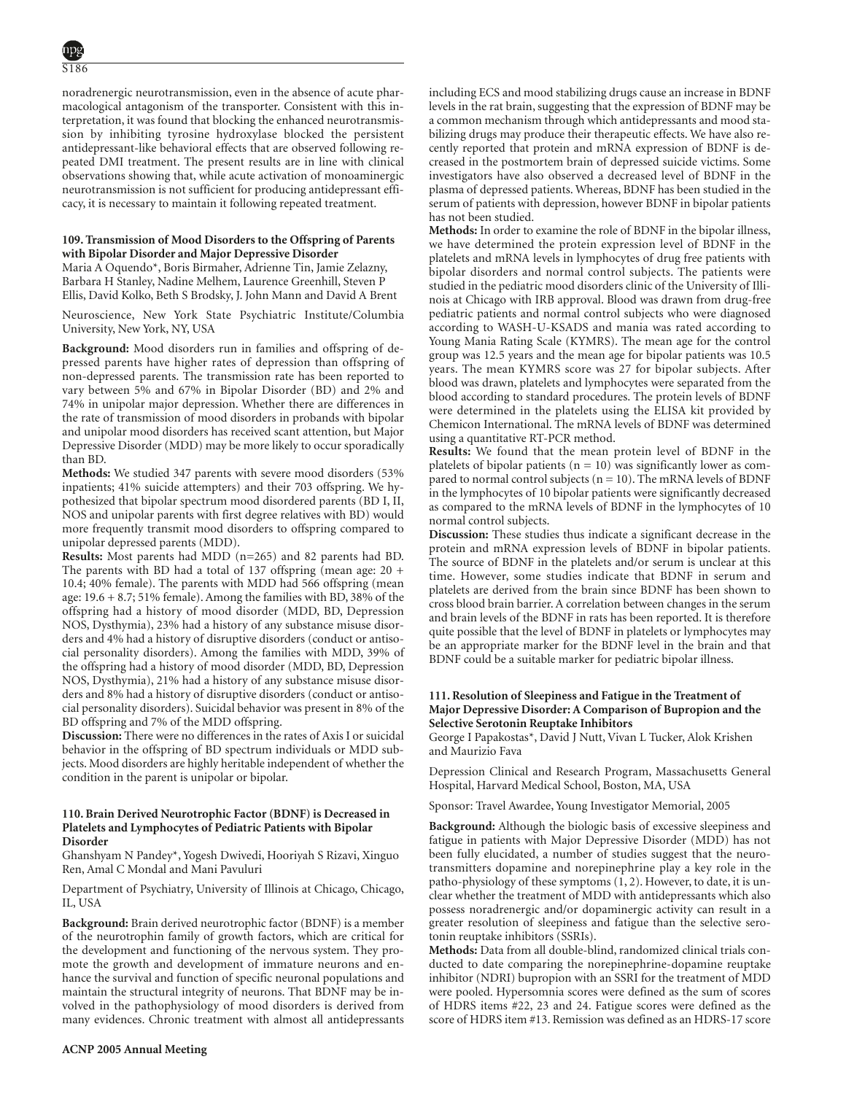S186

noradrenergic neurotransmission, even in the absence of acute pharmacological antagonism of the transporter. Consistent with this interpretation, it was found that blocking the enhanced neurotransmission by inhibiting tyrosine hydroxylase blocked the persistent antidepressant-like behavioral effects that are observed following repeated DMI treatment. The present results are in line with clinical observations showing that, while acute activation of monoaminergic neurotransmission is not sufficient for producing antidepressant efficacy, it is necessary to maintain it following repeated treatment.

# **109. Transmission of Mood Disorders to the Offspring of Parents with Bipolar Disorder and Major Depressive Disorder**

Maria A Oquendo\*, Boris Birmaher, Adrienne Tin, Jamie Zelazny, Barbara H Stanley, Nadine Melhem, Laurence Greenhill, Steven P Ellis, David Kolko, Beth S Brodsky, J. John Mann and David A Brent

Neuroscience, New York State Psychiatric Institute/Columbia University, New York, NY, USA

**Background:** Mood disorders run in families and offspring of depressed parents have higher rates of depression than offspring of non-depressed parents. The transmission rate has been reported to vary between 5% and 67% in Bipolar Disorder (BD) and 2% and 74% in unipolar major depression. Whether there are differences in the rate of transmission of mood disorders in probands with bipolar and unipolar mood disorders has received scant attention, but Major Depressive Disorder (MDD) may be more likely to occur sporadically than BD.

**Methods:** We studied 347 parents with severe mood disorders (53% inpatients; 41% suicide attempters) and their 703 offspring. We hypothesized that bipolar spectrum mood disordered parents (BD I, II, NOS and unipolar parents with first degree relatives with BD) would more frequently transmit mood disorders to offspring compared to unipolar depressed parents (MDD).

**Results:** Most parents had MDD (n=265) and 82 parents had BD. The parents with BD had a total of 137 offspring (mean age: 20 + 10.4; 40% female). The parents with MDD had 566 offspring (mean age:  $19.6 + 8.7$ ;  $51\%$  female). Among the families with BD, 38% of the offspring had a history of mood disorder (MDD, BD, Depression NOS, Dysthymia), 23% had a history of any substance misuse disorders and 4% had a history of disruptive disorders (conduct or antisocial personality disorders). Among the families with MDD, 39% of the offspring had a history of mood disorder (MDD, BD, Depression NOS, Dysthymia), 21% had a history of any substance misuse disorders and 8% had a history of disruptive disorders (conduct or antisocial personality disorders). Suicidal behavior was present in 8% of the BD offspring and 7% of the MDD offspring.

**Discussion:** There were no differences in the rates of Axis I or suicidal behavior in the offspring of BD spectrum individuals or MDD subjects. Mood disorders are highly heritable independent of whether the condition in the parent is unipolar or bipolar.

#### **110. Brain Derived Neurotrophic Factor (BDNF) is Decreased in Platelets and Lymphocytes of Pediatric Patients with Bipolar Disorder**

Ghanshyam N Pandey\*, Yogesh Dwivedi, Hooriyah S Rizavi, Xinguo Ren, Amal C Mondal and Mani Pavuluri

Department of Psychiatry, University of Illinois at Chicago, Chicago, IL, USA

**Background:** Brain derived neurotrophic factor (BDNF) is a member of the neurotrophin family of growth factors, which are critical for the development and functioning of the nervous system. They promote the growth and development of immature neurons and enhance the survival and function of specific neuronal populations and maintain the structural integrity of neurons. That BDNF may be involved in the pathophysiology of mood disorders is derived from many evidences. Chronic treatment with almost all antidepressants including ECS and mood stabilizing drugs cause an increase in BDNF levels in the rat brain, suggesting that the expression of BDNF may be a common mechanism through which antidepressants and mood stabilizing drugs may produce their therapeutic effects. We have also recently reported that protein and mRNA expression of BDNF is decreased in the postmortem brain of depressed suicide victims. Some investigators have also observed a decreased level of BDNF in the plasma of depressed patients. Whereas, BDNF has been studied in the serum of patients with depression, however BDNF in bipolar patients has not been studied.

**Methods:** In order to examine the role of BDNF in the bipolar illness, we have determined the protein expression level of BDNF in the platelets and mRNA levels in lymphocytes of drug free patients with bipolar disorders and normal control subjects. The patients were studied in the pediatric mood disorders clinic of the University of Illinois at Chicago with IRB approval. Blood was drawn from drug-free pediatric patients and normal control subjects who were diagnosed according to WASH-U-KSADS and mania was rated according to Young Mania Rating Scale (KYMRS). The mean age for the control group was 12.5 years and the mean age for bipolar patients was 10.5 years. The mean KYMRS score was 27 for bipolar subjects. After blood was drawn, platelets and lymphocytes were separated from the blood according to standard procedures. The protein levels of BDNF were determined in the platelets using the ELISA kit provided by Chemicon International. The mRNA levels of BDNF was determined using a quantitative RT-PCR method.

**Results:** We found that the mean protein level of BDNF in the platelets of bipolar patients ( $n = 10$ ) was significantly lower as compared to normal control subjects ( $n = 10$ ). The mRNA levels of BDNF in the lymphocytes of 10 bipolar patients were significantly decreased as compared to the mRNA levels of BDNF in the lymphocytes of 10 normal control subjects.

**Discussion:** These studies thus indicate a significant decrease in the protein and mRNA expression levels of BDNF in bipolar patients. The source of BDNF in the platelets and/or serum is unclear at this time. However, some studies indicate that BDNF in serum and platelets are derived from the brain since BDNF has been shown to cross blood brain barrier. A correlation between changes in the serum and brain levels of the BDNF in rats has been reported. It is therefore quite possible that the level of BDNF in platelets or lymphocytes may be an appropriate marker for the BDNF level in the brain and that BDNF could be a suitable marker for pediatric bipolar illness.

# **111. Resolution of Sleepiness and Fatigue in the Treatment of Major Depressive Disorder: A Comparison of Bupropion and the Selective Serotonin Reuptake Inhibitors**

George I Papakostas\*, David J Nutt, Vivan L Tucker, Alok Krishen and Maurizio Fava

Depression Clinical and Research Program, Massachusetts General Hospital, Harvard Medical School, Boston, MA, USA

Sponsor: Travel Awardee, Young Investigator Memorial, 2005

**Background:** Although the biologic basis of excessive sleepiness and fatigue in patients with Major Depressive Disorder (MDD) has not been fully elucidated, a number of studies suggest that the neurotransmitters dopamine and norepinephrine play a key role in the patho-physiology of these symptoms (1, 2). However, to date, it is unclear whether the treatment of MDD with antidepressants which also possess noradrenergic and/or dopaminergic activity can result in a greater resolution of sleepiness and fatigue than the selective serotonin reuptake inhibitors (SSRIs).

**Methods:** Data from all double-blind, randomized clinical trials conducted to date comparing the norepinephrine-dopamine reuptake inhibitor (NDRI) bupropion with an SSRI for the treatment of MDD were pooled. Hypersomnia scores were defined as the sum of scores of HDRS items #22, 23 and 24. Fatigue scores were defined as the score of HDRS item #13. Remission was defined as an HDRS-17 score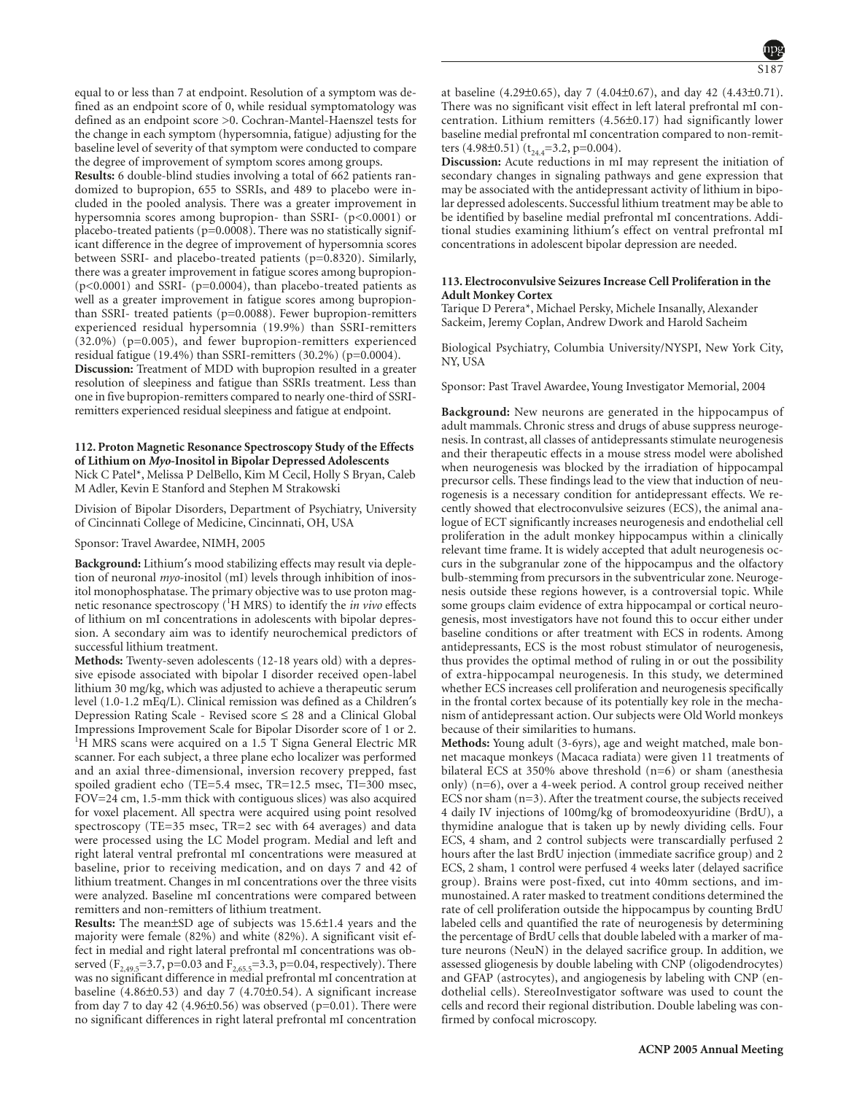equal to or less than 7 at endpoint. Resolution of a symptom was defined as an endpoint score of 0, while residual symptomatology was defined as an endpoint score >0. Cochran-Mantel-Haenszel tests for the change in each symptom (hypersomnia, fatigue) adjusting for the baseline level of severity of that symptom were conducted to compare the degree of improvement of symptom scores among groups.

**Results:** 6 double-blind studies involving a total of 662 patients randomized to bupropion, 655 to SSRIs, and 489 to placebo were included in the pooled analysis. There was a greater improvement in hypersomnia scores among bupropion- than SSRI- (p<0.0001) or placebo-treated patients (p=0.0008). There was no statistically significant difference in the degree of improvement of hypersomnia scores between SSRI- and placebo-treated patients (p=0.8320). Similarly, there was a greater improvement in fatigue scores among bupropion-  $(p<0.0001)$  and SSRI-  $(p=0.0004)$ , than placebo-treated patients as well as a greater improvement in fatigue scores among bupropionthan SSRI- treated patients (p=0.0088). Fewer bupropion-remitters experienced residual hypersomnia (19.9%) than SSRI-remitters (32.0%) (p=0.005), and fewer bupropion-remitters experienced residual fatigue (19.4%) than SSRI-remitters (30.2%) (p=0.0004).

**Discussion:** Treatment of MDD with bupropion resulted in a greater resolution of sleepiness and fatigue than SSRIs treatment. Less than one in five bupropion-remitters compared to nearly one-third of SSRIremitters experienced residual sleepiness and fatigue at endpoint.

# **112. Proton Magnetic Resonance Spectroscopy Study of the Effects of Lithium on** *Myo***-Inositol in Bipolar Depressed Adolescents** Nick C Patel\*, Melissa P DelBello, Kim M Cecil, Holly S Bryan, Caleb M Adler, Kevin E Stanford and Stephen M Strakowski

Division of Bipolar Disorders, Department of Psychiatry, University of Cincinnati College of Medicine, Cincinnati, OH, USA

Sponsor: Travel Awardee, NIMH, 2005

**Background:** Lithium′s mood stabilizing effects may result via depletion of neuronal *myo*-inositol (mI) levels through inhibition of inositol monophosphatase. The primary objective was to use proton magnetic resonance spectroscopy (<sup>1</sup>H MRS) to identify the *in vivo* effects of lithium on mI concentrations in adolescents with bipolar depression. A secondary aim was to identify neurochemical predictors of successful lithium treatment.

**Methods:** Twenty-seven adolescents (12-18 years old) with a depressive episode associated with bipolar I disorder received open-label lithium 30 mg/kg, which was adjusted to achieve a therapeutic serum level (1.0-1.2 mEq/L). Clinical remission was defined as a Children′s Depression Rating Scale - Revised score ≤ 28 and a Clinical Global Impressions Improvement Scale for Bipolar Disorder score of 1 or 2. <sup>1</sup> <sup>1</sup>H MRS scans were acquired on a 1.5 T Signa General Electric MR scanner. For each subject, a three plane echo localizer was performed and an axial three-dimensional, inversion recovery prepped, fast spoiled gradient echo (TE=5.4 msec, TR=12.5 msec, TI=300 msec, FOV=24 cm, 1.5-mm thick with contiguous slices) was also acquired for voxel placement. All spectra were acquired using point resolved spectroscopy (TE=35 msec, TR=2 sec with 64 averages) and data were processed using the LC Model program. Medial and left and right lateral ventral prefrontal mI concentrations were measured at baseline, prior to receiving medication, and on days 7 and 42 of lithium treatment. Changes in mI concentrations over the three visits were analyzed. Baseline mI concentrations were compared between remitters and non-remitters of lithium treatment.

**Results:** The mean±SD age of subjects was 15.6±1.4 years and the majority were female (82%) and white (82%). A significant visit effect in medial and right lateral prefrontal mI concentrations was observed ( $F_{2,49.5}$ =3.7, p=0.03 and  $F_{2,65.5}$ =3.3, p=0.04, respectively). There was no significant difference in medial prefrontal mI concentration at baseline (4.86±0.53) and day 7 (4.70±0.54). A significant increase from day 7 to day 42 (4.96 $\pm$ 0.56) was observed (p=0.01). There were no significant differences in right lateral prefrontal mI concentration at baseline (4.29±0.65), day 7 (4.04±0.67), and day 42 (4.43±0.71). There was no significant visit effect in left lateral prefrontal mI concentration. Lithium remitters (4.56±0.17) had significantly lower baseline medial prefrontal mI concentration compared to non-remitters (4.98±0.51) ( $t_{24.4}$ =3.2, p=0.004).

**Discussion:** Acute reductions in mI may represent the initiation of secondary changes in signaling pathways and gene expression that may be associated with the antidepressant activity of lithium in bipolar depressed adolescents. Successful lithium treatment may be able to be identified by baseline medial prefrontal mI concentrations. Additional studies examining lithium′s effect on ventral prefrontal mI concentrations in adolescent bipolar depression are needed.

# **113. Electroconvulsive Seizures Increase Cell Proliferation in the Adult Monkey Cortex**

Tarique D Perera\*, Michael Persky, Michele Insanally, Alexander Sackeim, Jeremy Coplan, Andrew Dwork and Harold Sacheim

Biological Psychiatry, Columbia University/NYSPI, New York City, NY, USA

Sponsor: Past Travel Awardee, Young Investigator Memorial, 2004

**Background:** New neurons are generated in the hippocampus of adult mammals. Chronic stress and drugs of abuse suppress neurogenesis. In contrast, all classes of antidepressants stimulate neurogenesis and their therapeutic effects in a mouse stress model were abolished when neurogenesis was blocked by the irradiation of hippocampal precursor cells. These findings lead to the view that induction of neurogenesis is a necessary condition for antidepressant effects. We recently showed that electroconvulsive seizures (ECS), the animal analogue of ECT significantly increases neurogenesis and endothelial cell proliferation in the adult monkey hippocampus within a clinically relevant time frame. It is widely accepted that adult neurogenesis occurs in the subgranular zone of the hippocampus and the olfactory bulb-stemming from precursors in the subventricular zone. Neurogenesis outside these regions however, is a controversial topic. While some groups claim evidence of extra hippocampal or cortical neurogenesis, most investigators have not found this to occur either under baseline conditions or after treatment with ECS in rodents. Among antidepressants, ECS is the most robust stimulator of neurogenesis, thus provides the optimal method of ruling in or out the possibility of extra-hippocampal neurogenesis. In this study, we determined whether ECS increases cell proliferation and neurogenesis specifically in the frontal cortex because of its potentially key role in the mechanism of antidepressant action. Our subjects were Old World monkeys because of their similarities to humans.

**Methods:** Young adult (3-6yrs), age and weight matched, male bonnet macaque monkeys (Macaca radiata) were given 11 treatments of bilateral ECS at 350% above threshold (n=6) or sham (anesthesia only) (n=6), over a 4-week period. A control group received neither ECS nor sham (n=3). After the treatment course, the subjects received 4 daily IV injections of 100mg/kg of bromodeoxyuridine (BrdU), a thymidine analogue that is taken up by newly dividing cells. Four ECS, 4 sham, and 2 control subjects were transcardially perfused 2 hours after the last BrdU injection (immediate sacrifice group) and 2 ECS, 2 sham, 1 control were perfused 4 weeks later (delayed sacrifice group). Brains were post-fixed, cut into 40mm sections, and immunostained. A rater masked to treatment conditions determined the rate of cell proliferation outside the hippocampus by counting BrdU labeled cells and quantified the rate of neurogenesis by determining the percentage of BrdU cells that double labeled with a marker of mature neurons (NeuN) in the delayed sacrifice group. In addition, we assessed gliogenesis by double labeling with CNP (oligodendrocytes) and GFAP (astrocytes), and angiogenesis by labeling with CNP (endothelial cells). StereoInvestigator software was used to count the cells and record their regional distribution. Double labeling was confirmed by confocal microscopy.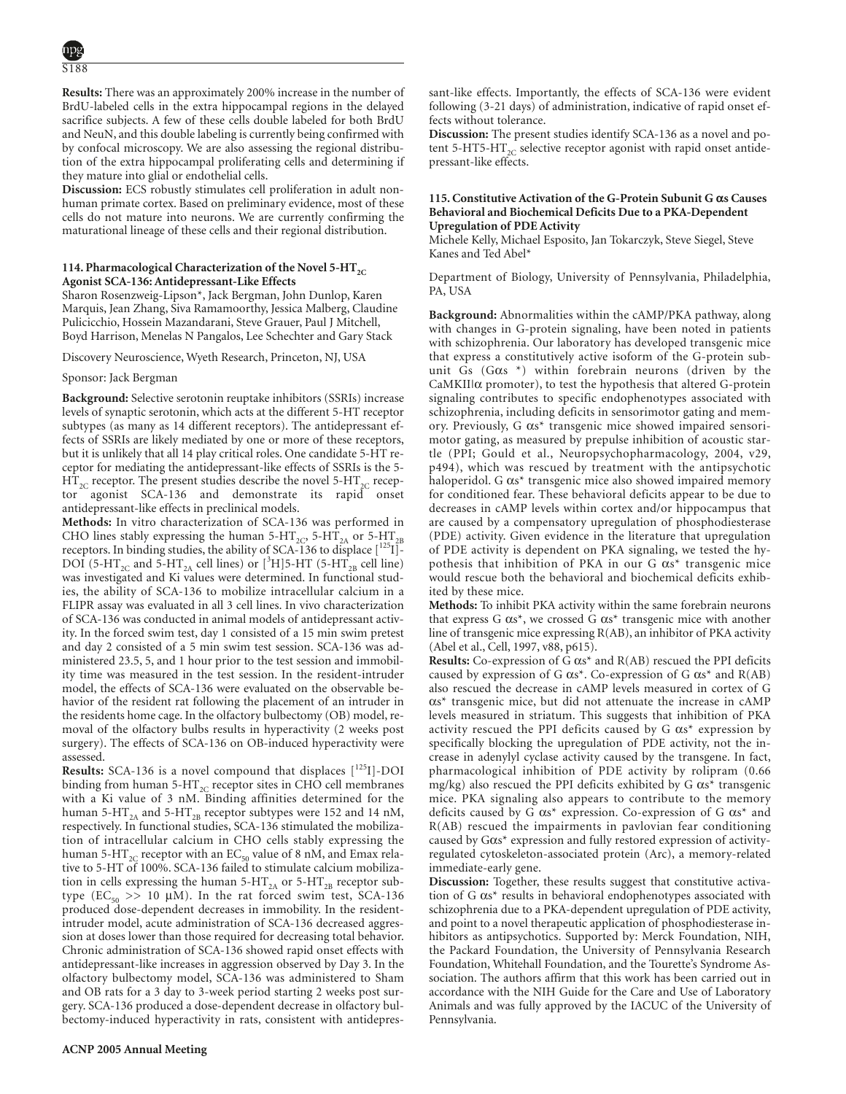**Results:** There was an approximately 200% increase in the number of BrdU-labeled cells in the extra hippocampal regions in the delayed sacrifice subjects. A few of these cells double labeled for both BrdU and NeuN, and this double labeling is currently being confirmed with by confocal microscopy. We are also assessing the regional distribution of the extra hippocampal proliferating cells and determining if they mature into glial or endothelial cells.

**Discussion:** ECS robustly stimulates cell proliferation in adult nonhuman primate cortex. Based on preliminary evidence, most of these cells do not mature into neurons. We are currently confirming the maturational lineage of these cells and their regional distribution.

# 114. Pharmacological Characterization of the Novel 5-HT<sub>2C</sub> **Agonist SCA-136: Antidepressant-Like Effects**

Sharon Rosenzweig-Lipson\*, Jack Bergman, John Dunlop, Karen Marquis, Jean Zhang, Siva Ramamoorthy, Jessica Malberg, Claudine Pulicicchio, Hossein Mazandarani, Steve Grauer, Paul J Mitchell, Boyd Harrison, Menelas N Pangalos, Lee Schechter and Gary Stack

Discovery Neuroscience, Wyeth Research, Princeton, NJ, USA

# Sponsor: Jack Bergman

**Background:** Selective serotonin reuptake inhibitors (SSRIs) increase levels of synaptic serotonin, which acts at the different 5-HT receptor subtypes (as many as 14 different receptors). The antidepressant effects of SSRIs are likely mediated by one or more of these receptors, but it is unlikely that all 14 play critical roles. One candidate 5-HT receptor for mediating the antidepressant-like effects of SSRIs is the 5-  $\mathrm{HT}_{\mathrm{2C}}$  receptor. The present studies describe the novel 5-HT $_{\mathrm{2C}}$  recepagonist SCA-136 and demonstrate its rapid onset antidepressant-like effects in preclinical models.

**Methods:** In vitro characterization of SCA-136 was performed in CHO lines stably expressing the human 5-HT<sub>2C</sub>, 5-HT<sub>2A</sub> or 5-HT<sub>2B</sub> receptors. In binding studies, the ability of SCA-136 to displace  $\left[1^{25}I\right]$ -DOI (5-HT<sub>2C</sub> and 5-HT<sub>2A</sub> cell lines) or [<sup>3</sup>H]5-HT (5-HT<sub>2B</sub> cell line) was investigated and Ki values were determined. In functional studies, the ability of SCA-136 to mobilize intracellular calcium in a FLIPR assay was evaluated in all 3 cell lines. In vivo characterization of SCA-136 was conducted in animal models of antidepressant activity. In the forced swim test, day 1 consisted of a 15 min swim pretest and day 2 consisted of a 5 min swim test session. SCA-136 was administered 23.5, 5, and 1 hour prior to the test session and immobility time was measured in the test session. In the resident-intruder model, the effects of SCA-136 were evaluated on the observable behavior of the resident rat following the placement of an intruder in the residents home cage. In the olfactory bulbectomy (OB) model, removal of the olfactory bulbs results in hyperactivity (2 weeks post surgery). The effects of SCA-136 on OB-induced hyperactivity were assessed.

Results: SCA-136 is a novel compound that displaces [<sup>125</sup>I]-DOI binding from human 5- $HT_{2C}$  receptor sites in CHO cell membranes with a Ki value of 3 nM. Binding affinities determined for the human 5- $HT_{2A}$  and 5- $HT_{2B}$  receptor subtypes were 152 and 14 nM, respectively. In functional studies, SCA-136 stimulated the mobilization of intracellular calcium in CHO cells stably expressing the human 5-HT<sub>2C</sub> receptor with an EC<sub>50</sub> value of 8 nM, and Emax relative to 5-HT of 100%. SCA-136 failed to stimulate calcium mobilization in cells expressing the human  $5-HT_{2A}$  or  $5-HT_{2B}$  receptor subtype (EC<sub>50</sub> >> 10 µM). In the rat forced swim test, SCA-136 produced dose-dependent decreases in immobility. In the residentintruder model, acute administration of SCA-136 decreased aggression at doses lower than those required for decreasing total behavior. Chronic administration of SCA-136 showed rapid onset effects with antidepressant-like increases in aggression observed by Day 3. In the olfactory bulbectomy model, SCA-136 was administered to Sham and OB rats for a 3 day to 3-week period starting 2 weeks post surgery. SCA-136 produced a dose-dependent decrease in olfactory bulbectomy-induced hyperactivity in rats, consistent with antidepressant-like effects. Importantly, the effects of SCA-136 were evident following (3-21 days) of administration, indicative of rapid onset effects without tolerance.

**Discussion:** The present studies identify SCA-136 as a novel and potent 5-HT5-HT<sub>2C</sub> selective receptor agonist with rapid onset antidepressant-like effects.

### **115. Constitutive Activation of the G-Protein Subunit G αs Causes Behavioral and Biochemical Deficits Due to a PKA-Dependent Upregulation of PDE Activity**

Michele Kelly, Michael Esposito, Jan Tokarczyk, Steve Siegel, Steve Kanes and Ted Abel\*

Department of Biology, University of Pennsylvania, Philadelphia, PA, USA

**Background:** Abnormalities within the cAMP/PKA pathway, along with changes in G-protein signaling, have been noted in patients with schizophrenia. Our laboratory has developed transgenic mice that express a constitutively active isoform of the G-protein subunit Gs (Gαs \*) within forebrain neurons (driven by the CaMKII|α promoter), to test the hypothesis that altered G-protein signaling contributes to specific endophenotypes associated with schizophrenia, including deficits in sensorimotor gating and memory. Previously, G αs\* transgenic mice showed impaired sensorimotor gating, as measured by prepulse inhibition of acoustic startle (PPI; Gould et al., Neuropsychopharmacology, 2004, v29, p494), which was rescued by treatment with the antipsychotic haloperidol. G αs\* transgenic mice also showed impaired memory for conditioned fear. These behavioral deficits appear to be due to decreases in cAMP levels within cortex and/or hippocampus that are caused by a compensatory upregulation of phosphodiesterase (PDE) activity. Given evidence in the literature that upregulation of PDE activity is dependent on PKA signaling, we tested the hypothesis that inhibition of PKA in our G αs\* transgenic mice would rescue both the behavioral and biochemical deficits exhibited by these mice.

**Methods:** To inhibit PKA activity within the same forebrain neurons that express  $G \, \alpha s^*$ , we crossed  $G \, \alpha s^*$  transgenic mice with another line of transgenic mice expressing R(AB), an inhibitor of PKA activity (Abel et al., Cell, 1997, v88, p615).

**Results:** Co-expression of G αs\* and R(AB) rescued the PPI deficits caused by expression of G  $\alpha s^*$ . Co-expression of G  $\alpha s^*$  and R(AB) also rescued the decrease in cAMP levels measured in cortex of G αs\* transgenic mice, but did not attenuate the increase in cAMP levels measured in striatum. This suggests that inhibition of PKA activity rescued the PPI deficits caused by G  $\alpha s^*$  expression by specifically blocking the upregulation of PDE activity, not the increase in adenylyl cyclase activity caused by the transgene. In fact, pharmacological inhibition of PDE activity by rolipram (0.66 mg/kg) also rescued the PPI deficits exhibited by G αs\* transgenic mice. PKA signaling also appears to contribute to the memory deficits caused by G αs\* expression. Co-expression of G αs\* and R(AB) rescued the impairments in pavlovian fear conditioning caused by Gαs\* expression and fully restored expression of activityregulated cytoskeleton-associated protein (Arc), a memory-related immediate-early gene.

**Discussion:** Together, these results suggest that constitutive activation of G αs\* results in behavioral endophenotypes associated with schizophrenia due to a PKA-dependent upregulation of PDE activity, and point to a novel therapeutic application of phosphodiesterase inhibitors as antipsychotics. Supported by: Merck Foundation, NIH, the Packard Foundation, the University of Pennsylvania Research Foundation, Whitehall Foundation, and the Tourette's Syndrome Association. The authors affirm that this work has been carried out in accordance with the NIH Guide for the Care and Use of Laboratory Animals and was fully approved by the IACUC of the University of Pennsylvania.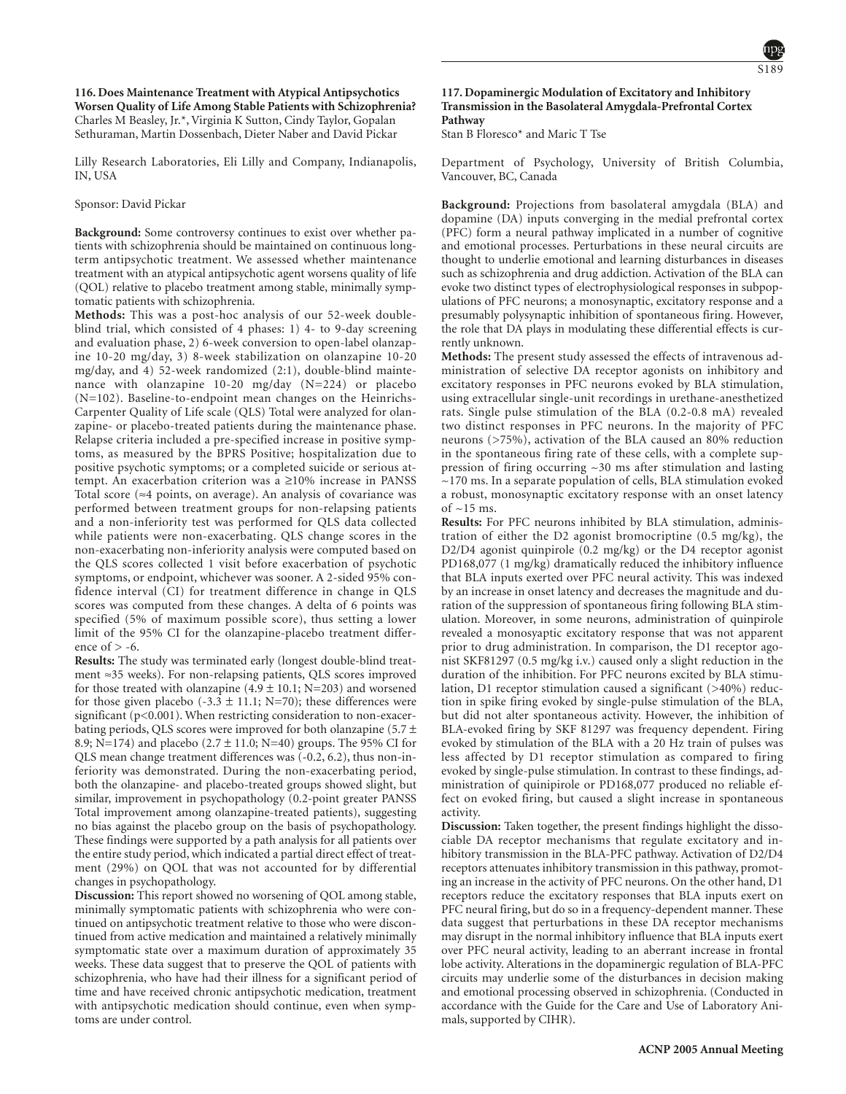

**116. Does Maintenance Treatment with Atypical Antipsychotics Worsen Quality of Life Among Stable Patients with Schizophrenia?** Charles M Beasley, Jr.\*, Virginia K Sutton, Cindy Taylor, Gopalan Sethuraman, Martin Dossenbach, Dieter Naber and David Pickar

Lilly Research Laboratories, Eli Lilly and Company, Indianapolis, IN, USA

Sponsor: David Pickar

**Background:** Some controversy continues to exist over whether patients with schizophrenia should be maintained on continuous longterm antipsychotic treatment. We assessed whether maintenance treatment with an atypical antipsychotic agent worsens quality of life (QOL) relative to placebo treatment among stable, minimally symptomatic patients with schizophrenia.

**Methods:** This was a post-hoc analysis of our 52-week doubleblind trial, which consisted of 4 phases: 1) 4- to 9-day screening and evaluation phase, 2) 6-week conversion to open-label olanzapine 10-20 mg/day, 3) 8-week stabilization on olanzapine 10-20 mg/day, and 4) 52-week randomized (2:1), double-blind maintenance with olanzapine 10-20 mg/day (N=224) or placebo (N=102). Baseline-to-endpoint mean changes on the Heinrichs-Carpenter Quality of Life scale (QLS) Total were analyzed for olanzapine- or placebo-treated patients during the maintenance phase. Relapse criteria included a pre-specified increase in positive symptoms, as measured by the BPRS Positive; hospitalization due to positive psychotic symptoms; or a completed suicide or serious attempt. An exacerbation criterion was a ≥10% increase in PANSS Total score (≈4 points, on average). An analysis of covariance was performed between treatment groups for non-relapsing patients and a non-inferiority test was performed for QLS data collected while patients were non-exacerbating. QLS change scores in the non-exacerbating non-inferiority analysis were computed based on the QLS scores collected 1 visit before exacerbation of psychotic symptoms, or endpoint, whichever was sooner. A 2-sided 95% confidence interval (CI) for treatment difference in change in QLS scores was computed from these changes. A delta of 6 points was specified (5% of maximum possible score), thus setting a lower limit of the 95% CI for the olanzapine-placebo treatment difference of  $> -6$ .

**Results:** The study was terminated early (longest double-blind treatment ≈35 weeks). For non-relapsing patients, QLS scores improved for those treated with olanzapine  $(4.9 \pm 10.1; N=203)$  and worsened for those given placebo (-3.3  $\pm$  11.1; N=70); these differences were significant (p<0.001). When restricting consideration to non-exacerbating periods, QLS scores were improved for both olanzapine (5.7 ± 8.9; N=174) and placebo  $(2.7 \pm 11.0; N=40)$  groups. The 95% CI for QLS mean change treatment differences was (-0.2, 6.2), thus non-inferiority was demonstrated. During the non-exacerbating period, both the olanzapine- and placebo-treated groups showed slight, but similar, improvement in psychopathology (0.2-point greater PANSS Total improvement among olanzapine-treated patients), suggesting no bias against the placebo group on the basis of psychopathology. These findings were supported by a path analysis for all patients over the entire study period, which indicated a partial direct effect of treatment (29%) on QOL that was not accounted for by differential changes in psychopathology.

**Discussion:** This report showed no worsening of QOL among stable, minimally symptomatic patients with schizophrenia who were continued on antipsychotic treatment relative to those who were discontinued from active medication and maintained a relatively minimally symptomatic state over a maximum duration of approximately 35 weeks. These data suggest that to preserve the QOL of patients with schizophrenia, who have had their illness for a significant period of time and have received chronic antipsychotic medication, treatment with antipsychotic medication should continue, even when symptoms are under control.

# **117. Dopaminergic Modulation of Excitatory and Inhibitory Transmission in the Basolateral Amygdala-Prefrontal Cortex Pathway**

Stan B Floresco\* and Maric T Tse

Department of Psychology, University of British Columbia, Vancouver, BC, Canada

**Background:** Projections from basolateral amygdala (BLA) and dopamine (DA) inputs converging in the medial prefrontal cortex (PFC) form a neural pathway implicated in a number of cognitive and emotional processes. Perturbations in these neural circuits are thought to underlie emotional and learning disturbances in diseases such as schizophrenia and drug addiction. Activation of the BLA can evoke two distinct types of electrophysiological responses in subpopulations of PFC neurons; a monosynaptic, excitatory response and a presumably polysynaptic inhibition of spontaneous firing. However, the role that DA plays in modulating these differential effects is currently unknown.

**Methods:** The present study assessed the effects of intravenous administration of selective DA receptor agonists on inhibitory and excitatory responses in PFC neurons evoked by BLA stimulation, using extracellular single-unit recordings in urethane-anesthetized rats. Single pulse stimulation of the BLA (0.2-0.8 mA) revealed two distinct responses in PFC neurons. In the majority of PFC neurons (>75%), activation of the BLA caused an 80% reduction in the spontaneous firing rate of these cells, with a complete suppression of firing occurring ~30 ms after stimulation and lasting  $\sim$ 170 ms. In a separate population of cells, BLA stimulation evoked a robust, monosynaptic excitatory response with an onset latency of  $\approx$  15 ms.

**Results:** For PFC neurons inhibited by BLA stimulation, administration of either the D2 agonist bromocriptine (0.5 mg/kg), the D2/D4 agonist quinpirole (0.2 mg/kg) or the D4 receptor agonist PD168,077 (1 mg/kg) dramatically reduced the inhibitory influence that BLA inputs exerted over PFC neural activity. This was indexed by an increase in onset latency and decreases the magnitude and duration of the suppression of spontaneous firing following BLA stimulation. Moreover, in some neurons, administration of quinpirole revealed a monosyaptic excitatory response that was not apparent prior to drug administration. In comparison, the D1 receptor agonist SKF81297 (0.5 mg/kg i.v.) caused only a slight reduction in the duration of the inhibition. For PFC neurons excited by BLA stimulation, D1 receptor stimulation caused a significant (>40%) reduction in spike firing evoked by single-pulse stimulation of the BLA, but did not alter spontaneous activity. However, the inhibition of BLA-evoked firing by SKF 81297 was frequency dependent. Firing evoked by stimulation of the BLA with a 20 Hz train of pulses was less affected by D1 receptor stimulation as compared to firing evoked by single-pulse stimulation. In contrast to these findings, administration of quinipirole or PD168,077 produced no reliable effect on evoked firing, but caused a slight increase in spontaneous activity.

**Discussion:** Taken together, the present findings highlight the dissociable DA receptor mechanisms that regulate excitatory and inhibitory transmission in the BLA-PFC pathway. Activation of D2/D4 receptors attenuates inhibitory transmission in this pathway, promoting an increase in the activity of PFC neurons. On the other hand, D1 receptors reduce the excitatory responses that BLA inputs exert on PFC neural firing, but do so in a frequency-dependent manner. These data suggest that perturbations in these DA receptor mechanisms may disrupt in the normal inhibitory influence that BLA inputs exert over PFC neural activity, leading to an aberrant increase in frontal lobe activity. Alterations in the dopaminergic regulation of BLA-PFC circuits may underlie some of the disturbances in decision making and emotional processing observed in schizophrenia. (Conducted in accordance with the Guide for the Care and Use of Laboratory Animals, supported by CIHR).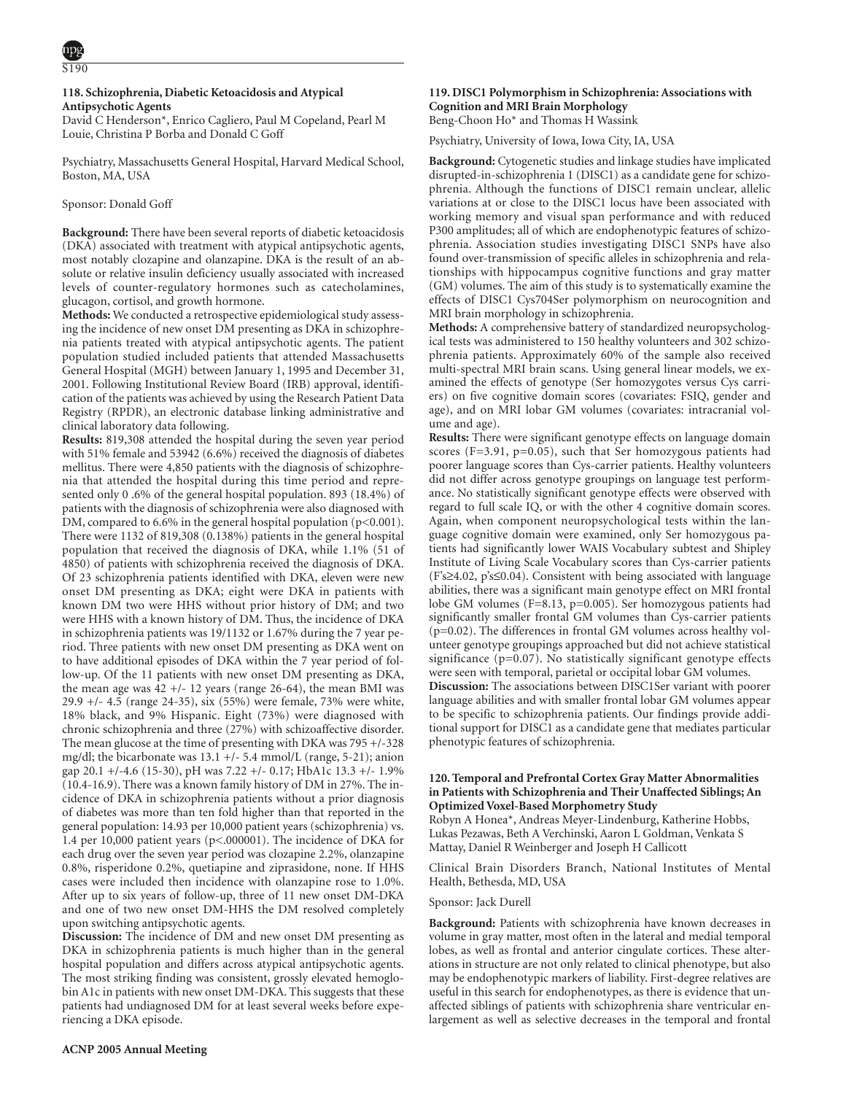$\overline{S190}$ 

# **118. Schizophrenia, Diabetic Ketoacidosis and Atypical Antipsychotic Agents**

David C Henderson\*, Enrico Cagliero, Paul M Copeland, Pearl M Louie, Christina P Borba and Donald C Goff

Psychiatry, Massachusetts General Hospital, Harvard Medical School, Boston, MA, USA

# Sponsor: Donald Goff

**Background:** There have been several reports of diabetic ketoacidosis (DKA) associated with treatment with atypical antipsychotic agents, most notably clozapine and olanzapine. DKA is the result of an absolute or relative insulin deficiency usually associated with increased levels of counter-regulatory hormones such as catecholamines, glucagon, cortisol, and growth hormone.

**Methods:** We conducted a retrospective epidemiological study assessing the incidence of new onset DM presenting as DKA in schizophrenia patients treated with atypical antipsychotic agents. The patient population studied included patients that attended Massachusetts General Hospital (MGH) between January 1, 1995 and December 31, 2001. Following Institutional Review Board (IRB) approval, identification of the patients was achieved by using the Research Patient Data Registry (RPDR), an electronic database linking administrative and clinical laboratory data following.

**Results:** 819,308 attended the hospital during the seven year period with 51% female and 53942 (6.6%) received the diagnosis of diabetes mellitus. There were 4,850 patients with the diagnosis of schizophrenia that attended the hospital during this time period and represented only 0 .6% of the general hospital population. 893 (18.4%) of patients with the diagnosis of schizophrenia were also diagnosed with DM, compared to 6.6% in the general hospital population (p<0.001). There were 1132 of 819,308 (0.138%) patients in the general hospital population that received the diagnosis of DKA, while 1.1% (51 of 4850) of patients with schizophrenia received the diagnosis of DKA. Of 23 schizophrenia patients identified with DKA, eleven were new onset DM presenting as DKA; eight were DKA in patients with known DM two were HHS without prior history of DM; and two were HHS with a known history of DM. Thus, the incidence of DKA in schizophrenia patients was 19/1132 or 1.67% during the 7 year period. Three patients with new onset DM presenting as DKA went on to have additional episodes of DKA within the 7 year period of follow-up. Of the 11 patients with new onset DM presenting as DKA, the mean age was  $42 +1$ - 12 years (range 26-64), the mean BMI was 29.9 +/- 4.5 (range 24-35), six (55%) were female, 73% were white, 18% black, and 9% Hispanic. Eight (73%) were diagnosed with chronic schizophrenia and three (27%) with schizoaffective disorder. The mean glucose at the time of presenting with DKA was 795 +/-328 mg/dl; the bicarbonate was 13.1 +/- 5.4 mmol/L (range, 5-21); anion gap 20.1 +/-4.6 (15-30), pH was 7.22 +/- 0.17; HbA1c 13.3 +/- 1.9% (10.4-16.9). There was a known family history of DM in 27%. The incidence of DKA in schizophrenia patients without a prior diagnosis of diabetes was more than ten fold higher than that reported in the general population: 14.93 per 10,000 patient years (schizophrenia) vs. 1.4 per 10,000 patient years (p<.000001). The incidence of DKA for each drug over the seven year period was clozapine 2.2%, olanzapine 0.8%, risperidone 0.2%, quetiapine and ziprasidone, none. If HHS cases were included then incidence with olanzapine rose to 1.0%. After up to six years of follow-up, three of 11 new onset DM-DKA and one of two new onset DM-HHS the DM resolved completely upon switching antipsychotic agents.

**Discussion:** The incidence of DM and new onset DM presenting as DKA in schizophrenia patients is much higher than in the general hospital population and differs across atypical antipsychotic agents. The most striking finding was consistent, grossly elevated hemoglobin A1c in patients with new onset DM-DKA. This suggests that these patients had undiagnosed DM for at least several weeks before experiencing a DKA episode.

# **119. DISC1 Polymorphism in Schizophrenia: Associations with Cognition and MRI Brain Morphology** Beng-Choon Ho\* and Thomas H Wassink

Psychiatry, University of Iowa, Iowa City, IA, USA

**Background:** Cytogenetic studies and linkage studies have implicated disrupted-in-schizophrenia 1 (DISC1) as a candidate gene for schizophrenia. Although the functions of DISC1 remain unclear, allelic variations at or close to the DISC1 locus have been associated with working memory and visual span performance and with reduced P300 amplitudes; all of which are endophenotypic features of schizophrenia. Association studies investigating DISC1 SNPs have also found over-transmission of specific alleles in schizophrenia and relationships with hippocampus cognitive functions and gray matter (GM) volumes. The aim of this study is to systematically examine the effects of DISC1 Cys704Ser polymorphism on neurocognition and MRI brain morphology in schizophrenia.

**Methods:** A comprehensive battery of standardized neuropsychological tests was administered to 150 healthy volunteers and 302 schizophrenia patients. Approximately 60% of the sample also received multi-spectral MRI brain scans. Using general linear models, we examined the effects of genotype (Ser homozygotes versus Cys carriers) on five cognitive domain scores (covariates: FSIQ, gender and age), and on MRI lobar GM volumes (covariates: intracranial volume and age).

**Results:** There were significant genotype effects on language domain scores ( $F=3.91$ ,  $p=0.05$ ), such that Ser homozygous patients had poorer language scores than Cys-carrier patients. Healthy volunteers did not differ across genotype groupings on language test performance. No statistically significant genotype effects were observed with regard to full scale IQ, or with the other 4 cognitive domain scores. Again, when component neuropsychological tests within the language cognitive domain were examined, only Ser homozygous patients had significantly lower WAIS Vocabulary subtest and Shipley Institute of Living Scale Vocabulary scores than Cys-carrier patients (F's≥4.02, p's≤0.04). Consistent with being associated with language abilities, there was a significant main genotype effect on MRI frontal lobe GM volumes (F=8.13, p=0.005). Ser homozygous patients had significantly smaller frontal GM volumes than Cys-carrier patients (p=0.02). The differences in frontal GM volumes across healthy volunteer genotype groupings approached but did not achieve statistical significance (p=0.07). No statistically significant genotype effects were seen with temporal, parietal or occipital lobar GM volumes. **Discussion:** The associations between DISC1Ser variant with poorer language abilities and with smaller frontal lobar GM volumes appear

to be specific to schizophrenia patients. Our findings provide additional support for DISC1 as a candidate gene that mediates particular phenotypic features of schizophrenia.

# **120. Temporal and Prefrontal Cortex Gray Matter Abnormalities in Patients with Schizophrenia and Their Unaffected Siblings; An Optimized Voxel-Based Morphometry Study**

Robyn A Honea\*, Andreas Meyer-Lindenburg, Katherine Hobbs, Lukas Pezawas, Beth A Verchinski, Aaron L Goldman, Venkata S Mattay, Daniel R Weinberger and Joseph H Callicott

Clinical Brain Disorders Branch, National Institutes of Mental Health, Bethesda, MD, USA

#### Sponsor: Jack Durell

**Background:** Patients with schizophrenia have known decreases in volume in gray matter, most often in the lateral and medial temporal lobes, as well as frontal and anterior cingulate cortices. These alterations in structure are not only related to clinical phenotype, but also may be endophenotypic markers of liability. First-degree relatives are useful in this search for endophenotypes, as there is evidence that unaffected siblings of patients with schizophrenia share ventricular enlargement as well as selective decreases in the temporal and frontal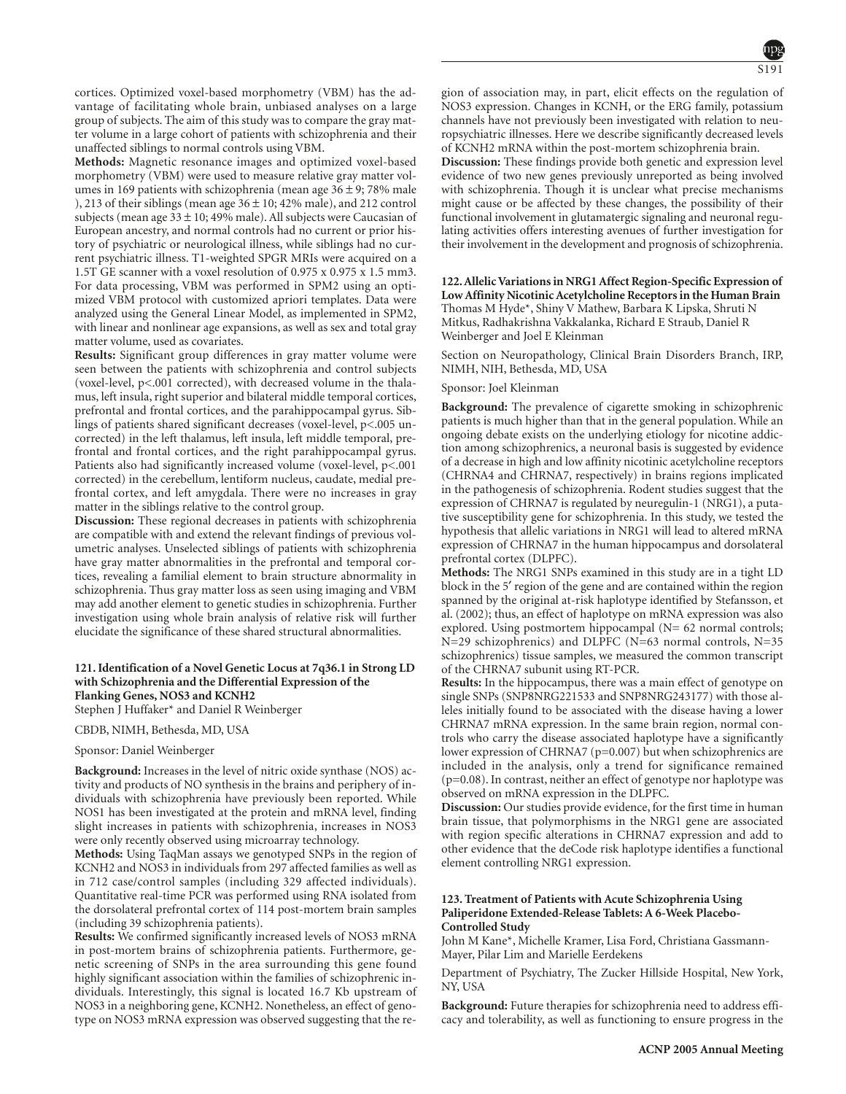cortices. Optimized voxel-based morphometry (VBM) has the advantage of facilitating whole brain, unbiased analyses on a large group of subjects. The aim of this study was to compare the gray matter volume in a large cohort of patients with schizophrenia and their unaffected siblings to normal controls using VBM.

**Methods:** Magnetic resonance images and optimized voxel-based morphometry (VBM) were used to measure relative gray matter volumes in 169 patients with schizophrenia (mean age  $36 \pm 9$ ; 78% male ), 213 of their siblings (mean age  $36 \pm 10$ ; 42% male), and 212 control subjects (mean age  $33 \pm 10$ ; 49% male). All subjects were Caucasian of European ancestry, and normal controls had no current or prior history of psychiatric or neurological illness, while siblings had no current psychiatric illness. T1-weighted SPGR MRIs were acquired on a 1.5T GE scanner with a voxel resolution of 0.975 x 0.975 x 1.5 mm3. For data processing, VBM was performed in SPM2 using an optimized VBM protocol with customized apriori templates. Data were analyzed using the General Linear Model, as implemented in SPM2, with linear and nonlinear age expansions, as well as sex and total gray matter volume, used as covariates.

**Results:** Significant group differences in gray matter volume were seen between the patients with schizophrenia and control subjects (voxel-level, p<.001 corrected), with decreased volume in the thalamus, left insula, right superior and bilateral middle temporal cortices, prefrontal and frontal cortices, and the parahippocampal gyrus. Siblings of patients shared significant decreases (voxel-level, p<.005 uncorrected) in the left thalamus, left insula, left middle temporal, prefrontal and frontal cortices, and the right parahippocampal gyrus. Patients also had significantly increased volume (voxel-level, p<.001 corrected) in the cerebellum, lentiform nucleus, caudate, medial prefrontal cortex, and left amygdala. There were no increases in gray matter in the siblings relative to the control group.

**Discussion:** These regional decreases in patients with schizophrenia are compatible with and extend the relevant findings of previous volumetric analyses. Unselected siblings of patients with schizophrenia have gray matter abnormalities in the prefrontal and temporal cortices, revealing a familial element to brain structure abnormality in schizophrenia. Thus gray matter loss as seen using imaging and VBM may add another element to genetic studies in schizophrenia. Further investigation using whole brain analysis of relative risk will further elucidate the significance of these shared structural abnormalities.

# **121. Identification of a Novel Genetic Locus at 7q36.1 in Strong LD with Schizophrenia and the Differential Expression of the Flanking Genes, NOS3 and KCNH2**

Stephen J Huffaker\* and Daniel R Weinberger

CBDB, NIMH, Bethesda, MD, USA

#### Sponsor: Daniel Weinberger

**Background:** Increases in the level of nitric oxide synthase (NOS) activity and products of NO synthesis in the brains and periphery of individuals with schizophrenia have previously been reported. While NOS1 has been investigated at the protein and mRNA level, finding slight increases in patients with schizophrenia, increases in NOS3 were only recently observed using microarray technology.

**Methods:** Using TaqMan assays we genotyped SNPs in the region of KCNH2 and NOS3 in individuals from 297 affected families as well as in 712 case/control samples (including 329 affected individuals). Quantitative real-time PCR was performed using RNA isolated from the dorsolateral prefrontal cortex of 114 post-mortem brain samples (including 39 schizophrenia patients).

**Results:** We confirmed significantly increased levels of NOS3 mRNA in post-mortem brains of schizophrenia patients. Furthermore, genetic screening of SNPs in the area surrounding this gene found highly significant association within the families of schizophrenic individuals. Interestingly, this signal is located 16.7 Kb upstream of NOS3 in a neighboring gene, KCNH2. Nonetheless, an effect of genotype on NOS3 mRNA expression was observed suggesting that the re-

gion of association may, in part, elicit effects on the regulation of NOS3 expression. Changes in KCNH, or the ERG family, potassium channels have not previously been investigated with relation to neuropsychiatric illnesses. Here we describe significantly decreased levels of KCNH2 mRNA within the post-mortem schizophrenia brain.

**Discussion:** These findings provide both genetic and expression level evidence of two new genes previously unreported as being involved with schizophrenia. Though it is unclear what precise mechanisms might cause or be affected by these changes, the possibility of their functional involvement in glutamatergic signaling and neuronal regulating activities offers interesting avenues of further investigation for their involvement in the development and prognosis of schizophrenia.

**122. Allelic Variations in NRG1 Affect Region-Specific Expression of Low Affinity Nicotinic Acetylcholine Receptors in the Human Brain** Thomas M Hyde\*, Shiny V Mathew, Barbara K Lipska, Shruti N Mitkus, Radhakrishna Vakkalanka, Richard E Straub, Daniel R Weinberger and Joel E Kleinman

Section on Neuropathology, Clinical Brain Disorders Branch, IRP, NIMH, NIH, Bethesda, MD, USA

#### Sponsor: Joel Kleinman

**Background:** The prevalence of cigarette smoking in schizophrenic patients is much higher than that in the general population. While an ongoing debate exists on the underlying etiology for nicotine addiction among schizophrenics, a neuronal basis is suggested by evidence of a decrease in high and low affinity nicotinic acetylcholine receptors (CHRNA4 and CHRNA7, respectively) in brains regions implicated in the pathogenesis of schizophrenia. Rodent studies suggest that the expression of CHRNA7 is regulated by neuregulin-1 (NRG1), a putative susceptibility gene for schizophrenia. In this study, we tested the hypothesis that allelic variations in NRG1 will lead to altered mRNA expression of CHRNA7 in the human hippocampus and dorsolateral prefrontal cortex (DLPFC).

**Methods:** The NRG1 SNPs examined in this study are in a tight LD block in the 5′ region of the gene and are contained within the region spanned by the original at-risk haplotype identified by Stefansson, et al. (2002); thus, an effect of haplotype on mRNA expression was also explored. Using postmortem hippocampal (N= 62 normal controls; N=29 schizophrenics) and DLPFC (N=63 normal controls, N=35 schizophrenics) tissue samples, we measured the common transcript of the CHRNA7 subunit using RT-PCR.

**Results:** In the hippocampus, there was a main effect of genotype on single SNPs (SNP8NRG221533 and SNP8NRG243177) with those alleles initially found to be associated with the disease having a lower CHRNA7 mRNA expression. In the same brain region, normal controls who carry the disease associated haplotype have a significantly lower expression of CHRNA7 (p=0.007) but when schizophrenics are included in the analysis, only a trend for significance remained (p=0.08). In contrast, neither an effect of genotype nor haplotype was observed on mRNA expression in the DLPFC.

**Discussion:** Our studies provide evidence, for the first time in human brain tissue, that polymorphisms in the NRG1 gene are associated with region specific alterations in CHRNA7 expression and add to other evidence that the deCode risk haplotype identifies a functional element controlling NRG1 expression.

#### **123. Treatment of Patients with Acute Schizophrenia Using Paliperidone Extended-Release Tablets: A 6-Week Placebo-Controlled Study**

John M Kane\*, Michelle Kramer, Lisa Ford, Christiana Gassmann-Mayer, Pilar Lim and Marielle Eerdekens

Department of Psychiatry, The Zucker Hillside Hospital, New York, NY, USA

**Background:** Future therapies for schizophrenia need to address efficacy and tolerability, as well as functioning to ensure progress in the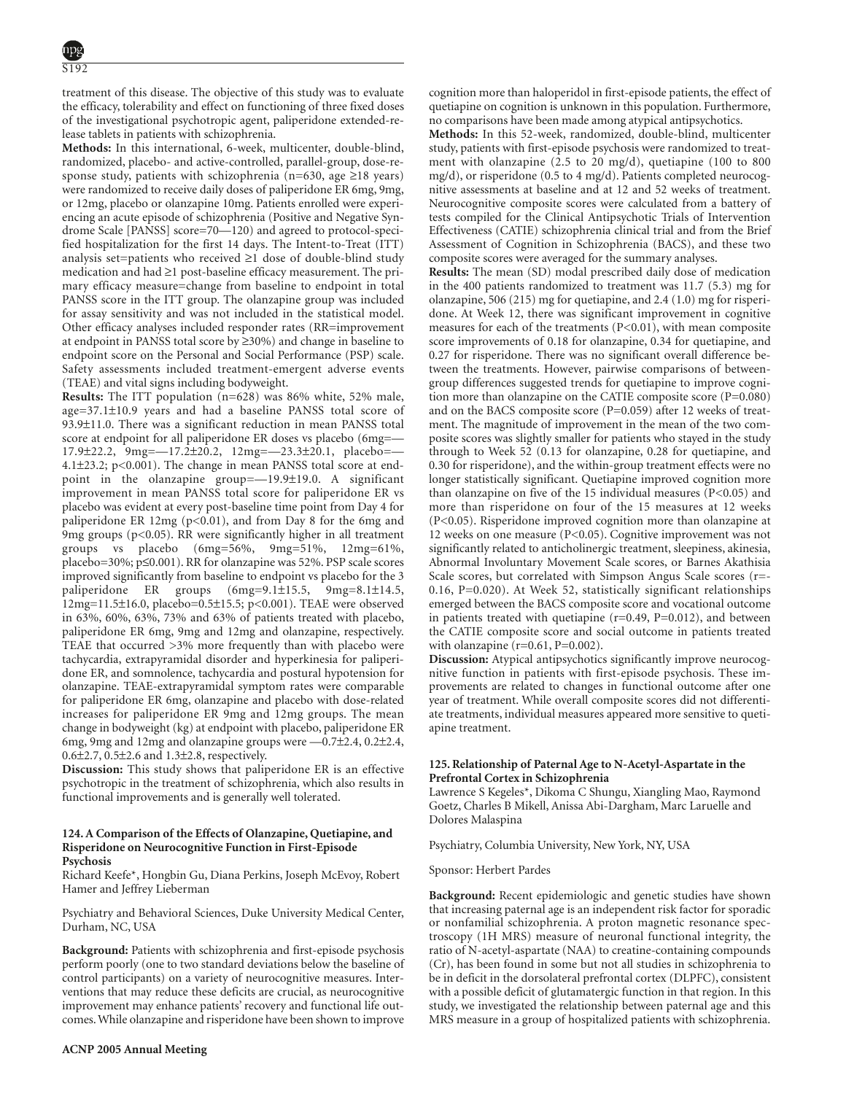treatment of this disease. The objective of this study was to evaluate the efficacy, tolerability and effect on functioning of three fixed doses of the investigational psychotropic agent, paliperidone extended-release tablets in patients with schizophrenia.

**Methods:** In this international, 6-week, multicenter, double-blind, randomized, placebo- and active-controlled, parallel-group, dose-response study, patients with schizophrenia (n=630, age ≥18 years) were randomized to receive daily doses of paliperidone ER 6mg, 9mg, or 12mg, placebo or olanzapine 10mg. Patients enrolled were experiencing an acute episode of schizophrenia (Positive and Negative Syndrome Scale [PANSS] score=70—120) and agreed to protocol-specified hospitalization for the first 14 days. The Intent-to-Treat (ITT) analysis set=patients who received ≥1 dose of double-blind study medication and had ≥1 post-baseline efficacy measurement. The primary efficacy measure=change from baseline to endpoint in total PANSS score in the ITT group. The olanzapine group was included for assay sensitivity and was not included in the statistical model. Other efficacy analyses included responder rates (RR=improvement at endpoint in PANSS total score by ≥30%) and change in baseline to endpoint score on the Personal and Social Performance (PSP) scale. Safety assessments included treatment-emergent adverse events (TEAE) and vital signs including bodyweight.

**Results:** The ITT population (n=628) was 86% white, 52% male, age=37.1±10.9 years and had a baseline PANSS total score of 93.9±11.0. There was a significant reduction in mean PANSS total score at endpoint for all paliperidone ER doses vs placebo (6mg= 17.9±22.2, 9mg=—17.2±20.2, 12mg=—23.3±20.1, placebo=— 4.1±23.2; p<0.001). The change in mean PANSS total score at endpoint in the olanzapine group=—19.9±19.0. A significant improvement in mean PANSS total score for paliperidone ER vs placebo was evident at every post-baseline time point from Day 4 for paliperidone ER 12mg (p<0.01), and from Day 8 for the 6mg and 9mg groups ( $p<0.05$ ). RR were significantly higher in all treatment groups vs placebo (6mg=56%, 9mg=51%, 12mg=61%, placebo=30%; p≤0.001). RR for olanzapine was 52%. PSP scale scores improved significantly from baseline to endpoint vs placebo for the 3 paliperidone ER groups (6mg=9.1±15.5, 9mg=8.1±14.5, 12mg=11.5±16.0, placebo=0.5±15.5; p<0.001). TEAE were observed in 63%, 60%, 63%, 73% and 63% of patients treated with placebo, paliperidone ER 6mg, 9mg and 12mg and olanzapine, respectively. TEAE that occurred >3% more frequently than with placebo were tachycardia, extrapyramidal disorder and hyperkinesia for paliperidone ER, and somnolence, tachycardia and postural hypotension for olanzapine. TEAE-extrapyramidal symptom rates were comparable for paliperidone ER 6mg, olanzapine and placebo with dose-related increases for paliperidone ER 9mg and 12mg groups. The mean change in bodyweight (kg) at endpoint with placebo, paliperidone ER 6mg, 9mg and 12mg and olanzapine groups were —0.7±2.4, 0.2±2.4, 0.6±2.7, 0.5±2.6 and 1.3±2.8, respectively.

**Discussion:** This study shows that paliperidone ER is an effective psychotropic in the treatment of schizophrenia, which also results in functional improvements and is generally well tolerated.

# **124. A Comparison of the Effects of Olanzapine, Quetiapine, and Risperidone on Neurocognitive Function in First-Episode Psychosis**

Richard Keefe\*, Hongbin Gu, Diana Perkins, Joseph McEvoy, Robert Hamer and Jeffrey Lieberman

Psychiatry and Behavioral Sciences, Duke University Medical Center, Durham, NC, USA

**Background:** Patients with schizophrenia and first-episode psychosis perform poorly (one to two standard deviations below the baseline of control participants) on a variety of neurocognitive measures. Interventions that may reduce these deficits are crucial, as neurocognitive improvement may enhance patients' recovery and functional life outcomes. While olanzapine and risperidone have been shown to improve

**Methods:** In this 52-week, randomized, double-blind, multicenter study, patients with first-episode psychosis were randomized to treatment with olanzapine (2.5 to 20 mg/d), quetiapine (100 to 800 mg/d), or risperidone (0.5 to 4 mg/d). Patients completed neurocognitive assessments at baseline and at 12 and 52 weeks of treatment. Neurocognitive composite scores were calculated from a battery of tests compiled for the Clinical Antipsychotic Trials of Intervention Effectiveness (CATIE) schizophrenia clinical trial and from the Brief Assessment of Cognition in Schizophrenia (BACS), and these two composite scores were averaged for the summary analyses.

**Results:** The mean (SD) modal prescribed daily dose of medication in the 400 patients randomized to treatment was 11.7 (5.3) mg for olanzapine, 506 (215) mg for quetiapine, and 2.4 (1.0) mg for risperidone. At Week 12, there was significant improvement in cognitive measures for each of the treatments (P<0.01), with mean composite score improvements of 0.18 for olanzapine, 0.34 for quetiapine, and 0.27 for risperidone. There was no significant overall difference between the treatments. However, pairwise comparisons of betweengroup differences suggested trends for quetiapine to improve cognition more than olanzapine on the CATIE composite score (P=0.080) and on the BACS composite score  $(P=0.059)$  after 12 weeks of treatment. The magnitude of improvement in the mean of the two composite scores was slightly smaller for patients who stayed in the study through to Week 52 (0.13 for olanzapine, 0.28 for quetiapine, and 0.30 for risperidone), and the within-group treatment effects were no longer statistically significant. Quetiapine improved cognition more than olanzapine on five of the 15 individual measures (P<0.05) and more than risperidone on four of the 15 measures at 12 weeks (P<0.05). Risperidone improved cognition more than olanzapine at 12 weeks on one measure (P<0.05). Cognitive improvement was not significantly related to anticholinergic treatment, sleepiness, akinesia, Abnormal Involuntary Movement Scale scores, or Barnes Akathisia Scale scores, but correlated with Simpson Angus Scale scores (r=- 0.16, P=0.020). At Week 52, statistically significant relationships emerged between the BACS composite score and vocational outcome in patients treated with quetiapine  $(r=0.49, P=0.012)$ , and between the CATIE composite score and social outcome in patients treated with olanzapine  $(r=0.61, P=0.002)$ .

**Discussion:** Atypical antipsychotics significantly improve neurocognitive function in patients with first-episode psychosis. These improvements are related to changes in functional outcome after one year of treatment. While overall composite scores did not differentiate treatments, individual measures appeared more sensitive to quetiapine treatment.

# **125. Relationship of Paternal Age to N-Acetyl-Aspartate in the Prefrontal Cortex in Schizophrenia**

Lawrence S Kegeles\*, Dikoma C Shungu, Xiangling Mao, Raymond Goetz, Charles B Mikell, Anissa Abi-Dargham, Marc Laruelle and Dolores Malaspina

Psychiatry, Columbia University, New York, NY, USA

Sponsor: Herbert Pardes

**Background:** Recent epidemiologic and genetic studies have shown that increasing paternal age is an independent risk factor for sporadic or nonfamilial schizophrenia. A proton magnetic resonance spectroscopy (1H MRS) measure of neuronal functional integrity, the ratio of N-acetyl-aspartate (NAA) to creatine-containing compounds (Cr), has been found in some but not all studies in schizophrenia to be in deficit in the dorsolateral prefrontal cortex (DLPFC), consistent with a possible deficit of glutamatergic function in that region. In this study, we investigated the relationship between paternal age and this MRS measure in a group of hospitalized patients with schizophrenia.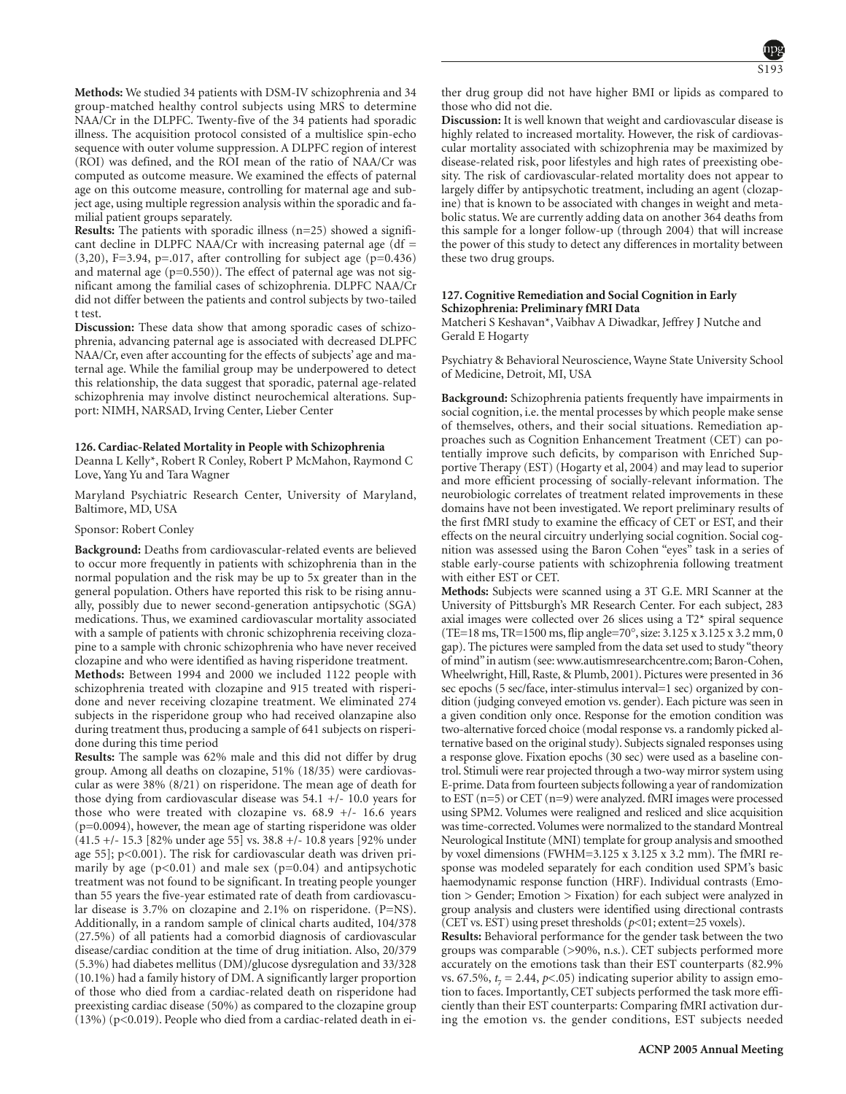**Methods:** We studied 34 patients with DSM-IV schizophrenia and 34 group-matched healthy control subjects using MRS to determine NAA/Cr in the DLPFC. Twenty-five of the 34 patients had sporadic illness. The acquisition protocol consisted of a multislice spin-echo sequence with outer volume suppression. A DLPFC region of interest (ROI) was defined, and the ROI mean of the ratio of NAA/Cr was computed as outcome measure. We examined the effects of paternal age on this outcome measure, controlling for maternal age and subject age, using multiple regression analysis within the sporadic and familial patient groups separately.

**Results:** The patients with sporadic illness (n=25) showed a significant decline in DLPFC NAA/Cr with increasing paternal age  $(df =$  $(3,20)$ , F=3.94, p=.017, after controlling for subject age (p=0.436) and maternal age  $(p=0.550)$ ). The effect of paternal age was not significant among the familial cases of schizophrenia. DLPFC NAA/Cr did not differ between the patients and control subjects by two-tailed t test.

**Discussion:** These data show that among sporadic cases of schizophrenia, advancing paternal age is associated with decreased DLPFC NAA/Cr, even after accounting for the effects of subjects' age and maternal age. While the familial group may be underpowered to detect this relationship, the data suggest that sporadic, paternal age-related schizophrenia may involve distinct neurochemical alterations. Support: NIMH, NARSAD, Irving Center, Lieber Center

# **126. Cardiac-Related Mortality in People with Schizophrenia**

Deanna L Kelly\*, Robert R Conley, Robert P McMahon, Raymond C Love, Yang Yu and Tara Wagner

Maryland Psychiatric Research Center, University of Maryland, Baltimore, MD, USA

#### Sponsor: Robert Conley

**Background:** Deaths from cardiovascular-related events are believed to occur more frequently in patients with schizophrenia than in the normal population and the risk may be up to 5x greater than in the general population. Others have reported this risk to be rising annually, possibly due to newer second-generation antipsychotic (SGA) medications. Thus, we examined cardiovascular mortality associated with a sample of patients with chronic schizophrenia receiving clozapine to a sample with chronic schizophrenia who have never received clozapine and who were identified as having risperidone treatment.

**Methods:** Between 1994 and 2000 we included 1122 people with schizophrenia treated with clozapine and 915 treated with risperidone and never receiving clozapine treatment. We eliminated 274 subjects in the risperidone group who had received olanzapine also during treatment thus, producing a sample of 641 subjects on risperidone during this time period

**Results:** The sample was 62% male and this did not differ by drug group. Among all deaths on clozapine, 51% (18/35) were cardiovascular as were 38% (8/21) on risperidone. The mean age of death for those dying from cardiovascular disease was 54.1 +/- 10.0 years for those who were treated with clozapine vs.  $68.9 +/- 16.6$  years (p=0.0094), however, the mean age of starting risperidone was older (41.5 +/- 15.3 [82% under age 55] vs. 38.8 +/- 10.8 years [92% under age 55]; p<0.001). The risk for cardiovascular death was driven primarily by age  $(p<0.01)$  and male sex  $(p=0.04)$  and antipsychotic treatment was not found to be significant. In treating people younger than 55 years the five-year estimated rate of death from cardiovascular disease is 3.7% on clozapine and 2.1% on risperidone. (P=NS). Additionally, in a random sample of clinical charts audited, 104/378 (27.5%) of all patients had a comorbid diagnosis of cardiovascular disease/cardiac condition at the time of drug initiation. Also, 20/379 (5.3%) had diabetes mellitus (DM)/glucose dysregulation and 33/328 (10.1%) had a family history of DM. A significantly larger proportion of those who died from a cardiac-related death on risperidone had preexisting cardiac disease (50%) as compared to the clozapine group (13%) (p<0.019). People who died from a cardiac-related death in either drug group did not have higher BMI or lipids as compared to those who did not die.

**Discussion:** It is well known that weight and cardiovascular disease is highly related to increased mortality. However, the risk of cardiovascular mortality associated with schizophrenia may be maximized by disease-related risk, poor lifestyles and high rates of preexisting obesity. The risk of cardiovascular-related mortality does not appear to largely differ by antipsychotic treatment, including an agent (clozapine) that is known to be associated with changes in weight and metabolic status. We are currently adding data on another 364 deaths from this sample for a longer follow-up (through 2004) that will increase the power of this study to detect any differences in mortality between these two drug groups.

# **127. Cognitive Remediation and Social Cognition in Early Schizophrenia: Preliminary fMRI Data**

Matcheri S Keshavan\*, Vaibhav A Diwadkar, Jeffrey J Nutche and Gerald E Hogarty

Psychiatry & Behavioral Neuroscience, Wayne State University School of Medicine, Detroit, MI, USA

**Background:** Schizophrenia patients frequently have impairments in social cognition, i.e. the mental processes by which people make sense of themselves, others, and their social situations. Remediation approaches such as Cognition Enhancement Treatment (CET) can potentially improve such deficits, by comparison with Enriched Supportive Therapy (EST) (Hogarty et al, 2004) and may lead to superior and more efficient processing of socially-relevant information. The neurobiologic correlates of treatment related improvements in these domains have not been investigated. We report preliminary results of the first fMRI study to examine the efficacy of CET or EST, and their effects on the neural circuitry underlying social cognition. Social cognition was assessed using the Baron Cohen "eyes" task in a series of stable early-course patients with schizophrenia following treatment with either EST or CET.

**Methods:** Subjects were scanned using a 3T G.E. MRI Scanner at the University of Pittsburgh's MR Research Center. For each subject, 283 axial images were collected over 26 slices using a T2\* spiral sequence (TE=18 ms, TR=1500 ms, flip angle=70 $^{\circ}$ , size: 3.125 x 3.125 x 3.2 mm, 0 gap). The pictures were sampled from the data set used to study "theory of mind"in autism (see: www.autismresearchcentre.com; Baron-Cohen, Wheelwright, Hill, Raste, & Plumb, 2001). Pictures were presented in 36 sec epochs (5 sec/face, inter-stimulus interval=1 sec) organized by condition (judging conveyed emotion vs. gender). Each picture was seen in a given condition only once. Response for the emotion condition was two-alternative forced choice (modal response vs. a randomly picked alternative based on the original study). Subjects signaled responses using a response glove. Fixation epochs (30 sec) were used as a baseline control. Stimuli were rear projected through a two-way mirror system using E-prime. Data from fourteen subjects following a year of randomization to EST (n=5) or CET (n=9) were analyzed. fMRI images were processed using SPM2. Volumes were realigned and resliced and slice acquisition was time-corrected. Volumes were normalized to the standard Montreal Neurological Institute (MNI) template for group analysis and smoothed by voxel dimensions (FWHM=3.125 x 3.125 x 3.2 mm). The fMRI response was modeled separately for each condition used SPM's basic haemodynamic response function (HRF). Individual contrasts (Emotion > Gender; Emotion > Fixation) for each subject were analyzed in group analysis and clusters were identified using directional contrasts (CET vs. EST) using preset thresholds (*p*<01; extent=25 voxels).

**Results:** Behavioral performance for the gender task between the two groups was comparable (>90%, n.s.). CET subjects performed more accurately on the emotions task than their EST counterparts (82.9% vs. 67.5%,  $t_7 = 2.44$ ,  $p<0.05$ ) indicating superior ability to assign emotion to faces. Importantly, CET subjects performed the task more efficiently than their EST counterparts: Comparing fMRI activation during the emotion vs. the gender conditions, EST subjects needed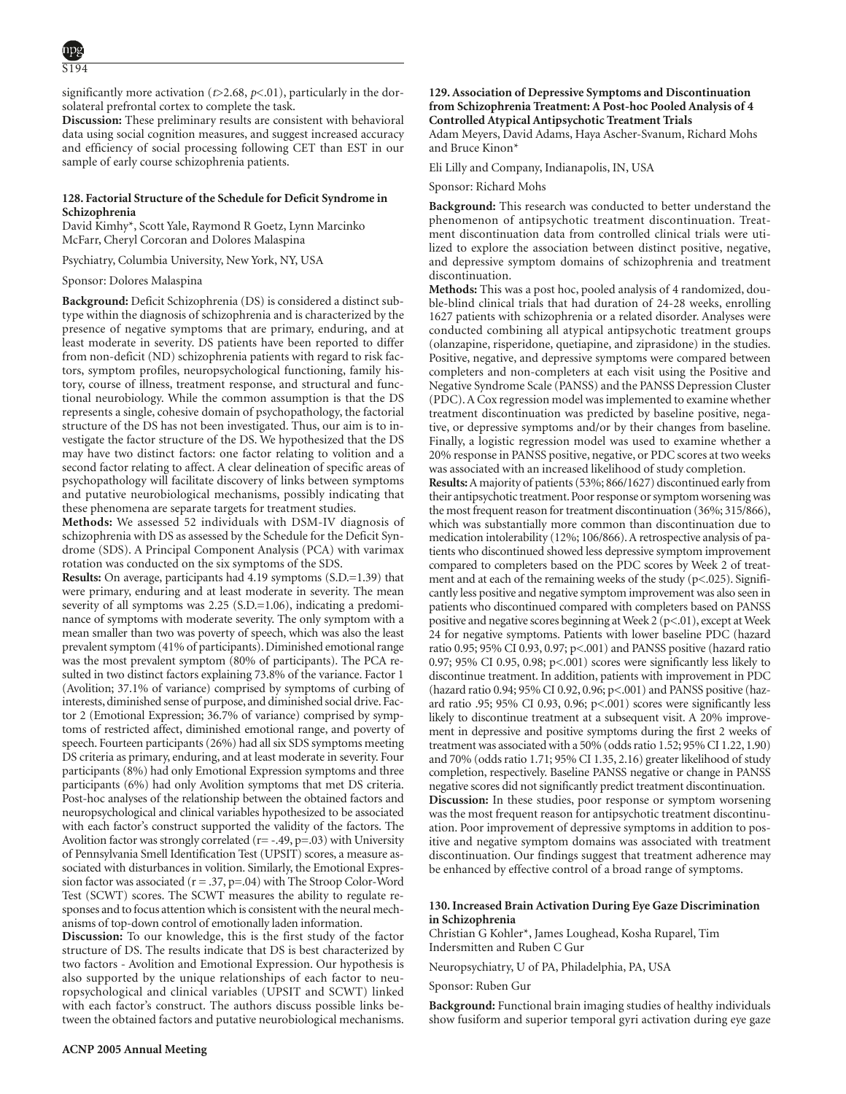significantly more activation ( $t$ >2.68,  $p$ <.01), particularly in the dorsolateral prefrontal cortex to complete the task.

**Discussion:** These preliminary results are consistent with behavioral data using social cognition measures, and suggest increased accuracy and efficiency of social processing following CET than EST in our sample of early course schizophrenia patients.

# **128. Factorial Structure of the Schedule for Deficit Syndrome in Schizophrenia**

David Kimhy\*, Scott Yale, Raymond R Goetz, Lynn Marcinko McFarr, Cheryl Corcoran and Dolores Malaspina

Psychiatry, Columbia University, New York, NY, USA

#### Sponsor: Dolores Malaspina

**Background:** Deficit Schizophrenia (DS) is considered a distinct subtype within the diagnosis of schizophrenia and is characterized by the presence of negative symptoms that are primary, enduring, and at least moderate in severity. DS patients have been reported to differ from non-deficit (ND) schizophrenia patients with regard to risk factors, symptom profiles, neuropsychological functioning, family history, course of illness, treatment response, and structural and functional neurobiology. While the common assumption is that the DS represents a single, cohesive domain of psychopathology, the factorial structure of the DS has not been investigated. Thus, our aim is to investigate the factor structure of the DS. We hypothesized that the DS may have two distinct factors: one factor relating to volition and a second factor relating to affect. A clear delineation of specific areas of psychopathology will facilitate discovery of links between symptoms and putative neurobiological mechanisms, possibly indicating that these phenomena are separate targets for treatment studies.

**Methods:** We assessed 52 individuals with DSM-IV diagnosis of schizophrenia with DS as assessed by the Schedule for the Deficit Syndrome (SDS). A Principal Component Analysis (PCA) with varimax rotation was conducted on the six symptoms of the SDS.

**Results:** On average, participants had 4.19 symptoms (S.D.=1.39) that were primary, enduring and at least moderate in severity. The mean severity of all symptoms was 2.25 (S.D.=1.06), indicating a predominance of symptoms with moderate severity. The only symptom with a mean smaller than two was poverty of speech, which was also the least prevalent symptom (41% of participants). Diminished emotional range was the most prevalent symptom (80% of participants). The PCA resulted in two distinct factors explaining 73.8% of the variance. Factor 1 (Avolition; 37.1% of variance) comprised by symptoms of curbing of interests, diminished sense of purpose, and diminished social drive. Factor 2 (Emotional Expression; 36.7% of variance) comprised by symptoms of restricted affect, diminished emotional range, and poverty of speech. Fourteen participants (26%) had all six SDS symptoms meeting DS criteria as primary, enduring, and at least moderate in severity. Four participants (8%) had only Emotional Expression symptoms and three participants (6%) had only Avolition symptoms that met DS criteria. Post-hoc analyses of the relationship between the obtained factors and neuropsychological and clinical variables hypothesized to be associated with each factor's construct supported the validity of the factors. The Avolition factor was strongly correlated  $(r=-.49, p=.03)$  with University of Pennsylvania Smell Identification Test (UPSIT) scores, a measure associated with disturbances in volition. Similarly, the Emotional Expression factor was associated ( $r = .37$ ,  $p = .04$ ) with The Stroop Color-Word Test (SCWT) scores. The SCWT measures the ability to regulate responses and to focus attention which is consistent with the neural mechanisms of top-down control of emotionally laden information.

**Discussion:** To our knowledge, this is the first study of the factor structure of DS. The results indicate that DS is best characterized by two factors - Avolition and Emotional Expression. Our hypothesis is also supported by the unique relationships of each factor to neuropsychological and clinical variables (UPSIT and SCWT) linked with each factor's construct. The authors discuss possible links between the obtained factors and putative neurobiological mechanisms.

# **129. Association of Depressive Symptoms and Discontinuation from Schizophrenia Treatment: A Post-hoc Pooled Analysis of 4 Controlled Atypical Antipsychotic Treatment Trials**

Adam Meyers, David Adams, Haya Ascher-Svanum, Richard Mohs and Bruce Kinon\*

Eli Lilly and Company, Indianapolis, IN, USA

Sponsor: Richard Mohs

**Background:** This research was conducted to better understand the phenomenon of antipsychotic treatment discontinuation. Treatment discontinuation data from controlled clinical trials were utilized to explore the association between distinct positive, negative, and depressive symptom domains of schizophrenia and treatment discontinuation.

**Methods:** This was a post hoc, pooled analysis of 4 randomized, double-blind clinical trials that had duration of 24-28 weeks, enrolling 1627 patients with schizophrenia or a related disorder. Analyses were conducted combining all atypical antipsychotic treatment groups (olanzapine, risperidone, quetiapine, and ziprasidone) in the studies. Positive, negative, and depressive symptoms were compared between completers and non-completers at each visit using the Positive and Negative Syndrome Scale (PANSS) and the PANSS Depression Cluster (PDC). A Cox regression model was implemented to examine whether treatment discontinuation was predicted by baseline positive, negative, or depressive symptoms and/or by their changes from baseline. Finally, a logistic regression model was used to examine whether a 20% response in PANSS positive, negative, or PDC scores at two weeks was associated with an increased likelihood of study completion.

**Results:**A majority of patients (53%; 866/1627) discontinued early from their antipsychotic treatment. Poor response or symptom worsening was the most frequent reason for treatment discontinuation (36%; 315/866), which was substantially more common than discontinuation due to medication intolerability (12%; 106/866). A retrospective analysis of patients who discontinued showed less depressive symptom improvement compared to completers based on the PDC scores by Week 2 of treatment and at each of the remaining weeks of the study ( $p<0.025$ ). Significantly less positive and negative symptom improvement was also seen in patients who discontinued compared with completers based on PANSS positive and negative scores beginning at Week 2 (p<.01), except at Week 24 for negative symptoms. Patients with lower baseline PDC (hazard ratio 0.95; 95% CI 0.93, 0.97; p<.001) and PANSS positive (hazard ratio 0.97; 95% CI 0.95, 0.98;  $p<.001$ ) scores were significantly less likely to discontinue treatment. In addition, patients with improvement in PDC (hazard ratio 0.94; 95% CI 0.92, 0.96; p<.001) and PANSS positive (hazard ratio .95; 95% CI 0.93, 0.96; p<.001) scores were significantly less likely to discontinue treatment at a subsequent visit. A 20% improvement in depressive and positive symptoms during the first 2 weeks of treatment was associated with a 50% (odds ratio 1.52; 95% CI 1.22, 1.90) and 70% (odds ratio 1.71; 95% CI 1.35, 2.16) greater likelihood of study completion, respectively. Baseline PANSS negative or change in PANSS negative scores did not significantly predict treatment discontinuation. **Discussion:** In these studies, poor response or symptom worsening was the most frequent reason for antipsychotic treatment discontinuation. Poor improvement of depressive symptoms in addition to positive and negative symptom domains was associated with treatment discontinuation. Our findings suggest that treatment adherence may be enhanced by effective control of a broad range of symptoms.

### **130. Increased Brain Activation During Eye Gaze Discrimination in Schizophrenia**

Christian G Kohler\*, James Loughead, Kosha Ruparel, Tim Indersmitten and Ruben C Gur

Neuropsychiatry, U of PA, Philadelphia, PA, USA

Sponsor: Ruben Gur

**Background:** Functional brain imaging studies of healthy individuals show fusiform and superior temporal gyri activation during eye gaze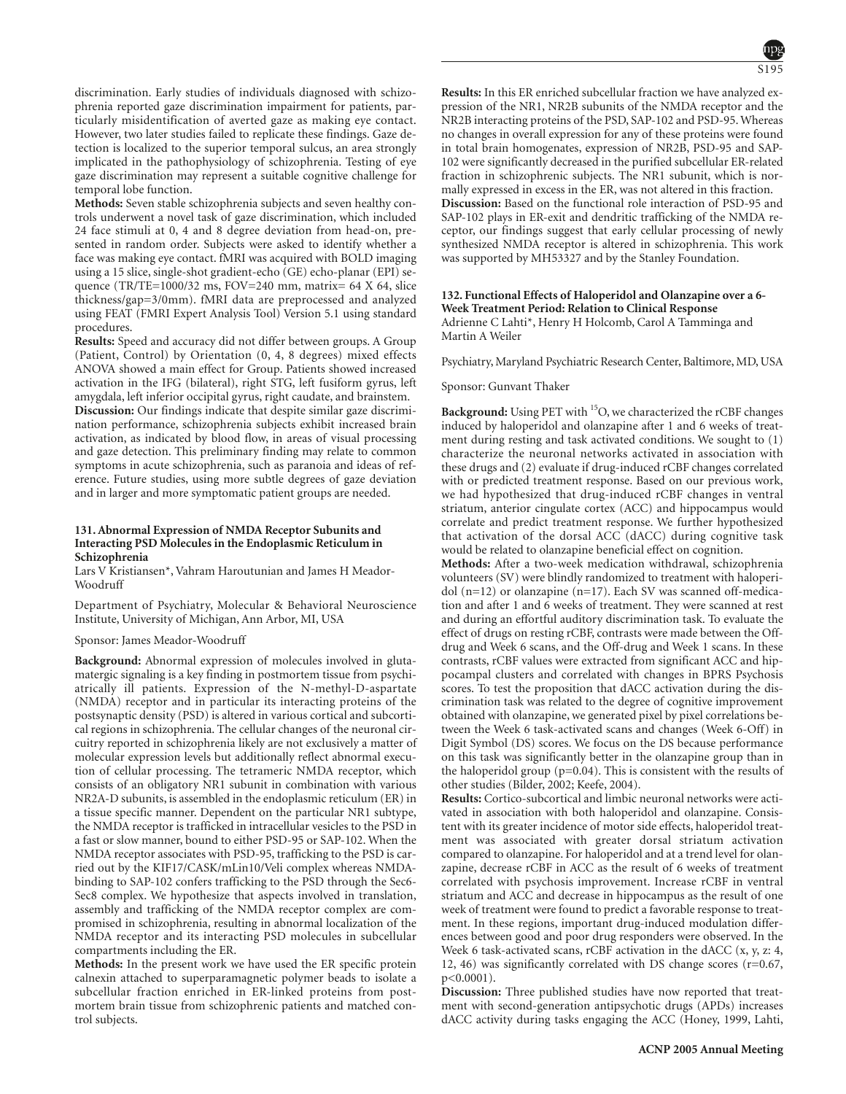discrimination. Early studies of individuals diagnosed with schizophrenia reported gaze discrimination impairment for patients, particularly misidentification of averted gaze as making eye contact. However, two later studies failed to replicate these findings. Gaze detection is localized to the superior temporal sulcus, an area strongly implicated in the pathophysiology of schizophrenia. Testing of eye gaze discrimination may represent a suitable cognitive challenge for temporal lobe function.

**Methods:** Seven stable schizophrenia subjects and seven healthy controls underwent a novel task of gaze discrimination, which included 24 face stimuli at 0, 4 and 8 degree deviation from head-on, presented in random order. Subjects were asked to identify whether a face was making eye contact. fMRI was acquired with BOLD imaging using a 15 slice, single-shot gradient-echo (GE) echo-planar (EPI) sequence (TR/TE=1000/32 ms, FOV=240 mm, matrix= 64 X 64, slice thickness/gap=3/0mm). fMRI data are preprocessed and analyzed using FEAT (FMRI Expert Analysis Tool) Version 5.1 using standard procedures.

**Results:** Speed and accuracy did not differ between groups. A Group (Patient, Control) by Orientation (0, 4, 8 degrees) mixed effects ANOVA showed a main effect for Group. Patients showed increased activation in the IFG (bilateral), right STG, left fusiform gyrus, left amygdala, left inferior occipital gyrus, right caudate, and brainstem. **Discussion:** Our findings indicate that despite similar gaze discrimination performance, schizophrenia subjects exhibit increased brain activation, as indicated by blood flow, in areas of visual processing and gaze detection. This preliminary finding may relate to common symptoms in acute schizophrenia, such as paranoia and ideas of reference. Future studies, using more subtle degrees of gaze deviation and in larger and more symptomatic patient groups are needed.

# **131. Abnormal Expression of NMDA Receptor Subunits and Interacting PSD Molecules in the Endoplasmic Reticulum in Schizophrenia**

Lars V Kristiansen\*, Vahram Haroutunian and James H Meador-Woodruff

Department of Psychiatry, Molecular & Behavioral Neuroscience Institute, University of Michigan, Ann Arbor, MI, USA

#### Sponsor: James Meador-Woodruff

**Background:** Abnormal expression of molecules involved in glutamatergic signaling is a key finding in postmortem tissue from psychiatrically ill patients. Expression of the N-methyl-D-aspartate (NMDA) receptor and in particular its interacting proteins of the postsynaptic density (PSD) is altered in various cortical and subcortical regions in schizophrenia. The cellular changes of the neuronal circuitry reported in schizophrenia likely are not exclusively a matter of molecular expression levels but additionally reflect abnormal execution of cellular processing. The tetrameric NMDA receptor, which consists of an obligatory NR1 subunit in combination with various NR2A-D subunits, is assembled in the endoplasmic reticulum (ER) in a tissue specific manner. Dependent on the particular NR1 subtype, the NMDA receptor is trafficked in intracellular vesicles to the PSD in a fast or slow manner, bound to either PSD-95 or SAP-102. When the NMDA receptor associates with PSD-95, trafficking to the PSD is carried out by the KIF17/CASK/mLin10/Veli complex whereas NMDAbinding to SAP-102 confers trafficking to the PSD through the Sec6- Sec8 complex. We hypothesize that aspects involved in translation, assembly and trafficking of the NMDA receptor complex are compromised in schizophrenia, resulting in abnormal localization of the NMDA receptor and its interacting PSD molecules in subcellular compartments including the ER.

**Methods:** In the present work we have used the ER specific protein calnexin attached to superparamagnetic polymer beads to isolate a subcellular fraction enriched in ER-linked proteins from postmortem brain tissue from schizophrenic patients and matched control subjects.

S195

**Results:** In this ER enriched subcellular fraction we have analyzed expression of the NR1, NR2B subunits of the NMDA receptor and the NR2B interacting proteins of the PSD, SAP-102 and PSD-95. Whereas no changes in overall expression for any of these proteins were found in total brain homogenates, expression of NR2B, PSD-95 and SAP-102 were significantly decreased in the purified subcellular ER-related fraction in schizophrenic subjects. The NR1 subunit, which is normally expressed in excess in the ER, was not altered in this fraction. **Discussion:** Based on the functional role interaction of PSD-95 and SAP-102 plays in ER-exit and dendritic trafficking of the NMDA receptor, our findings suggest that early cellular processing of newly synthesized NMDA receptor is altered in schizophrenia. This work was supported by MH53327 and by the Stanley Foundation.

### **132. Functional Effects of Haloperidol and Olanzapine over a 6- Week Treatment Period: Relation to Clinical Response** Adrienne C Lahti\*, Henry H Holcomb, Carol A Tamminga and Martin A Weiler

Psychiatry, Maryland Psychiatric Research Center, Baltimore, MD, USA

### Sponsor: Gunvant Thaker

**Background:** Using PET with 15O, we characterized the rCBF changes induced by haloperidol and olanzapine after 1 and 6 weeks of treatment during resting and task activated conditions. We sought to (1) characterize the neuronal networks activated in association with these drugs and (2) evaluate if drug-induced rCBF changes correlated with or predicted treatment response. Based on our previous work, we had hypothesized that drug-induced rCBF changes in ventral striatum, anterior cingulate cortex (ACC) and hippocampus would correlate and predict treatment response. We further hypothesized that activation of the dorsal ACC (dACC) during cognitive task would be related to olanzapine beneficial effect on cognition.

**Methods:** After a two-week medication withdrawal, schizophrenia volunteers (SV) were blindly randomized to treatment with haloperidol (n=12) or olanzapine (n=17). Each SV was scanned off-medication and after 1 and 6 weeks of treatment. They were scanned at rest and during an effortful auditory discrimination task. To evaluate the effect of drugs on resting rCBF, contrasts were made between the Offdrug and Week 6 scans, and the Off-drug and Week 1 scans. In these contrasts, rCBF values were extracted from significant ACC and hippocampal clusters and correlated with changes in BPRS Psychosis scores. To test the proposition that dACC activation during the discrimination task was related to the degree of cognitive improvement obtained with olanzapine, we generated pixel by pixel correlations between the Week 6 task-activated scans and changes (Week 6-Off) in Digit Symbol (DS) scores. We focus on the DS because performance on this task was significantly better in the olanzapine group than in the haloperidol group  $(p=0.04)$ . This is consistent with the results of other studies (Bilder, 2002; Keefe, 2004).

**Results:** Cortico-subcortical and limbic neuronal networks were activated in association with both haloperidol and olanzapine. Consistent with its greater incidence of motor side effects, haloperidol treatment was associated with greater dorsal striatum activation compared to olanzapine. For haloperidol and at a trend level for olanzapine, decrease rCBF in ACC as the result of 6 weeks of treatment correlated with psychosis improvement. Increase rCBF in ventral striatum and ACC and decrease in hippocampus as the result of one week of treatment were found to predict a favorable response to treatment. In these regions, important drug-induced modulation differences between good and poor drug responders were observed. In the Week 6 task-activated scans, rCBF activation in the dACC (x, y, z: 4, 12, 46) was significantly correlated with DS change scores (r=0.67, p<0.0001).

**Discussion:** Three published studies have now reported that treatment with second-generation antipsychotic drugs (APDs) increases dACC activity during tasks engaging the ACC (Honey, 1999, Lahti,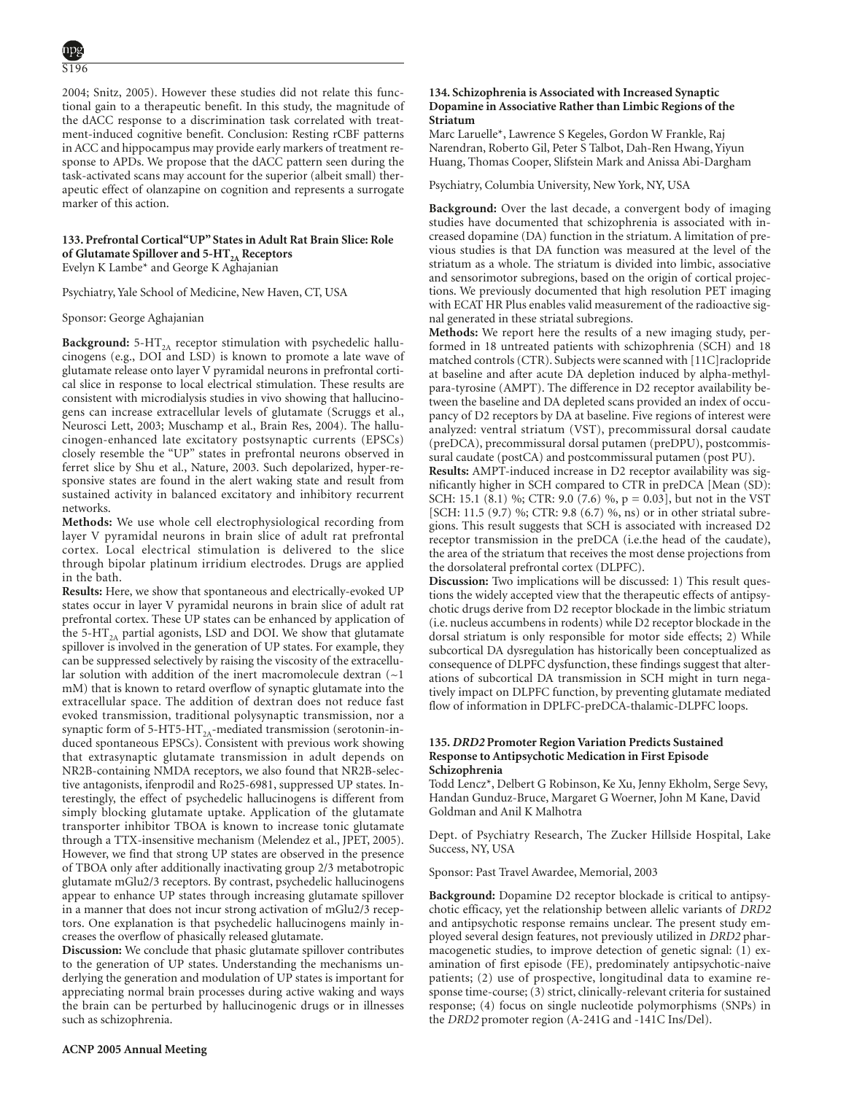2004; Snitz, 2005). However these studies did not relate this functional gain to a therapeutic benefit. In this study, the magnitude of the dACC response to a discrimination task correlated with treatment-induced cognitive benefit. Conclusion: Resting rCBF patterns in ACC and hippocampus may provide early markers of treatment response to APDs. We propose that the dACC pattern seen during the task-activated scans may account for the superior (albeit small) therapeutic effect of olanzapine on cognition and represents a surrogate marker of this action.

# **133. Prefrontal Cortical"UP" States in Adult Rat Brain Slice: Role of Glutamate Spillover and 5-HT**<sub>2</sub><sup>*A*</sup> **Receptors** Evelyn K Lambe\* and George K Aghajanian

Psychiatry, Yale School of Medicine, New Haven, CT, USA

Sponsor: George Aghajanian

**Background:** 5-HT<sub>2A</sub> receptor stimulation with psychedelic hallucinogens (e.g., DOI and LSD) is known to promote a late wave of glutamate release onto layer V pyramidal neurons in prefrontal cortical slice in response to local electrical stimulation. These results are consistent with microdialysis studies in vivo showing that hallucinogens can increase extracellular levels of glutamate (Scruggs et al., Neurosci Lett, 2003; Muschamp et al., Brain Res, 2004). The hallucinogen-enhanced late excitatory postsynaptic currents (EPSCs) closely resemble the "UP" states in prefrontal neurons observed in ferret slice by Shu et al., Nature, 2003. Such depolarized, hyper-responsive states are found in the alert waking state and result from sustained activity in balanced excitatory and inhibitory recurrent networks.

**Methods:** We use whole cell electrophysiological recording from layer V pyramidal neurons in brain slice of adult rat prefrontal cortex. Local electrical stimulation is delivered to the slice through bipolar platinum irridium electrodes. Drugs are applied in the bath.

**Results:** Here, we show that spontaneous and electrically-evoked UP states occur in layer V pyramidal neurons in brain slice of adult rat prefrontal cortex. These UP states can be enhanced by application of the 5-HT<sub>2A</sub> partial agonists, LSD and DOI. We show that glutamate spillover is involved in the generation of UP states. For example, they can be suppressed selectively by raising the viscosity of the extracellular solution with addition of the inert macromolecule dextran  $(-1)$ mM) that is known to retard overflow of synaptic glutamate into the extracellular space. The addition of dextran does not reduce fast evoked transmission, traditional polysynaptic transmission, nor a synaptic form of 5-HT5-HT<sub>2A</sub>-mediated transmission (serotonin-induced spontaneous EPSCs). Consistent with previous work showing that extrasynaptic glutamate transmission in adult depends on NR2B-containing NMDA receptors, we also found that NR2B-selective antagonists, ifenprodil and Ro25-6981, suppressed UP states. Interestingly, the effect of psychedelic hallucinogens is different from simply blocking glutamate uptake. Application of the glutamate transporter inhibitor TBOA is known to increase tonic glutamate through a TTX-insensitive mechanism (Melendez et al., JPET, 2005). However, we find that strong UP states are observed in the presence of TBOA only after additionally inactivating group 2/3 metabotropic glutamate mGlu2/3 receptors. By contrast, psychedelic hallucinogens appear to enhance UP states through increasing glutamate spillover in a manner that does not incur strong activation of mGlu2/3 receptors. One explanation is that psychedelic hallucinogens mainly increases the overflow of phasically released glutamate.

**Discussion:** We conclude that phasic glutamate spillover contributes to the generation of UP states. Understanding the mechanisms underlying the generation and modulation of UP states is important for appreciating normal brain processes during active waking and ways the brain can be perturbed by hallucinogenic drugs or in illnesses such as schizophrenia.

#### **134. Schizophrenia is Associated with Increased Synaptic Dopamine in Associative Rather than Limbic Regions of the Striatum**

Marc Laruelle\*, Lawrence S Kegeles, Gordon W Frankle, Raj Narendran, Roberto Gil, Peter S Talbot, Dah-Ren Hwang, Yiyun Huang, Thomas Cooper, Slifstein Mark and Anissa Abi-Dargham

Psychiatry, Columbia University, New York, NY, USA

**Background:** Over the last decade, a convergent body of imaging studies have documented that schizophrenia is associated with increased dopamine (DA) function in the striatum. A limitation of previous studies is that DA function was measured at the level of the striatum as a whole. The striatum is divided into limbic, associative and sensorimotor subregions, based on the origin of cortical projections. We previously documented that high resolution PET imaging with ECAT HR Plus enables valid measurement of the radioactive signal generated in these striatal subregions.

**Methods:** We report here the results of a new imaging study, performed in 18 untreated patients with schizophrenia (SCH) and 18 matched controls (CTR). Subjects were scanned with [11C]raclopride at baseline and after acute DA depletion induced by alpha-methylpara-tyrosine (AMPT). The difference in D2 receptor availability between the baseline and DA depleted scans provided an index of occupancy of D2 receptors by DA at baseline. Five regions of interest were analyzed: ventral striatum (VST), precommissural dorsal caudate (preDCA), precommissural dorsal putamen (preDPU), postcommissural caudate (postCA) and postcommissural putamen (post PU).

**Results:** AMPT-induced increase in D2 receptor availability was significantly higher in SCH compared to CTR in preDCA [Mean (SD): SCH: 15.1 (8.1) %; CTR: 9.0 (7.6) %, p = 0.03], but not in the VST [SCH: 11.5 (9.7) %; CTR: 9.8 (6.7) %, ns) or in other striatal subregions. This result suggests that SCH is associated with increased D2 receptor transmission in the preDCA (i.e.the head of the caudate), the area of the striatum that receives the most dense projections from the dorsolateral prefrontal cortex (DLPFC).

**Discussion:** Two implications will be discussed: 1) This result questions the widely accepted view that the therapeutic effects of antipsychotic drugs derive from D2 receptor blockade in the limbic striatum (i.e. nucleus accumbens in rodents) while D2 receptor blockade in the dorsal striatum is only responsible for motor side effects; 2) While subcortical DA dysregulation has historically been conceptualized as consequence of DLPFC dysfunction, these findings suggest that alterations of subcortical DA transmission in SCH might in turn negatively impact on DLPFC function, by preventing glutamate mediated flow of information in DPLFC-preDCA-thalamic-DLPFC loops.

# **135.** *DRD2* **Promoter Region Variation Predicts Sustained Response to Antipsychotic Medication in First Episode Schizophrenia**

Todd Lencz\*, Delbert G Robinson, Ke Xu, Jenny Ekholm, Serge Sevy, Handan Gunduz-Bruce, Margaret G Woerner, John M Kane, David Goldman and Anil K Malhotra

Dept. of Psychiatry Research, The Zucker Hillside Hospital, Lake Success, NY, USA

Sponsor: Past Travel Awardee, Memorial, 2003

**Background:** Dopamine D2 receptor blockade is critical to antipsychotic efficacy, yet the relationship between allelic variants of *DRD2* and antipsychotic response remains unclear. The present study employed several design features, not previously utilized in *DRD2* pharmacogenetic studies, to improve detection of genetic signal: (1) examination of first episode (FE), predominately antipsychotic-naive patients; (2) use of prospective, longitudinal data to examine response time-course; (3) strict, clinically-relevant criteria for sustained response; (4) focus on single nucleotide polymorphisms (SNPs) in the *DRD2* promoter region (A-241G and -141C Ins/Del).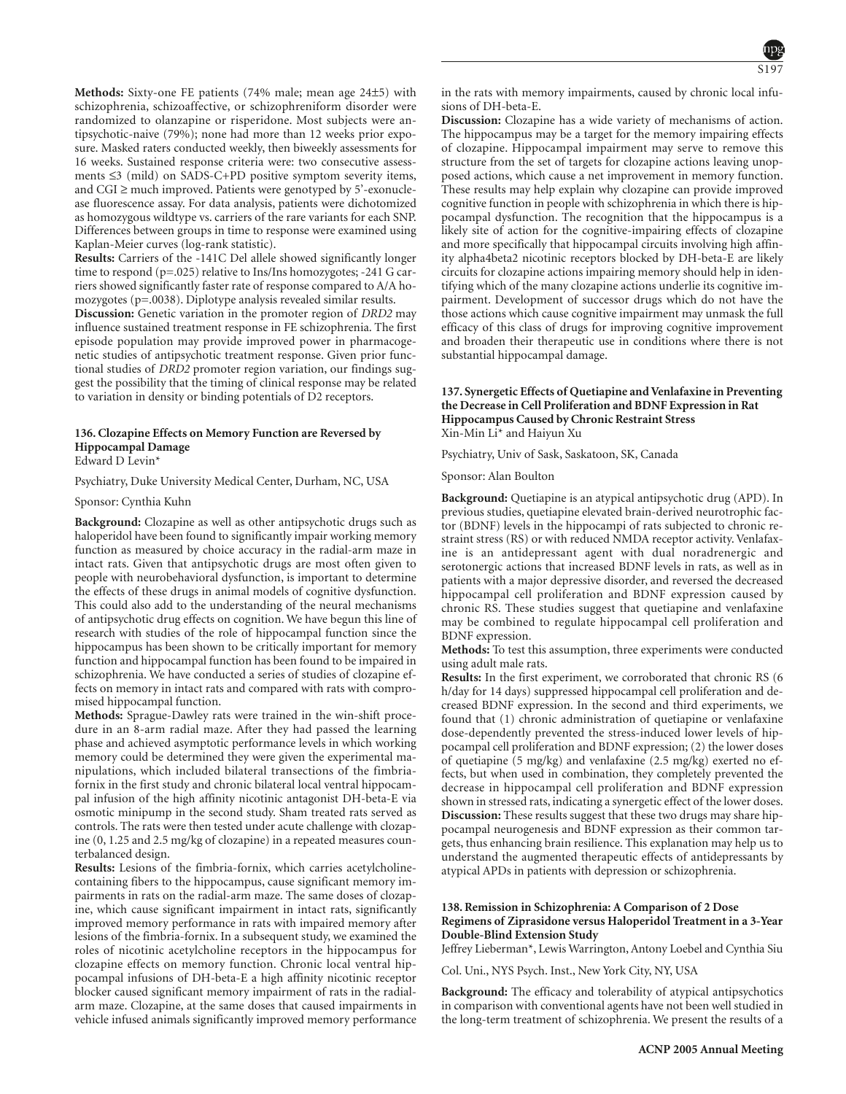**Methods:** Sixty-one FE patients (74% male; mean age 24±5) with schizophrenia, schizoaffective, or schizophreniform disorder were randomized to olanzapine or risperidone. Most subjects were antipsychotic-naive (79%); none had more than 12 weeks prior exposure. Masked raters conducted weekly, then biweekly assessments for 16 weeks. Sustained response criteria were: two consecutive assessments ≤3 (mild) on SADS-C+PD positive symptom severity items, and CGI  $\geq$  much improved. Patients were genotyped by 5'-exonuclease fluorescence assay. For data analysis, patients were dichotomized as homozygous wildtype vs. carriers of the rare variants for each SNP. Differences between groups in time to response were examined using Kaplan-Meier curves (log-rank statistic).

**Results:** Carriers of the -141C Del allele showed significantly longer time to respond (p=.025) relative to Ins/Ins homozygotes; -241 G carriers showed significantly faster rate of response compared to A/A homozygotes (p=.0038). Diplotype analysis revealed similar results.

**Discussion:** Genetic variation in the promoter region of *DRD2* may influence sustained treatment response in FE schizophrenia. The first episode population may provide improved power in pharmacogenetic studies of antipsychotic treatment response. Given prior functional studies of *DRD2* promoter region variation, our findings suggest the possibility that the timing of clinical response may be related to variation in density or binding potentials of D2 receptors.

# **136. Clozapine Effects on Memory Function are Reversed by Hippocampal Damage**

Edward D Levin\*

Psychiatry, Duke University Medical Center, Durham, NC, USA

Sponsor: Cynthia Kuhn

**Background:** Clozapine as well as other antipsychotic drugs such as haloperidol have been found to significantly impair working memory function as measured by choice accuracy in the radial-arm maze in intact rats. Given that antipsychotic drugs are most often given to people with neurobehavioral dysfunction, is important to determine the effects of these drugs in animal models of cognitive dysfunction. This could also add to the understanding of the neural mechanisms of antipsychotic drug effects on cognition. We have begun this line of research with studies of the role of hippocampal function since the hippocampus has been shown to be critically important for memory function and hippocampal function has been found to be impaired in schizophrenia. We have conducted a series of studies of clozapine effects on memory in intact rats and compared with rats with compromised hippocampal function.

**Methods:** Sprague-Dawley rats were trained in the win-shift procedure in an 8-arm radial maze. After they had passed the learning phase and achieved asymptotic performance levels in which working memory could be determined they were given the experimental manipulations, which included bilateral transections of the fimbriafornix in the first study and chronic bilateral local ventral hippocampal infusion of the high affinity nicotinic antagonist DH-beta-E via osmotic minipump in the second study. Sham treated rats served as controls. The rats were then tested under acute challenge with clozapine (0, 1.25 and 2.5 mg/kg of clozapine) in a repeated measures counterbalanced design.

**Results:** Lesions of the fimbria-fornix, which carries acetylcholinecontaining fibers to the hippocampus, cause significant memory impairments in rats on the radial-arm maze. The same doses of clozapine, which cause significant impairment in intact rats, significantly improved memory performance in rats with impaired memory after lesions of the fimbria-fornix. In a subsequent study, we examined the roles of nicotinic acetylcholine receptors in the hippocampus for clozapine effects on memory function. Chronic local ventral hippocampal infusions of DH-beta-E a high affinity nicotinic receptor blocker caused significant memory impairment of rats in the radialarm maze. Clozapine, at the same doses that caused impairments in vehicle infused animals significantly improved memory performance in the rats with memory impairments, caused by chronic local infusions of DH-beta-E.

**Discussion:** Clozapine has a wide variety of mechanisms of action. The hippocampus may be a target for the memory impairing effects of clozapine. Hippocampal impairment may serve to remove this structure from the set of targets for clozapine actions leaving unopposed actions, which cause a net improvement in memory function. These results may help explain why clozapine can provide improved cognitive function in people with schizophrenia in which there is hippocampal dysfunction. The recognition that the hippocampus is a likely site of action for the cognitive-impairing effects of clozapine and more specifically that hippocampal circuits involving high affinity alpha4beta2 nicotinic receptors blocked by DH-beta-E are likely circuits for clozapine actions impairing memory should help in identifying which of the many clozapine actions underlie its cognitive impairment. Development of successor drugs which do not have the those actions which cause cognitive impairment may unmask the full efficacy of this class of drugs for improving cognitive improvement and broaden their therapeutic use in conditions where there is not substantial hippocampal damage.

# **137. Synergetic Effects of Quetiapine and Venlafaxine in Preventing the Decrease in Cell Proliferation and BDNF Expression in Rat Hippocampus Caused by Chronic Restraint Stress** Xin-Min Li\* and Haiyun Xu

Psychiatry, Univ of Sask, Saskatoon, SK, Canada

Sponsor: Alan Boulton

**Background:** Quetiapine is an atypical antipsychotic drug (APD). In previous studies, quetiapine elevated brain-derived neurotrophic factor (BDNF) levels in the hippocampi of rats subjected to chronic restraint stress (RS) or with reduced NMDA receptor activity. Venlafaxine is an antidepressant agent with dual noradrenergic and serotonergic actions that increased BDNF levels in rats, as well as in patients with a major depressive disorder, and reversed the decreased hippocampal cell proliferation and BDNF expression caused by chronic RS. These studies suggest that quetiapine and venlafaxine may be combined to regulate hippocampal cell proliferation and BDNF expression.

**Methods:** To test this assumption, three experiments were conducted using adult male rats.

**Results:** In the first experiment, we corroborated that chronic RS (6 h/day for 14 days) suppressed hippocampal cell proliferation and decreased BDNF expression. In the second and third experiments, we found that (1) chronic administration of quetiapine or venlafaxine dose-dependently prevented the stress-induced lower levels of hippocampal cell proliferation and BDNF expression; (2) the lower doses of quetiapine (5 mg/kg) and venlafaxine (2.5 mg/kg) exerted no effects, but when used in combination, they completely prevented the decrease in hippocampal cell proliferation and BDNF expression shown in stressed rats, indicating a synergetic effect of the lower doses. **Discussion:** These results suggest that these two drugs may share hippocampal neurogenesis and BDNF expression as their common targets, thus enhancing brain resilience. This explanation may help us to understand the augmented therapeutic effects of antidepressants by atypical APDs in patients with depression or schizophrenia.

# **138. Remission in Schizophrenia: A Comparison of 2 Dose Regimens of Ziprasidone versus Haloperidol Treatment in a 3-Year Double-Blind Extension Study**

Jeffrey Lieberman\*, Lewis Warrington, Antony Loebel and Cynthia Siu

Col. Uni., NYS Psych. Inst., New York City, NY, USA

**Background:** The efficacy and tolerability of atypical antipsychotics in comparison with conventional agents have not been well studied in the long-term treatment of schizophrenia. We present the results of a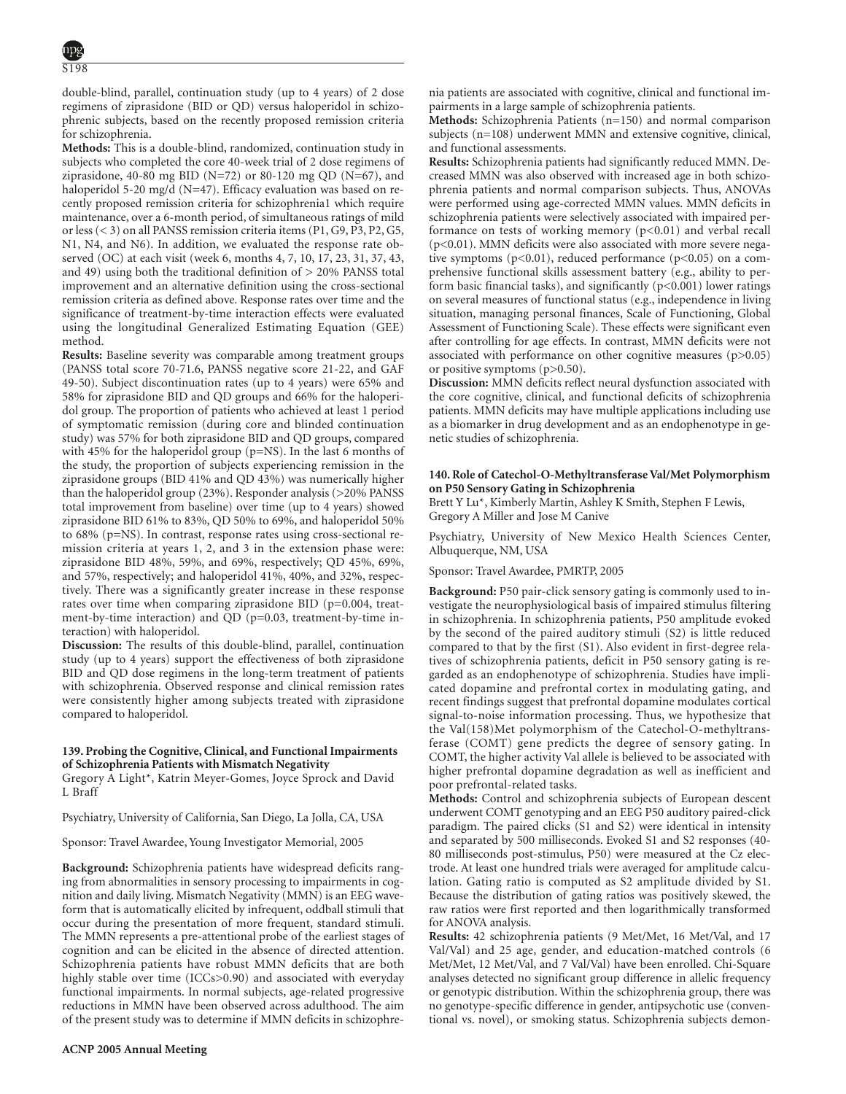double-blind, parallel, continuation study (up to 4 years) of 2 dose regimens of ziprasidone (BID or QD) versus haloperidol in schizophrenic subjects, based on the recently proposed remission criteria for schizophrenia.

**Methods:** This is a double-blind, randomized, continuation study in subjects who completed the core 40-week trial of 2 dose regimens of ziprasidone, 40-80 mg BID (N=72) or 80-120 mg QD (N=67), and haloperidol 5-20 mg/d (N=47). Efficacy evaluation was based on recently proposed remission criteria for schizophrenia1 which require maintenance, over a 6-month period, of simultaneous ratings of mild or less (< 3) on all PANSS remission criteria items (P1, G9, P3, P2, G5, N1, N4, and N6). In addition, we evaluated the response rate observed (OC) at each visit (week 6, months 4, 7, 10, 17, 23, 31, 37, 43, and 49) using both the traditional definition of > 20% PANSS total improvement and an alternative definition using the cross-sectional remission criteria as defined above. Response rates over time and the significance of treatment-by-time interaction effects were evaluated using the longitudinal Generalized Estimating Equation (GEE) method.

**Results:** Baseline severity was comparable among treatment groups (PANSS total score 70-71.6, PANSS negative score 21-22, and GAF 49-50). Subject discontinuation rates (up to 4 years) were 65% and 58% for ziprasidone BID and QD groups and 66% for the haloperidol group. The proportion of patients who achieved at least 1 period of symptomatic remission (during core and blinded continuation study) was 57% for both ziprasidone BID and QD groups, compared with 45% for the haloperidol group (p=NS). In the last 6 months of the study, the proportion of subjects experiencing remission in the ziprasidone groups (BID 41% and QD 43%) was numerically higher than the haloperidol group (23%). Responder analysis (>20% PANSS total improvement from baseline) over time (up to 4 years) showed ziprasidone BID 61% to 83%, QD 50% to 69%, and haloperidol 50% to 68% (p=NS). In contrast, response rates using cross-sectional remission criteria at years 1, 2, and 3 in the extension phase were: ziprasidone BID 48%, 59%, and 69%, respectively; QD 45%, 69%, and 57%, respectively; and haloperidol 41%, 40%, and 32%, respectively. There was a significantly greater increase in these response rates over time when comparing ziprasidone BID (p=0.004, treatment-by-time interaction) and QD (p=0.03, treatment-by-time interaction) with haloperidol.

**Discussion:** The results of this double-blind, parallel, continuation study (up to 4 years) support the effectiveness of both ziprasidone BID and QD dose regimens in the long-term treatment of patients with schizophrenia. Observed response and clinical remission rates were consistently higher among subjects treated with ziprasidone compared to haloperidol.

# **139. Probing the Cognitive, Clinical, and Functional Impairments of Schizophrenia Patients with Mismatch Negativity**

Gregory A Light\*, Katrin Meyer-Gomes, Joyce Sprock and David L Braff

Psychiatry, University of California, San Diego, La Jolla, CA, USA

Sponsor: Travel Awardee, Young Investigator Memorial, 2005

**Background:** Schizophrenia patients have widespread deficits ranging from abnormalities in sensory processing to impairments in cognition and daily living. Mismatch Negativity (MMN) is an EEG waveform that is automatically elicited by infrequent, oddball stimuli that occur during the presentation of more frequent, standard stimuli. The MMN represents a pre-attentional probe of the earliest stages of cognition and can be elicited in the absence of directed attention. Schizophrenia patients have robust MMN deficits that are both highly stable over time (ICCs>0.90) and associated with everyday functional impairments. In normal subjects, age-related progressive reductions in MMN have been observed across adulthood. The aim of the present study was to determine if MMN deficits in schizophrenia patients are associated with cognitive, clinical and functional impairments in a large sample of schizophrenia patients.

**Methods:** Schizophrenia Patients (n=150) and normal comparison subjects (n=108) underwent MMN and extensive cognitive, clinical, and functional assessments.

**Results:** Schizophrenia patients had significantly reduced MMN. Decreased MMN was also observed with increased age in both schizophrenia patients and normal comparison subjects. Thus, ANOVAs were performed using age-corrected MMN values. MMN deficits in schizophrenia patients were selectively associated with impaired performance on tests of working memory  $(p<0.01)$  and verbal recall (p<0.01). MMN deficits were also associated with more severe negative symptoms ( $p<0.01$ ), reduced performance ( $p<0.05$ ) on a comprehensive functional skills assessment battery (e.g., ability to perform basic financial tasks), and significantly  $(p<0.001)$  lower ratings on several measures of functional status (e.g., independence in living situation, managing personal finances, Scale of Functioning, Global Assessment of Functioning Scale). These effects were significant even after controlling for age effects. In contrast, MMN deficits were not associated with performance on other cognitive measures (p>0.05) or positive symptoms (p>0.50).

**Discussion:** MMN deficits reflect neural dysfunction associated with the core cognitive, clinical, and functional deficits of schizophrenia patients. MMN deficits may have multiple applications including use as a biomarker in drug development and as an endophenotype in genetic studies of schizophrenia.

# **140. Role of Catechol-O-Methyltransferase Val/Met Polymorphism on P50 Sensory Gating in Schizophrenia**

Brett Y Lu\*, Kimberly Martin, Ashley K Smith, Stephen F Lewis, Gregory A Miller and Jose M Canive

Psychiatry, University of New Mexico Health Sciences Center, Albuquerque, NM, USA

# Sponsor: Travel Awardee, PMRTP, 2005

**Background:** P50 pair-click sensory gating is commonly used to investigate the neurophysiological basis of impaired stimulus filtering in schizophrenia. In schizophrenia patients, P50 amplitude evoked by the second of the paired auditory stimuli (S2) is little reduced compared to that by the first (S1). Also evident in first-degree relatives of schizophrenia patients, deficit in P50 sensory gating is regarded as an endophenotype of schizophrenia. Studies have implicated dopamine and prefrontal cortex in modulating gating, and recent findings suggest that prefrontal dopamine modulates cortical signal-to-noise information processing. Thus, we hypothesize that the Val(158)Met polymorphism of the Catechol-O-methyltransferase (COMT) gene predicts the degree of sensory gating. In COMT, the higher activity Val allele is believed to be associated with higher prefrontal dopamine degradation as well as inefficient and poor prefrontal-related tasks.

**Methods:** Control and schizophrenia subjects of European descent underwent COMT genotyping and an EEG P50 auditory paired-click paradigm. The paired clicks (S1 and S2) were identical in intensity and separated by 500 milliseconds. Evoked S1 and S2 responses (40- 80 milliseconds post-stimulus, P50) were measured at the Cz electrode. At least one hundred trials were averaged for amplitude calculation. Gating ratio is computed as S2 amplitude divided by S1. Because the distribution of gating ratios was positively skewed, the raw ratios were first reported and then logarithmically transformed for ANOVA analysis.

**Results:** 42 schizophrenia patients (9 Met/Met, 16 Met/Val, and 17 Val/Val) and 25 age, gender, and education-matched controls (6 Met/Met, 12 Met/Val, and 7 Val/Val) have been enrolled. Chi-Square analyses detected no significant group difference in allelic frequency or genotypic distribution. Within the schizophrenia group, there was no genotype-specific difference in gender, antipsychotic use (conventional vs. novel), or smoking status. Schizophrenia subjects demon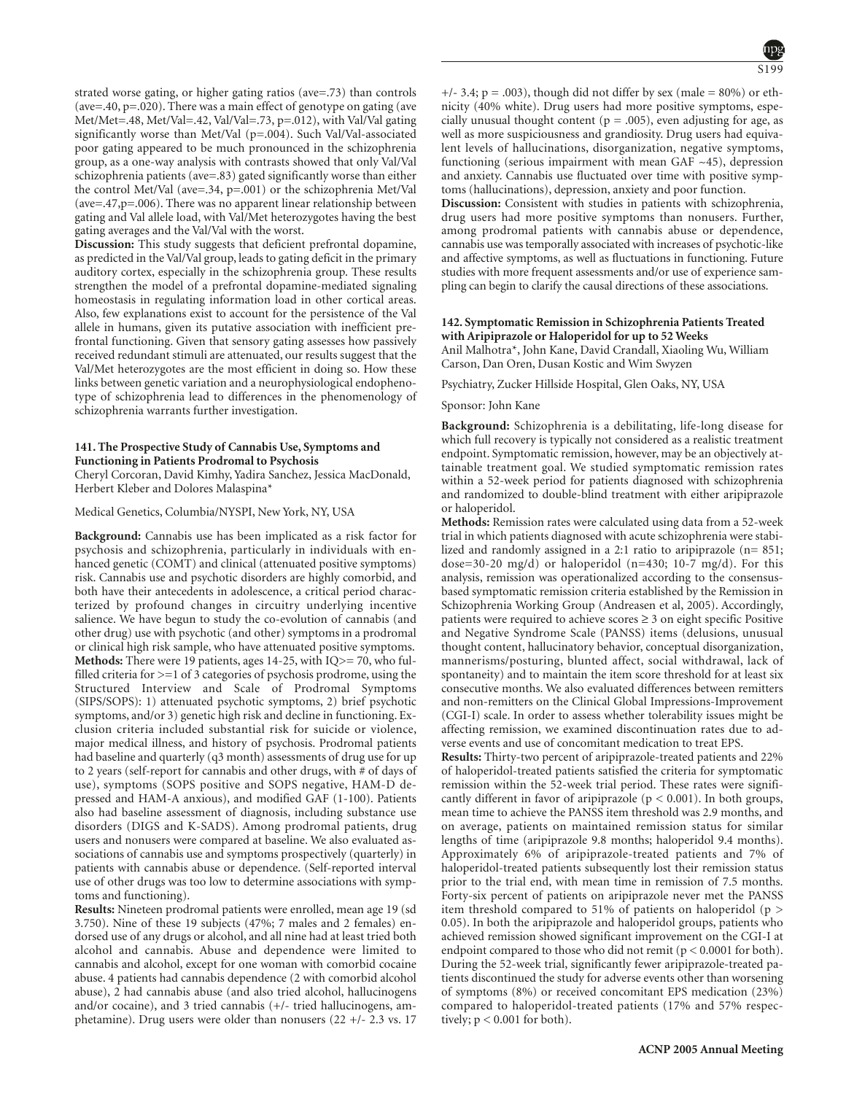strated worse gating, or higher gating ratios (ave=.73) than controls (ave=.40, p=.020). There was a main effect of genotype on gating (ave Met/Met=.48, Met/Val=.42, Val/Val=.73, p=.012), with Val/Val gating significantly worse than Met/Val (p=.004). Such Val/Val-associated poor gating appeared to be much pronounced in the schizophrenia group, as a one-way analysis with contrasts showed that only Val/Val schizophrenia patients (ave=.83) gated significantly worse than either the control Met/Val (ave=.34, p=.001) or the schizophrenia Met/Val (ave=.47,p=.006). There was no apparent linear relationship between gating and Val allele load, with Val/Met heterozygotes having the best gating averages and the Val/Val with the worst.

**Discussion:** This study suggests that deficient prefrontal dopamine, as predicted in the Val/Val group, leads to gating deficit in the primary auditory cortex, especially in the schizophrenia group. These results strengthen the model of a prefrontal dopamine-mediated signaling homeostasis in regulating information load in other cortical areas. Also, few explanations exist to account for the persistence of the Val allele in humans, given its putative association with inefficient prefrontal functioning. Given that sensory gating assesses how passively received redundant stimuli are attenuated, our results suggest that the Val/Met heterozygotes are the most efficient in doing so. How these links between genetic variation and a neurophysiological endophenotype of schizophrenia lead to differences in the phenomenology of schizophrenia warrants further investigation.

# **141. The Prospective Study of Cannabis Use, Symptoms and Functioning in Patients Prodromal to Psychosis**

Cheryl Corcoran, David Kimhy, Yadira Sanchez, Jessica MacDonald, Herbert Kleber and Dolores Malaspina\*

#### Medical Genetics, Columbia/NYSPI, New York, NY, USA

**Background:** Cannabis use has been implicated as a risk factor for psychosis and schizophrenia, particularly in individuals with enhanced genetic (COMT) and clinical (attenuated positive symptoms) risk. Cannabis use and psychotic disorders are highly comorbid, and both have their antecedents in adolescence, a critical period characterized by profound changes in circuitry underlying incentive salience. We have begun to study the co-evolution of cannabis (and other drug) use with psychotic (and other) symptoms in a prodromal or clinical high risk sample, who have attenuated positive symptoms. **Methods:** There were 19 patients, ages 14-25, with IQ>= 70, who fulfilled criteria for  $>=1$  of 3 categories of psychosis prodrome, using the Structured Interview and Scale of Prodromal Symptoms (SIPS/SOPS): 1) attenuated psychotic symptoms, 2) brief psychotic symptoms, and/or 3) genetic high risk and decline in functioning. Exclusion criteria included substantial risk for suicide or violence, major medical illness, and history of psychosis. Prodromal patients had baseline and quarterly (q3 month) assessments of drug use for up to 2 years (self-report for cannabis and other drugs, with # of days of use), symptoms (SOPS positive and SOPS negative, HAM-D depressed and HAM-A anxious), and modified GAF (1-100). Patients also had baseline assessment of diagnosis, including substance use disorders (DIGS and K-SADS). Among prodromal patients, drug users and nonusers were compared at baseline. We also evaluated associations of cannabis use and symptoms prospectively (quarterly) in patients with cannabis abuse or dependence. (Self-reported interval use of other drugs was too low to determine associations with symptoms and functioning).

**Results:** Nineteen prodromal patients were enrolled, mean age 19 (sd 3.750). Nine of these 19 subjects (47%; 7 males and 2 females) endorsed use of any drugs or alcohol, and all nine had at least tried both alcohol and cannabis. Abuse and dependence were limited to cannabis and alcohol, except for one woman with comorbid cocaine abuse. 4 patients had cannabis dependence (2 with comorbid alcohol abuse), 2 had cannabis abuse (and also tried alcohol, hallucinogens and/or cocaine), and 3 tried cannabis (+/- tried hallucinogens, amphetamine). Drug users were older than nonusers (22 +/- 2.3 vs. 17

 $+/-$  3.4; p = .003), though did not differ by sex (male = 80%) or ethnicity (40% white). Drug users had more positive symptoms, especially unusual thought content ( $p = .005$ ), even adjusting for age, as well as more suspiciousness and grandiosity. Drug users had equivalent levels of hallucinations, disorganization, negative symptoms, functioning (serious impairment with mean GAF  $~1$ ), depression and anxiety. Cannabis use fluctuated over time with positive symptoms (hallucinations), depression, anxiety and poor function. **Discussion:** Consistent with studies in patients with schizophrenia,

drug users had more positive symptoms than nonusers. Further, among prodromal patients with cannabis abuse or dependence, cannabis use was temporally associated with increases of psychotic-like and affective symptoms, as well as fluctuations in functioning. Future studies with more frequent assessments and/or use of experience sampling can begin to clarify the causal directions of these associations.

# **142. Symptomatic Remission in Schizophrenia Patients Treated with Aripiprazole or Haloperidol for up to 52 Weeks**

Anil Malhotra\*, John Kane, David Crandall, Xiaoling Wu, William Carson, Dan Oren, Dusan Kostic and Wim Swyzen

Psychiatry, Zucker Hillside Hospital, Glen Oaks, NY, USA

#### Sponsor: John Kane

**Background:** Schizophrenia is a debilitating, life-long disease for which full recovery is typically not considered as a realistic treatment endpoint. Symptomatic remission, however, may be an objectively attainable treatment goal. We studied symptomatic remission rates within a 52-week period for patients diagnosed with schizophrenia and randomized to double-blind treatment with either aripiprazole or haloperidol.

**Methods:** Remission rates were calculated using data from a 52-week trial in which patients diagnosed with acute schizophrenia were stabilized and randomly assigned in a 2:1 ratio to aripiprazole (n= 851; dose=30-20 mg/d) or haloperidol  $(n=430; 10-7 \text{ mg/d})$ . For this analysis, remission was operationalized according to the consensusbased symptomatic remission criteria established by the Remission in Schizophrenia Working Group (Andreasen et al, 2005). Accordingly, patients were required to achieve scores  $\geq 3$  on eight specific Positive and Negative Syndrome Scale (PANSS) items (delusions, unusual thought content, hallucinatory behavior, conceptual disorganization, mannerisms/posturing, blunted affect, social withdrawal, lack of spontaneity) and to maintain the item score threshold for at least six consecutive months. We also evaluated differences between remitters and non-remitters on the Clinical Global Impressions-Improvement (CGI-I) scale. In order to assess whether tolerability issues might be affecting remission, we examined discontinuation rates due to adverse events and use of concomitant medication to treat EPS.

**Results:** Thirty-two percent of aripiprazole-treated patients and 22% of haloperidol-treated patients satisfied the criteria for symptomatic remission within the 52-week trial period. These rates were significantly different in favor of aripiprazole ( $p < 0.001$ ). In both groups, mean time to achieve the PANSS item threshold was 2.9 months, and on average, patients on maintained remission status for similar lengths of time (aripiprazole 9.8 months; haloperidol 9.4 months). Approximately 6% of aripiprazole-treated patients and 7% of haloperidol-treated patients subsequently lost their remission status prior to the trial end, with mean time in remission of 7.5 months. Forty-six percent of patients on aripiprazole never met the PANSS item threshold compared to 51% of patients on haloperidol (p > 0.05). In both the aripiprazole and haloperidol groups, patients who achieved remission showed significant improvement on the CGI-I at endpoint compared to those who did not remit ( $p < 0.0001$  for both). During the 52-week trial, significantly fewer aripiprazole-treated patients discontinued the study for adverse events other than worsening of symptoms (8%) or received concomitant EPS medication (23%) compared to haloperidol-treated patients (17% and 57% respectively;  $p < 0.001$  for both).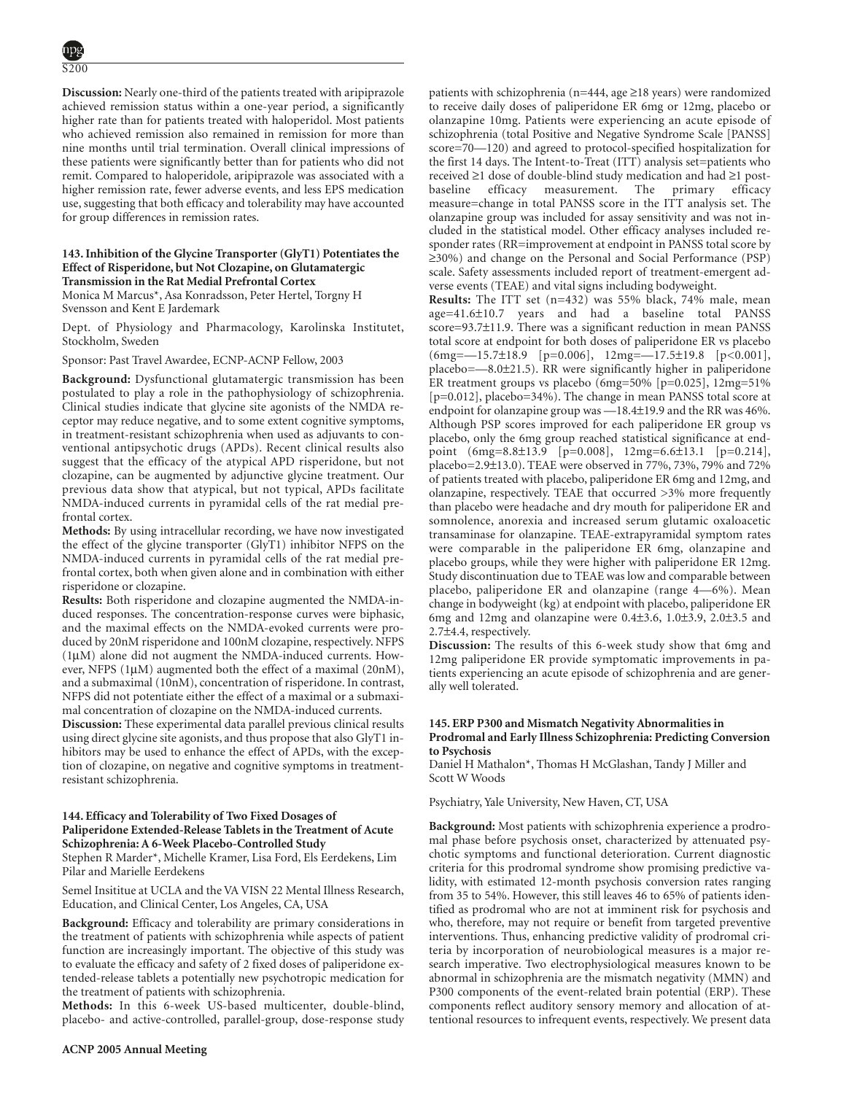**Discussion:** Nearly one-third of the patients treated with aripiprazole achieved remission status within a one-year period, a significantly higher rate than for patients treated with haloperidol. Most patients who achieved remission also remained in remission for more than nine months until trial termination. Overall clinical impressions of these patients were significantly better than for patients who did not remit. Compared to haloperidole, aripiprazole was associated with a higher remission rate, fewer adverse events, and less EPS medication use, suggesting that both efficacy and tolerability may have accounted for group differences in remission rates.

# **143. Inhibition of the Glycine Transporter (GlyT1) Potentiates the Effect of Risperidone, but Not Clozapine, on Glutamatergic Transmission in the Rat Medial Prefrontal Cortex**

Monica M Marcus\*, Asa Konradsson, Peter Hertel, Torgny H Svensson and Kent E Jardemark

Dept. of Physiology and Pharmacology, Karolinska Institutet, Stockholm, Sweden

Sponsor: Past Travel Awardee, ECNP-ACNP Fellow, 2003

**Background:** Dysfunctional glutamatergic transmission has been postulated to play a role in the pathophysiology of schizophrenia. Clinical studies indicate that glycine site agonists of the NMDA receptor may reduce negative, and to some extent cognitive symptoms, in treatment-resistant schizophrenia when used as adjuvants to conventional antipsychotic drugs (APDs). Recent clinical results also suggest that the efficacy of the atypical APD risperidone, but not clozapine, can be augmented by adjunctive glycine treatment. Our previous data show that atypical, but not typical, APDs facilitate NMDA-induced currents in pyramidal cells of the rat medial prefrontal cortex.

**Methods:** By using intracellular recording, we have now investigated the effect of the glycine transporter (GlyT1) inhibitor NFPS on the NMDA-induced currents in pyramidal cells of the rat medial prefrontal cortex, both when given alone and in combination with either risperidone or clozapine.

**Results:** Both risperidone and clozapine augmented the NMDA-induced responses. The concentration-response curves were biphasic, and the maximal effects on the NMDA-evoked currents were produced by 20nM risperidone and 100nM clozapine, respectively. NFPS (1µM) alone did not augment the NMDA-induced currents. However, NFPS (1µM) augmented both the effect of a maximal (20nM), and a submaximal (10nM), concentration of risperidone. In contrast, NFPS did not potentiate either the effect of a maximal or a submaximal concentration of clozapine on the NMDA-induced currents.

**Discussion:** These experimental data parallel previous clinical results using direct glycine site agonists, and thus propose that also GlyT1 inhibitors may be used to enhance the effect of APDs, with the exception of clozapine, on negative and cognitive symptoms in treatmentresistant schizophrenia.

# **144. Efficacy and Tolerability of Two Fixed Dosages of Paliperidone Extended-Release Tablets in the Treatment of Acute Schizophrenia: A 6-Week Placebo-Controlled Study**

Stephen R Marder\*, Michelle Kramer, Lisa Ford, Els Eerdekens, Lim Pilar and Marielle Eerdekens

Semel Insititue at UCLA and the VA VISN 22 Mental Illness Research, Education, and Clinical Center, Los Angeles, CA, USA

**Background:** Efficacy and tolerability are primary considerations in the treatment of patients with schizophrenia while aspects of patient function are increasingly important. The objective of this study was to evaluate the efficacy and safety of 2 fixed doses of paliperidone extended-release tablets a potentially new psychotropic medication for the treatment of patients with schizophrenia.

**Methods:** In this 6-week US-based multicenter, double-blind, placebo- and active-controlled, parallel-group, dose-response study

patients with schizophrenia (n=444, age ≥18 years) were randomized to receive daily doses of paliperidone ER 6mg or 12mg, placebo or olanzapine 10mg. Patients were experiencing an acute episode of schizophrenia (total Positive and Negative Syndrome Scale [PANSS] score=70—120) and agreed to protocol-specified hospitalization for the first 14 days. The Intent-to-Treat (ITT) analysis set=patients who received ≥1 dose of double-blind study medication and had ≥1 postbaseline efficacy measurement. The primary efficacy measure=change in total PANSS score in the ITT analysis set. The olanzapine group was included for assay sensitivity and was not included in the statistical model. Other efficacy analyses included responder rates (RR=improvement at endpoint in PANSS total score by ≥30%) and change on the Personal and Social Performance (PSP) scale. Safety assessments included report of treatment-emergent adverse events (TEAE) and vital signs including bodyweight.

**Results:** The ITT set (n=432) was 55% black, 74% male, mean age=41.6±10.7 years and had a baseline total PANSS score=93.7±11.9. There was a significant reduction in mean PANSS total score at endpoint for both doses of paliperidone ER vs placebo (6mg=—15.7±18.9 [p=0.006], 12mg=—17.5±19.8 [p<0.001], placebo=—8.0±21.5). RR were significantly higher in paliperidone ER treatment groups vs placebo (6mg=50% [p=0.025], 12mg=51% [p=0.012], placebo=34%). The change in mean PANSS total score at endpoint for olanzapine group was —18.4±19.9 and the RR was 46%. Although PSP scores improved for each paliperidone ER group vs placebo, only the 6mg group reached statistical significance at endpoint (6mg=8.8±13.9 [p=0.008], 12mg=6.6±13.1 [p=0.214], placebo=2.9±13.0). TEAE were observed in 77%, 73%, 79% and 72% of patients treated with placebo, paliperidone ER 6mg and 12mg, and olanzapine, respectively. TEAE that occurred >3% more frequently than placebo were headache and dry mouth for paliperidone ER and somnolence, anorexia and increased serum glutamic oxaloacetic transaminase for olanzapine. TEAE-extrapyramidal symptom rates were comparable in the paliperidone ER 6mg, olanzapine and placebo groups, while they were higher with paliperidone ER 12mg. Study discontinuation due to TEAE was low and comparable between placebo, paliperidone ER and olanzapine (range 4—6%). Mean change in bodyweight (kg) at endpoint with placebo, paliperidone ER 6mg and 12mg and olanzapine were  $0.4\pm3.6$ ,  $1.0\pm3.9$ ,  $2.0\pm3.5$  and 2.7±4.4, respectively.

**Discussion:** The results of this 6-week study show that 6mg and 12mg paliperidone ER provide symptomatic improvements in patients experiencing an acute episode of schizophrenia and are generally well tolerated.

# **145. ERP P300 and Mismatch Negativity Abnormalities in Prodromal and Early Illness Schizophrenia: Predicting Conversion to Psychosis**

Daniel H Mathalon\*, Thomas H McGlashan, Tandy J Miller and Scott W Woods

Psychiatry, Yale University, New Haven, CT, USA

**Background:** Most patients with schizophrenia experience a prodromal phase before psychosis onset, characterized by attenuated psychotic symptoms and functional deterioration. Current diagnostic criteria for this prodromal syndrome show promising predictive validity, with estimated 12-month psychosis conversion rates ranging from 35 to 54%. However, this still leaves 46 to 65% of patients identified as prodromal who are not at imminent risk for psychosis and who, therefore, may not require or benefit from targeted preventive interventions. Thus, enhancing predictive validity of prodromal criteria by incorporation of neurobiological measures is a major research imperative. Two electrophysiological measures known to be abnormal in schizophrenia are the mismatch negativity (MMN) and P300 components of the event-related brain potential (ERP). These components reflect auditory sensory memory and allocation of attentional resources to infrequent events, respectively. We present data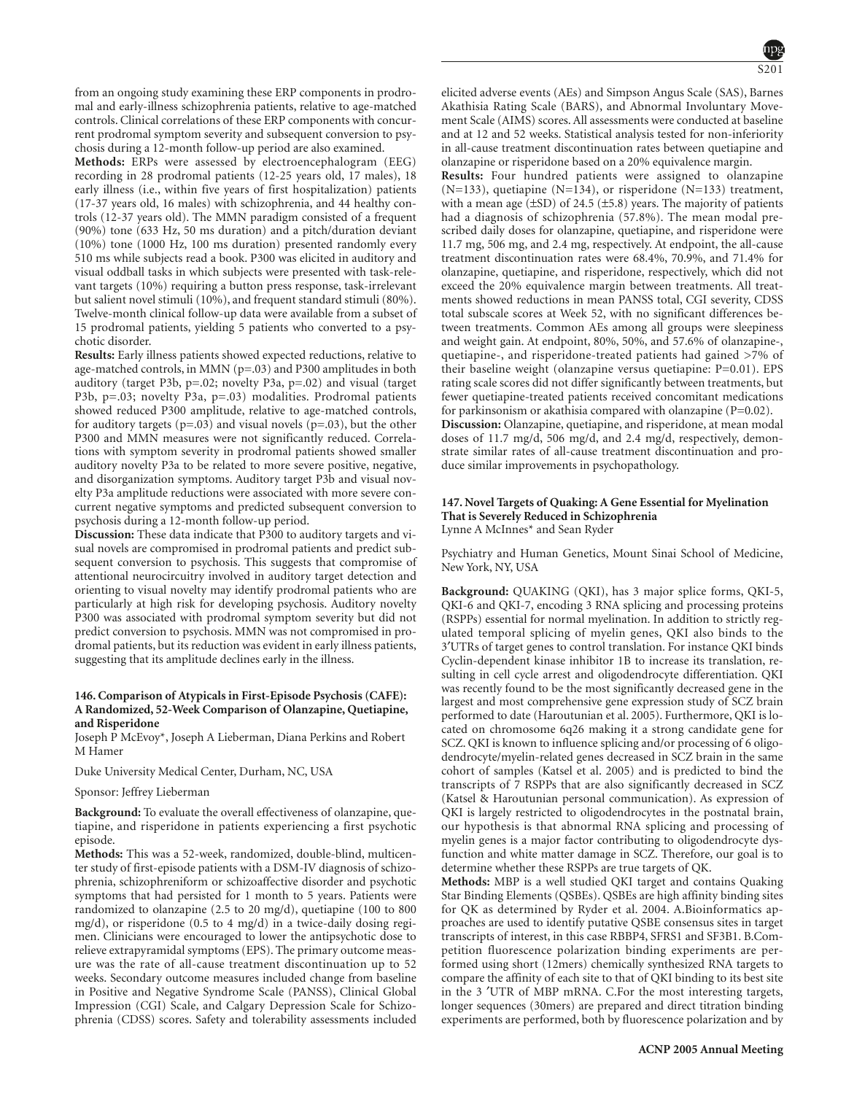from an ongoing study examining these ERP components in prodromal and early-illness schizophrenia patients, relative to age-matched controls. Clinical correlations of these ERP components with concurrent prodromal symptom severity and subsequent conversion to psychosis during a 12-month follow-up period are also examined.

**Methods:** ERPs were assessed by electroencephalogram (EEG) recording in 28 prodromal patients (12-25 years old, 17 males), 18 early illness (i.e., within five years of first hospitalization) patients (17-37 years old, 16 males) with schizophrenia, and 44 healthy controls (12-37 years old). The MMN paradigm consisted of a frequent (90%) tone (633 Hz, 50 ms duration) and a pitch/duration deviant (10%) tone (1000 Hz, 100 ms duration) presented randomly every 510 ms while subjects read a book. P300 was elicited in auditory and visual oddball tasks in which subjects were presented with task-relevant targets (10%) requiring a button press response, task-irrelevant but salient novel stimuli (10%), and frequent standard stimuli (80%). Twelve-month clinical follow-up data were available from a subset of 15 prodromal patients, yielding 5 patients who converted to a psychotic disorder.

**Results:** Early illness patients showed expected reductions, relative to age-matched controls, in MMN (p=.03) and P300 amplitudes in both auditory (target P3b, p=.02; novelty P3a, p=.02) and visual (target P3b, p=.03; novelty P3a, p=.03) modalities. Prodromal patients showed reduced P300 amplitude, relative to age-matched controls, for auditory targets ( $p=.03$ ) and visual novels ( $p=.03$ ), but the other P300 and MMN measures were not significantly reduced. Correlations with symptom severity in prodromal patients showed smaller auditory novelty P3a to be related to more severe positive, negative, and disorganization symptoms. Auditory target P3b and visual novelty P3a amplitude reductions were associated with more severe concurrent negative symptoms and predicted subsequent conversion to psychosis during a 12-month follow-up period.

**Discussion:** These data indicate that P300 to auditory targets and visual novels are compromised in prodromal patients and predict subsequent conversion to psychosis. This suggests that compromise of attentional neurocircuitry involved in auditory target detection and orienting to visual novelty may identify prodromal patients who are particularly at high risk for developing psychosis. Auditory novelty P300 was associated with prodromal symptom severity but did not predict conversion to psychosis. MMN was not compromised in prodromal patients, but its reduction was evident in early illness patients, suggesting that its amplitude declines early in the illness.

# **146. Comparison of Atypicals in First-Episode Psychosis (CAFE): A Randomized, 52-Week Comparison of Olanzapine, Quetiapine, and Risperidone**

Joseph P McEvoy\*, Joseph A Lieberman, Diana Perkins and Robert M Hamer

Duke University Medical Center, Durham, NC, USA

# Sponsor: Jeffrey Lieberman

**Background:** To evaluate the overall effectiveness of olanzapine, quetiapine, and risperidone in patients experiencing a first psychotic episode.

**Methods:** This was a 52-week, randomized, double-blind, multicenter study of first-episode patients with a DSM-IV diagnosis of schizophrenia, schizophreniform or schizoaffective disorder and psychotic symptoms that had persisted for 1 month to 5 years. Patients were randomized to olanzapine (2.5 to 20 mg/d), quetiapine (100 to 800 mg/d), or risperidone (0.5 to 4 mg/d) in a twice-daily dosing regimen. Clinicians were encouraged to lower the antipsychotic dose to relieve extrapyramidal symptoms (EPS). The primary outcome measure was the rate of all-cause treatment discontinuation up to 52 weeks. Secondary outcome measures included change from baseline in Positive and Negative Syndrome Scale (PANSS), Clinical Global Impression (CGI) Scale, and Calgary Depression Scale for Schizophrenia (CDSS) scores. Safety and tolerability assessments included elicited adverse events (AEs) and Simpson Angus Scale (SAS), Barnes Akathisia Rating Scale (BARS), and Abnormal Involuntary Movement Scale (AIMS) scores. All assessments were conducted at baseline and at 12 and 52 weeks. Statistical analysis tested for non-inferiority in all-cause treatment discontinuation rates between quetiapine and olanzapine or risperidone based on a 20% equivalence margin.

**Results:** Four hundred patients were assigned to olanzapine (N=133), quetiapine (N=134), or risperidone (N=133) treatment, with a mean age  $(\pm SD)$  of 24.5  $(\pm 5.8)$  years. The majority of patients had a diagnosis of schizophrenia (57.8%). The mean modal prescribed daily doses for olanzapine, quetiapine, and risperidone were 11.7 mg, 506 mg, and 2.4 mg, respectively. At endpoint, the all-cause treatment discontinuation rates were 68.4%, 70.9%, and 71.4% for olanzapine, quetiapine, and risperidone, respectively, which did not exceed the 20% equivalence margin between treatments. All treatments showed reductions in mean PANSS total, CGI severity, CDSS total subscale scores at Week 52, with no significant differences between treatments. Common AEs among all groups were sleepiness and weight gain. At endpoint, 80%, 50%, and 57.6% of olanzapine-, quetiapine-, and risperidone-treated patients had gained >7% of their baseline weight (olanzapine versus quetiapine: P=0.01). EPS rating scale scores did not differ significantly between treatments, but fewer quetiapine-treated patients received concomitant medications for parkinsonism or akathisia compared with olanzapine  $(P=0.02)$ . **Discussion:** Olanzapine, quetiapine, and risperidone, at mean modal doses of 11.7 mg/d, 506 mg/d, and 2.4 mg/d, respectively, demonstrate similar rates of all-cause treatment discontinuation and produce similar improvements in psychopathology.

### **147. Novel Targets of Quaking: A Gene Essential for Myelination That is Severely Reduced in Schizophrenia** Lynne A McInnes\* and Sean Ryder

Psychiatry and Human Genetics, Mount Sinai School of Medicine, New York, NY, USA

**Background:** QUAKING (QKI), has 3 major splice forms, QKI-5, QKI-6 and QKI-7, encoding 3 RNA splicing and processing proteins (RSPPs) essential for normal myelination. In addition to strictly regulated temporal splicing of myelin genes, QKI also binds to the 3′UTRs of target genes to control translation. For instance QKI binds Cyclin-dependent kinase inhibitor 1B to increase its translation, resulting in cell cycle arrest and oligodendrocyte differentiation. QKI was recently found to be the most significantly decreased gene in the largest and most comprehensive gene expression study of SCZ brain performed to date (Haroutunian et al. 2005). Furthermore, QKI is located on chromosome 6q26 making it a strong candidate gene for SCZ. QKI is known to influence splicing and/or processing of 6 oligodendrocyte/myelin-related genes decreased in SCZ brain in the same cohort of samples (Katsel et al. 2005) and is predicted to bind the transcripts of 7 RSPPs that are also significantly decreased in SCZ (Katsel & Haroutunian personal communication). As expression of QKI is largely restricted to oligodendrocytes in the postnatal brain, our hypothesis is that abnormal RNA splicing and processing of myelin genes is a major factor contributing to oligodendrocyte dysfunction and white matter damage in SCZ. Therefore, our goal is to determine whether these RSPPs are true targets of QK.

**Methods:** MBP is a well studied QKI target and contains Quaking Star Binding Elements (QSBEs). QSBEs are high affinity binding sites for QK as determined by Ryder et al. 2004. A.Bioinformatics approaches are used to identify putative QSBE consensus sites in target transcripts of interest, in this case RBBP4, SFRS1 and SF3B1. B.Competition fluorescence polarization binding experiments are performed using short (12mers) chemically synthesized RNA targets to compare the affinity of each site to that of QKI binding to its best site in the 3 ′UTR of MBP mRNA. C.For the most interesting targets, longer sequences (30mers) are prepared and direct titration binding experiments are performed, both by fluorescence polarization and by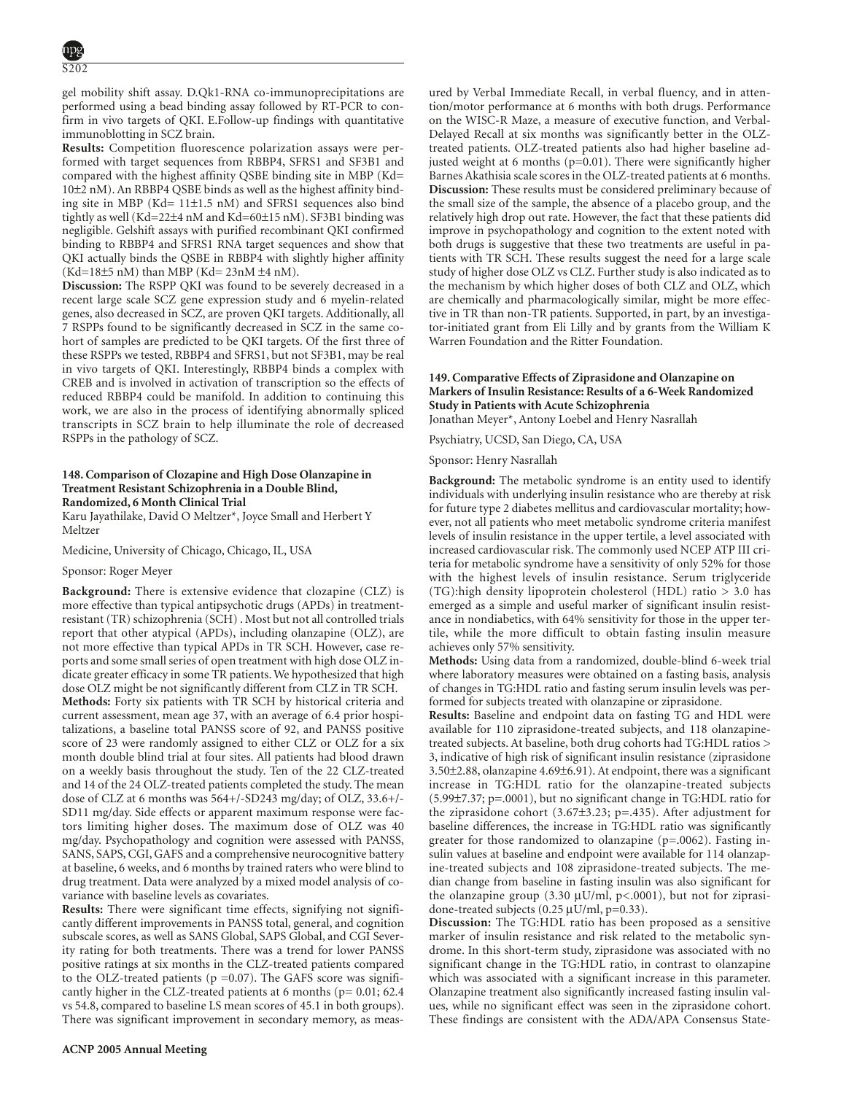gel mobility shift assay. D.Qk1-RNA co-immunoprecipitations are performed using a bead binding assay followed by RT-PCR to confirm in vivo targets of QKI. E.Follow-up findings with quantitative immunoblotting in SCZ brain.

**Results:** Competition fluorescence polarization assays were performed with target sequences from RBBP4, SFRS1 and SF3B1 and compared with the highest affinity QSBE binding site in MBP (Kd= 10±2 nM). An RBBP4 QSBE binds as well as the highest affinity binding site in MBP (Kd= 11±1.5 nM) and SFRS1 sequences also bind tightly as well (Kd=22±4 nM and Kd=60±15 nM). SF3B1 binding was negligible. Gelshift assays with purified recombinant QKI confirmed binding to RBBP4 and SFRS1 RNA target sequences and show that QKI actually binds the QSBE in RBBP4 with slightly higher affinity  $(Kd=18\pm 5 \text{ nM})$  than MBP  $(Kd=23 \text{ nM} \pm 4 \text{ nM}).$ 

**Discussion:** The RSPP QKI was found to be severely decreased in a recent large scale SCZ gene expression study and 6 myelin-related genes, also decreased in SCZ, are proven QKI targets. Additionally, all 7 RSPPs found to be significantly decreased in SCZ in the same cohort of samples are predicted to be QKI targets. Of the first three of these RSPPs we tested, RBBP4 and SFRS1, but not SF3B1, may be real in vivo targets of QKI. Interestingly, RBBP4 binds a complex with CREB and is involved in activation of transcription so the effects of reduced RBBP4 could be manifold. In addition to continuing this work, we are also in the process of identifying abnormally spliced transcripts in SCZ brain to help illuminate the role of decreased RSPPs in the pathology of SCZ.

# **148. Comparison of Clozapine and High Dose Olanzapine in Treatment Resistant Schizophrenia in a Double Blind, Randomized, 6 Month Clinical Trial**

Karu Jayathilake, David O Meltzer\*, Joyce Small and Herbert Y Meltzer

Medicine, University of Chicago, Chicago, IL, USA

#### Sponsor: Roger Meyer

**Background:** There is extensive evidence that clozapine (CLZ) is more effective than typical antipsychotic drugs (APDs) in treatmentresistant (TR) schizophrenia (SCH) . Most but not all controlled trials report that other atypical (APDs), including olanzapine (OLZ), are not more effective than typical APDs in TR SCH. However, case reports and some small series of open treatment with high dose OLZ indicate greater efficacy in some TR patients. We hypothesized that high dose OLZ might be not significantly different from CLZ in TR SCH. **Methods:** Forty six patients with TR SCH by historical criteria and current assessment, mean age 37, with an average of 6.4 prior hospitalizations, a baseline total PANSS score of 92, and PANSS positive score of 23 were randomly assigned to either CLZ or OLZ for a six month double blind trial at four sites. All patients had blood drawn on a weekly basis throughout the study. Ten of the 22 CLZ-treated and 14 of the 24 OLZ-treated patients completed the study. The mean dose of CLZ at 6 months was 564+/-SD243 mg/day; of OLZ, 33.6+/- SD11 mg/day. Side effects or apparent maximum response were factors limiting higher doses. The maximum dose of OLZ was 40 mg/day. Psychopathology and cognition were assessed with PANSS, SANS, SAPS, CGI, GAFS and a comprehensive neurocognitive battery at baseline, 6 weeks, and 6 months by trained raters who were blind to drug treatment. Data were analyzed by a mixed model analysis of covariance with baseline levels as covariates.

**Results:** There were significant time effects, signifying not significantly different improvements in PANSS total, general, and cognition subscale scores, as well as SANS Global, SAPS Global, and CGI Severity rating for both treatments. There was a trend for lower PANSS positive ratings at six months in the CLZ-treated patients compared to the OLZ-treated patients ( $p = 0.07$ ). The GAFS score was significantly higher in the CLZ-treated patients at 6 months ( $p= 0.01$ ; 62.4 vs 54.8, compared to baseline LS mean scores of 45.1 in both groups). There was significant improvement in secondary memory, as measured by Verbal Immediate Recall, in verbal fluency, and in attention/motor performance at 6 months with both drugs. Performance on the WISC-R Maze, a measure of executive function, and Verbal-Delayed Recall at six months was significantly better in the OLZtreated patients. OLZ-treated patients also had higher baseline adjusted weight at 6 months (p=0.01). There were significantly higher Barnes Akathisia scale scores in the OLZ-treated patients at 6 months. **Discussion:** These results must be considered preliminary because of the small size of the sample, the absence of a placebo group, and the relatively high drop out rate. However, the fact that these patients did improve in psychopathology and cognition to the extent noted with both drugs is suggestive that these two treatments are useful in patients with TR SCH. These results suggest the need for a large scale study of higher dose OLZ vs CLZ. Further study is also indicated as to the mechanism by which higher doses of both CLZ and OLZ, which are chemically and pharmacologically similar, might be more effective in TR than non-TR patients. Supported, in part, by an investigator-initiated grant from Eli Lilly and by grants from the William K Warren Foundation and the Ritter Foundation.

# **149. Comparative Effects of Ziprasidone and Olanzapine on Markers of Insulin Resistance: Results of a 6-Week Randomized Study in Patients with Acute Schizophrenia**

Jonathan Meyer\*, Antony Loebel and Henry Nasrallah

Psychiatry, UCSD, San Diego, CA, USA

Sponsor: Henry Nasrallah

**Background:** The metabolic syndrome is an entity used to identify individuals with underlying insulin resistance who are thereby at risk for future type 2 diabetes mellitus and cardiovascular mortality; however, not all patients who meet metabolic syndrome criteria manifest levels of insulin resistance in the upper tertile, a level associated with increased cardiovascular risk. The commonly used NCEP ATP III criteria for metabolic syndrome have a sensitivity of only 52% for those with the highest levels of insulin resistance. Serum triglyceride (TG):high density lipoprotein cholesterol (HDL) ratio > 3.0 has emerged as a simple and useful marker of significant insulin resistance in nondiabetics, with 64% sensitivity for those in the upper tertile, while the more difficult to obtain fasting insulin measure achieves only 57% sensitivity.

**Methods:** Using data from a randomized, double-blind 6-week trial where laboratory measures were obtained on a fasting basis, analysis of changes in TG:HDL ratio and fasting serum insulin levels was performed for subjects treated with olanzapine or ziprasidone.

**Results:** Baseline and endpoint data on fasting TG and HDL were available for 110 ziprasidone-treated subjects, and 118 olanzapinetreated subjects. At baseline, both drug cohorts had TG:HDL ratios > 3, indicative of high risk of significant insulin resistance (ziprasidone 3.50±2.88, olanzapine 4.69±6.91). At endpoint, there was a significant increase in TG:HDL ratio for the olanzapine-treated subjects (5.99±7.37; p=.0001), but no significant change in TG:HDL ratio for the ziprasidone cohort (3.67±3.23; p=.435). After adjustment for baseline differences, the increase in TG:HDL ratio was significantly greater for those randomized to olanzapine (p=.0062). Fasting insulin values at baseline and endpoint were available for 114 olanzapine-treated subjects and 108 ziprasidone-treated subjects. The median change from baseline in fasting insulin was also significant for the olanzapine group  $(3.30 \mu U/ml, p<.0001)$ , but not for ziprasidone-treated subjects (0.25 µU/ml, p=0.33).

**Discussion:** The TG:HDL ratio has been proposed as a sensitive marker of insulin resistance and risk related to the metabolic syndrome. In this short-term study, ziprasidone was associated with no significant change in the TG:HDL ratio, in contrast to olanzapine which was associated with a significant increase in this parameter. Olanzapine treatment also significantly increased fasting insulin values, while no significant effect was seen in the ziprasidone cohort. These findings are consistent with the ADA/APA Consensus State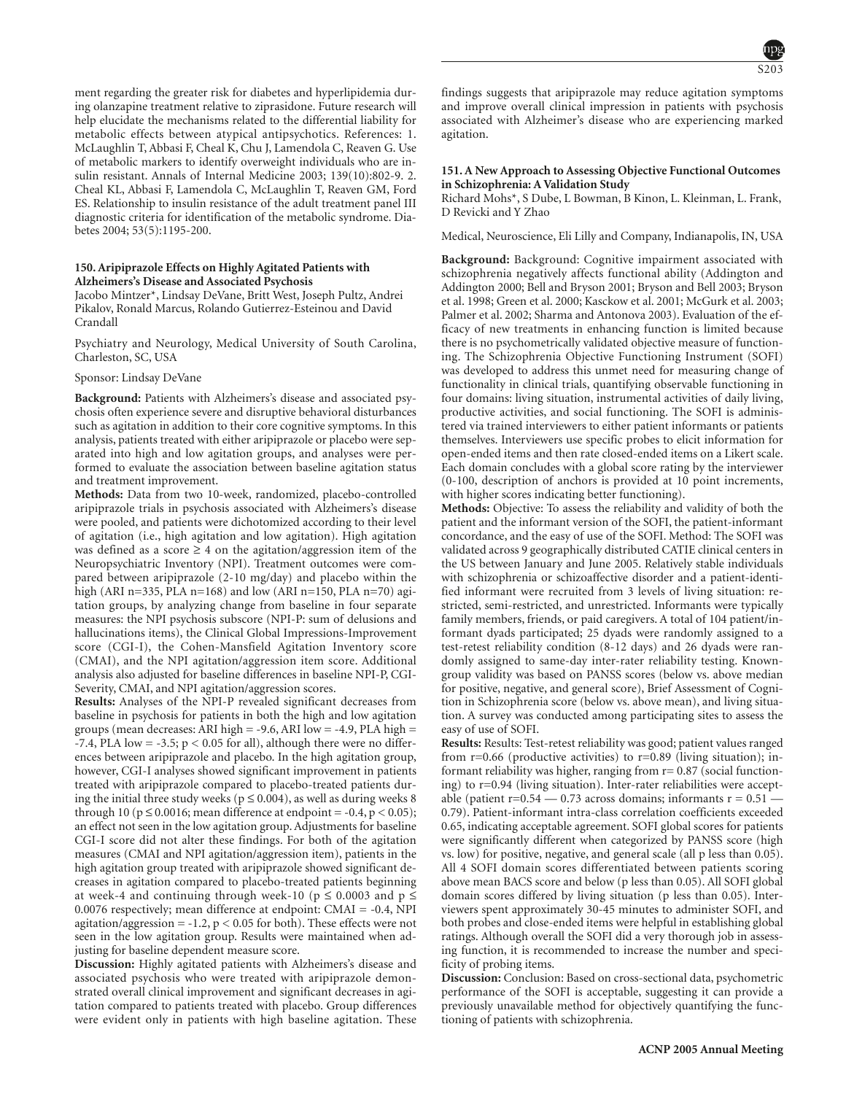ment regarding the greater risk for diabetes and hyperlipidemia during olanzapine treatment relative to ziprasidone. Future research will help elucidate the mechanisms related to the differential liability for metabolic effects between atypical antipsychotics. References: 1. McLaughlin T, Abbasi F, Cheal K, Chu J, Lamendola C, Reaven G. Use of metabolic markers to identify overweight individuals who are insulin resistant. Annals of Internal Medicine 2003; 139(10):802-9. 2. Cheal KL, Abbasi F, Lamendola C, McLaughlin T, Reaven GM, Ford ES. Relationship to insulin resistance of the adult treatment panel III diagnostic criteria for identification of the metabolic syndrome. Diabetes 2004; 53(5):1195-200.

#### **150. Aripiprazole Effects on Highly Agitated Patients with Alzheimers's Disease and Associated Psychosis**

Jacobo Mintzer\*, Lindsay DeVane, Britt West, Joseph Pultz, Andrei Pikalov, Ronald Marcus, Rolando Gutierrez-Esteinou and David Crandall

Psychiatry and Neurology, Medical University of South Carolina, Charleston, SC, USA

#### Sponsor: Lindsay DeVane

**Background:** Patients with Alzheimers's disease and associated psychosis often experience severe and disruptive behavioral disturbances such as agitation in addition to their core cognitive symptoms. In this analysis, patients treated with either aripiprazole or placebo were separated into high and low agitation groups, and analyses were performed to evaluate the association between baseline agitation status and treatment improvement.

**Methods:** Data from two 10-week, randomized, placebo-controlled aripiprazole trials in psychosis associated with Alzheimers's disease were pooled, and patients were dichotomized according to their level of agitation (i.e., high agitation and low agitation). High agitation was defined as a score  $\geq 4$  on the agitation/aggression item of the Neuropsychiatric Inventory (NPI). Treatment outcomes were compared between aripiprazole (2-10 mg/day) and placebo within the high (ARI n=335, PLA n=168) and low (ARI n=150, PLA n=70) agitation groups, by analyzing change from baseline in four separate measures: the NPI psychosis subscore (NPI-P: sum of delusions and hallucinations items), the Clinical Global Impressions-Improvement score (CGI-I), the Cohen-Mansfield Agitation Inventory score (CMAI), and the NPI agitation/aggression item score. Additional analysis also adjusted for baseline differences in baseline NPI-P, CGI-Severity, CMAI, and NPI agitation/aggression scores.

**Results:** Analyses of the NPI-P revealed significant decreases from baseline in psychosis for patients in both the high and low agitation groups (mean decreases: ARI high = -9.6, ARI low = -4.9, PLA high = -7.4, PLA low = -3.5;  $p < 0.05$  for all), although there were no differences between aripiprazole and placebo. In the high agitation group, however, CGI-I analyses showed significant improvement in patients treated with aripiprazole compared to placebo-treated patients during the initial three study weeks ( $p \le 0.004$ ), as well as during weeks 8 through 10 ( $p \le 0.0016$ ; mean difference at endpoint = -0.4,  $p < 0.05$ ); an effect not seen in the low agitation group. Adjustments for baseline CGI-I score did not alter these findings. For both of the agitation measures (CMAI and NPI agitation/aggression item), patients in the high agitation group treated with aripiprazole showed significant decreases in agitation compared to placebo-treated patients beginning at week-4 and continuing through week-10 ( $p \le 0.0003$  and  $p \le$ 0.0076 respectively; mean difference at endpoint: CMAI = -0.4, NPI agitation/aggression =  $-1.2$ ,  $p < 0.05$  for both). These effects were not seen in the low agitation group. Results were maintained when adjusting for baseline dependent measure score.

**Discussion:** Highly agitated patients with Alzheimers's disease and associated psychosis who were treated with aripiprazole demonstrated overall clinical improvement and significant decreases in agitation compared to patients treated with placebo. Group differences were evident only in patients with high baseline agitation. These findings suggests that aripiprazole may reduce agitation symptoms and improve overall clinical impression in patients with psychosis associated with Alzheimer's disease who are experiencing marked agitation.

#### **151. A New Approach to Assessing Objective Functional Outcomes in Schizophrenia: A Validation Study**

Richard Mohs\*, S Dube, L Bowman, B Kinon, L. Kleinman, L. Frank, D Revicki and Y Zhao

Medical, Neuroscience, Eli Lilly and Company, Indianapolis, IN, USA

**Background:** Background: Cognitive impairment associated with schizophrenia negatively affects functional ability (Addington and Addington 2000; Bell and Bryson 2001; Bryson and Bell 2003; Bryson et al. 1998; Green et al. 2000; Kasckow et al. 2001; McGurk et al. 2003; Palmer et al. 2002; Sharma and Antonova 2003). Evaluation of the efficacy of new treatments in enhancing function is limited because there is no psychometrically validated objective measure of functioning. The Schizophrenia Objective Functioning Instrument (SOFI) was developed to address this unmet need for measuring change of functionality in clinical trials, quantifying observable functioning in four domains: living situation, instrumental activities of daily living, productive activities, and social functioning. The SOFI is administered via trained interviewers to either patient informants or patients themselves. Interviewers use specific probes to elicit information for open-ended items and then rate closed-ended items on a Likert scale. Each domain concludes with a global score rating by the interviewer (0-100, description of anchors is provided at 10 point increments, with higher scores indicating better functioning).

**Methods:** Objective: To assess the reliability and validity of both the patient and the informant version of the SOFI, the patient-informant concordance, and the easy of use of the SOFI. Method: The SOFI was validated across 9 geographically distributed CATIE clinical centers in the US between January and June 2005. Relatively stable individuals with schizophrenia or schizoaffective disorder and a patient-identified informant were recruited from 3 levels of living situation: restricted, semi-restricted, and unrestricted. Informants were typically family members, friends, or paid caregivers. A total of 104 patient/informant dyads participated; 25 dyads were randomly assigned to a test-retest reliability condition (8-12 days) and 26 dyads were randomly assigned to same-day inter-rater reliability testing. Knowngroup validity was based on PANSS scores (below vs. above median for positive, negative, and general score), Brief Assessment of Cognition in Schizophrenia score (below vs. above mean), and living situation. A survey was conducted among participating sites to assess the easy of use of SOFI.

**Results:** Results: Test-retest reliability was good; patient values ranged from  $r=0.66$  (productive activities) to  $r=0.89$  (living situation); informant reliability was higher, ranging from  $r= 0.87$  (social functioning) to r=0.94 (living situation). Inter-rater reliabilities were acceptable (patient  $r=0.54 - 0.73$  across domains; informants  $r = 0.51 -$ 0.79). Patient-informant intra-class correlation coefficients exceeded 0.65, indicating acceptable agreement. SOFI global scores for patients were significantly different when categorized by PANSS score (high vs. low) for positive, negative, and general scale (all p less than 0.05). All 4 SOFI domain scores differentiated between patients scoring above mean BACS score and below (p less than 0.05). All SOFI global domain scores differed by living situation (p less than 0.05). Interviewers spent approximately 30-45 minutes to administer SOFI, and both probes and close-ended items were helpful in establishing global ratings. Although overall the SOFI did a very thorough job in assessing function, it is recommended to increase the number and specificity of probing items.

**Discussion:** Conclusion: Based on cross-sectional data, psychometric performance of the SOFI is acceptable, suggesting it can provide a previously unavailable method for objectively quantifying the functioning of patients with schizophrenia.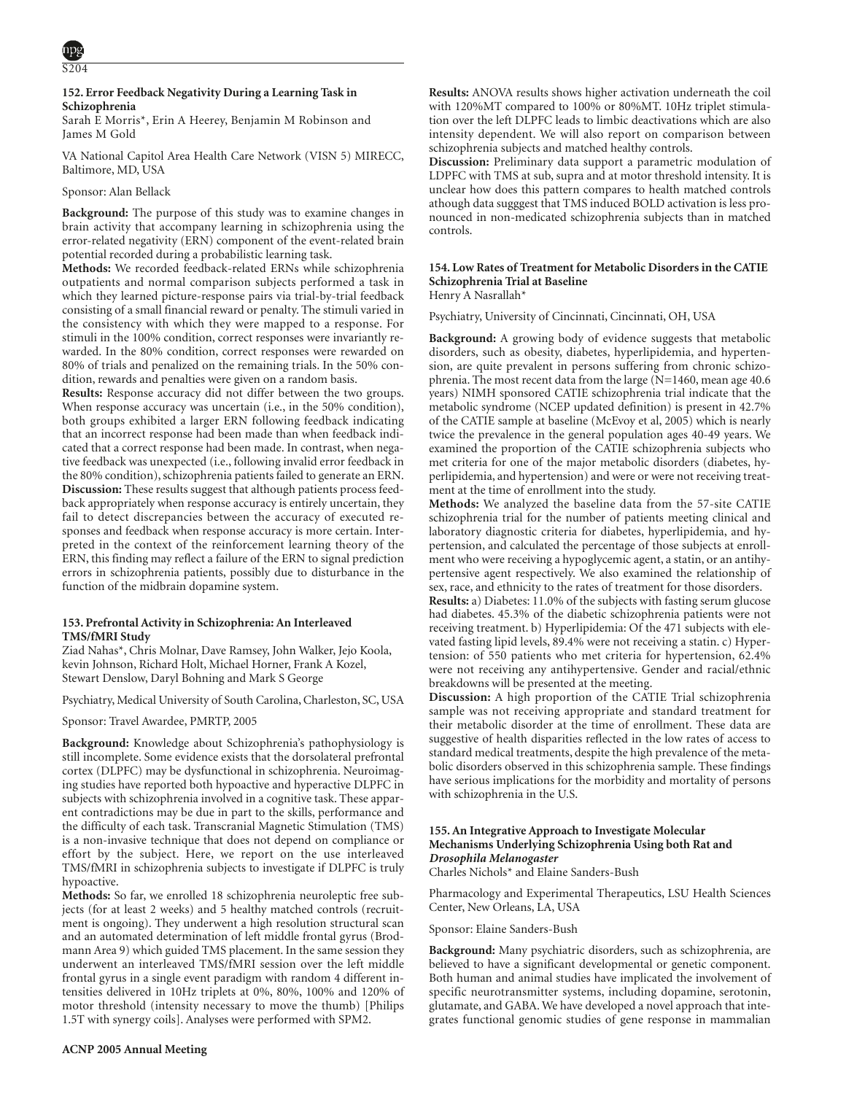# **152. Error Feedback Negativity During a Learning Task in Schizophrenia**

Sarah E Morris\*, Erin A Heerey, Benjamin M Robinson and James M Gold

VA National Capitol Area Health Care Network (VISN 5) MIRECC, Baltimore, MD, USA

# Sponsor: Alan Bellack

**Background:** The purpose of this study was to examine changes in brain activity that accompany learning in schizophrenia using the error-related negativity (ERN) component of the event-related brain potential recorded during a probabilistic learning task.

**Methods:** We recorded feedback-related ERNs while schizophrenia outpatients and normal comparison subjects performed a task in which they learned picture-response pairs via trial-by-trial feedback consisting of a small financial reward or penalty. The stimuli varied in the consistency with which they were mapped to a response. For stimuli in the 100% condition, correct responses were invariantly rewarded. In the 80% condition, correct responses were rewarded on 80% of trials and penalized on the remaining trials. In the 50% condition, rewards and penalties were given on a random basis.

**Results:** Response accuracy did not differ between the two groups. When response accuracy was uncertain (i.e., in the 50% condition), both groups exhibited a larger ERN following feedback indicating that an incorrect response had been made than when feedback indicated that a correct response had been made. In contrast, when negative feedback was unexpected (i.e., following invalid error feedback in the 80% condition), schizophrenia patients failed to generate an ERN. **Discussion:** These results suggest that although patients process feedback appropriately when response accuracy is entirely uncertain, they fail to detect discrepancies between the accuracy of executed responses and feedback when response accuracy is more certain. Interpreted in the context of the reinforcement learning theory of the ERN, this finding may reflect a failure of the ERN to signal prediction errors in schizophrenia patients, possibly due to disturbance in the function of the midbrain dopamine system.

# **153. Prefrontal Activity in Schizophrenia: An Interleaved TMS/fMRI Study**

Ziad Nahas\*, Chris Molnar, Dave Ramsey, John Walker, Jejo Koola, kevin Johnson, Richard Holt, Michael Horner, Frank A Kozel, Stewart Denslow, Daryl Bohning and Mark S George

Psychiatry, Medical University of South Carolina, Charleston, SC, USA

Sponsor: Travel Awardee, PMRTP, 2005

**Background:** Knowledge about Schizophrenia's pathophysiology is still incomplete. Some evidence exists that the dorsolateral prefrontal cortex (DLPFC) may be dysfunctional in schizophrenia. Neuroimaging studies have reported both hypoactive and hyperactive DLPFC in subjects with schizophrenia involved in a cognitive task. These apparent contradictions may be due in part to the skills, performance and the difficulty of each task. Transcranial Magnetic Stimulation (TMS) is a non-invasive technique that does not depend on compliance or effort by the subject. Here, we report on the use interleaved TMS/fMRI in schizophrenia subjects to investigate if DLPFC is truly hypoactive.

**Methods:** So far, we enrolled 18 schizophrenia neuroleptic free subjects (for at least 2 weeks) and 5 healthy matched controls (recruitment is ongoing). They underwent a high resolution structural scan and an automated determination of left middle frontal gyrus (Brodmann Area 9) which guided TMS placement. In the same session they underwent an interleaved TMS/fMRI session over the left middle frontal gyrus in a single event paradigm with random 4 different intensities delivered in 10Hz triplets at 0%, 80%, 100% and 120% of motor threshold (intensity necessary to move the thumb) [Philips 1.5T with synergy coils]. Analyses were performed with SPM2.

**Discussion:** Preliminary data support a parametric modulation of LDPFC with TMS at sub, supra and at motor threshold intensity. It is unclear how does this pattern compares to health matched controls athough data sugggest that TMS induced BOLD activation is less pronounced in non-medicated schizophrenia subjects than in matched controls.

# **154. Low Rates of Treatment for Metabolic Disorders in the CATIE Schizophrenia Trial at Baseline**

Henry A Nasrallah\*

Psychiatry, University of Cincinnati, Cincinnati, OH, USA

**Background:** A growing body of evidence suggests that metabolic disorders, such as obesity, diabetes, hyperlipidemia, and hypertension, are quite prevalent in persons suffering from chronic schizophrenia. The most recent data from the large (N=1460, mean age 40.6 years) NIMH sponsored CATIE schizophrenia trial indicate that the metabolic syndrome (NCEP updated definition) is present in 42.7% of the CATIE sample at baseline (McEvoy et al, 2005) which is nearly twice the prevalence in the general population ages 40-49 years. We examined the proportion of the CATIE schizophrenia subjects who met criteria for one of the major metabolic disorders (diabetes, hyperlipidemia, and hypertension) and were or were not receiving treatment at the time of enrollment into the study.

**Methods:** We analyzed the baseline data from the 57-site CATIE schizophrenia trial for the number of patients meeting clinical and laboratory diagnostic criteria for diabetes, hyperlipidemia, and hypertension, and calculated the percentage of those subjects at enrollment who were receiving a hypoglycemic agent, a statin, or an antihypertensive agent respectively. We also examined the relationship of sex, race, and ethnicity to the rates of treatment for those disorders.

**Results:** a) Diabetes: 11.0% of the subjects with fasting serum glucose had diabetes. 45.3% of the diabetic schizophrenia patients were not receiving treatment. b) Hyperlipidemia: Of the 471 subjects with elevated fasting lipid levels, 89.4% were not receiving a statin. c) Hypertension: of 550 patients who met criteria for hypertension, 62.4% were not receiving any antihypertensive. Gender and racial/ethnic breakdowns will be presented at the meeting.

**Discussion:** A high proportion of the CATIE Trial schizophrenia sample was not receiving appropriate and standard treatment for their metabolic disorder at the time of enrollment. These data are suggestive of health disparities reflected in the low rates of access to standard medical treatments, despite the high prevalence of the metabolic disorders observed in this schizophrenia sample. These findings have serious implications for the morbidity and mortality of persons with schizophrenia in the U.S.

# **155. An Integrative Approach to Investigate Molecular Mechanisms Underlying Schizophrenia Using both Rat and** *Drosophila Melanogaster*

Charles Nichols\* and Elaine Sanders-Bush

Pharmacology and Experimental Therapeutics, LSU Health Sciences Center, New Orleans, LA, USA

Sponsor: Elaine Sanders-Bush

**Background:** Many psychiatric disorders, such as schizophrenia, are believed to have a significant developmental or genetic component. Both human and animal studies have implicated the involvement of specific neurotransmitter systems, including dopamine, serotonin, glutamate, and GABA. We have developed a novel approach that integrates functional genomic studies of gene response in mammalian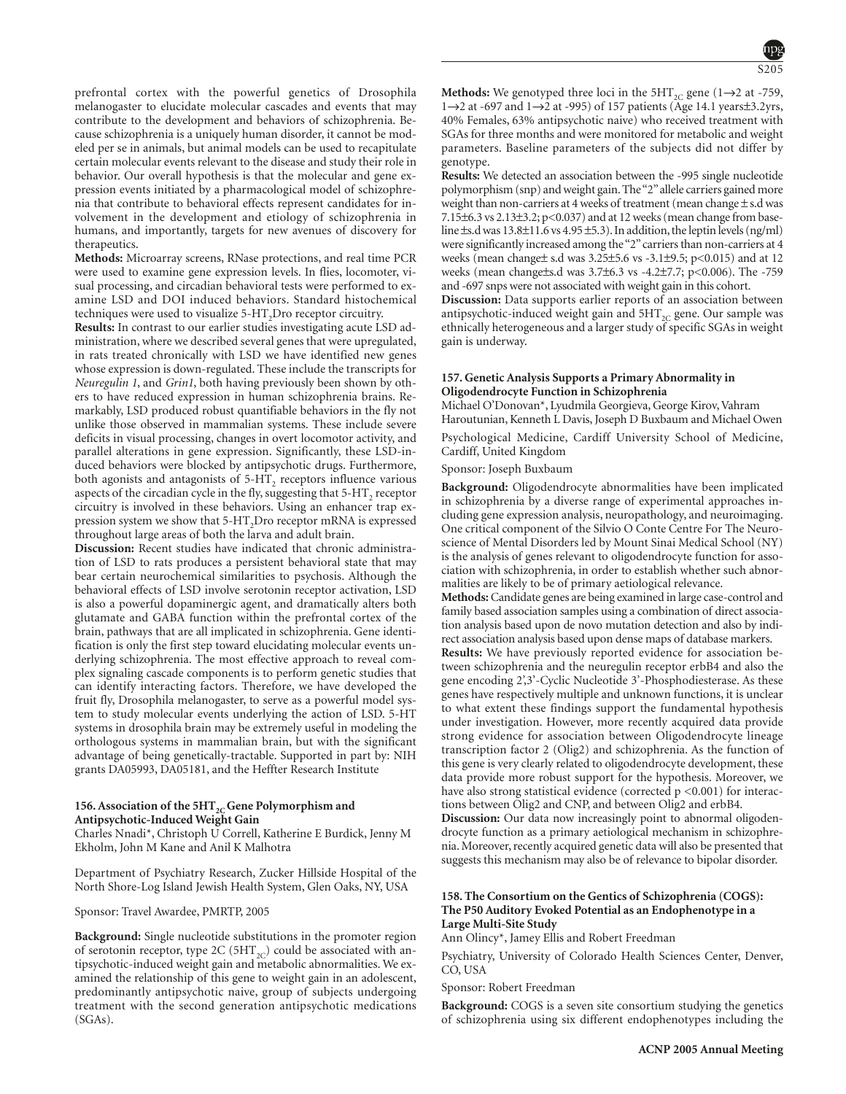melanogaster to elucidate molecular cascades and events that may contribute to the development and behaviors of schizophrenia. Because schizophrenia is a uniquely human disorder, it cannot be modeled per se in animals, but animal models can be used to recapitulate certain molecular events relevant to the disease and study their role in behavior. Our overall hypothesis is that the molecular and gene expression events initiated by a pharmacological model of schizophrenia that contribute to behavioral effects represent candidates for involvement in the development and etiology of schizophrenia in humans, and importantly, targets for new avenues of discovery for therapeutics.

prefrontal cortex with the powerful genetics of Drosophila

**Methods:** Microarray screens, RNase protections, and real time PCR were used to examine gene expression levels. In flies, locomoter, visual processing, and circadian behavioral tests were performed to examine LSD and DOI induced behaviors. Standard histochemical techniques were used to visualize  $5-HT_2D$ ro receptor circuitry.

**Results:** In contrast to our earlier studies investigating acute LSD administration, where we described several genes that were upregulated, in rats treated chronically with LSD we have identified new genes whose expression is down-regulated. These include the transcripts for *Neuregulin 1*, and *Grin1*, both having previously been shown by others to have reduced expression in human schizophrenia brains. Remarkably, LSD produced robust quantifiable behaviors in the fly not unlike those observed in mammalian systems. These include severe deficits in visual processing, changes in overt locomotor activity, and parallel alterations in gene expression. Significantly, these LSD-induced behaviors were blocked by antipsychotic drugs. Furthermore, both agonists and antagonists of 5-HT<sub>2</sub> receptors influence various aspects of the circadian cycle in the fly, suggesting that  $5-HT_2$  receptor circuitry is involved in these behaviors. Using an enhancer trap expression system we show that 5-HT<sub>2</sub>Dro receptor mRNA is expressed throughout large areas of both the larva and adult brain.

**Discussion:** Recent studies have indicated that chronic administration of LSD to rats produces a persistent behavioral state that may bear certain neurochemical similarities to psychosis. Although the behavioral effects of LSD involve serotonin receptor activation, LSD is also a powerful dopaminergic agent, and dramatically alters both glutamate and GABA function within the prefrontal cortex of the brain, pathways that are all implicated in schizophrenia. Gene identification is only the first step toward elucidating molecular events underlying schizophrenia. The most effective approach to reveal complex signaling cascade components is to perform genetic studies that can identify interacting factors. Therefore, we have developed the fruit fly, Drosophila melanogaster, to serve as a powerful model system to study molecular events underlying the action of LSD. 5-HT systems in drosophila brain may be extremely useful in modeling the orthologous systems in mammalian brain, but with the significant advantage of being genetically-tractable. Supported in part by: NIH grants DA05993, DA05181, and the Heffter Research Institute

# 156. Association of the 5HT<sub>2C</sub> Gene Polymorphism and **Antipsychotic-Induced Weight Gain**

Charles Nnadi\*, Christoph U Correll, Katherine E Burdick, Jenny M Ekholm, John M Kane and Anil K Malhotra

Department of Psychiatry Research, Zucker Hillside Hospital of the North Shore-Log Island Jewish Health System, Glen Oaks, NY, USA

Sponsor: Travel Awardee, PMRTP, 2005

**Background:** Single nucleotide substitutions in the promoter region of serotonin receptor, type 2C (5HT<sub>2C</sub>) could be associated with antipsychotic-induced weight gain and metabolic abnormalities. We examined the relationship of this gene to weight gain in an adolescent, predominantly antipsychotic naive, group of subjects undergoing treatment with the second generation antipsychotic medications (SGAs).

**Methods:** We genotyped three loci in the  $5HT_{2C}$  gene (1 $\rightarrow$ 2 at -759, 1 $\rightarrow$ 2 at -697 and 1 $\rightarrow$ 2 at -995) of 157 patients (Age 14.1 years $\pm$ 3.2yrs, 40% Females, 63% antipsychotic naive) who received treatment with SGAs for three months and were monitored for metabolic and weight parameters. Baseline parameters of the subjects did not differ by genotype.

**Results:** We detected an association between the -995 single nucleotide polymorphism (snp) and weight gain. The"2"allele carriers gained more weight than non-carriers at 4 weeks of treatment (mean change  $\pm$  s.d was 7.15±6.3 vs 2.13±3.2; p<0.037) and at 12 weeks (mean change from baseline  $\pm$ s.d was 13.8 $\pm$ 11.6 vs 4.95 $\pm$ 5.3). In addition, the leptin levels (ng/ml) were significantly increased among the "2" carriers than non-carriers at 4 weeks (mean change± s.d was 3.25±5.6 vs -3.1±9.5; p<0.015) and at 12 weeks (mean change±s.d was 3.7±6.3 vs -4.2±7.7; p<0.006). The -759 and -697 snps were not associated with weight gain in this cohort.

**Discussion:** Data supports earlier reports of an association between antipsychotic-induced weight gain and  $5HT_{2C}$  gene. Our sample was ethnically heterogeneous and a larger study of specific SGAs in weight gain is underway.

# **157. Genetic Analysis Supports a Primary Abnormality in Oligodendrocyte Function in Schizophrenia**

Michael O'Donovan\*, Lyudmila Georgieva, George Kirov, Vahram Haroutunian, Kenneth L Davis, Joseph D Buxbaum and Michael Owen Psychological Medicine, Cardiff University School of Medicine, Cardiff, United Kingdom

Sponsor: Joseph Buxbaum

**Background:** Oligodendrocyte abnormalities have been implicated in schizophrenia by a diverse range of experimental approaches including gene expression analysis, neuropathology, and neuroimaging. One critical component of the Silvio O Conte Centre For The Neuroscience of Mental Disorders led by Mount Sinai Medical School (NY) is the analysis of genes relevant to oligodendrocyte function for association with schizophrenia, in order to establish whether such abnormalities are likely to be of primary aetiological relevance.

**Methods:**Candidate genes are being examined in large case-control and family based association samples using a combination of direct association analysis based upon de novo mutation detection and also by indirect association analysis based upon dense maps of database markers.

**Results:** We have previously reported evidence for association between schizophrenia and the neuregulin receptor erbB4 and also the gene encoding 2',3'-Cyclic Nucleotide 3'-Phosphodiesterase. As these genes have respectively multiple and unknown functions, it is unclear to what extent these findings support the fundamental hypothesis under investigation. However, more recently acquired data provide strong evidence for association between Oligodendrocyte lineage transcription factor 2 (Olig2) and schizophrenia. As the function of this gene is very clearly related to oligodendrocyte development, these data provide more robust support for the hypothesis. Moreover, we have also strong statistical evidence (corrected  $p \le 0.001$ ) for interactions between Olig2 and CNP, and between Olig2 and erbB4.

**Discussion:** Our data now increasingly point to abnormal oligodendrocyte function as a primary aetiological mechanism in schizophrenia. Moreover, recently acquired genetic data will also be presented that suggests this mechanism may also be of relevance to bipolar disorder.

# **158. The Consortium on the Gentics of Schizophrenia (COGS): The P50 Auditory Evoked Potential as an Endophenotype in a Large Multi-Site Study**

Ann Olincy\*, Jamey Ellis and Robert Freedman

Psychiatry, University of Colorado Health Sciences Center, Denver, CO, USA

Sponsor: Robert Freedman

**Background:** COGS is a seven site consortium studying the genetics of schizophrenia using six different endophenotypes including the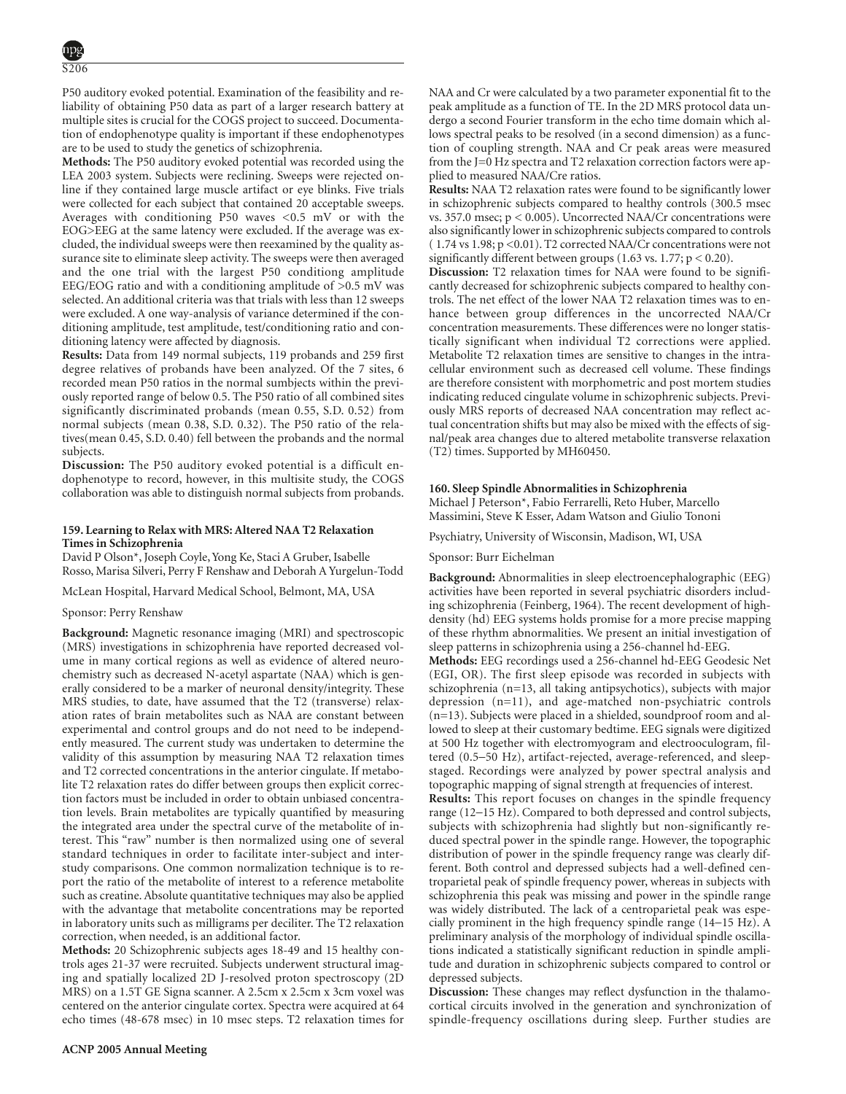P50 auditory evoked potential. Examination of the feasibility and reliability of obtaining P50 data as part of a larger research battery at multiple sites is crucial for the COGS project to succeed. Documentation of endophenotype quality is important if these endophenotypes are to be used to study the genetics of schizophrenia.

**Methods:** The P50 auditory evoked potential was recorded using the LEA 2003 system. Subjects were reclining. Sweeps were rejected online if they contained large muscle artifact or eye blinks. Five trials were collected for each subject that contained 20 acceptable sweeps. Averages with conditioning P50 waves  $< 0.5$  mV or with the EOG>EEG at the same latency were excluded. If the average was excluded, the individual sweeps were then reexamined by the quality assurance site to eliminate sleep activity. The sweeps were then averaged and the one trial with the largest P50 conditiong amplitude EEG/EOG ratio and with a conditioning amplitude of >0.5 mV was selected. An additional criteria was that trials with less than 12 sweeps were excluded. A one way-analysis of variance determined if the conditioning amplitude, test amplitude, test/conditioning ratio and conditioning latency were affected by diagnosis.

**Results:** Data from 149 normal subjects, 119 probands and 259 first degree relatives of probands have been analyzed. Of the 7 sites, 6 recorded mean P50 ratios in the normal sumbjects within the previously reported range of below 0.5. The P50 ratio of all combined sites significantly discriminated probands (mean 0.55, S.D. 0.52) from normal subjects (mean 0.38, S.D. 0.32). The P50 ratio of the relatives(mean 0.45, S.D. 0.40) fell between the probands and the normal subjects.

**Discussion:** The P50 auditory evoked potential is a difficult endophenotype to record, however, in this multisite study, the COGS collaboration was able to distinguish normal subjects from probands.

### **159. Learning to Relax with MRS: Altered NAA T2 Relaxation Times in Schizophrenia**

David P Olson\*, Joseph Coyle, Yong Ke, Staci A Gruber, Isabelle Rosso, Marisa Silveri, Perry F Renshaw and Deborah A Yurgelun-Todd

McLean Hospital, Harvard Medical School, Belmont, MA, USA

# Sponsor: Perry Renshaw

**Background:** Magnetic resonance imaging (MRI) and spectroscopic (MRS) investigations in schizophrenia have reported decreased volume in many cortical regions as well as evidence of altered neurochemistry such as decreased N-acetyl aspartate (NAA) which is generally considered to be a marker of neuronal density/integrity. These MRS studies, to date, have assumed that the T2 (transverse) relaxation rates of brain metabolites such as NAA are constant between experimental and control groups and do not need to be independently measured. The current study was undertaken to determine the validity of this assumption by measuring NAA T2 relaxation times and T2 corrected concentrations in the anterior cingulate. If metabolite T2 relaxation rates do differ between groups then explicit correction factors must be included in order to obtain unbiased concentration levels. Brain metabolites are typically quantified by measuring the integrated area under the spectral curve of the metabolite of interest. This "raw" number is then normalized using one of several standard techniques in order to facilitate inter-subject and interstudy comparisons. One common normalization technique is to report the ratio of the metabolite of interest to a reference metabolite such as creatine. Absolute quantitative techniques may also be applied with the advantage that metabolite concentrations may be reported in laboratory units such as milligrams per deciliter. The T2 relaxation correction, when needed, is an additional factor.

**Methods:** 20 Schizophrenic subjects ages 18-49 and 15 healthy controls ages 21-37 were recruited. Subjects underwent structural imaging and spatially localized 2D J-resolved proton spectroscopy (2D MRS) on a 1.5T GE Signa scanner. A 2.5cm x 2.5cm x 3cm voxel was centered on the anterior cingulate cortex. Spectra were acquired at 64 echo times (48-678 msec) in 10 msec steps. T2 relaxation times for

NAA and Cr were calculated by a two parameter exponential fit to the peak amplitude as a function of TE. In the 2D MRS protocol data undergo a second Fourier transform in the echo time domain which allows spectral peaks to be resolved (in a second dimension) as a function of coupling strength. NAA and Cr peak areas were measured from the J=0 Hz spectra and T2 relaxation correction factors were applied to measured NAA/Cre ratios.

**Results:** NAA T2 relaxation rates were found to be significantly lower in schizophrenic subjects compared to healthy controls (300.5 msec vs. 357.0 msec; p < 0.005). Uncorrected NAA/Cr concentrations were also significantly lower in schizophrenic subjects compared to controls ( 1.74 vs 1.98; p <0.01). T2 corrected NAA/Cr concentrations were not significantly different between groups (1.63 vs.  $1.77$ ; p < 0.20).

**Discussion:** T2 relaxation times for NAA were found to be significantly decreased for schizophrenic subjects compared to healthy controls. The net effect of the lower NAA T2 relaxation times was to enhance between group differences in the uncorrected NAA/Cr concentration measurements. These differences were no longer statistically significant when individual T2 corrections were applied. Metabolite T2 relaxation times are sensitive to changes in the intracellular environment such as decreased cell volume. These findings are therefore consistent with morphometric and post mortem studies indicating reduced cingulate volume in schizophrenic subjects. Previously MRS reports of decreased NAA concentration may reflect actual concentration shifts but may also be mixed with the effects of signal/peak area changes due to altered metabolite transverse relaxation (T2) times. Supported by MH60450.

#### **160. Sleep Spindle Abnormalities in Schizophrenia**

Michael J Peterson\*, Fabio Ferrarelli, Reto Huber, Marcello Massimini, Steve K Esser, Adam Watson and Giulio Tononi

Psychiatry, University of Wisconsin, Madison, WI, USA

#### Sponsor: Burr Eichelman

**Background:** Abnormalities in sleep electroencephalographic (EEG) activities have been reported in several psychiatric disorders including schizophrenia (Feinberg, 1964). The recent development of highdensity (hd) EEG systems holds promise for a more precise mapping of these rhythm abnormalities. We present an initial investigation of sleep patterns in schizophrenia using a 256-channel hd-EEG.

**Methods:** EEG recordings used a 256-channel hd-EEG Geodesic Net (EGI, OR). The first sleep episode was recorded in subjects with schizophrenia (n=13, all taking antipsychotics), subjects with major depression (n=11), and age-matched non-psychiatric controls (n=13). Subjects were placed in a shielded, soundproof room and allowed to sleep at their customary bedtime. EEG signals were digitized at 500 Hz together with electromyogram and electrooculogram, filtered (0.5−50 Hz), artifact-rejected, average-referenced, and sleepstaged. Recordings were analyzed by power spectral analysis and topographic mapping of signal strength at frequencies of interest.

**Results:** This report focuses on changes in the spindle frequency range (12−15 Hz). Compared to both depressed and control subjects, subjects with schizophrenia had slightly but non-significantly reduced spectral power in the spindle range. However, the topographic distribution of power in the spindle frequency range was clearly different. Both control and depressed subjects had a well-defined centroparietal peak of spindle frequency power, whereas in subjects with schizophrenia this peak was missing and power in the spindle range was widely distributed. The lack of a centroparietal peak was especially prominent in the high frequency spindle range (14−15 Hz). A preliminary analysis of the morphology of individual spindle oscillations indicated a statistically significant reduction in spindle amplitude and duration in schizophrenic subjects compared to control or depressed subjects.

**Discussion:** These changes may reflect dysfunction in the thalamocortical circuits involved in the generation and synchronization of spindle-frequency oscillations during sleep. Further studies are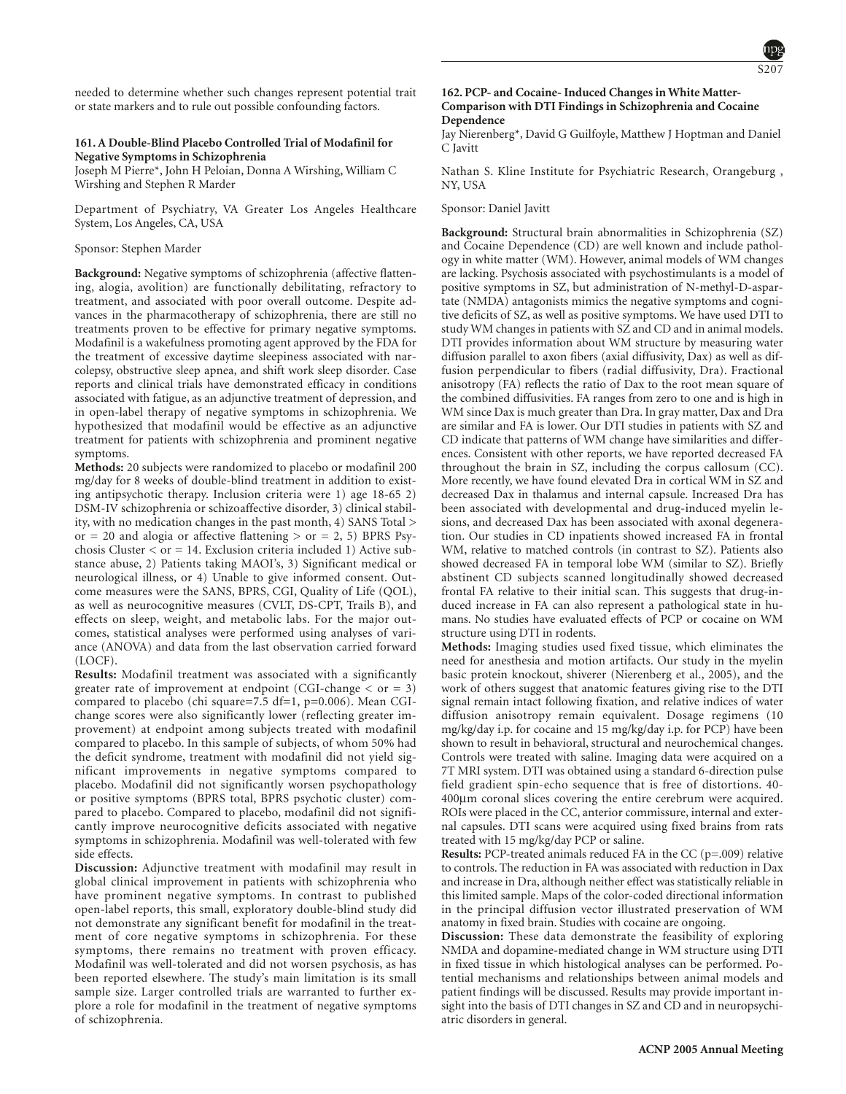

needed to determine whether such changes represent potential trait or state markers and to rule out possible confounding factors.

# **161. A Double-Blind Placebo Controlled Trial of Modafinil for Negative Symptoms in Schizophrenia**

Joseph M Pierre\*, John H Peloian, Donna A Wirshing, William C Wirshing and Stephen R Marder

Department of Psychiatry, VA Greater Los Angeles Healthcare System, Los Angeles, CA, USA

# Sponsor: Stephen Marder

**Background:** Negative symptoms of schizophrenia (affective flattening, alogia, avolition) are functionally debilitating, refractory to treatment, and associated with poor overall outcome. Despite advances in the pharmacotherapy of schizophrenia, there are still no treatments proven to be effective for primary negative symptoms. Modafinil is a wakefulness promoting agent approved by the FDA for the treatment of excessive daytime sleepiness associated with narcolepsy, obstructive sleep apnea, and shift work sleep disorder. Case reports and clinical trials have demonstrated efficacy in conditions associated with fatigue, as an adjunctive treatment of depression, and in open-label therapy of negative symptoms in schizophrenia. We hypothesized that modafinil would be effective as an adjunctive treatment for patients with schizophrenia and prominent negative symptoms.

**Methods:** 20 subjects were randomized to placebo or modafinil 200 mg/day for 8 weeks of double-blind treatment in addition to existing antipsychotic therapy. Inclusion criteria were 1) age 18-65 2) DSM-IV schizophrenia or schizoaffective disorder, 3) clinical stability, with no medication changes in the past month, 4) SANS Total > or = 20 and alogia or affective flattening  $>$  or = 2, 5) BPRS Psychosis Cluster  $\langle$  or = 14. Exclusion criteria included 1) Active substance abuse, 2) Patients taking MAOI's, 3) Significant medical or neurological illness, or 4) Unable to give informed consent. Outcome measures were the SANS, BPRS, CGI, Quality of Life (QOL), as well as neurocognitive measures (CVLT, DS-CPT, Trails B), and effects on sleep, weight, and metabolic labs. For the major outcomes, statistical analyses were performed using analyses of variance (ANOVA) and data from the last observation carried forward (LOCF).

**Results:** Modafinil treatment was associated with a significantly greater rate of improvement at endpoint (CGI-change  $\langle$  or = 3) compared to placebo (chi square=7.5 df=1, p=0.006). Mean CGIchange scores were also significantly lower (reflecting greater improvement) at endpoint among subjects treated with modafinil compared to placebo. In this sample of subjects, of whom 50% had the deficit syndrome, treatment with modafinil did not yield significant improvements in negative symptoms compared to placebo. Modafinil did not significantly worsen psychopathology or positive symptoms (BPRS total, BPRS psychotic cluster) compared to placebo. Compared to placebo, modafinil did not significantly improve neurocognitive deficits associated with negative symptoms in schizophrenia. Modafinil was well-tolerated with few side effects.

**Discussion:** Adjunctive treatment with modafinil may result in global clinical improvement in patients with schizophrenia who have prominent negative symptoms. In contrast to published open-label reports, this small, exploratory double-blind study did not demonstrate any significant benefit for modafinil in the treatment of core negative symptoms in schizophrenia. For these symptoms, there remains no treatment with proven efficacy. Modafinil was well-tolerated and did not worsen psychosis, as has been reported elsewhere. The study's main limitation is its small sample size. Larger controlled trials are warranted to further explore a role for modafinil in the treatment of negative symptoms of schizophrenia.

### **162. PCP- and Cocaine- Induced Changes in White Matter-Comparison with DTI Findings in Schizophrenia and Cocaine Dependence**

Jay Nierenberg\*, David G Guilfoyle, Matthew J Hoptman and Daniel C Javitt

Nathan S. Kline Institute for Psychiatric Research, Orangeburg , NY, USA

#### Sponsor: Daniel Javitt

**Background:** Structural brain abnormalities in Schizophrenia (SZ) and Cocaine Dependence (CD) are well known and include pathology in white matter (WM). However, animal models of WM changes are lacking. Psychosis associated with psychostimulants is a model of positive symptoms in SZ, but administration of N-methyl-D-aspartate (NMDA) antagonists mimics the negative symptoms and cognitive deficits of SZ, as well as positive symptoms. We have used DTI to study WM changes in patients with SZ and CD and in animal models. DTI provides information about WM structure by measuring water diffusion parallel to axon fibers (axial diffusivity, Dax) as well as diffusion perpendicular to fibers (radial diffusivity, Dra). Fractional anisotropy (FA) reflects the ratio of Dax to the root mean square of the combined diffusivities. FA ranges from zero to one and is high in WM since Dax is much greater than Dra. In gray matter, Dax and Dra are similar and FA is lower. Our DTI studies in patients with SZ and CD indicate that patterns of WM change have similarities and differences. Consistent with other reports, we have reported decreased FA throughout the brain in SZ, including the corpus callosum (CC). More recently, we have found elevated Dra in cortical WM in SZ and decreased Dax in thalamus and internal capsule. Increased Dra has been associated with developmental and drug-induced myelin lesions, and decreased Dax has been associated with axonal degeneration. Our studies in CD inpatients showed increased FA in frontal WM, relative to matched controls (in contrast to SZ). Patients also showed decreased FA in temporal lobe WM (similar to SZ). Briefly abstinent CD subjects scanned longitudinally showed decreased frontal FA relative to their initial scan. This suggests that drug-induced increase in FA can also represent a pathological state in humans. No studies have evaluated effects of PCP or cocaine on WM structure using DTI in rodents.

**Methods:** Imaging studies used fixed tissue, which eliminates the need for anesthesia and motion artifacts. Our study in the myelin basic protein knockout, shiverer (Nierenberg et al., 2005), and the work of others suggest that anatomic features giving rise to the DTI signal remain intact following fixation, and relative indices of water diffusion anisotropy remain equivalent. Dosage regimens (10 mg/kg/day i.p. for cocaine and 15 mg/kg/day i.p. for PCP) have been shown to result in behavioral, structural and neurochemical changes. Controls were treated with saline. Imaging data were acquired on a 7T MRI system. DTI was obtained using a standard 6-direction pulse field gradient spin-echo sequence that is free of distortions. 40- 400µm coronal slices covering the entire cerebrum were acquired. ROIs were placed in the CC, anterior commissure, internal and external capsules. DTI scans were acquired using fixed brains from rats treated with 15 mg/kg/day PCP or saline.

**Results:** PCP-treated animals reduced FA in the CC (p=.009) relative to controls. The reduction in FA was associated with reduction in Dax and increase in Dra, although neither effect was statistically reliable in this limited sample. Maps of the color-coded directional information in the principal diffusion vector illustrated preservation of WM anatomy in fixed brain. Studies with cocaine are ongoing.

**Discussion:** These data demonstrate the feasibility of exploring NMDA and dopamine-mediated change in WM structure using DTI in fixed tissue in which histological analyses can be performed. Potential mechanisms and relationships between animal models and patient findings will be discussed. Results may provide important insight into the basis of DTI changes in SZ and CD and in neuropsychiatric disorders in general.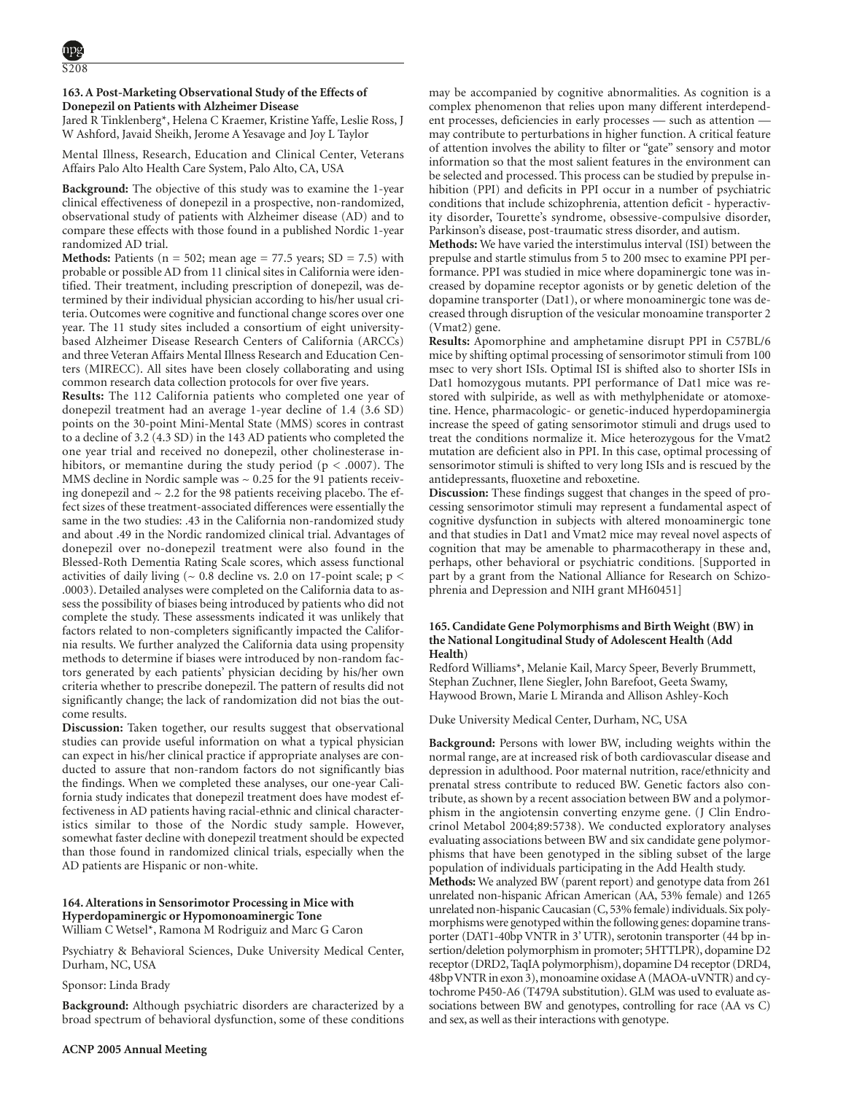# **163. A Post-Marketing Observational Study of the Effects of Donepezil on Patients with Alzheimer Disease**

Jared R Tinklenberg\*, Helena C Kraemer, Kristine Yaffe, Leslie Ross, J W Ashford, Javaid Sheikh, Jerome A Yesavage and Joy L Taylor

Mental Illness, Research, Education and Clinical Center, Veterans Affairs Palo Alto Health Care System, Palo Alto, CA, USA

**Background:** The objective of this study was to examine the 1-year clinical effectiveness of donepezil in a prospective, non-randomized, observational study of patients with Alzheimer disease (AD) and to compare these effects with those found in a published Nordic 1-year randomized AD trial.

**Methods:** Patients ( $n = 502$ ; mean age = 77.5 years; SD = 7.5) with probable or possible AD from 11 clinical sites in California were identified. Their treatment, including prescription of donepezil, was determined by their individual physician according to his/her usual criteria. Outcomes were cognitive and functional change scores over one year. The 11 study sites included a consortium of eight universitybased Alzheimer Disease Research Centers of California (ARCCs) and three Veteran Affairs Mental Illness Research and Education Centers (MIRECC). All sites have been closely collaborating and using common research data collection protocols for over five years.

**Results:** The 112 California patients who completed one year of donepezil treatment had an average 1-year decline of 1.4 (3.6 SD) points on the 30-point Mini-Mental State (MMS) scores in contrast to a decline of 3.2 (4.3 SD) in the 143 AD patients who completed the one year trial and received no donepezil, other cholinesterase inhibitors, or memantine during the study period ( $p < .0007$ ). The MMS decline in Nordic sample was  $\sim 0.25$  for the 91 patients receiving donepezil and  $\sim$  2.2 for the 98 patients receiving placebo. The effect sizes of these treatment-associated differences were essentially the same in the two studies: .43 in the California non-randomized study and about .49 in the Nordic randomized clinical trial. Advantages of donepezil over no-donepezil treatment were also found in the Blessed-Roth Dementia Rating Scale scores, which assess functional activities of daily living ( $\sim$  0.8 decline vs. 2.0 on 17-point scale; p  $<$ .0003). Detailed analyses were completed on the California data to assess the possibility of biases being introduced by patients who did not complete the study. These assessments indicated it was unlikely that factors related to non-completers significantly impacted the California results. We further analyzed the California data using propensity methods to determine if biases were introduced by non-random factors generated by each patients' physician deciding by his/her own criteria whether to prescribe donepezil. The pattern of results did not significantly change; the lack of randomization did not bias the outcome results.

**Discussion:** Taken together, our results suggest that observational studies can provide useful information on what a typical physician can expect in his/her clinical practice if appropriate analyses are conducted to assure that non-random factors do not significantly bias the findings. When we completed these analyses, our one-year California study indicates that donepezil treatment does have modest effectiveness in AD patients having racial-ethnic and clinical characteristics similar to those of the Nordic study sample. However, somewhat faster decline with donepezil treatment should be expected than those found in randomized clinical trials, especially when the AD patients are Hispanic or non-white.

# **164. Alterations in Sensorimotor Processing in Mice with Hyperdopaminergic or Hypomonoaminergic Tone** William C Wetsel\*, Ramona M Rodriguiz and Marc G Caron

Psychiatry & Behavioral Sciences, Duke University Medical Center, Durham, NC, USA

Sponsor: Linda Brady

**Background:** Although psychiatric disorders are characterized by a broad spectrum of behavioral dysfunction, some of these conditions may be accompanied by cognitive abnormalities. As cognition is a complex phenomenon that relies upon many different interdependent processes, deficiencies in early processes — such as attention may contribute to perturbations in higher function. A critical feature of attention involves the ability to filter or "gate" sensory and motor information so that the most salient features in the environment can be selected and processed. This process can be studied by prepulse inhibition (PPI) and deficits in PPI occur in a number of psychiatric conditions that include schizophrenia, attention deficit - hyperactivity disorder, Tourette's syndrome, obsessive-compulsive disorder, Parkinson's disease, post-traumatic stress disorder, and autism.

**Methods:** We have varied the interstimulus interval (ISI) between the prepulse and startle stimulus from 5 to 200 msec to examine PPI performance. PPI was studied in mice where dopaminergic tone was increased by dopamine receptor agonists or by genetic deletion of the dopamine transporter (Dat1), or where monoaminergic tone was decreased through disruption of the vesicular monoamine transporter 2 (Vmat2) gene.

**Results:** Apomorphine and amphetamine disrupt PPI in C57BL/6 mice by shifting optimal processing of sensorimotor stimuli from 100 msec to very short ISIs. Optimal ISI is shifted also to shorter ISIs in Dat1 homozygous mutants. PPI performance of Dat1 mice was restored with sulpiride, as well as with methylphenidate or atomoxetine. Hence, pharmacologic- or genetic-induced hyperdopaminergia increase the speed of gating sensorimotor stimuli and drugs used to treat the conditions normalize it. Mice heterozygous for the Vmat2 mutation are deficient also in PPI. In this case, optimal processing of sensorimotor stimuli is shifted to very long ISIs and is rescued by the antidepressants, fluoxetine and reboxetine.

**Discussion:** These findings suggest that changes in the speed of processing sensorimotor stimuli may represent a fundamental aspect of cognitive dysfunction in subjects with altered monoaminergic tone and that studies in Dat1 and Vmat2 mice may reveal novel aspects of cognition that may be amenable to pharmacotherapy in these and, perhaps, other behavioral or psychiatric conditions. [Supported in part by a grant from the National Alliance for Research on Schizophrenia and Depression and NIH grant MH60451]

# **165. Candidate Gene Polymorphisms and Birth Weight (BW) in the National Longitudinal Study of Adolescent Health (Add Health)**

Redford Williams\*, Melanie Kail, Marcy Speer, Beverly Brummett, Stephan Zuchner, Ilene Siegler, John Barefoot, Geeta Swamy, Haywood Brown, Marie L Miranda and Allison Ashley-Koch

Duke University Medical Center, Durham, NC, USA

**Background:** Persons with lower BW, including weights within the normal range, are at increased risk of both cardiovascular disease and depression in adulthood. Poor maternal nutrition, race/ethnicity and prenatal stress contribute to reduced BW. Genetic factors also contribute, as shown by a recent association between BW and a polymorphism in the angiotensin converting enzyme gene. (J Clin Endrocrinol Metabol 2004;89:5738). We conducted exploratory analyses evaluating associations between BW and six candidate gene polymorphisms that have been genotyped in the sibling subset of the large population of individuals participating in the Add Health study.

**Methods:** We analyzed BW (parent report) and genotype data from 261 unrelated non-hispanic African American (AA, 53% female) and 1265 unrelated non-hispanic Caucasian (C, 53% female) individuals. Six polymorphisms were genotyped within the following genes: dopamine transporter (DAT1-40bp VNTR in 3' UTR), serotonin transporter (44 bp insertion/deletion polymorphism in promoter; 5HTTLPR), dopamine D2 receptor (DRD2, TaqIA polymorphism), dopamine D4 receptor (DRD4, 48bpVNTR in exon 3), monoamine oxidase A (MAOA-uVNTR) and cytochrome P450-A6 (T479A substitution). GLM was used to evaluate associations between BW and genotypes, controlling for race (AA vs C) and sex, as well as their interactions with genotype.